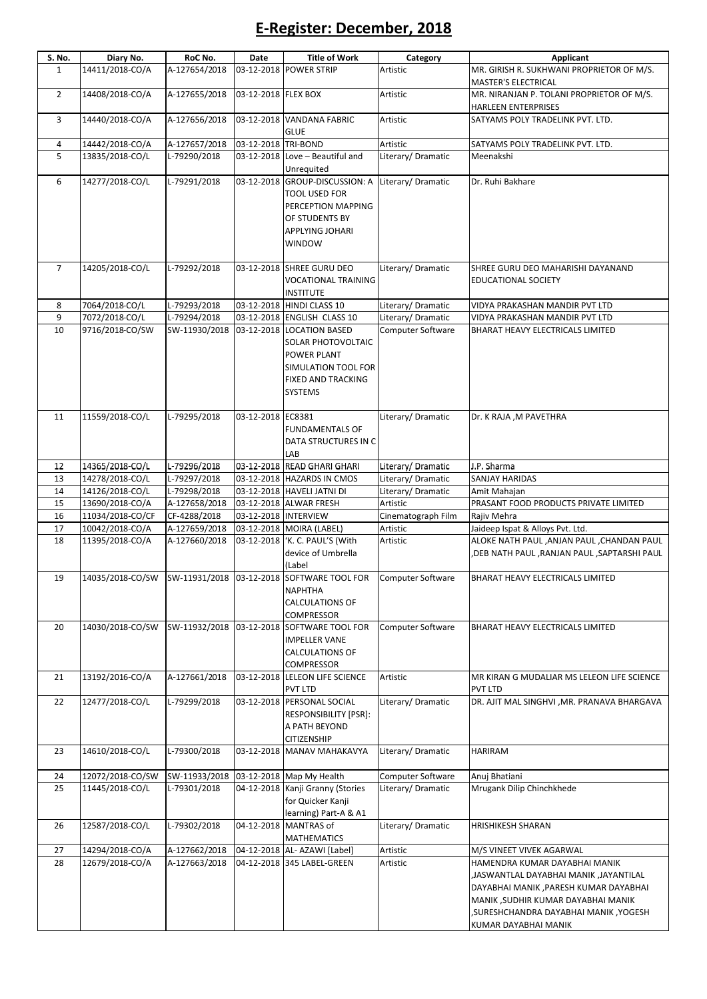## E-Register: December, 2018

| S. No.         | Diary No.                          | RoC No.       | Date                 | <b>Title of Work</b>                                                                                                                 | Category                 | Applicant                                                                                                                                                                                                                |
|----------------|------------------------------------|---------------|----------------------|--------------------------------------------------------------------------------------------------------------------------------------|--------------------------|--------------------------------------------------------------------------------------------------------------------------------------------------------------------------------------------------------------------------|
| $\mathbf{1}$   | 14411/2018-CO/A                    | A-127654/2018 |                      | 03-12-2018 POWER STRIP                                                                                                               | Artistic                 | MR. GIRISH R. SUKHWANI PROPRIETOR OF M/S.<br>MASTER'S ELECTRICAL                                                                                                                                                         |
| $\overline{2}$ | 14408/2018-CO/A                    | A-127655/2018 | 03-12-2018 FLEX BOX  |                                                                                                                                      | Artistic                 | MR. NIRANJAN P. TOLANI PROPRIETOR OF M/S.<br><b>HARLEEN ENTERPRISES</b>                                                                                                                                                  |
| 3              | 14440/2018-CO/A                    | A-127656/2018 |                      | 03-12-2018 VANDANA FABRIC<br><b>GLUE</b>                                                                                             | Artistic                 | SATYAMS POLY TRADELINK PVT. LTD.                                                                                                                                                                                         |
| 4              | 14442/2018-CO/A                    | A-127657/2018 | 03-12-2018 TRI-BOND  |                                                                                                                                      | Artistic                 | SATYAMS POLY TRADELINK PVT. LTD.                                                                                                                                                                                         |
| 5              | 13835/2018-CO/L                    | L-79290/2018  |                      | 03-12-2018 Love - Beautiful and                                                                                                      | Literary/ Dramatic       | Meenakshi                                                                                                                                                                                                                |
|                |                                    |               |                      | Unrequited                                                                                                                           |                          |                                                                                                                                                                                                                          |
| 6              | 14277/2018-CO/L                    | L-79291/2018  |                      | 03-12-2018 GROUP-DISCUSSION: A<br>TOOL USED FOR<br>PERCEPTION MAPPING<br>OF STUDENTS BY<br>APPLYING JOHARI<br><b>WINDOW</b>          | Literary/Dramatic        | Dr. Ruhi Bakhare                                                                                                                                                                                                         |
| $\overline{7}$ | 14205/2018-CO/L                    | L-79292/2018  |                      | 03-12-2018 SHREE GURU DEO<br><b>VOCATIONAL TRAINING</b><br><b>INSTITUTE</b>                                                          | Literary/Dramatic        | SHREE GURU DEO MAHARISHI DAYANAND<br><b>EDUCATIONAL SOCIETY</b>                                                                                                                                                          |
| 8              | 7064/2018-CO/L                     | L-79293/2018  |                      | 03-12-2018 HINDI CLASS 10                                                                                                            | Literary/ Dramatic       | VIDYA PRAKASHAN MANDIR PVT LTD                                                                                                                                                                                           |
| 9              | 7072/2018-CO/L                     | L-79294/2018  |                      | 03-12-2018 ENGLISH CLASS 10                                                                                                          | Literary/ Dramatic       | VIDYA PRAKASHAN MANDIR PVT LTD                                                                                                                                                                                           |
| 10             | 9716/2018-CO/SW                    | SW-11930/2018 |                      | 03-12-2018 LOCATION BASED<br>SOLAR PHOTOVOLTAIC<br><b>POWER PLANT</b><br>SIMULATION TOOL FOR<br><b>FIXED AND TRACKING</b><br>SYSTEMS | Computer Software        | BHARAT HEAVY ELECTRICALS LIMITED                                                                                                                                                                                         |
| 11             | 11559/2018-CO/L                    | L-79295/2018  | 03-12-2018 EC8381    | <b>FUNDAMENTALS OF</b><br>DATA STRUCTURES IN C<br>LAB                                                                                | Literary/Dramatic        | Dr. K RAJA , M PAVETHRA                                                                                                                                                                                                  |
| 12             | 14365/2018-CO/L                    | L-79296/2018  |                      | 03-12-2018 READ GHARI GHARI                                                                                                          | Literary/Dramatic        | J.P. Sharma                                                                                                                                                                                                              |
| 13             | 14278/2018-CO/L                    | L-79297/2018  |                      | 03-12-2018 HAZARDS IN CMOS                                                                                                           | Literary/ Dramatic       | <b>SANJAY HARIDAS</b>                                                                                                                                                                                                    |
| 14             | 14126/2018-CO/L                    | L-79298/2018  |                      | 03-12-2018 HAVELI JATNI DI                                                                                                           | Literary/Dramatic        | Amit Mahajan                                                                                                                                                                                                             |
| 15             | 13690/2018-CO/A                    | A-127658/2018 |                      | 03-12-2018 ALWAR FRESH                                                                                                               | Artistic                 | PRASANT FOOD PRODUCTS PRIVATE LIMITED                                                                                                                                                                                    |
| 16             | 11034/2018-CO/CF                   | CF-4288/2018  | 03-12-2018 INTERVIEW |                                                                                                                                      | Cinematograph Film       | Rajiv Mehra                                                                                                                                                                                                              |
| 17<br>18       | 10042/2018-CO/A<br>11395/2018-CO/A | A-127659/2018 |                      | 03-12-2018 MOIRA (LABEL)<br>03-12-2018 'K. C. PAUL'S (With                                                                           | Artistic                 | Jaideep Ispat & Alloys Pvt. Ltd.<br>ALOKE NATH PAUL ,ANJAN PAUL ,CHANDAN PAUL                                                                                                                                            |
|                |                                    | A-127660/2018 |                      | device of Umbrella<br>(Label                                                                                                         | Artistic                 | DEB NATH PAUL ,RANJAN PAUL ,SAPTARSHI PAUL,                                                                                                                                                                              |
| 19             |                                    |               |                      | 14035/2018-CO/SW SW-11931/2018 03-12-2018 SOFTWARE TOOL FOR<br><b>NAPHTHA</b><br><b>CALCULATIONS OF</b><br>COMPRESSOR                | Computer Software        | BHARAT HEAVY ELECTRICALS LIMITED                                                                                                                                                                                         |
| 20             | 14030/2018-CO/SW                   | SW-11932/2018 |                      | 03-12-2018 SOFTWARE TOOL FOR<br><b>IMPELLER VANE</b><br><b>CALCULATIONS OF</b><br>COMPRESSOR                                         | <b>Computer Software</b> | BHARAT HEAVY ELECTRICALS LIMITED                                                                                                                                                                                         |
| 21             | 13192/2016-CO/A                    | A-127661/2018 |                      | 03-12-2018 LELEON LIFE SCIENCE<br><b>PVT LTD</b>                                                                                     | Artistic                 | MR KIRAN G MUDALIAR MS LELEON LIFE SCIENCE<br><b>PVT LTD</b>                                                                                                                                                             |
| 22             | 12477/2018-CO/L                    | L-79299/2018  |                      | 03-12-2018 PERSONAL SOCIAL<br><b>RESPONSIBILITY [PSR]:</b><br>A PATH BEYOND<br>CITIZENSHIP                                           | Literary/ Dramatic       | DR. AJIT MAL SINGHVI , MR. PRANAVA BHARGAVA                                                                                                                                                                              |
| 23             | 14610/2018-CO/L                    | L-79300/2018  |                      | 03-12-2018 MANAV MAHAKAVYA                                                                                                           | Literary/Dramatic        | <b>HARIRAM</b>                                                                                                                                                                                                           |
| 24             | 12072/2018-CO/SW                   | SW-11933/2018 |                      | 03-12-2018 Map My Health                                                                                                             | Computer Software        | Anuj Bhatiani                                                                                                                                                                                                            |
| 25             | 11445/2018-CO/L                    | L-79301/2018  |                      | 04-12-2018 Kanji Granny (Stories<br>for Quicker Kanji<br>learning) Part-A & A1                                                       | Literary/Dramatic        | Mrugank Dilip Chinchkhede                                                                                                                                                                                                |
| 26             | 12587/2018-CO/L                    | L-79302/2018  |                      | 04-12-2018 MANTRAS of<br><b>MATHEMATICS</b>                                                                                          | Literary/Dramatic        | HRISHIKESH SHARAN                                                                                                                                                                                                        |
| 27             | 14294/2018-CO/A                    | A-127662/2018 |                      | 04-12-2018 AL- AZAWI [Label]                                                                                                         | Artistic                 | M/S VINEET VIVEK AGARWAL                                                                                                                                                                                                 |
| 28             | 12679/2018-CO/A                    | A-127663/2018 |                      | 04-12-2018 345 LABEL-GREEN                                                                                                           | Artistic                 | HAMENDRA KUMAR DAYABHAI MANIK<br>JASWANTLAL DAYABHAI MANIK ,JAYANTILAL<br>DAYABHAI MANIK , PARESH KUMAR DAYABHAI<br>MANIK ,SUDHIR KUMAR DAYABHAI MANIK<br>, SURESHCHANDRA DAYABHAI MANIK, YOGESH<br>KUMAR DAYABHAI MANIK |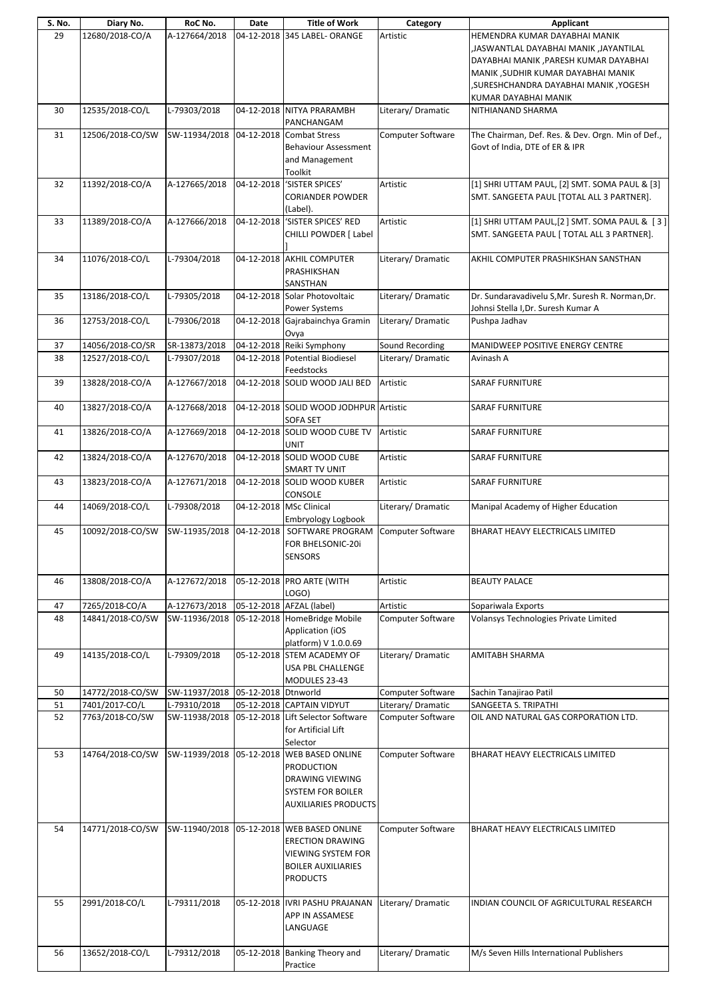| S. No. | Diary No.        | RoC No.                           | Date       | <b>Title of Work</b>                                                                                                                       | Category          | <b>Applicant</b>                                                                                                                                                                                |
|--------|------------------|-----------------------------------|------------|--------------------------------------------------------------------------------------------------------------------------------------------|-------------------|-------------------------------------------------------------------------------------------------------------------------------------------------------------------------------------------------|
| 29     | 12680/2018-CO/A  | A-127664/2018                     | 04-12-2018 | 345 LABEL- ORANGE                                                                                                                          | Artistic          | HEMENDRA KUMAR DAYABHAI MANIK<br>JASWANTLAL DAYABHAI MANIK ,JAYANTILAL<br>DAYABHAI MANIK, PARESH KUMAR DAYABHAI<br>MANIK ,SUDHIR KUMAR DAYABHAI MANIK<br>, SURESHCHANDRA DAYABHAI MANIK, YOGESH |
|        |                  |                                   |            |                                                                                                                                            |                   | KUMAR DAYABHAI MANIK                                                                                                                                                                            |
| 30     | 12535/2018-CO/L  | L-79303/2018                      |            | 04-12-2018 NITYA PRARAMBH<br>PANCHANGAM                                                                                                    | Literary/Dramatic | NITHIANAND SHARMA                                                                                                                                                                               |
| 31     | 12506/2018-CO/SW | SW-11934/2018                     |            | 04-12-2018 Combat Stress<br><b>Behaviour Assessment</b><br>and Management<br>Toolkit                                                       | Computer Software | The Chairman, Def. Res. & Dev. Orgn. Min of Def.,<br>Govt of India, DTE of ER & IPR                                                                                                             |
| 32     | 11392/2018-CO/A  | A-127665/2018                     | 04-12-2018 | 'SISTER SPICES'<br><b>CORIANDER POWDER</b><br>(Label).                                                                                     | Artistic          | [1] SHRI UTTAM PAUL, [2] SMT. SOMA PAUL & [3]<br>SMT. SANGEETA PAUL [TOTAL ALL 3 PARTNER].                                                                                                      |
| 33     | 11389/2018-CO/A  | A-127666/2018                     | 04-12-2018 | 'SISTER SPICES' RED<br>CHILLI POWDER [ Label                                                                                               | Artistic          | [1] SHRI UTTAM PAUL, [2] SMT. SOMA PAUL & [3]<br>SMT. SANGEETA PAUL [ TOTAL ALL 3 PARTNER].                                                                                                     |
| 34     | 11076/2018-CO/L  | L-79304/2018                      |            | 04-12-2018 AKHIL COMPUTER<br>PRASHIKSHAN<br>SANSTHAN                                                                                       | Literary/Dramatic | AKHIL COMPUTER PRASHIKSHAN SANSTHAN                                                                                                                                                             |
| 35     | 13186/2018-CO/L  | L-79305/2018                      |            | 04-12-2018 Solar Photovoltaic<br>Power Systems                                                                                             | Literary/Dramatic | Dr. Sundaravadivelu S, Mr. Suresh R. Norman, Dr.<br>Johnsi Stella I, Dr. Suresh Kumar A                                                                                                         |
| 36     | 12753/2018-CO/L  | L-79306/2018                      |            | 04-12-2018 Gajrabainchya Gramin<br>Ovya                                                                                                    | Literary/Dramatic | Pushpa Jadhav                                                                                                                                                                                   |
| 37     | 14056/2018-CO/SR | SR-13873/2018                     |            | 04-12-2018 Reiki Symphony                                                                                                                  | Sound Recording   | MANIDWEEP POSITIVE ENERGY CENTRE                                                                                                                                                                |
| 38     | 12527/2018-CO/L  | L-79307/2018                      |            | 04-12-2018 Potential Biodiesel<br>Feedstocks                                                                                               | Literary/Dramatic | Avinash A                                                                                                                                                                                       |
| 39     | 13828/2018-CO/A  | A-127667/2018                     |            | 04-12-2018 SOLID WOOD JALI BED                                                                                                             | Artistic          | <b>SARAF FURNITURE</b>                                                                                                                                                                          |
| 40     | 13827/2018-CO/A  | A-127668/2018                     |            | 04-12-2018 SOLID WOOD JODHPUR Artistic<br><b>SOFA SET</b>                                                                                  |                   | <b>SARAF FURNITURE</b>                                                                                                                                                                          |
| 41     | 13826/2018-CO/A  | A-127669/2018                     | 04-12-2018 | SOLID WOOD CUBE TV<br>UNIT                                                                                                                 | Artistic          | <b>SARAF FURNITURE</b>                                                                                                                                                                          |
| 42     | 13824/2018-CO/A  | A-127670/2018                     |            | 04-12-2018 SOLID WOOD CUBE<br><b>SMART TV UNIT</b>                                                                                         | Artistic          | <b>SARAF FURNITURE</b>                                                                                                                                                                          |
| 43     | 13823/2018-CO/A  | A-127671/2018                     |            | 04-12-2018 SOLID WOOD KUBER<br>CONSOLE                                                                                                     | Artistic          | <b>SARAF FURNITURE</b>                                                                                                                                                                          |
| 44     | 14069/2018-CO/L  | L-79308/2018                      |            | 04-12-2018 MSc Clinical<br>Embryology Logbook                                                                                              | Literary/Dramatic | Manipal Academy of Higher Education                                                                                                                                                             |
| 45     | 10092/2018-CO/SW | SW-11935/2018                     | 04-12-2018 | SOFTWARE PROGRAM<br>FOR BHELSONIC-20i<br>SENSORS                                                                                           | Computer Software | BHARAT HEAVY ELECTRICALS LIMITED                                                                                                                                                                |
| 46     | 13808/2018-CO/A  | A-127672/2018                     |            | 05-12-2018 PRO ARTE (WITH<br>LOGO)                                                                                                         | Artistic          | <b>BEAUTY PALACE</b>                                                                                                                                                                            |
| 47     | 7265/2018-CO/A   | A-127673/2018                     |            | 05-12-2018 AFZAL (label)                                                                                                                   | Artistic          | Sopariwala Exports                                                                                                                                                                              |
| 48     | 14841/2018-CO/SW | SW-11936/2018                     |            | 05-12-2018 HomeBridge Mobile<br><b>Application (iOS</b><br>platform) V 1.0.0.69                                                            | Computer Software | Volansys Technologies Private Limited                                                                                                                                                           |
| 49     | 14135/2018-CO/L  | L-79309/2018                      |            | 05-12-2018 STEM ACADEMY OF<br>USA PBL CHALLENGE<br>MODULES 23-43                                                                           | Literary/Dramatic | AMITABH SHARMA                                                                                                                                                                                  |
| 50     | 14772/2018-CO/SW | SW-11937/2018 05-12-2018 Dtnworld |            |                                                                                                                                            | Computer Software | Sachin Tanajirao Patil                                                                                                                                                                          |
| 51     | 7401/2017-CO/L   | L-79310/2018                      |            | 05-12-2018 CAPTAIN VIDYUT                                                                                                                  | Literary/Dramatic | SANGEETA S. TRIPATHI                                                                                                                                                                            |
| 52     | 7763/2018-CO/SW  | SW-11938/2018                     |            | 05-12-2018 Lift Selector Software<br>for Artificial Lift<br>Selector                                                                       | Computer Software | OIL AND NATURAL GAS CORPORATION LTD.                                                                                                                                                            |
| 53     | 14764/2018-CO/SW | SW-11939/2018                     |            | 05-12-2018 WEB BASED ONLINE<br><b>PRODUCTION</b><br>DRAWING VIEWING<br><b>SYSTEM FOR BOILER</b><br><b>AUXILIARIES PRODUCTS</b>             | Computer Software | BHARAT HEAVY ELECTRICALS LIMITED                                                                                                                                                                |
| 54     | 14771/2018-CO/SW |                                   |            | SW-11940/2018 05-12-2018 WEB BASED ONLINE<br><b>ERECTION DRAWING</b><br>VIEWING SYSTEM FOR<br><b>BOILER AUXILIARIES</b><br><b>PRODUCTS</b> | Computer Software | BHARAT HEAVY ELECTRICALS LIMITED                                                                                                                                                                |
| 55     | 2991/2018-CO/L   | L-79311/2018                      |            | 05-12-2018  IVRI PASHU PRAJANAN<br>APP IN ASSAMESE<br>LANGUAGE                                                                             | Literary/Dramatic | INDIAN COUNCIL OF AGRICULTURAL RESEARCH                                                                                                                                                         |
| 56     | 13652/2018-CO/L  | L-79312/2018                      |            | 05-12-2018 Banking Theory and<br>Practice                                                                                                  | Literary/Dramatic | M/s Seven Hills International Publishers                                                                                                                                                        |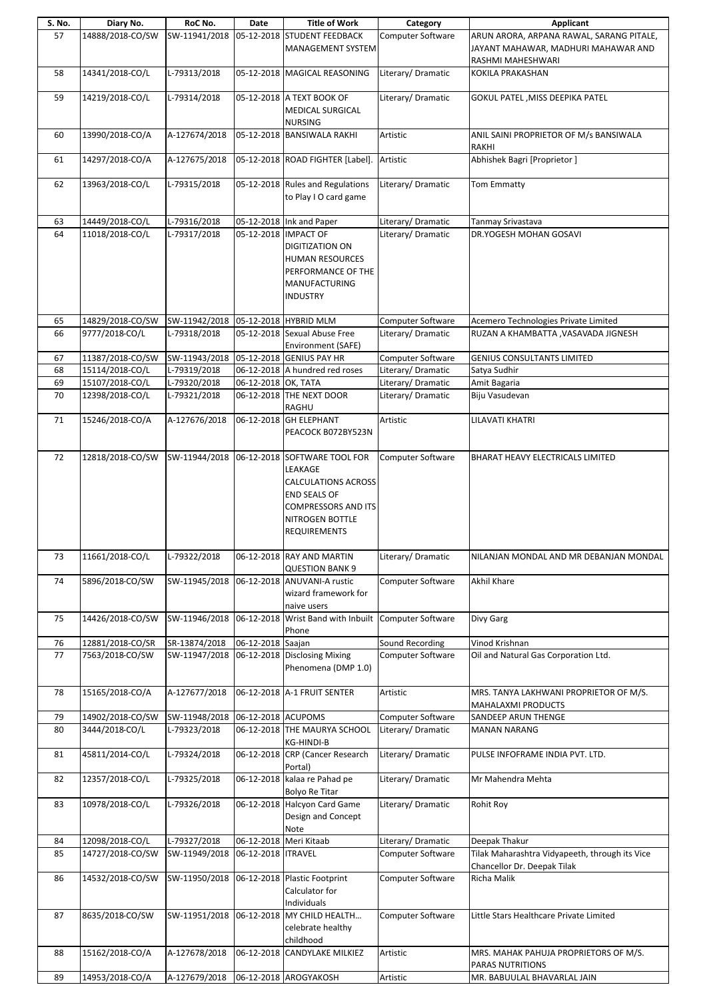| S. No.   | Diary No.                          | RoC No.                                    | Date                 | <b>Title of Work</b>                                                                                                                                                 | Category                               | Applicant                                                                                            |
|----------|------------------------------------|--------------------------------------------|----------------------|----------------------------------------------------------------------------------------------------------------------------------------------------------------------|----------------------------------------|------------------------------------------------------------------------------------------------------|
| 57       | 14888/2018-CO/SW                   | SW-11941/2018                              |                      | 05-12-2018 STUDENT FEEDBACK<br>MANAGEMENT SYSTEM                                                                                                                     | Computer Software                      | ARUN ARORA, ARPANA RAWAL, SARANG PITALE,<br>JAYANT MAHAWAR, MADHURI MAHAWAR AND<br>RASHMI MAHESHWARI |
| 58       | 14341/2018-CO/L                    | L-79313/2018                               |                      | 05-12-2018 MAGICAL REASONING                                                                                                                                         | Literary/Dramatic                      | KOKILA PRAKASHAN                                                                                     |
| 59       | 14219/2018-CO/L                    | L-79314/2018                               |                      | 05-12-2018 A TEXT BOOK OF<br><b>MEDICAL SURGICAL</b><br><b>NURSING</b>                                                                                               | Literary/Dramatic                      | GOKUL PATEL, MISS DEEPIKA PATEL                                                                      |
| 60       | 13990/2018-CO/A                    | A-127674/2018                              |                      | 05-12-2018 BANSIWALA RAKHI                                                                                                                                           | Artistic                               | ANIL SAINI PROPRIETOR OF M/s BANSIWALA<br>RAKHI                                                      |
| 61       | 14297/2018-CO/A                    | A-127675/2018                              |                      | 05-12-2018 ROAD FIGHTER [Label].                                                                                                                                     | Artistic                               | Abhishek Bagri [Proprietor]                                                                          |
| 62       | 13963/2018-CO/L                    | L-79315/2018                               |                      | 05-12-2018 Rules and Regulations<br>to Play I O card game                                                                                                            | Literary/ Dramatic                     | <b>Tom Emmatty</b>                                                                                   |
| 63       | 14449/2018-CO/L                    | L-79316/2018                               |                      | 05-12-2018 Ink and Paper                                                                                                                                             | Literary/Dramatic                      | Tanmay Srivastava                                                                                    |
| 64       | 11018/2018-CO/L                    | L-79317/2018                               |                      | 05-12-2018 IMPACT OF<br><b>DIGITIZATION ON</b><br><b>HUMAN RESOURCES</b><br>PERFORMANCE OF THE<br>MANUFACTURING<br><b>INDUSTRY</b>                                   | Literary/ Dramatic                     | DR.YOGESH MOHAN GOSAVI                                                                               |
| 65       | 14829/2018-CO/SW                   | SW-11942/2018 05-12-2018 HYBRID MLM        |                      |                                                                                                                                                                      | Computer Software                      | Acemero Technologies Private Limited                                                                 |
| 66       | 9777/2018-CO/L                     | L-79318/2018                               |                      | 05-12-2018 Sexual Abuse Free<br>Environment (SAFE)                                                                                                                   | Literary/Dramatic                      | RUZAN A KHAMBATTA , VASAVADA JIGNESH                                                                 |
| 67       | 11387/2018-CO/SW                   | SW-11943/2018                              |                      | 05-12-2018 GENIUS PAY HR                                                                                                                                             | Computer Software                      | <b>GENIUS CONSULTANTS LIMITED</b>                                                                    |
| 68       | 15114/2018-CO/L                    | L-79319/2018                               |                      | 06-12-2018 A hundred red roses                                                                                                                                       | Literary/Dramatic                      | Satya Sudhir                                                                                         |
| 69<br>70 | 15107/2018-CO/L<br>12398/2018-CO/L | L-79320/2018<br>L-79321/2018               | 06-12-2018 OK, TATA  | 06-12-2018 THE NEXT DOOR                                                                                                                                             | Literary/Dramatic<br>Literary/Dramatic | Amit Bagaria<br>Biju Vasudevan                                                                       |
|          |                                    |                                            |                      | <b>RAGHU</b>                                                                                                                                                         |                                        |                                                                                                      |
| 71       | 15246/2018-CO/A                    | A-127676/2018                              |                      | 06-12-2018 GH ELEPHANT<br>PEACOCK B072BY523N                                                                                                                         | Artistic                               | LILAVATI KHATRI                                                                                      |
| 72       | 12818/2018-CO/SW                   | SW-11944/2018                              |                      | 06-12-2018 SOFTWARE TOOL FOR<br>LEAKAGE<br><b>CALCULATIONS ACROSS</b><br><b>END SEALS OF</b><br><b>COMPRESSORS AND ITS</b><br>NITROGEN BOTTLE<br><b>REQUIREMENTS</b> | <b>Computer Software</b>               | BHARAT HEAVY ELECTRICALS LIMITED                                                                     |
| 73       | 11661/2018-CO/L                    | L-79322/2018                               |                      | 06-12-2018 RAY AND MARTIN<br><b>QUESTION BANK 9</b>                                                                                                                  | Literary/Dramatic                      | NILANJAN MONDAL AND MR DEBANJAN MONDAL                                                               |
| 74       | 5896/2018-CO/SW                    | SW-11945/2018                              |                      | 06-12-2018 ANUVANI-A rustic<br>wizard framework for<br>naive users                                                                                                   | Computer Software                      | <b>Akhil Khare</b>                                                                                   |
| 75       | 14426/2018-CO/SW                   | SW-11946/2018                              |                      | 06-12-2018 Wrist Band with Inbuilt<br>Phone                                                                                                                          | Computer Software                      | Divy Garg                                                                                            |
| 76       | 12881/2018-CO/SR                   | SR-13874/2018                              | 06-12-2018 Saajan    |                                                                                                                                                                      | Sound Recording                        | Vinod Krishnan                                                                                       |
| 77       | 7563/2018-CO/SW                    | SW-11947/2018                              |                      | 06-12-2018 Disclosing Mixing<br>Phenomena (DMP 1.0)                                                                                                                  | Computer Software                      | Oil and Natural Gas Corporation Ltd.                                                                 |
| 78       | 15165/2018-CO/A                    | A-127677/2018                              |                      | 06-12-2018 A-1 FRUIT SENTER                                                                                                                                          | Artistic                               | MRS. TANYA LAKHWANI PROPRIETOR OF M/S.<br>MAHALAXMI PRODUCTS                                         |
| 79       | 14902/2018-CO/SW                   | SW-11948/2018                              | 06-12-2018 ACUPOMS   |                                                                                                                                                                      | Computer Software                      | SANDEEP ARUN THENGE                                                                                  |
| 80       | 3444/2018-CO/L                     | L-79323/2018                               |                      | 06-12-2018 THE MAURYA SCHOOL<br>KG-HINDI-B                                                                                                                           | Literary/Dramatic                      | <b>MANAN NARANG</b>                                                                                  |
| 81       | 45811/2014-CO/L                    | L-79324/2018                               |                      | 06-12-2018 CRP (Cancer Research<br>Portal)                                                                                                                           | Literary/Dramatic                      | PULSE INFOFRAME INDIA PVT. LTD.                                                                      |
| 82       | 12357/2018-CO/L                    | L-79325/2018                               |                      | 06-12-2018 kalaa re Pahad pe<br>Bolyo Re Titar                                                                                                                       | Literary/Dramatic                      | Mr Mahendra Mehta                                                                                    |
| 83       | 10978/2018-CO/L                    | L-79326/2018                               |                      | 06-12-2018 Halcyon Card Game<br>Design and Concept<br>Note                                                                                                           | Literary/Dramatic                      | <b>Rohit Roy</b>                                                                                     |
| 84       | 12098/2018-CO/L                    | L-79327/2018                               |                      | 06-12-2018 Meri Kitaab                                                                                                                                               | Literary/ Dramatic                     | Deepak Thakur                                                                                        |
| 85       | 14727/2018-CO/SW                   | SW-11949/2018                              | 06-12-2018   ITRAVEL |                                                                                                                                                                      | Computer Software                      | Tilak Maharashtra Vidyapeeth, through its Vice<br>Chancellor Dr. Deepak Tilak                        |
| 86       | 14532/2018-CO/SW                   | SW-11950/2018 06-12-2018 Plastic Footprint |                      | Calculator for<br>Individuals                                                                                                                                        | Computer Software                      | Richa Malik                                                                                          |
| 87       | 8635/2018-CO/SW                    | SW-11951/2018                              |                      | 06-12-2018 MY CHILD HEALTH<br>celebrate healthy<br>childhood                                                                                                         | Computer Software                      | Little Stars Healthcare Private Limited                                                              |
| 88       | 15162/2018-CO/A                    | A-127678/2018                              |                      | 06-12-2018 CANDYLAKE MILKIEZ                                                                                                                                         | Artistic                               | MRS. MAHAK PAHUJA PROPRIETORS OF M/S.<br>PARAS NUTRITIONS                                            |
| 89       | 14953/2018-CO/A                    | A-127679/2018                              |                      | 06-12-2018 AROGYAKOSH                                                                                                                                                | Artistic                               | MR. BABUULAL BHAVARLAL JAIN                                                                          |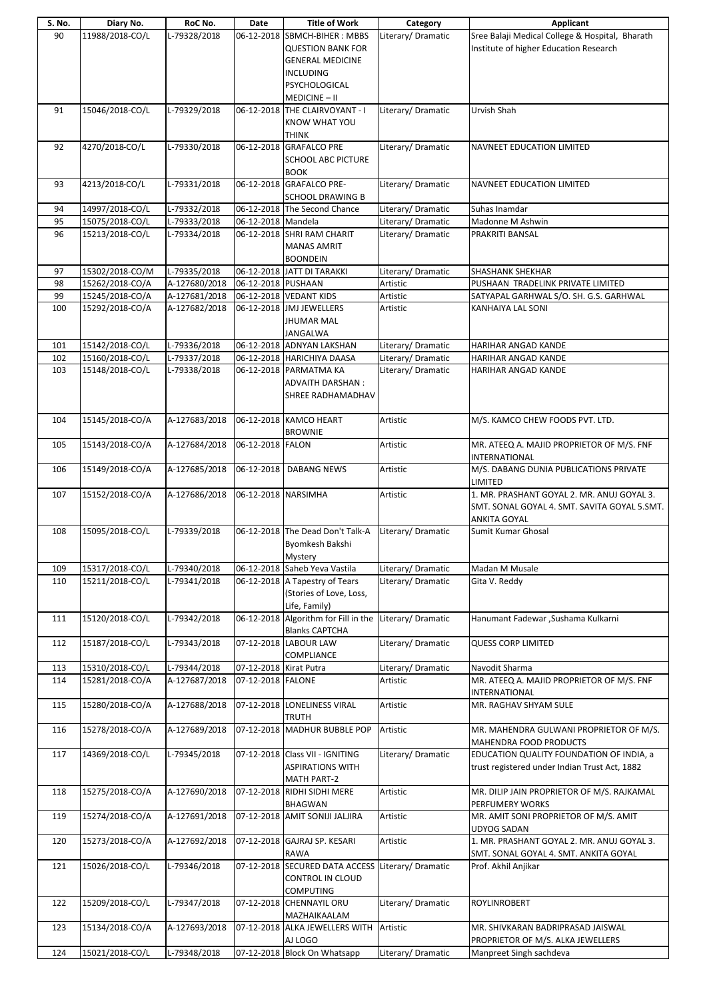| S. No. | Diary No.       | RoC No.       | Date                   | <b>Title of Work</b>                              | Category           | Applicant                                       |
|--------|-----------------|---------------|------------------------|---------------------------------------------------|--------------------|-------------------------------------------------|
| 90     | 11988/2018-CO/L | L-79328/2018  |                        | 06-12-2018 SBMCH-BIHER: MBBS                      | Literary/Dramatic  | Sree Balaji Medical College & Hospital, Bharath |
|        |                 |               |                        | <b>QUESTION BANK FOR</b>                          |                    | Institute of higher Education Research          |
|        |                 |               |                        |                                                   |                    |                                                 |
|        |                 |               |                        | <b>GENERAL MEDICINE</b>                           |                    |                                                 |
|        |                 |               |                        | <b>INCLUDING</b>                                  |                    |                                                 |
|        |                 |               |                        | PSYCHOLOGICAL                                     |                    |                                                 |
|        |                 |               |                        |                                                   |                    |                                                 |
|        |                 |               |                        | MEDICINE-II                                       |                    |                                                 |
| 91     | 15046/2018-CO/L | L-79329/2018  |                        | 06-12-2018 THE CLAIRVOYANT - I                    | Literary/Dramatic  | Urvish Shah                                     |
|        |                 |               |                        | KNOW WHAT YOU                                     |                    |                                                 |
|        |                 |               |                        | <b>THINK</b>                                      |                    |                                                 |
| 92     | 4270/2018-CO/L  | L-79330/2018  |                        | 06-12-2018 GRAFALCO PRE                           | Literary/Dramatic  |                                                 |
|        |                 |               |                        |                                                   |                    | <b>NAVNEET EDUCATION LIMITED</b>                |
|        |                 |               |                        | <b>SCHOOL ABC PICTURE</b>                         |                    |                                                 |
|        |                 |               |                        | <b>BOOK</b>                                       |                    |                                                 |
| 93     | 4213/2018-CO/L  | L-79331/2018  |                        | 06-12-2018 GRAFALCO PRE-                          | Literary/Dramatic  | <b>NAVNEET EDUCATION LIMITED</b>                |
|        |                 |               |                        | <b>SCHOOL DRAWING B</b>                           |                    |                                                 |
|        |                 |               |                        |                                                   |                    |                                                 |
| 94     | 14997/2018-CO/L | L-79332/2018  |                        | 06-12-2018 The Second Chance                      | Literary/ Dramatic | Suhas Inamdar                                   |
| 95     | 15075/2018-CO/L | L-79333/2018  | 06-12-2018 Mandela     |                                                   | Literary/ Dramatic | Madonne M Ashwin                                |
| 96     | 15213/2018-CO/L | L-79334/2018  |                        | 06-12-2018 SHRI RAM CHARIT                        | Literary/Dramatic  | PRAKRITI BANSAL                                 |
|        |                 |               |                        | <b>MANAS AMRIT</b>                                |                    |                                                 |
|        |                 |               |                        |                                                   |                    |                                                 |
|        |                 |               |                        | <b>BOONDEIN</b>                                   |                    |                                                 |
| 97     | 15302/2018-CO/M | L-79335/2018  |                        | 06-12-2018 JATT DI TARAKKI                        | Literary/Dramatic  | SHASHANK SHEKHAR                                |
| 98     | 15262/2018-CO/A | A-127680/2018 | 06-12-2018 PUSHAAN     |                                                   | Artistic           | PUSHAAN TRADELINK PRIVATE LIMITED               |
| 99     | 15245/2018-CO/A | A-127681/2018 |                        | 06-12-2018 VEDANT KIDS                            | Artistic           | SATYAPAL GARHWAL S/O. SH. G.S. GARHWAL          |
| 100    | 15292/2018-CO/A | A-127682/2018 |                        | 06-12-2018 JMJ JEWELLERS                          | Artistic           | KANHAIYA LAL SONI                               |
|        |                 |               |                        |                                                   |                    |                                                 |
|        |                 |               |                        | <b>JHUMAR MAL</b>                                 |                    |                                                 |
|        |                 |               |                        | JANGALWA                                          |                    |                                                 |
| 101    | 15142/2018-CO/L | L-79336/2018  |                        | 06-12-2018 ADNYAN LAKSHAN                         | Literary/Dramatic  | HARIHAR ANGAD KANDE                             |
| 102    | 15160/2018-CO/L | L-79337/2018  |                        | 06-12-2018 HARICHIYA DAASA                        | Literary/Dramatic  | HARIHAR ANGAD KANDE                             |
|        |                 |               |                        |                                                   |                    |                                                 |
| 103    | 15148/2018-CO/L | L-79338/2018  |                        | 06-12-2018  PARMATMA KA                           | Literary/Dramatic  | HARIHAR ANGAD KANDE                             |
|        |                 |               |                        | <b>ADVAITH DARSHAN:</b>                           |                    |                                                 |
|        |                 |               |                        | SHREE RADHAMADHAV                                 |                    |                                                 |
|        |                 |               |                        |                                                   |                    |                                                 |
|        |                 |               |                        |                                                   |                    |                                                 |
| 104    | 15145/2018-CO/A | A-127683/2018 |                        | 06-12-2018 KAMCO HEART                            | Artistic           | M/S. KAMCO CHEW FOODS PVT. LTD.                 |
|        |                 |               |                        | <b>BROWNIE</b>                                    |                    |                                                 |
| 105    | 15143/2018-CO/A | A-127684/2018 | 06-12-2018 FALON       |                                                   | Artistic           | MR. ATEEQ A. MAJID PROPRIETOR OF M/S. FNF       |
|        |                 |               |                        |                                                   |                    | <b>INTERNATIONAL</b>                            |
| 106    | 15149/2018-CO/A | A-127685/2018 | 06-12-2018             | <b>DABANG NEWS</b>                                |                    | M/S. DABANG DUNIA PUBLICATIONS PRIVATE          |
|        |                 |               |                        |                                                   | Artistic           |                                                 |
|        |                 |               |                        |                                                   |                    | LIMITED                                         |
| 107    | 15152/2018-CO/A | A-127686/2018 | 06-12-2018 NARSIMHA    |                                                   | Artistic           | 1. MR. PRASHANT GOYAL 2. MR. ANUJ GOYAL 3.      |
|        |                 |               |                        |                                                   |                    | SMT. SONAL GOYAL 4. SMT. SAVITA GOYAL 5.SMT.    |
|        |                 |               |                        |                                                   |                    | <b>ANKITA GOYAL</b>                             |
| 108    | 15095/2018-CO/L | L-79339/2018  |                        | 06-12-2018 The Dead Don't Talk-A                  | Literary/Dramatic  | Sumit Kumar Ghosal                              |
|        |                 |               |                        |                                                   |                    |                                                 |
|        |                 |               |                        | Byomkesh Bakshi                                   |                    |                                                 |
|        |                 |               |                        | Mystery                                           |                    |                                                 |
| 109    | 15317/2018-CO/L | L-79340/2018  |                        | 06-12-2018 Saheb Yeva Vastila                     | Literary/Dramatic  | Madan M Musale                                  |
| 110    | 15211/2018-CO/L | L-79341/2018  |                        | 06-12-2018 A Tapestry of Tears                    | Literary/Dramatic  | Gita V. Reddy                                   |
|        |                 |               |                        | (Stories of Love, Loss,                           |                    |                                                 |
|        |                 |               |                        |                                                   |                    |                                                 |
|        |                 |               |                        | Life, Family)                                     |                    |                                                 |
| 111    | 15120/2018-CO/L | L-79342/2018  |                        | 06-12-2018 Algorithm for Fill in the              | Literary/ Dramatic | Hanumant Fadewar, Sushama Kulkarni              |
|        |                 |               |                        | <b>Blanks CAPTCHA</b>                             |                    |                                                 |
| 112    | 15187/2018-CO/L | L-79343/2018  |                        | 07-12-2018 LABOUR LAW                             | Literary/Dramatic  | <b>QUESS CORP LIMITED</b>                       |
|        |                 |               |                        |                                                   |                    |                                                 |
|        |                 |               |                        | COMPLIANCE                                        |                    |                                                 |
| 113    | 15310/2018-CO/L | L-79344/2018  | 07-12-2018 Kirat Putra |                                                   | Literary/Dramatic  | Navodit Sharma                                  |
| 114    | 15281/2018-CO/A | A-127687/2018 | 07-12-2018 FALONE      |                                                   | Artistic           | MR. ATEEQ A. MAJID PROPRIETOR OF M/S. FNF       |
|        |                 |               |                        |                                                   |                    | INTERNATIONAL                                   |
| 115    | 15280/2018-CO/A | A-127688/2018 |                        | 07-12-2018 LONELINESS VIRAL                       | Artistic           | MR. RAGHAV SHYAM SULE                           |
|        |                 |               |                        |                                                   |                    |                                                 |
|        |                 |               |                        | <b>TRUTH</b>                                      |                    |                                                 |
| 116    | 15278/2018-CO/A | A-127689/2018 |                        | 07-12-2018 MADHUR BUBBLE POP                      | Artistic           | MR. MAHENDRA GULWANI PROPRIETOR OF M/S.         |
|        |                 |               |                        |                                                   |                    | MAHENDRA FOOD PRODUCTS                          |
| 117    | 14369/2018-CO/L | L-79345/2018  |                        | 07-12-2018 Class VII - IGNITING                   | Literary/Dramatic  | EDUCATION QUALITY FOUNDATION OF INDIA, a        |
|        |                 |               |                        | <b>ASPIRATIONS WITH</b>                           |                    | trust registered under Indian Trust Act, 1882   |
|        |                 |               |                        |                                                   |                    |                                                 |
|        |                 |               |                        | <b>MATH PART-2</b>                                |                    |                                                 |
| 118    | 15275/2018-CO/A | A-127690/2018 |                        | 07-12-2018 RIDHI SIDHI MERE                       | Artistic           | MR. DILIP JAIN PROPRIETOR OF M/S. RAJKAMAL      |
|        |                 |               |                        | <b>BHAGWAN</b>                                    |                    | PERFUMERY WORKS                                 |
| 119    | 15274/2018-CO/A | A-127691/2018 |                        | 07-12-2018 AMIT SONIJI JALJIRA                    | Artistic           | MR. AMIT SONI PROPRIETOR OF M/S. AMIT           |
|        |                 |               |                        |                                                   |                    | <b>UDYOG SADAN</b>                              |
|        | 15273/2018-CO/A | A-127692/2018 |                        | 07-12-2018 GAJRAJ SP. KESARI                      | Artistic           | 1. MR. PRASHANT GOYAL 2. MR. ANUJ GOYAL 3.      |
| 120    |                 |               |                        |                                                   |                    |                                                 |
|        |                 |               |                        | <b>RAWA</b>                                       |                    | SMT. SONAL GOYAL 4. SMT. ANKITA GOYAL           |
| 121    | 15026/2018-CO/L | L-79346/2018  |                        | 07-12-2018 SECURED DATA ACCESS Literary/ Dramatic |                    | Prof. Akhil Anjikar                             |
|        |                 |               |                        | CONTROL IN CLOUD                                  |                    |                                                 |
|        |                 |               |                        | <b>COMPUTING</b>                                  |                    |                                                 |
|        |                 |               |                        |                                                   |                    |                                                 |
| 122    | 15209/2018-CO/L | L-79347/2018  |                        | 07-12-2018 CHENNAYIL ORU                          | Literary/Dramatic  | ROYLINROBERT                                    |
|        |                 |               |                        | MAZHAIKAALAM                                      |                    |                                                 |
|        |                 |               |                        |                                                   |                    |                                                 |
| 123    | 15134/2018-CO/A | A-127693/2018 |                        | 07-12-2018 ALKA JEWELLERS WITH                    | Artistic           | MR. SHIVKARAN BADRIPRASAD JAISWAL               |
|        |                 |               |                        | AJ LOGO                                           |                    | PROPRIETOR OF M/S. ALKA JEWELLERS               |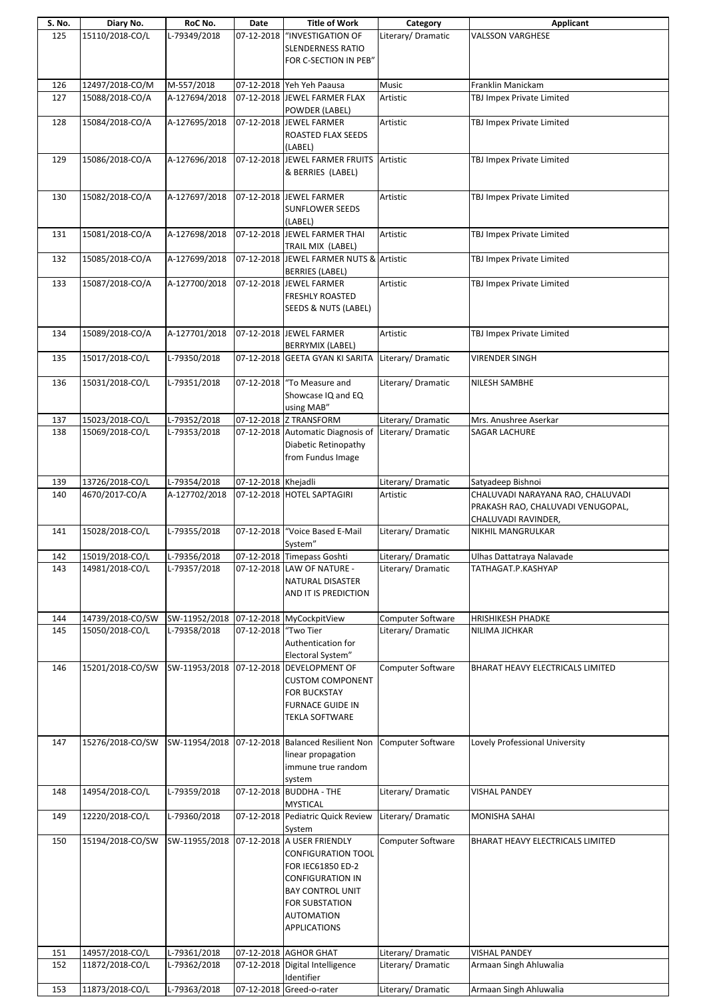| S. No. | Diary No.        | RoC No.       | Date                   | <b>Title of Work</b>                                                                                                                                                                                | Category           | Applicant                                                                                     |
|--------|------------------|---------------|------------------------|-----------------------------------------------------------------------------------------------------------------------------------------------------------------------------------------------------|--------------------|-----------------------------------------------------------------------------------------------|
| 125    | 15110/2018-CO/L  | L-79349/2018  | 07-12-2018             | "INVESTIGATION OF<br><b>SLENDERNESS RATIO</b><br>FOR C-SECTION IN PEB"                                                                                                                              | Literary/Dramatic  | <b>VALSSON VARGHESE</b>                                                                       |
| 126    | 12497/2018-CO/M  | M-557/2018    |                        | 07-12-2018 Yeh Yeh Paausa                                                                                                                                                                           | Music              | Franklin Manickam                                                                             |
| 127    | 15088/2018-CO/A  | A-127694/2018 |                        | 07-12-2018 JEWEL FARMER FLAX                                                                                                                                                                        | Artistic           | TBJ Impex Private Limited                                                                     |
|        |                  |               |                        | POWDER (LABEL)                                                                                                                                                                                      |                    |                                                                                               |
| 128    | 15084/2018-CO/A  | A-127695/2018 |                        | 07-12-2018 JEWEL FARMER<br>ROASTED FLAX SEEDS<br>(LABEL)                                                                                                                                            | Artistic           | TBJ Impex Private Limited                                                                     |
| 129    | 15086/2018-CO/A  | A-127696/2018 |                        | 07-12-2018 JEWEL FARMER FRUITS<br>& BERRIES (LABEL)                                                                                                                                                 | Artistic           | TBJ Impex Private Limited                                                                     |
| 130    | 15082/2018-CO/A  | A-127697/2018 |                        | 07-12-2018 JEWEL FARMER<br><b>SUNFLOWER SEEDS</b><br>(LABEL)                                                                                                                                        | Artistic           | TBJ Impex Private Limited                                                                     |
| 131    | 15081/2018-CO/A  | A-127698/2018 | 07-12-2018             | JEWEL FARMER THAI<br>TRAIL MIX (LABEL)                                                                                                                                                              | Artistic           | TBJ Impex Private Limited                                                                     |
| 132    | 15085/2018-CO/A  | A-127699/2018 |                        | 07-12-2018 JEWEL FARMER NUTS & Artistic<br><b>BERRIES (LABEL)</b>                                                                                                                                   |                    | TBJ Impex Private Limited                                                                     |
| 133    | 15087/2018-CO/A  | A-127700/2018 |                        | 07-12-2018 JEWEL FARMER<br><b>FRESHLY ROASTED</b><br>SEEDS & NUTS (LABEL)                                                                                                                           | Artistic           | TBJ Impex Private Limited                                                                     |
| 134    | 15089/2018-CO/A  | A-127701/2018 |                        | 07-12-2018 JEWEL FARMER                                                                                                                                                                             | Artistic           | TBJ Impex Private Limited                                                                     |
|        |                  |               |                        | BERRYMIX (LABEL)                                                                                                                                                                                    |                    |                                                                                               |
| 135    | 15017/2018-CO/L  | L-79350/2018  |                        | 07-12-2018 GEETA GYAN KI SARITA                                                                                                                                                                     | Literary/Dramatic  | <b>VIRENDER SINGH</b>                                                                         |
| 136    | 15031/2018-CO/L  | L-79351/2018  |                        | 07-12-2018   "To Measure and<br>Showcase IQ and EQ<br>using MAB"                                                                                                                                    | Literary/Dramatic  | NILESH SAMBHE                                                                                 |
| 137    | 15023/2018-CO/L  | L-79352/2018  |                        | 07-12-2018 Z TRANSFORM                                                                                                                                                                              | Literary/ Dramatic | Mrs. Anushree Aserkar                                                                         |
| 138    | 15069/2018-CO/L  | L-79353/2018  |                        | 07-12-2018 Automatic Diagnosis of<br>Diabetic Retinopathy<br>from Fundus Image                                                                                                                      | Literary/Dramatic  | <b>SAGAR LACHURE</b>                                                                          |
| 139    | 13726/2018-CO/L  | L-79354/2018  | 07-12-2018 Khejadli    |                                                                                                                                                                                                     | Literary/Dramatic  | Satyadeep Bishnoi                                                                             |
| 140    | 4670/2017-CO/A   | A-127702/2018 |                        | 07-12-2018 HOTEL SAPTAGIRI                                                                                                                                                                          | Artistic           | CHALUVADI NARAYANA RAO, CHALUVADI<br>PRAKASH RAO, CHALUVADI VENUGOPAL,<br>CHALUVADI RAVINDER, |
| 141    | 15028/2018-CO/L  | L-79355/2018  |                        | 07-12-2018 "Voice Based E-Mail<br>System"                                                                                                                                                           | Literary/Dramatic  | NIKHIL MANGRULKAR                                                                             |
| 142    | 15019/2018-CO/L  | L-79356/2018  |                        | 07-12-2018 Timepass Goshti                                                                                                                                                                          | Literary/ Dramatic | Ulhas Dattatraya Nalavade                                                                     |
| 143    | 14981/2018-CO/L  | L-79357/2018  |                        | 07-12-2018 LAW OF NATURE -<br>NATURAL DISASTER<br>AND IT IS PREDICTION                                                                                                                              | Literary/Dramatic  | TATHAGAT.P.KASHYAP                                                                            |
| 144    | 14739/2018-CO/SW | SW-11952/2018 |                        | 07-12-2018 MyCockpitView                                                                                                                                                                            | Computer Software  | <b>HRISHIKESH PHADKE</b>                                                                      |
| 145    | 15050/2018-CO/L  | L-79358/2018  | 07-12-2018   "Two Tier |                                                                                                                                                                                                     | Literary/Dramatic  | NILIMA JICHKAR                                                                                |
|        |                  |               |                        | Authentication for<br>Electoral System"                                                                                                                                                             |                    |                                                                                               |
| 146    | 15201/2018-CO/SW | SW-11953/2018 |                        | 07-12-2018 DEVELOPMENT OF<br><b>CUSTOM COMPONENT</b><br><b>FOR BUCKSTAY</b><br>FURNACE GUIDE IN<br>TEKLA SOFTWARE                                                                                   | Computer Software  | BHARAT HEAVY ELECTRICALS LIMITED                                                              |
| 147    | 15276/2018-CO/SW | SW-11954/2018 |                        | 07-12-2018 Balanced Resilient Non<br>linear propagation<br>immune true random<br>system                                                                                                             | Computer Software  | Lovely Professional University                                                                |
| 148    | 14954/2018-CO/L  | L-79359/2018  |                        | 07-12-2018 BUDDHA - THE<br><b>MYSTICAL</b>                                                                                                                                                          | Literary/Dramatic  | <b>VISHAL PANDEY</b>                                                                          |
| 149    | 12220/2018-CO/L  | L-79360/2018  |                        | 07-12-2018 Pediatric Quick Review                                                                                                                                                                   | Literary/ Dramatic | <b>MONISHA SAHAI</b>                                                                          |
| 150    | 15194/2018-CO/SW | SW-11955/2018 |                        | System<br>07-12-2018 A USER FRIENDLY<br><b>CONFIGURATION TOOL</b><br>FOR IEC61850 ED-2<br><b>CONFIGURATION IN</b><br><b>BAY CONTROL UNIT</b><br>FOR SUBSTATION<br>AUTOMATION<br><b>APPLICATIONS</b> | Computer Software  | BHARAT HEAVY ELECTRICALS LIMITED                                                              |
| 151    | 14957/2018-CO/L  | L-79361/2018  |                        | 07-12-2018 AGHOR GHAT                                                                                                                                                                               | Literary/ Dramatic | <b>VISHAL PANDEY</b>                                                                          |
| 152    | 11872/2018-CO/L  | L-79362/2018  |                        | 07-12-2018 Digital Intelligence<br>Identifier                                                                                                                                                       | Literary/Dramatic  | Armaan Singh Ahluwalia                                                                        |
| 153    | 11873/2018-CO/L  | L-79363/2018  |                        | 07-12-2018 Greed-o-rater                                                                                                                                                                            | Literary/ Dramatic | Armaan Singh Ahluwalia                                                                        |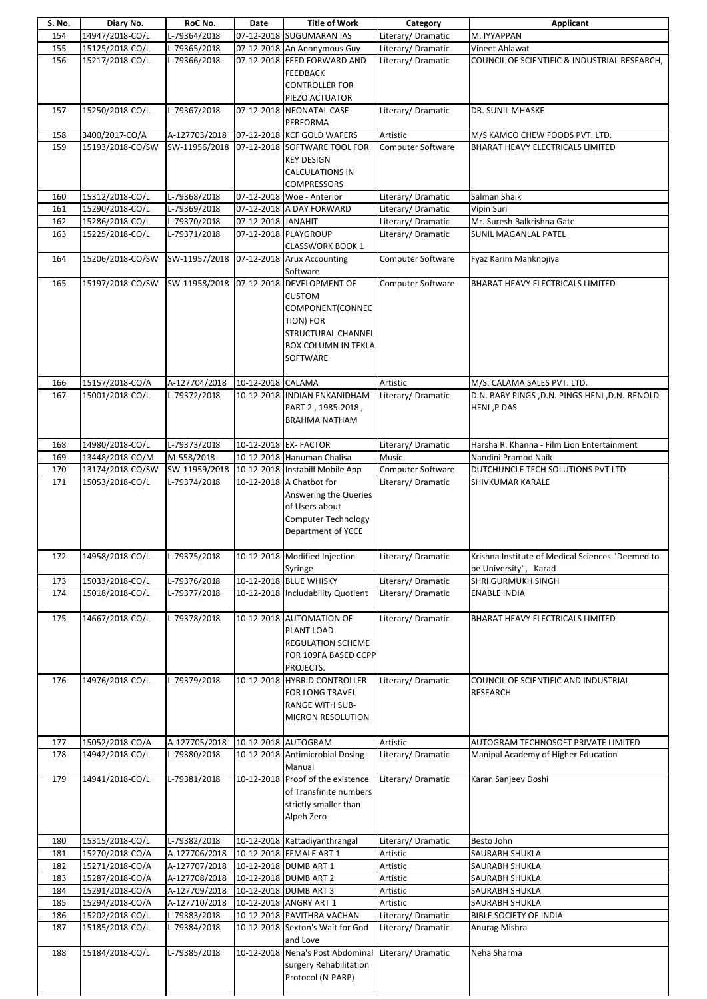| S. No.     | Diary No.                          | RoC No.                                  | Date               | <b>Title of Work</b>                            | Category             | Applicant                                        |
|------------|------------------------------------|------------------------------------------|--------------------|-------------------------------------------------|----------------------|--------------------------------------------------|
| 154        | 14947/2018-CO/L                    | $L-79364/2018$                           |                    | 07-12-2018 SUGUMARAN IAS                        | Literary/Dramatic    | M. IYYAPPAN                                      |
| 155        | 15125/2018-CO/L                    | L-79365/2018                             |                    | 07-12-2018 An Anonymous Guy                     | Literary/Dramatic    | Vineet Ahlawat                                   |
| 156        | 15217/2018-CO/L                    | L-79366/2018                             |                    | 07-12-2018 FEED FORWARD AND                     | Literary/ Dramatic   | COUNCIL OF SCIENTIFIC & INDUSTRIAL RESEARCH,     |
|            |                                    |                                          |                    | <b>FEEDBACK</b>                                 |                      |                                                  |
|            |                                    |                                          |                    | <b>CONTROLLER FOR</b>                           |                      |                                                  |
|            | 15250/2018-CO/L                    | L-79367/2018                             |                    | PIEZO ACTUATOR<br>07-12-2018 NEONATAL CASE      | Literary/ Dramatic   | DR. SUNIL MHASKE                                 |
| 157        |                                    |                                          |                    | PERFORMA                                        |                      |                                                  |
| 158        | 3400/2017-CO/A                     | A-127703/2018                            |                    | 07-12-2018 KCF GOLD WAFERS                      | Artistic             | M/S KAMCO CHEW FOODS PVT. LTD.                   |
| 159        | 15193/2018-CO/SW                   | SW-11956/2018                            |                    | 07-12-2018 SOFTWARE TOOL FOR                    | Computer Software    | BHARAT HEAVY ELECTRICALS LIMITED                 |
|            |                                    |                                          |                    | <b>KEY DESIGN</b>                               |                      |                                                  |
|            |                                    |                                          |                    | <b>CALCULATIONS IN</b>                          |                      |                                                  |
|            |                                    |                                          |                    | <b>COMPRESSORS</b>                              |                      |                                                  |
| 160        | 15312/2018-CO/L                    | L-79368/2018                             |                    | 07-12-2018   Woe - Anterior                     | Literary/ Dramatic   | Salman Shaik                                     |
| 161        | 15290/2018-CO/L                    | L-79369/2018                             |                    | 07-12-2018 A DAY FORWARD                        | Literary/Dramatic    | Vipin Suri                                       |
| 162        | 15286/2018-CO/L                    | L-79370/2018                             | 07-12-2018 JANAHIT |                                                 | Literary/Dramatic    | Mr. Suresh Balkrishna Gate                       |
| 163        | 15225/2018-CO/L                    | L-79371/2018                             |                    | 07-12-2018 PLAYGROUP                            | Literary/Dramatic    | <b>SUNIL MAGANLAL PATEL</b>                      |
|            |                                    |                                          |                    | <b>CLASSWORK BOOK 1</b>                         |                      |                                                  |
| 164        | 15206/2018-CO/SW                   | SW-11957/2018 07-12-2018 Arux Accounting |                    |                                                 | Computer Software    | Fyaz Karim Manknojiya                            |
|            |                                    |                                          |                    | Software<br>07-12-2018 DEVELOPMENT OF           |                      |                                                  |
| 165        | 15197/2018-CO/SW                   | SW-11958/2018                            |                    | <b>CUSTOM</b>                                   | Computer Software    | BHARAT HEAVY ELECTRICALS LIMITED                 |
|            |                                    |                                          |                    | COMPONENT(CONNEC                                |                      |                                                  |
|            |                                    |                                          |                    | TION) FOR                                       |                      |                                                  |
|            |                                    |                                          |                    | STRUCTURAL CHANNEL                              |                      |                                                  |
|            |                                    |                                          |                    | BOX COLUMN IN TEKLA                             |                      |                                                  |
|            |                                    |                                          |                    | SOFTWARE                                        |                      |                                                  |
|            |                                    |                                          |                    |                                                 |                      |                                                  |
| 166        | 15157/2018-CO/A                    | A-127704/2018                            | 10-12-2018 CALAMA  |                                                 | Artistic             | M/S. CALAMA SALES PVT. LTD.                      |
| 167        | 15001/2018-CO/L                    | L-79372/2018                             |                    | 10-12-2018 INDIAN ENKANIDHAM                    | Literary/ Dramatic   | D.N. BABY PINGS , D.N. PINGS HENI , D.N. RENOLD  |
|            |                                    |                                          |                    | PART 2, 1985-2018,                              |                      | HENI, P DAS                                      |
|            |                                    |                                          |                    | <b>BRAHMA NATHAM</b>                            |                      |                                                  |
|            |                                    |                                          |                    |                                                 |                      |                                                  |
| 168        | 14980/2018-CO/L                    | L-79373/2018                             |                    | 10-12-2018 EX- FACTOR                           | Literary/ Dramatic   | Harsha R. Khanna - Film Lion Entertainment       |
| 169        | 13448/2018-CO/M                    | M-558/2018                               |                    | 10-12-2018 Hanuman Chalisa                      | Music                | Nandini Pramod Naik                              |
| 170        | 13174/2018-CO/SW                   |                                          |                    | SW-11959/2018 10-12-2018 Instabill Mobile App   | Computer Software    | DUTCHUNCLE TECH SOLUTIONS PVT LTD                |
| 171        | 15053/2018-CO/L                    | L-79374/2018                             |                    | 10-12-2018 A Chatbot for                        | Literary/ Dramatic   | SHIVKUMAR KARALE                                 |
|            |                                    |                                          |                    | Answering the Queries<br>of Users about         |                      |                                                  |
|            |                                    |                                          |                    | Computer Technology                             |                      |                                                  |
|            |                                    |                                          |                    | Department of YCCE                              |                      |                                                  |
|            |                                    |                                          |                    |                                                 |                      |                                                  |
| 172        | 14958/2018-CO/L                    | L-79375/2018                             |                    | 10-12-2018 Modified Injection                   | Literary/Dramatic    | Krishna Institute of Medical Sciences "Deemed to |
|            |                                    |                                          |                    | Syringe                                         |                      | be University", Karad                            |
| 173        | 15033/2018-CO/L                    | L-79376/2018                             |                    | 10-12-2018 BLUE WHISKY                          | Literary/ Dramatic   | SHRI GURMUKH SINGH                               |
| 174        | 15018/2018-CO/L                    | L-79377/2018                             |                    | 10-12-2018 Includability Quotient               | Literary/Dramatic    | <b>ENABLE INDIA</b>                              |
|            |                                    |                                          |                    |                                                 |                      |                                                  |
| 175        | 14667/2018-CO/L                    | L-79378/2018                             |                    | 10-12-2018 AUTOMATION OF                        | Literary/Dramatic    | BHARAT HEAVY ELECTRICALS LIMITED                 |
|            |                                    |                                          |                    | PLANT LOAD                                      |                      |                                                  |
|            |                                    |                                          |                    | <b>REGULATION SCHEME</b>                        |                      |                                                  |
|            |                                    |                                          |                    | FOR 109FA BASED CCPP<br>PROJECTS.               |                      |                                                  |
| 176        | 14976/2018-CO/L                    | L-79379/2018                             |                    | 10-12-2018 HYBRID CONTROLLER                    | Literary/Dramatic    | COUNCIL OF SCIENTIFIC AND INDUSTRIAL             |
|            |                                    |                                          |                    | FOR LONG TRAVEL                                 |                      | <b>RESEARCH</b>                                  |
|            |                                    |                                          |                    | <b>RANGE WITH SUB-</b>                          |                      |                                                  |
|            |                                    |                                          |                    | MICRON RESOLUTION                               |                      |                                                  |
|            |                                    |                                          |                    |                                                 |                      |                                                  |
| 177        | 15052/2018-CO/A                    | A-127705/2018                            |                    | 10-12-2018 AUTOGRAM                             | Artistic             | AUTOGRAM TECHNOSOFT PRIVATE LIMITED              |
| 178        | 14942/2018-CO/L                    | L-79380/2018                             |                    | 10-12-2018 Antimicrobial Dosing                 | Literary/Dramatic    | Manipal Academy of Higher Education              |
|            |                                    |                                          |                    | Manual                                          |                      |                                                  |
| 179        | 14941/2018-CO/L                    | L-79381/2018                             |                    | 10-12-2018 Proof of the existence               | Literary/Dramatic    | Karan Sanjeev Doshi                              |
|            |                                    |                                          |                    | of Transfinite numbers                          |                      |                                                  |
|            |                                    |                                          |                    | strictly smaller than                           |                      |                                                  |
|            |                                    |                                          |                    | Alpeh Zero                                      |                      |                                                  |
|            |                                    |                                          |                    |                                                 |                      |                                                  |
| 180        | 15315/2018-CO/L                    | L-79382/2018                             |                    | 10-12-2018 Kattadiyanthrangal                   | Literary/Dramatic    | Besto John                                       |
| 181        | 15270/2018-CO/A                    | A-127706/2018                            |                    | 10-12-2018 FEMALE ART 1                         | Artistic             | SAURABH SHUKLA                                   |
| 182        | 15271/2018-CO/A                    | A-127707/2018                            |                    | 10-12-2018 DUMB ART 1                           | Artistic             | SAURABH SHUKLA                                   |
| 183        | 15287/2018-CO/A                    | A-127708/2018                            |                    | 10-12-2018 DUMB ART 2                           | Artistic             | SAURABH SHUKLA                                   |
| 184<br>185 | 15291/2018-CO/A<br>15294/2018-CO/A | A-127709/2018<br>A-127710/2018           |                    | 10-12-2018 DUMB ART 3<br>10-12-2018 ANGRY ART 1 | Artistic<br>Artistic | SAURABH SHUKLA<br>SAURABH SHUKLA                 |
| 186        | 15202/2018-CO/L                    | L-79383/2018                             |                    | 10-12-2018 PAVITHRA VACHAN                      | Literary/ Dramatic   | BIBLE SOCIETY OF INDIA                           |
| 187        | 15185/2018-CO/L                    | L-79384/2018                             |                    | 10-12-2018 Sexton's Wait for God                | Literary/Dramatic    | Anurag Mishra                                    |
|            |                                    |                                          |                    | and Love                                        |                      |                                                  |
| 188        | 15184/2018-CO/L                    | L-79385/2018                             |                    | 10-12-2018 Neha's Post Abdominal                | Literary/Dramatic    | Neha Sharma                                      |
|            |                                    |                                          |                    | surgery Rehabilitation                          |                      |                                                  |
|            |                                    |                                          |                    | Protocol (N-PARP)                               |                      |                                                  |
|            |                                    |                                          |                    |                                                 |                      |                                                  |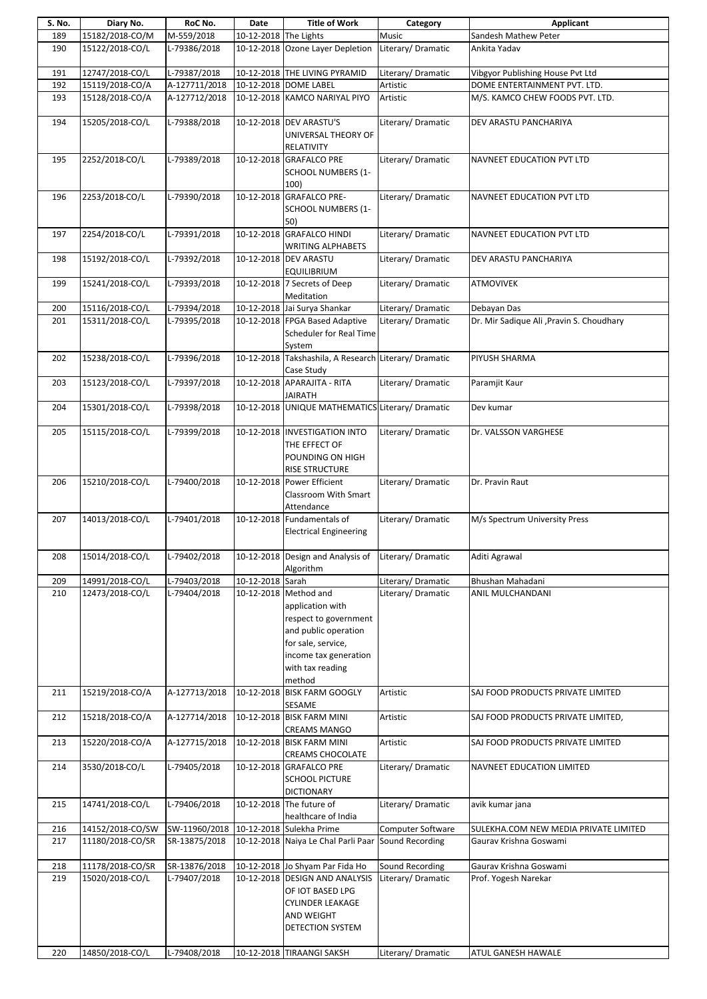| S. No. | Diary No.        | RoC No.       | Date                  | <b>Title of Work</b>                                                                                                                                                    | Category                 | Applicant                                 |
|--------|------------------|---------------|-----------------------|-------------------------------------------------------------------------------------------------------------------------------------------------------------------------|--------------------------|-------------------------------------------|
| 189    | 15182/2018-CO/M  | M-559/2018    | 10-12-2018 The Lights |                                                                                                                                                                         | Music                    | Sandesh Mathew Peter                      |
| 190    | 15122/2018-CO/L  | L-79386/2018  |                       | 10-12-2018 Ozone Layer Depletion                                                                                                                                        | Literary/ Dramatic       | Ankita Yadav                              |
| 191    | 12747/2018-CO/L  | L-79387/2018  |                       | 10-12-2018 THE LIVING PYRAMID                                                                                                                                           | Literary/Dramatic        | Vibgyor Publishing House Pvt Ltd          |
| 192    | 15119/2018-CO/A  | A-127711/2018 |                       | 10-12-2018 DOME LABEL                                                                                                                                                   | Artistic                 | DOME ENTERTAINMENT PVT. LTD.              |
| 193    | 15128/2018-CO/A  | A-127712/2018 |                       | 10-12-2018 KAMCO NARIYAL PIYO                                                                                                                                           | Artistic                 | M/S. KAMCO CHEW FOODS PVT. LTD.           |
| 194    | 15205/2018-CO/L  | L-79388/2018  |                       | 10-12-2018 DEV ARASTU'S<br>UNIVERSAL THEORY OF<br>RELATIVITY                                                                                                            | Literary/Dramatic        | DEV ARASTU PANCHARIYA                     |
| 195    | 2252/2018-CO/L   | L-79389/2018  |                       | 10-12-2018 GRAFALCO PRE<br><b>SCHOOL NUMBERS (1-</b><br>100)                                                                                                            | Literary/ Dramatic       | NAVNEET EDUCATION PVT LTD                 |
| 196    | 2253/2018-CO/L   | L-79390/2018  |                       | 10-12-2018 GRAFALCO PRE-<br><b>SCHOOL NUMBERS (1-</b><br>50)                                                                                                            | Literary/ Dramatic       | NAVNEET EDUCATION PVT LTD                 |
| 197    | 2254/2018-CO/L   | L-79391/2018  |                       | 10-12-2018 GRAFALCO HINDI<br><b>WRITING ALPHABETS</b>                                                                                                                   | Literary/ Dramatic       | NAVNEET EDUCATION PVT LTD                 |
| 198    | 15192/2018-CO/L  | L-79392/2018  |                       | 10-12-2018 DEV ARASTU<br><b>EQUILIBRIUM</b>                                                                                                                             | Literary/ Dramatic       | DEV ARASTU PANCHARIYA                     |
| 199    | 15241/2018-CO/L  | L-79393/2018  |                       | 10-12-2018 7 Secrets of Deep<br>Meditation                                                                                                                              | Literary/ Dramatic       | ATMOVIVEK                                 |
| 200    | 15116/2018-CO/L  | L-79394/2018  |                       | 10-12-2018 Jai Surya Shankar                                                                                                                                            | Literary/ Dramatic       | Debayan Das                               |
| 201    | 15311/2018-CO/L  | L-79395/2018  |                       | 10-12-2018 FPGA Based Adaptive<br><b>Scheduler for Real Time</b><br>System                                                                                              | Literary/Dramatic        | Dr. Mir Sadique Ali , Pravin S. Choudhary |
| 202    | 15238/2018-CO/L  | L-79396/2018  |                       | 10-12-2018 Takshashila, A Research Literary/ Dramatic<br>Case Study                                                                                                     |                          | PIYUSH SHARMA                             |
| 203    | 15123/2018-CO/L  | L-79397/2018  |                       | 10-12-2018 APARAJITA - RITA<br><b>JAIRATH</b>                                                                                                                           | Literary/ Dramatic       | Paramjit Kaur                             |
| 204    | 15301/2018-CO/L  | L-79398/2018  |                       | 10-12-2018 UNIQUE MATHEMATICS Literary/ Dramatic                                                                                                                        |                          | Dev kumar                                 |
| 205    | 15115/2018-CO/L  | L-79399/2018  |                       | 10-12-2018 INVESTIGATION INTO<br>THE EFFECT OF<br>POUNDING ON HIGH                                                                                                      | Literary/Dramatic        | Dr. VALSSON VARGHESE                      |
|        |                  |               |                       | <b>RISE STRUCTURE</b>                                                                                                                                                   |                          |                                           |
| 206    | 15210/2018-CO/L  | L-79400/2018  |                       | 10-12-2018 Power Efficient<br>Classroom With Smart<br>Attendance                                                                                                        | Literary/Dramatic        | Dr. Pravin Raut                           |
| 207    | 14013/2018-CO/L  | L-79401/2018  |                       | 10-12-2018 Fundamentals of<br><b>Electrical Engineering</b>                                                                                                             | Literary/Dramatic        | M/s Spectrum University Press             |
| 208    | 15014/2018-CO/L  | L-79402/2018  |                       | 10-12-2018 Design and Analysis of<br>Algorithm                                                                                                                          | Literary/Dramatic        | Aditi Agrawal                             |
| 209    | 14991/2018-CO/L  | L-79403/2018  | 10-12-2018 Sarah      |                                                                                                                                                                         | Literary/Dramatic        | Bhushan Mahadani                          |
| 210    | 12473/2018-CO/L  | L-79404/2018  |                       | 10-12-2018 Method and<br>application with<br>respect to government<br>and public operation<br>for sale, service,<br>income tax generation<br>with tax reading<br>method | Literary/Dramatic        | ANIL MULCHANDANI                          |
| 211    | 15219/2018-CO/A  | A-127713/2018 |                       | 10-12-2018 BISK FARM GOOGLY<br>SESAME                                                                                                                                   | Artistic                 | SAJ FOOD PRODUCTS PRIVATE LIMITED         |
| 212    | 15218/2018-CO/A  | A-127714/2018 |                       | 10-12-2018 BISK FARM MINI<br><b>CREAMS MANGO</b>                                                                                                                        | Artistic                 | SAJ FOOD PRODUCTS PRIVATE LIMITED,        |
| 213    | 15220/2018-CO/A  | A-127715/2018 |                       | 10-12-2018 BISK FARM MINI<br><b>CREAMS CHOCOLATE</b>                                                                                                                    | Artistic                 | SAJ FOOD PRODUCTS PRIVATE LIMITED         |
| 214    | 3530/2018-CO/L   | L-79405/2018  |                       | 10-12-2018 GRAFALCO PRE<br><b>SCHOOL PICTURE</b><br><b>DICTIONARY</b>                                                                                                   | Literary/Dramatic        | NAVNEET EDUCATION LIMITED                 |
| 215    | 14741/2018-CO/L  | L-79406/2018  |                       | 10-12-2018 The future of<br>healthcare of India                                                                                                                         | Literary/Dramatic        | avik kumar jana                           |
| 216    | 14152/2018-CO/SW | SW-11960/2018 |                       | 10-12-2018 Sulekha Prime                                                                                                                                                | <b>Computer Software</b> | SULEKHA.COM NEW MEDIA PRIVATE LIMITED     |
| 217    | 11180/2018-CO/SR | SR-13875/2018 |                       | 10-12-2018 Naiya Le Chal Parli Paar                                                                                                                                     | Sound Recording          | Gaurav Krishna Goswami                    |
| 218    | 11178/2018-CO/SR | SR-13876/2018 |                       | 10-12-2018 Jo Shyam Par Fida Ho                                                                                                                                         | Sound Recording          | Gaurav Krishna Goswami                    |
| 219    | 15020/2018-CO/L  | L-79407/2018  |                       | 10-12-2018 DESIGN AND ANALYSIS<br>OF IOT BASED LPG<br><b>CYLINDER LEAKAGE</b><br>AND WEIGHT<br><b>DETECTION SYSTEM</b>                                                  | Literary/Dramatic        | Prof. Yogesh Narekar                      |
| 220    | 14850/2018-CO/L  | L-79408/2018  |                       | 10-12-2018 TIRAANGI SAKSH                                                                                                                                               | Literary/ Dramatic       | ATUL GANESH HAWALE                        |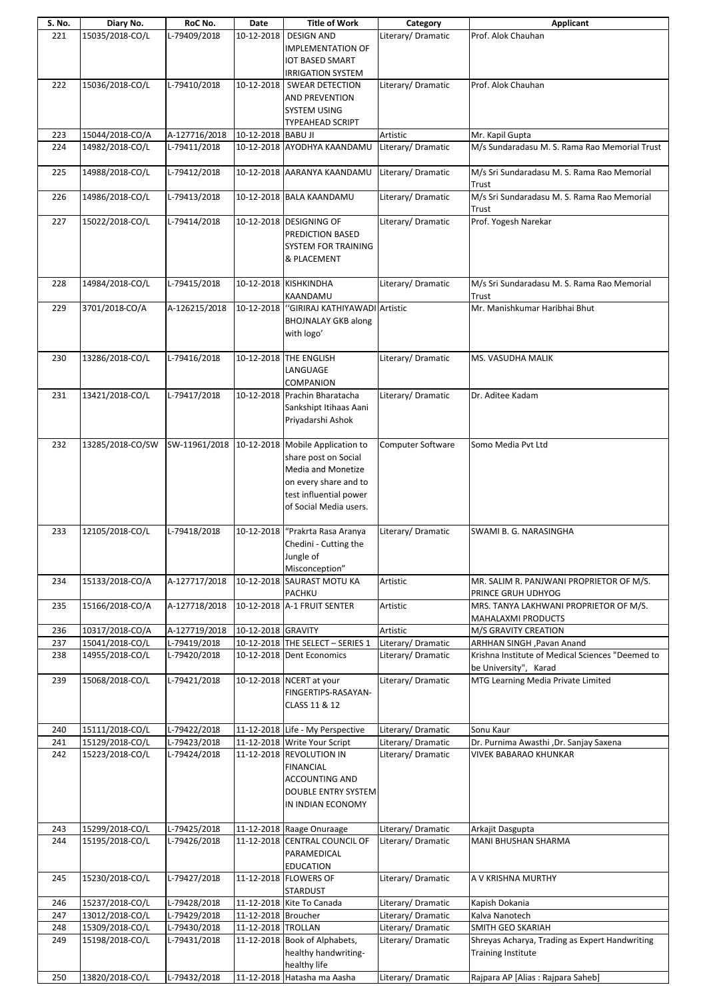| S. No. | Diary No.        | RoC No.       | Date                | <b>Title of Work</b>             | Category           | Applicant                                        |
|--------|------------------|---------------|---------------------|----------------------------------|--------------------|--------------------------------------------------|
| 221    | 15035/2018-CO/L  | L-79409/2018  | 10-12-2018          | <b>DESIGN AND</b>                | Literary/Dramatic  | Prof. Alok Chauhan                               |
|        |                  |               |                     |                                  |                    |                                                  |
|        |                  |               |                     | <b>IMPLEMENTATION OF</b>         |                    |                                                  |
|        |                  |               |                     | <b>IOT BASED SMART</b>           |                    |                                                  |
|        |                  |               |                     |                                  |                    |                                                  |
|        |                  |               |                     | <b>IRRIGATION SYSTEM</b>         |                    |                                                  |
| 222    | 15036/2018-CO/L  | L-79410/2018  |                     | 10-12-2018   SWEAR DETECTION     | Literary/Dramatic  | Prof. Alok Chauhan                               |
|        |                  |               |                     | AND PREVENTION                   |                    |                                                  |
|        |                  |               |                     |                                  |                    |                                                  |
|        |                  |               |                     | SYSTEM USING                     |                    |                                                  |
|        |                  |               |                     | TYPEAHEAD SCRIPT                 |                    |                                                  |
|        |                  |               |                     |                                  |                    |                                                  |
| 223    | 15044/2018-CO/A  | A-127716/2018 | 10-12-2018 BABU JI  |                                  | Artistic           | Mr. Kapil Gupta                                  |
| 224    | 14982/2018-CO/L  | L-79411/2018  |                     | 10-12-2018 AYODHYA KAANDAMU      | Literary/ Dramatic | M/s Sundaradasu M. S. Rama Rao Memorial Trust    |
|        |                  |               |                     |                                  |                    |                                                  |
|        |                  |               |                     |                                  |                    |                                                  |
| 225    | 14988/2018-CO/L  | L-79412/2018  |                     | 10-12-2018 AARANYA KAANDAMU      | Literary/Dramatic  | M/s Sri Sundaradasu M. S. Rama Rao Memorial      |
|        |                  |               |                     |                                  |                    | Trust                                            |
|        |                  |               |                     |                                  |                    |                                                  |
| 226    | 14986/2018-CO/L  | L-79413/2018  |                     | 10-12-2018 BALA KAANDAMU         | Literary/ Dramatic | M/s Sri Sundaradasu M. S. Rama Rao Memorial      |
|        |                  |               |                     |                                  |                    | Trust                                            |
| 227    | 15022/2018-CO/L  | L-79414/2018  |                     | 10-12-2018 DESIGNING OF          | Literary/Dramatic  | Prof. Yogesh Narekar                             |
|        |                  |               |                     |                                  |                    |                                                  |
|        |                  |               |                     | PREDICTION BASED                 |                    |                                                  |
|        |                  |               |                     | <b>SYSTEM FOR TRAINING</b>       |                    |                                                  |
|        |                  |               |                     |                                  |                    |                                                  |
|        |                  |               |                     | & PLACEMENT                      |                    |                                                  |
|        |                  |               |                     |                                  |                    |                                                  |
| 228    | 14984/2018-CO/L  | L-79415/2018  |                     | 10-12-2018 KISHKINDHA            | Literary/Dramatic  | M/s Sri Sundaradasu M. S. Rama Rao Memorial      |
|        |                  |               |                     |                                  |                    |                                                  |
|        |                  |               |                     | KAANDAMU                         |                    | Trust                                            |
| 229    | 3701/2018-CO/A   | A-126215/2018 | 10-12-2018          | "GIRIRAJ KATHIYAWADI Artistic    |                    | Mr. Manishkumar Haribhai Bhut                    |
|        |                  |               |                     |                                  |                    |                                                  |
|        |                  |               |                     | <b>BHOJNALAY GKB along</b>       |                    |                                                  |
|        |                  |               |                     | with logo'                       |                    |                                                  |
|        |                  |               |                     |                                  |                    |                                                  |
|        |                  |               |                     |                                  |                    |                                                  |
| 230    | 13286/2018-CO/L  | L-79416/2018  |                     | 10-12-2018 THE ENGLISH           | Literary/Dramatic  | MS. VASUDHA MALIK                                |
|        |                  |               |                     | LANGUAGE                         |                    |                                                  |
|        |                  |               |                     |                                  |                    |                                                  |
|        |                  |               |                     | COMPANION                        |                    |                                                  |
| 231    | 13421/2018-CO/L  | L-79417/2018  |                     | 10-12-2018 Prachin Bharatacha    | Literary/Dramatic  | Dr. Aditee Kadam                                 |
|        |                  |               |                     |                                  |                    |                                                  |
|        |                  |               |                     | Sankshipt Itihaas Aani           |                    |                                                  |
|        |                  |               |                     | Priyadarshi Ashok                |                    |                                                  |
|        |                  |               |                     |                                  |                    |                                                  |
|        |                  |               |                     |                                  |                    |                                                  |
| 232    | 13285/2018-CO/SW | SW-11961/2018 |                     | 10-12-2018 Mobile Application to | Computer Software  | Somo Media Pvt Ltd                               |
|        |                  |               |                     | share post on Social             |                    |                                                  |
|        |                  |               |                     |                                  |                    |                                                  |
|        |                  |               |                     | Media and Monetize               |                    |                                                  |
|        |                  |               |                     | on every share and to            |                    |                                                  |
|        |                  |               |                     |                                  |                    |                                                  |
|        |                  |               |                     | test influential power           |                    |                                                  |
|        |                  |               |                     | of Social Media users.           |                    |                                                  |
|        |                  |               |                     |                                  |                    |                                                  |
|        |                  |               |                     |                                  |                    |                                                  |
| 233    | 12105/2018-CO/L  | L-79418/2018  |                     | 10-12-2018 "Prakrta Rasa Aranya  | Literary/Dramatic  | SWAMI B. G. NARASINGHA                           |
|        |                  |               |                     | Chedini - Cutting the            |                    |                                                  |
|        |                  |               |                     |                                  |                    |                                                  |
|        |                  |               |                     | Jungle of                        |                    |                                                  |
|        |                  |               |                     | Misconception"                   |                    |                                                  |
|        | 15133/2018-CO/A  | A-127717/2018 |                     | 10-12-2018 SAURAST MOTU KA       | Artistic           |                                                  |
| 234    |                  |               |                     |                                  |                    | MR. SALIM R. PANJWANI PROPRIETOR OF M/S.         |
|        |                  |               |                     | PACHKU                           |                    | PRINCE GRUH UDHYOG                               |
| 235    | 15166/2018-CO/A  | A-127718/2018 |                     | 10-12-2018 A-1 FRUIT SENTER      | Artistic           | MRS. TANYA LAKHWANI PROPRIETOR OF M/S.           |
|        |                  |               |                     |                                  |                    |                                                  |
|        |                  |               |                     |                                  |                    | MAHALAXMI PRODUCTS                               |
| 236    | 10317/2018-CO/A  | A-127719/2018 | 10-12-2018 GRAVITY  |                                  | Artistic           | M/S GRAVITY CREATION                             |
| 237    | 15041/2018-CO/L  | L-79419/2018  |                     | 10-12-2018 THE SELECT - SERIES 1 | Literary/Dramatic  |                                                  |
|        |                  |               |                     |                                  |                    | ARHHAN SINGH, Pavan Anand                        |
| 238    | 14955/2018-CO/L  | L-79420/2018  |                     | 10-12-2018 Dent Economics        | Literary/Dramatic  | Krishna Institute of Medical Sciences "Deemed to |
|        |                  |               |                     |                                  |                    | be University", Karad                            |
|        |                  |               |                     |                                  |                    |                                                  |
| 239    | 15068/2018-CO/L  | L-79421/2018  |                     | 10-12-2018 NCERT at your         | Literary/Dramatic  | MTG Learning Media Private Limited               |
|        |                  |               |                     | FINGERTIPS-RASAYAN-              |                    |                                                  |
|        |                  |               |                     |                                  |                    |                                                  |
|        |                  |               |                     | CLASS 11 & 12                    |                    |                                                  |
|        |                  |               |                     |                                  |                    |                                                  |
| 240    | 15111/2018-CO/L  | L-79422/2018  |                     | 11-12-2018 Life - My Perspective | Literary/Dramatic  | Sonu Kaur                                        |
|        |                  |               |                     |                                  |                    |                                                  |
| 241    | 15129/2018-CO/L  | L-79423/2018  |                     | 11-12-2018 Write Your Script     | Literary/Dramatic  | Dr. Purnima Awasthi , Dr. Sanjay Saxena          |
| 242    | 15223/2018-CO/L  | L-79424/2018  |                     | 11-12-2018 REVOLUTION IN         | Literary/Dramatic  | VIVEK BABARAO KHUNKAR                            |
|        |                  |               |                     |                                  |                    |                                                  |
|        |                  |               |                     | <b>FINANCIAL</b>                 |                    |                                                  |
|        |                  |               |                     | <b>ACCOUNTING AND</b>            |                    |                                                  |
|        |                  |               |                     |                                  |                    |                                                  |
|        |                  |               |                     | <b>DOUBLE ENTRY SYSTEM</b>       |                    |                                                  |
|        |                  |               |                     | IN INDIAN ECONOMY                |                    |                                                  |
|        |                  |               |                     |                                  |                    |                                                  |
|        |                  |               |                     |                                  |                    |                                                  |
| 243    | 15299/2018-CO/L  | L-79425/2018  |                     | 11-12-2018 Raage Onuraage        | Literary/Dramatic  | Arkajit Dasgupta                                 |
| 244    | 15195/2018-CO/L  | L-79426/2018  |                     | 11-12-2018 CENTRAL COUNCIL OF    | Literary/Dramatic  | MANI BHUSHAN SHARMA                              |
|        |                  |               |                     |                                  |                    |                                                  |
|        |                  |               |                     | PARAMEDICAL                      |                    |                                                  |
|        |                  |               |                     | <b>EDUCATION</b>                 |                    |                                                  |
|        |                  |               |                     |                                  |                    |                                                  |
| 245    | 15230/2018-CO/L  | L-79427/2018  |                     | 11-12-2018 FLOWERS OF            | Literary/Dramatic  | A V KRISHNA MURTHY                               |
|        |                  |               |                     | STARDUST                         |                    |                                                  |
|        | 15237/2018-CO/L  | L-79428/2018  |                     | 11-12-2018 Kite To Canada        | Literary/Dramatic  | Kapish Dokania                                   |
| 246    |                  |               |                     |                                  |                    |                                                  |
| 247    | 13012/2018-CO/L  | L-79429/2018  | 11-12-2018 Broucher |                                  | Literary/ Dramatic | Kalva Nanotech                                   |
| 248    | 15309/2018-CO/L  | L-79430/2018  | 11-12-2018 TROLLAN  |                                  | Literary/Dramatic  | SMITH GEO SKARIAH                                |
|        |                  |               |                     |                                  |                    |                                                  |
| 249    | 15198/2018-CO/L  | L-79431/2018  |                     | 11-12-2018 Book of Alphabets,    | Literary/Dramatic  | Shreyas Acharya, Trading as Expert Handwriting   |
|        |                  |               |                     | healthy handwriting-             |                    | <b>Training Institute</b>                        |
|        |                  |               |                     |                                  |                    |                                                  |
|        |                  |               |                     | healthy life                     |                    |                                                  |
| 250    | 13820/2018-CO/L  | L-79432/2018  |                     | 11-12-2018 Hatasha ma Aasha      | Literary/Dramatic  | Rajpara AP [Alias : Rajpara Saheb]               |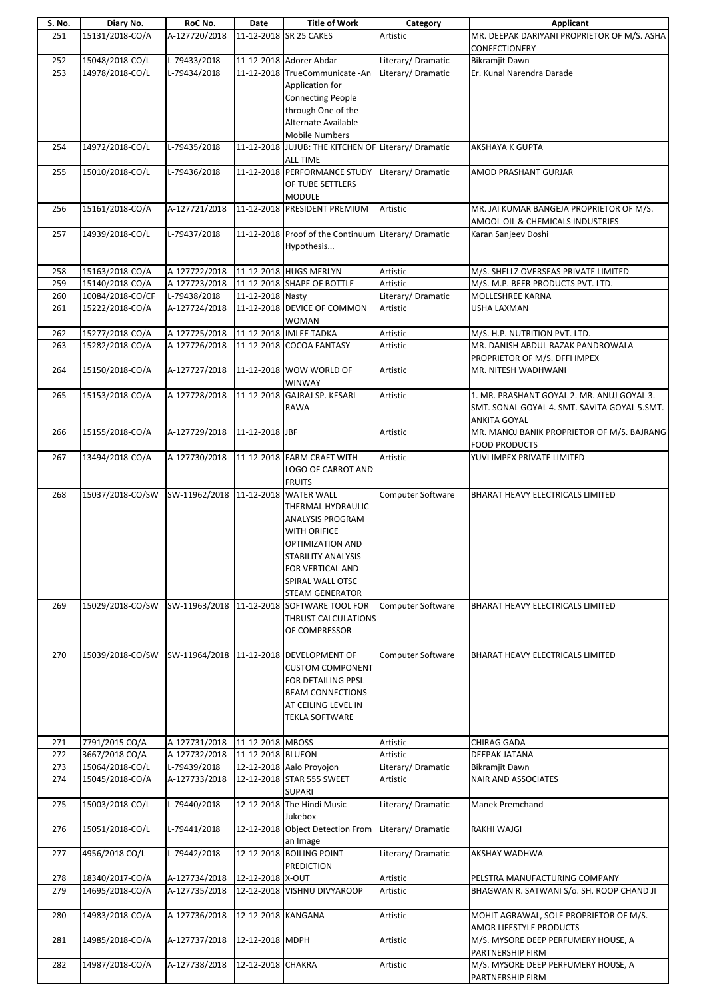| S. No.     | Diary No.                          | RoC No.                             | Date               | <b>Title of Work</b>                                      | Category                                | Applicant                                                                    |
|------------|------------------------------------|-------------------------------------|--------------------|-----------------------------------------------------------|-----------------------------------------|------------------------------------------------------------------------------|
| 251        | 15131/2018-CO/A                    | A-127720/2018                       |                    | 11-12-2018 SR 25 CAKES                                    | Artistic                                | MR. DEEPAK DARIYANI PROPRIETOR OF M/S. ASHA                                  |
|            |                                    |                                     |                    |                                                           |                                         | CONFECTIONERY                                                                |
| 252<br>253 | 15048/2018-CO/L<br>14978/2018-CO/L | L-79433/2018<br>L-79434/2018        |                    | 11-12-2018 Adorer Abdar<br>11-12-2018 TrueCommunicate -An | Literary/ Dramatic<br>Literary/Dramatic | <b>Bikramjit Dawn</b><br>Er. Kunal Narendra Darade                           |
|            |                                    |                                     |                    | Application for                                           |                                         |                                                                              |
|            |                                    |                                     |                    | <b>Connecting People</b>                                  |                                         |                                                                              |
|            |                                    |                                     |                    | through One of the                                        |                                         |                                                                              |
|            |                                    |                                     |                    | Alternate Available                                       |                                         |                                                                              |
|            |                                    |                                     |                    | <b>Mobile Numbers</b>                                     |                                         |                                                                              |
| 254        | 14972/2018-CO/L                    | L-79435/2018                        |                    | 11-12-2018 JUJUB: THE KITCHEN OF Literary/ Dramatic       |                                         | AKSHAYA K GUPTA                                                              |
|            |                                    |                                     |                    | <b>ALL TIME</b>                                           |                                         |                                                                              |
| 255        | 15010/2018-CO/L                    | L-79436/2018                        |                    | 11-12-2018 PERFORMANCE STUDY                              | Literary/Dramatic                       | AMOD PRASHANT GURJAR                                                         |
|            |                                    |                                     |                    | OF TUBE SETTLERS                                          |                                         |                                                                              |
|            |                                    |                                     |                    | <b>MODULE</b>                                             | Artistic                                |                                                                              |
| 256        | 15161/2018-CO/A                    | A-127721/2018                       |                    | 11-12-2018 PRESIDENT PREMIUM                              |                                         | MR. JAI KUMAR BANGEJA PROPRIETOR OF M/S.<br>AMOOL OIL & CHEMICALS INDUSTRIES |
| 257        | 14939/2018-CO/L                    | L-79437/2018                        |                    | 11-12-2018 Proof of the Continuum Literary/ Dramatic      |                                         | Karan Sanjeev Doshi                                                          |
|            |                                    |                                     |                    | Hypothesis                                                |                                         |                                                                              |
|            |                                    |                                     |                    |                                                           |                                         |                                                                              |
| 258        | 15163/2018-CO/A                    | A-127722/2018                       |                    | 11-12-2018 HUGS MERLYN                                    | Artistic                                | M/S. SHELLZ OVERSEAS PRIVATE LIMITED                                         |
| 259        | 15140/2018-CO/A                    | A-127723/2018                       |                    | 11-12-2018 SHAPE OF BOTTLE                                | Artistic                                | M/S. M.P. BEER PRODUCTS PVT. LTD.                                            |
| 260        | 10084/2018-CO/CF                   | L-79438/2018                        | 11-12-2018 Nasty   |                                                           | Literary/Dramatic                       | MOLLESHREE KARNA                                                             |
| 261        | 15222/2018-CO/A                    | A-127724/2018                       |                    | 11-12-2018 DEVICE OF COMMON                               | Artistic                                | USHA LAXMAN                                                                  |
| 262        | 15277/2018-CO/A                    | A-127725/2018                       |                    | <b>WOMAN</b><br>11-12-2018 IMLEE TADKA                    | Artistic                                | M/S. H.P. NUTRITION PVT. LTD.                                                |
| 263        | 15282/2018-CO/A                    | A-127726/2018                       |                    | 11-12-2018 COCOA FANTASY                                  | Artistic                                | MR. DANISH ABDUL RAZAK PANDROWALA                                            |
|            |                                    |                                     |                    |                                                           |                                         | PROPRIETOR OF M/S. DFFI IMPEX                                                |
| 264        | 15150/2018-CO/A                    | A-127727/2018                       |                    | 11-12-2018 WOW WORLD OF                                   | Artistic                                | MR. NITESH WADHWANI                                                          |
|            |                                    |                                     |                    | <b>WINWAY</b>                                             |                                         |                                                                              |
| 265        | 15153/2018-CO/A                    | A-127728/2018                       |                    | 11-12-2018 GAJRAJ SP. KESARI                              | Artistic                                | 1. MR. PRASHANT GOYAL 2. MR. ANUJ GOYAL 3.                                   |
|            |                                    |                                     |                    | <b>RAWA</b>                                               |                                         | SMT. SONAL GOYAL 4. SMT. SAVITA GOYAL 5.SMT.                                 |
|            |                                    |                                     |                    |                                                           |                                         | ANKITA GOYAL                                                                 |
| 266        | 15155/2018-CO/A                    | A-127729/2018                       | 11-12-2018 JBF     |                                                           | Artistic                                | MR. MANOJ BANIK PROPRIETOR OF M/S. BAJRANG                                   |
| 267        | 13494/2018-CO/A                    | A-127730/2018                       |                    | 11-12-2018 FARM CRAFT WITH                                | Artistic                                | <b>FOOD PRODUCTS</b><br>YUVI IMPEX PRIVATE LIMITED                           |
|            |                                    |                                     |                    | LOGO OF CARROT AND                                        |                                         |                                                                              |
|            |                                    |                                     |                    | <b>FRUITS</b>                                             |                                         |                                                                              |
| 268        | 15037/2018-CO/SW                   | SW-11962/2018 11-12-2018 WATER WALL |                    |                                                           | Computer Software                       | BHARAT HEAVY ELECTRICALS LIMITED                                             |
|            |                                    |                                     |                    | THERMAL HYDRAULIC                                         |                                         |                                                                              |
|            |                                    |                                     |                    | ANALYSIS PROGRAM                                          |                                         |                                                                              |
|            |                                    |                                     |                    | WITH ORIFICE                                              |                                         |                                                                              |
|            |                                    |                                     |                    | OPTIMIZATION AND                                          |                                         |                                                                              |
|            |                                    |                                     |                    | <b>STABILITY ANALYSIS</b>                                 |                                         |                                                                              |
|            |                                    |                                     |                    | FOR VERTICAL AND<br>SPIRAL WALL OTSC                      |                                         |                                                                              |
|            |                                    |                                     |                    | <b>STEAM GENERATOR</b>                                    |                                         |                                                                              |
| 269        | 15029/2018-CO/SW                   |                                     |                    | SW-11963/2018 11-12-2018 SOFTWARE TOOL FOR                | Computer Software                       | BHARAT HEAVY ELECTRICALS LIMITED                                             |
|            |                                    |                                     |                    | THRUST CALCULATIONS                                       |                                         |                                                                              |
|            |                                    |                                     |                    | OF COMPRESSOR                                             |                                         |                                                                              |
|            |                                    |                                     |                    |                                                           |                                         |                                                                              |
| 270        | 15039/2018-CO/SW                   | SW-11964/2018                       |                    | 11-12-2018 DEVELOPMENT OF                                 | Computer Software                       | BHARAT HEAVY ELECTRICALS LIMITED                                             |
|            |                                    |                                     |                    | <b>CUSTOM COMPONENT</b>                                   |                                         |                                                                              |
|            |                                    |                                     |                    | FOR DETAILING PPSL                                        |                                         |                                                                              |
|            |                                    |                                     |                    | <b>BEAM CONNECTIONS</b><br>AT CEILING LEVEL IN            |                                         |                                                                              |
|            |                                    |                                     |                    | <b>TEKLA SOFTWARE</b>                                     |                                         |                                                                              |
|            |                                    |                                     |                    |                                                           |                                         |                                                                              |
| 271        | 7791/2015-CO/A                     | A-127731/2018                       | 11-12-2018 MBOSS   |                                                           | Artistic                                | CHIRAG GADA                                                                  |
| 272        | 3667/2018-CO/A                     | A-127732/2018                       | 11-12-2018 BLUEON  |                                                           | Artistic                                | DEEPAK JATANA                                                                |
| 273        | 15064/2018-CO/L                    | L-79439/2018                        |                    | 12-12-2018 Aalo Proyojon                                  | Literary/Dramatic                       | Bikramjit Dawn                                                               |
| 274        | 15045/2018-CO/A                    | A-127733/2018                       |                    | 12-12-2018 STAR 555 SWEET                                 | Artistic                                | NAIR AND ASSOCIATES                                                          |
|            |                                    |                                     |                    | <b>SUPARI</b>                                             |                                         |                                                                              |
| 275        | 15003/2018-CO/L                    | L-79440/2018                        |                    | 12-12-2018 The Hindi Music<br>Jukebox                     | Literary/ Dramatic                      | Manek Premchand                                                              |
| 276        | 15051/2018-CO/L                    | L-79441/2018                        |                    | 12-12-2018 Object Detection From                          | Literary/Dramatic                       | <b>RAKHI WAJGI</b>                                                           |
|            |                                    |                                     |                    | an Image                                                  |                                         |                                                                              |
| 277        | 4956/2018-CO/L                     | L-79442/2018                        |                    | 12-12-2018 BOILING POINT                                  | Literary/ Dramatic                      | AKSHAY WADHWA                                                                |
|            |                                    |                                     |                    | <b>PREDICTION</b>                                         |                                         |                                                                              |
| 278        | 18340/2017-CO/A                    | A-127734/2018                       | 12-12-2018 X-OUT   |                                                           | Artistic                                | PELSTRA MANUFACTURING COMPANY                                                |
| 279        | 14695/2018-CO/A                    | A-127735/2018                       |                    | 12-12-2018 VISHNU DIVYAROOP                               | Artistic                                | BHAGWAN R. SATWANI S/o. SH. ROOP CHAND JI                                    |
|            |                                    |                                     |                    |                                                           |                                         |                                                                              |
| 280        | 14983/2018-CO/A                    | A-127736/2018                       | 12-12-2018 KANGANA |                                                           | Artistic                                | MOHIT AGRAWAL, SOLE PROPRIETOR OF M/S.                                       |
| 281        | 14985/2018-CO/A                    | A-127737/2018                       | 12-12-2018 MDPH    |                                                           | Artistic                                | AMOR LIFESTYLE PRODUCTS<br>M/S. MYSORE DEEP PERFUMERY HOUSE, A               |
|            |                                    |                                     |                    |                                                           |                                         | PARTNERSHIP FIRM                                                             |
| 282        | 14987/2018-CO/A                    | A-127738/2018                       | 12-12-2018 CHAKRA  |                                                           | Artistic                                | M/S. MYSORE DEEP PERFUMERY HOUSE, A                                          |
|            |                                    |                                     |                    |                                                           |                                         | PARTNERSHIP FIRM                                                             |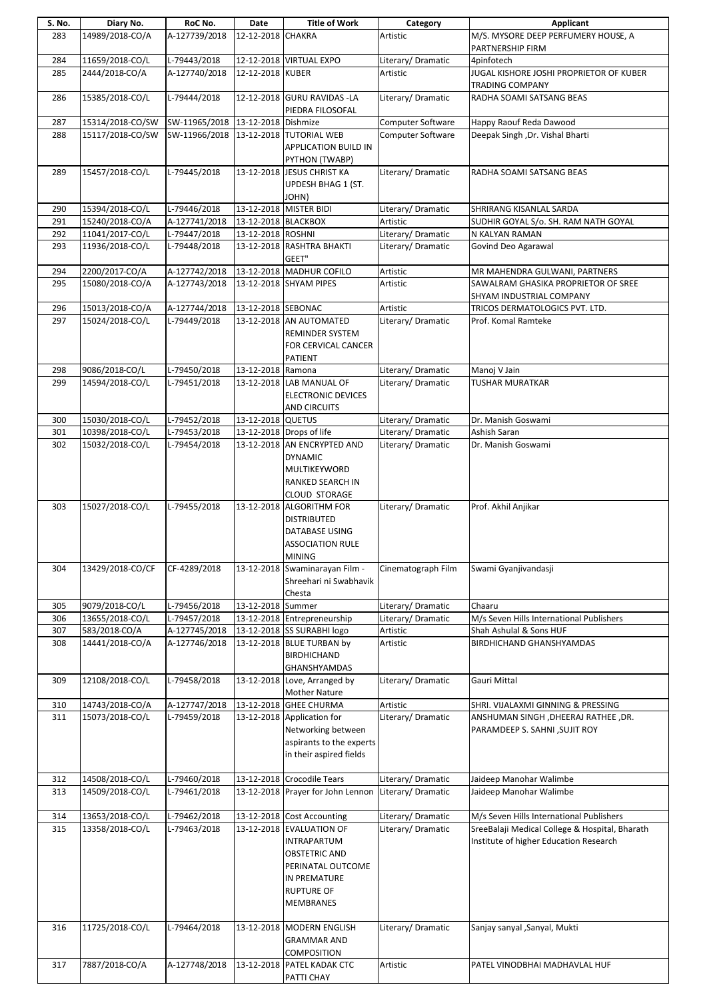| S. No.     | Diary No.                          | RoC No.                               | Date                | <b>Title of Work</b>                               | Category                                | Applicant                                                                   |
|------------|------------------------------------|---------------------------------------|---------------------|----------------------------------------------------|-----------------------------------------|-----------------------------------------------------------------------------|
| 283        | 14989/2018-CO/A                    | A-127739/2018                         | 12-12-2018 CHAKRA   |                                                    | Artistic                                | M/S. MYSORE DEEP PERFUMERY HOUSE, A                                         |
|            |                                    |                                       |                     |                                                    |                                         | PARTNERSHIP FIRM                                                            |
| 284        | 11659/2018-CO/L                    | L-79443/2018                          |                     | 12-12-2018 VIRTUAL EXPO                            | Literary/Dramatic                       | 4pinfotech                                                                  |
| 285        | 2444/2018-CO/A                     | A-127740/2018                         | 12-12-2018 KUBER    |                                                    | Artistic                                | JUGAL KISHORE JOSHI PROPRIETOR OF KUBER                                     |
|            |                                    |                                       |                     |                                                    |                                         | <b>TRADING COMPANY</b>                                                      |
| 286        | 15385/2018-CO/L                    | L-79444/2018                          |                     | 12-12-2018 GURU RAVIDAS - LA                       | Literary/Dramatic                       | RADHA SOAMI SATSANG BEAS                                                    |
| 287        | 15314/2018-CO/SW                   | SW-11965/2018 13-12-2018 Dishmize     |                     | PIEDRA FILOSOFAL                                   | Computer Software                       | Happy Raouf Reda Dawood                                                     |
| 288        | 15117/2018-CO/SW                   | SW-11966/2018 13-12-2018 TUTORIAL WEB |                     |                                                    | <b>Computer Software</b>                | Deepak Singh, Dr. Vishal Bharti                                             |
|            |                                    |                                       |                     | <b>APPLICATION BUILD IN</b>                        |                                         |                                                                             |
|            |                                    |                                       |                     | PYTHON (TWABP)                                     |                                         |                                                                             |
| 289        | 15457/2018-CO/L                    | L-79445/2018                          |                     | 13-12-2018 JESUS CHRIST KA                         | Literary/Dramatic                       | RADHA SOAMI SATSANG BEAS                                                    |
|            |                                    |                                       |                     | <b>UPDESH BHAG 1 (ST.</b>                          |                                         |                                                                             |
|            |                                    |                                       |                     | (JOHN                                              |                                         |                                                                             |
| 290        | 15394/2018-CO/L                    | L-79446/2018                          |                     | 13-12-2018 MISTER BIDI                             | Literary/ Dramatic                      | SHRIRANG KISANLAL SARDA                                                     |
| 291        | 15240/2018-CO/A                    | A-127741/2018                         | 13-12-2018 BLACKBOX |                                                    | Artistic                                | SUDHIR GOYAL S/o. SH. RAM NATH GOYAL                                        |
| 292        | 11041/2017-CO/L                    | L-79447/2018                          | 13-12-2018 ROSHNI   |                                                    | Literary/ Dramatic                      | N KALYAN RAMAN                                                              |
| 293        | 11936/2018-CO/L                    | L-79448/2018                          |                     | 13-12-2018 RASHTRA BHAKTI                          | Literary/ Dramatic                      | Govind Deo Agarawal                                                         |
|            | 2200/2017-CO/A                     |                                       |                     | GEET"                                              |                                         |                                                                             |
| 294<br>295 | 15080/2018-CO/A                    | A-127742/2018<br>A-127743/2018        |                     | 13-12-2018 MADHUR COFILO<br>13-12-2018 SHYAM PIPES | Artistic<br>Artistic                    | MR MAHENDRA GULWANI, PARTNERS<br>SAWALRAM GHASIKA PROPRIETOR OF SREE        |
|            |                                    |                                       |                     |                                                    |                                         | SHYAM INDUSTRIAL COMPANY                                                    |
| 296        | 15013/2018-CO/A                    | A-127744/2018                         | 13-12-2018 SEBONAC  |                                                    | Artistic                                | TRICOS DERMATOLOGICS PVT. LTD.                                              |
| 297        | 15024/2018-CO/L                    | L-79449/2018                          |                     | 13-12-2018 AN AUTOMATED                            | Literary/Dramatic                       | Prof. Komal Ramteke                                                         |
|            |                                    |                                       |                     | REMINDER SYSTEM                                    |                                         |                                                                             |
|            |                                    |                                       |                     | FOR CERVICAL CANCER                                |                                         |                                                                             |
|            |                                    |                                       |                     | <b>PATIENT</b>                                     |                                         |                                                                             |
| 298        | 9086/2018-CO/L                     | L-79450/2018                          | 13-12-2018 Ramona   |                                                    | Literary/Dramatic                       | Manoj V Jain                                                                |
| 299        | 14594/2018-CO/L                    | L-79451/2018                          |                     | 13-12-2018 LAB MANUAL OF                           | Literary/Dramatic                       | TUSHAR MURATKAR                                                             |
|            |                                    |                                       |                     | <b>ELECTRONIC DEVICES</b>                          |                                         |                                                                             |
|            |                                    |                                       |                     | <b>AND CIRCUITS</b>                                |                                         |                                                                             |
| 300<br>301 | 15030/2018-CO/L<br>10398/2018-CO/L | L-79452/2018<br>L-79453/2018          | 13-12-2018 QUETUS   | 13-12-2018 Drops of life                           | Literary/ Dramatic<br>Literary/Dramatic | Dr. Manish Goswami<br>Ashish Saran                                          |
| 302        | 15032/2018-CO/L                    | L-79454/2018                          |                     | 13-12-2018 AN ENCRYPTED AND                        | Literary/Dramatic                       | Dr. Manish Goswami                                                          |
|            |                                    |                                       |                     | <b>DYNAMIC</b>                                     |                                         |                                                                             |
|            |                                    |                                       |                     | MULTIKEYWORD                                       |                                         |                                                                             |
|            |                                    |                                       |                     | RANKED SEARCH IN                                   |                                         |                                                                             |
|            |                                    |                                       |                     | CLOUD STORAGE                                      |                                         |                                                                             |
| 303        | 15027/2018-CO/L                    | L-79455/2018                          |                     | 13-12-2018 ALGORITHM FOR                           | Literary/ Dramatic                      | Prof. Akhil Anjikar                                                         |
|            |                                    |                                       |                     | <b>DISTRIBUTED</b>                                 |                                         |                                                                             |
|            |                                    |                                       |                     | <b>DATABASE USING</b>                              |                                         |                                                                             |
|            |                                    |                                       |                     | <b>ASSOCIATION RULE</b>                            |                                         |                                                                             |
| 304        | 13429/2018-CO/CF                   | CF-4289/2018                          |                     | <b>MINING</b><br>13-12-2018 Swaminarayan Film -    |                                         |                                                                             |
|            |                                    |                                       |                     | Shreehari ni Swabhavik                             | Cinematograph Film                      | Swami Gyanjivandasji                                                        |
|            |                                    |                                       |                     | Chesta                                             |                                         |                                                                             |
| 305        | 9079/2018-CO/L                     | L-79456/2018                          | 13-12-2018 Summer   |                                                    | Literary/Dramatic                       | Chaaru                                                                      |
| 306        | 13655/2018-CO/L                    | L-79457/2018                          |                     | 13-12-2018 Entrepreneurship                        | Literary/Dramatic                       | M/s Seven Hills International Publishers                                    |
| 307        | 583/2018-CO/A                      | A-127745/2018                         |                     | 13-12-2018 SS SURABHI logo                         | Artistic                                | Shah Ashulal & Sons HUF                                                     |
| 308        | 14441/2018-CO/A                    | A-127746/2018                         |                     | 13-12-2018 BLUE TURBAN by                          | Artistic                                | <b>BIRDHICHAND GHANSHYAMDAS</b>                                             |
|            |                                    |                                       |                     | <b>BIRDHICHAND</b>                                 |                                         |                                                                             |
|            |                                    |                                       |                     | <b>GHANSHYAMDAS</b>                                |                                         |                                                                             |
| 309        | 12108/2018-CO/L                    | L-79458/2018                          |                     | 13-12-2018 Love, Arranged by                       | Literary/ Dramatic                      | Gauri Mittal                                                                |
|            | 14743/2018-CO/A                    | A-127747/2018                         |                     | <b>Mother Nature</b><br>13-12-2018 GHEE CHURMA     |                                         |                                                                             |
| 310<br>311 | 15073/2018-CO/L                    | L-79459/2018                          |                     | 13-12-2018 Application for                         | Artistic<br>Literary/ Dramatic          | SHRI. VIJALAXMI GINNING & PRESSING<br>ANSHUMAN SINGH , DHEERAJ RATHEE , DR. |
|            |                                    |                                       |                     | Networking between                                 |                                         | PARAMDEEP S. SAHNI, SUJIT ROY                                               |
|            |                                    |                                       |                     | aspirants to the experts                           |                                         |                                                                             |
|            |                                    |                                       |                     | in their aspired fields                            |                                         |                                                                             |
|            |                                    |                                       |                     |                                                    |                                         |                                                                             |
| 312        | 14508/2018-CO/L                    | L-79460/2018                          |                     | 13-12-2018 Crocodile Tears                         | Literary/Dramatic                       | Jaideep Manohar Walimbe                                                     |
| 313        | 14509/2018-CO/L                    | L-79461/2018                          |                     | 13-12-2018 Prayer for John Lennon                  | Literary/Dramatic                       | Jaideep Manohar Walimbe                                                     |
|            |                                    |                                       |                     |                                                    |                                         |                                                                             |
| 314        | 13653/2018-CO/L                    | L-79462/2018                          |                     | 13-12-2018 Cost Accounting                         | Literary/ Dramatic                      | M/s Seven Hills International Publishers                                    |
| 315        | 13358/2018-CO/L                    | L-79463/2018                          |                     | 13-12-2018 EVALUATION OF                           | Literary/Dramatic                       | SreeBalaji Medical College & Hospital, Bharath                              |
|            |                                    |                                       |                     | <b>INTRAPARTUM</b>                                 |                                         | Institute of higher Education Research                                      |
|            |                                    |                                       |                     | <b>OBSTETRIC AND</b><br>PERINATAL OUTCOME          |                                         |                                                                             |
|            |                                    |                                       |                     | IN PREMATURE                                       |                                         |                                                                             |
|            |                                    |                                       |                     | <b>RUPTURE OF</b>                                  |                                         |                                                                             |
|            |                                    |                                       |                     | <b>MEMBRANES</b>                                   |                                         |                                                                             |
|            |                                    |                                       |                     |                                                    |                                         |                                                                             |
| 316        | 11725/2018-CO/L                    | L-79464/2018                          |                     | 13-12-2018 MODERN ENGLISH                          | Literary/Dramatic                       | Sanjay sanyal , Sanyal, Mukti                                               |
|            |                                    |                                       |                     | <b>GRAMMAR AND</b>                                 |                                         |                                                                             |
|            |                                    |                                       |                     | COMPOSITION                                        |                                         |                                                                             |
| 317        | 7887/2018-CO/A                     | A-127748/2018                         |                     | 13-12-2018 PATEL KADAK CTC                         | Artistic                                | PATEL VINODBHAI MADHAVLAL HUF                                               |
|            |                                    |                                       |                     | PATTI CHAY                                         |                                         |                                                                             |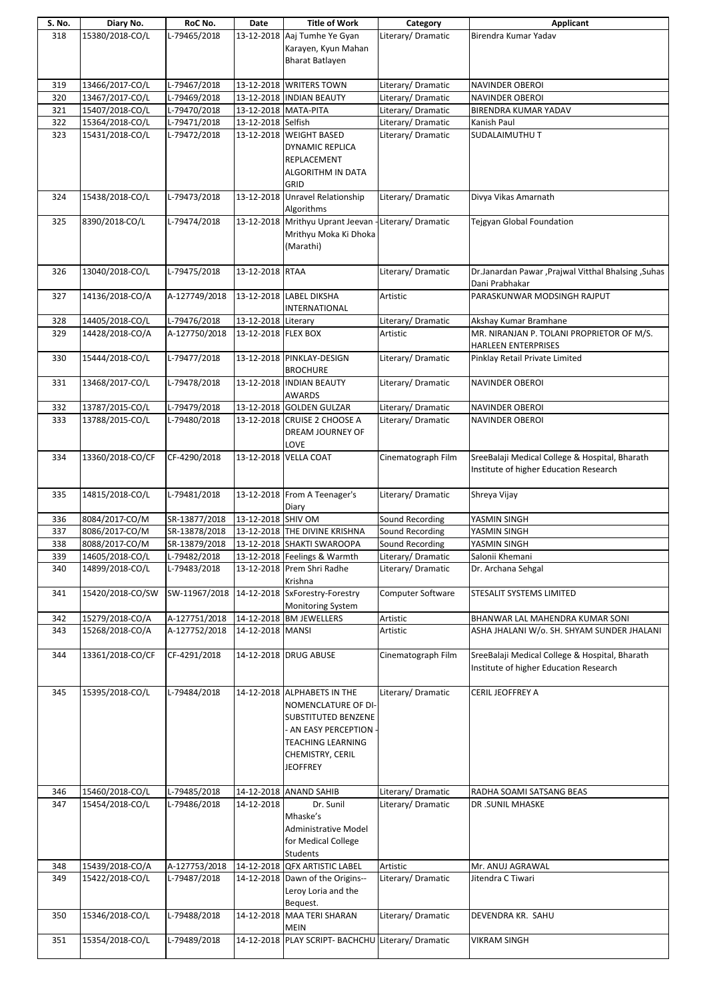|     | Diary No.        | RoC No.       | Date                 | <b>Title of Work</b>                                              | Category           | Applicant                                            |
|-----|------------------|---------------|----------------------|-------------------------------------------------------------------|--------------------|------------------------------------------------------|
| 318 | 15380/2018-CO/L  | L-79465/2018  | 13-12-2018           | Aaj Tumhe Ye Gyan                                                 | Literary/ Dramatic | Birendra Kumar Yadav                                 |
|     |                  |               |                      | Karayen, Kyun Mahan                                               |                    |                                                      |
|     |                  |               |                      | <b>Bharat Batlayen</b>                                            |                    |                                                      |
|     |                  |               |                      |                                                                   |                    |                                                      |
|     |                  |               |                      |                                                                   |                    |                                                      |
| 319 | 13466/2017-CO/L  | L-79467/2018  |                      | 13-12-2018 WRITERS TOWN                                           | Literary/ Dramatic | NAVINDER OBEROI                                      |
| 320 | 13467/2017-CO/L  | L-79469/2018  |                      | 13-12-2018 INDIAN BEAUTY                                          | Literary/ Dramatic | <b>NAVINDER OBEROI</b>                               |
| 321 | 15407/2018-CO/L  | L-79470/2018  | 13-12-2018 MATA-PITA |                                                                   | Literary/Dramatic  | BIRENDRA KUMAR YADAV                                 |
| 322 | 15364/2018-CO/L  | L-79471/2018  | 13-12-2018 Selfish   |                                                                   | Literary/ Dramatic | Kanish Paul                                          |
| 323 | 15431/2018-CO/L  | L-79472/2018  |                      | 13-12-2018 WEIGHT BASED                                           | Literary/ Dramatic | <b>SUDALAIMUTHU T</b>                                |
|     |                  |               |                      | <b>DYNAMIC REPLICA</b>                                            |                    |                                                      |
|     |                  |               |                      | REPLACEMENT                                                       |                    |                                                      |
|     |                  |               |                      | ALGORITHM IN DATA                                                 |                    |                                                      |
|     |                  |               |                      | GRID                                                              |                    |                                                      |
|     |                  |               |                      | 13-12-2018 Unravel Relationship                                   |                    |                                                      |
| 324 | 15438/2018-CO/L  | L-79473/2018  |                      |                                                                   | Literary/ Dramatic | Divya Vikas Amarnath                                 |
|     |                  |               |                      | Algorithms                                                        |                    |                                                      |
| 325 | 8390/2018-CO/L   | L-79474/2018  |                      | 13-12-2018 Mrithyu Uprant Jeevan - Literary/ Dramatic             |                    | Tejgyan Global Foundation                            |
|     |                  |               |                      | Mrithyu Moka Ki Dhoka                                             |                    |                                                      |
|     |                  |               |                      | (Marathi)                                                         |                    |                                                      |
|     |                  |               |                      |                                                                   |                    |                                                      |
| 326 | 13040/2018-CO/L  | L-79475/2018  | 13-12-2018 RTAA      |                                                                   | Literary/Dramatic  | Dr.Janardan Pawar , Prajwal Vitthal Bhalsing , Suhas |
|     |                  |               |                      |                                                                   |                    | Dani Prabhakar                                       |
| 327 | 14136/2018-CO/A  | A-127749/2018 |                      | 13-12-2018 LABEL DIKSHA                                           | Artistic           | PARASKUNWAR MODSINGH RAJPUT                          |
|     |                  |               |                      | <b>INTERNATIONAL</b>                                              |                    |                                                      |
| 328 | 14405/2018-CO/L  | L-79476/2018  | 13-12-2018 Literary  |                                                                   | Literary/Dramatic  | Akshay Kumar Bramhane                                |
|     |                  |               |                      |                                                                   |                    |                                                      |
| 329 | 14428/2018-CO/A  | A-127750/2018 | 13-12-2018 FLEX BOX  |                                                                   | Artistic           | MR. NIRANJAN P. TOLANI PROPRIETOR OF M/S.            |
|     |                  |               |                      |                                                                   |                    | <b>HARLEEN ENTERPRISES</b>                           |
| 330 | 15444/2018-CO/L  | L-79477/2018  |                      | 13-12-2018 PINKLAY-DESIGN                                         | Literary/ Dramatic | Pinklay Retail Private Limited                       |
|     |                  |               |                      | <b>BROCHURE</b>                                                   |                    |                                                      |
| 331 | 13468/2017-CO/L  | L-79478/2018  |                      | 13-12-2018 INDIAN BEAUTY                                          | Literary/Dramatic  | NAVINDER OBEROI                                      |
|     |                  |               |                      | <b>AWARDS</b>                                                     |                    |                                                      |
| 332 | 13787/2015-CO/L  | L-79479/2018  |                      | 13-12-2018 GOLDEN GULZAR                                          | Literary/ Dramatic | NAVINDER OBEROI                                      |
| 333 | 13788/2015-CO/L  | L-79480/2018  |                      | 13-12-2018 CRUISE 2 CHOOSE A                                      | Literary/Dramatic  | <b>NAVINDER OBEROI</b>                               |
|     |                  |               |                      | DREAM JOURNEY OF                                                  |                    |                                                      |
|     |                  |               |                      | LOVE                                                              |                    |                                                      |
| 334 | 13360/2018-CO/CF | CF-4290/2018  |                      | 13-12-2018 VELLA COAT                                             | Cinematograph Film | SreeBalaji Medical College & Hospital, Bharath       |
|     |                  |               |                      |                                                                   |                    |                                                      |
|     |                  |               |                      |                                                                   |                    | Institute of higher Education Research               |
|     |                  |               |                      |                                                                   |                    |                                                      |
|     |                  |               |                      |                                                                   |                    |                                                      |
| 335 | 14815/2018-CO/L  | L-79481/2018  |                      | 13-12-2018 From A Teenager's                                      | Literary/Dramatic  | Shreya Vijay                                         |
|     |                  |               |                      | Diary                                                             |                    |                                                      |
| 336 | 8084/2017-CO/M   | SR-13877/2018 | 13-12-2018 SHIV OM   |                                                                   | Sound Recording    | YASMIN SINGH                                         |
| 337 | 8086/2017-CO/M   | SR-13878/2018 |                      | 13-12-2018 THE DIVINE KRISHNA                                     | Sound Recording    | YASMIN SINGH                                         |
| 338 | 8088/2017-CO/M   | SR-13879/2018 |                      | 13-12-2018 SHAKTI SWAROOPA                                        | Sound Recording    | YASMIN SINGH                                         |
| 339 | 14605/2018-CO/L  | L-79482/2018  |                      | 13-12-2018 Feelings & Warmth                                      | Literary/Dramatic  | Salonii Khemani                                      |
| 340 | 14899/2018-CO/L  | L-79483/2018  |                      | 13-12-2018 Prem Shri Radhe                                        | Literary/Dramatic  | Dr. Archana Sehgal                                   |
|     |                  |               |                      |                                                                   |                    |                                                      |
|     |                  |               |                      | Krishna                                                           |                    |                                                      |
| 341 | 15420/2018-CO/SW |               |                      | SW-11967/2018 14-12-2018 SxForestry-Forestry                      | Computer Software  | STESALIT SYSTEMS LIMITED                             |
|     |                  |               |                      | <b>Monitoring System</b>                                          |                    |                                                      |
| 342 | 15279/2018-CO/A  | A-127751/2018 |                      | 14-12-2018 BM JEWELLERS                                           | Artistic           | BHANWAR LAL MAHENDRA KUMAR SONI                      |
| 343 | 15268/2018-CO/A  | A-127752/2018 | 14-12-2018 MANSI     |                                                                   | Artistic           | ASHA JHALANI W/o. SH. SHYAM SUNDER JHALANI           |
|     |                  |               |                      |                                                                   |                    |                                                      |
| 344 | 13361/2018-CO/CF | CF-4291/2018  |                      | 14-12-2018 DRUG ABUSE                                             | Cinematograph Film | SreeBalaji Medical College & Hospital, Bharath       |
|     |                  |               |                      |                                                                   |                    | Institute of higher Education Research               |
|     |                  |               |                      |                                                                   |                    |                                                      |
| 345 | 15395/2018-CO/L  | L-79484/2018  |                      | 14-12-2018 ALPHABETS IN THE                                       | Literary/ Dramatic | CERIL JEOFFREY A                                     |
|     |                  |               |                      | NOMENCLATURE OF DI-                                               |                    |                                                      |
|     |                  |               |                      | SUBSTITUTED BENZENE                                               |                    |                                                      |
|     |                  |               |                      |                                                                   |                    |                                                      |
|     |                  |               |                      | - AN EASY PERCEPTION -                                            |                    |                                                      |
|     |                  |               |                      | TEACHING LEARNING                                                 |                    |                                                      |
|     |                  |               |                      | CHEMISTRY, CERIL                                                  |                    |                                                      |
|     |                  |               |                      | <b>JEOFFREY</b>                                                   |                    |                                                      |
|     |                  |               |                      |                                                                   |                    |                                                      |
| 346 | 15460/2018-CO/L  | L-79485/2018  |                      | 14-12-2018 ANAND SAHIB                                            | Literary/Dramatic  | RADHA SOAMI SATSANG BEAS                             |
| 347 | 15454/2018-CO/L  | L-79486/2018  | 14-12-2018           | Dr. Sunil                                                         | Literary/Dramatic  | DR .SUNIL MHASKE                                     |
|     |                  |               |                      | Mhaske's                                                          |                    |                                                      |
|     |                  |               |                      | Administrative Model                                              |                    |                                                      |
|     |                  |               |                      | for Medical College                                               |                    |                                                      |
|     |                  |               |                      | Students                                                          |                    |                                                      |
| 348 | 15439/2018-CO/A  | A-127753/2018 |                      | 14-12-2018 QFX ARTISTIC LABEL                                     | Artistic           | Mr. ANUJ AGRAWAL                                     |
| 349 | 15422/2018-CO/L  | L-79487/2018  |                      | 14-12-2018 Dawn of the Origins--                                  | Literary/Dramatic  | Jitendra C Tiwari                                    |
|     |                  |               |                      | Leroy Loria and the                                               |                    |                                                      |
|     |                  |               |                      |                                                                   |                    |                                                      |
|     |                  |               |                      | Bequest.                                                          |                    |                                                      |
| 350 | 15346/2018-CO/L  | L-79488/2018  |                      | 14-12-2018 MAA TERI SHARAN                                        | Literary/ Dramatic | DEVENDRA KR. SAHU                                    |
| 351 | 15354/2018-CO/L  | L-79489/2018  |                      | <b>MEIN</b><br>14-12-2018 PLAY SCRIPT- BACHCHU Literary/ Dramatic |                    | <b>VIKRAM SINGH</b>                                  |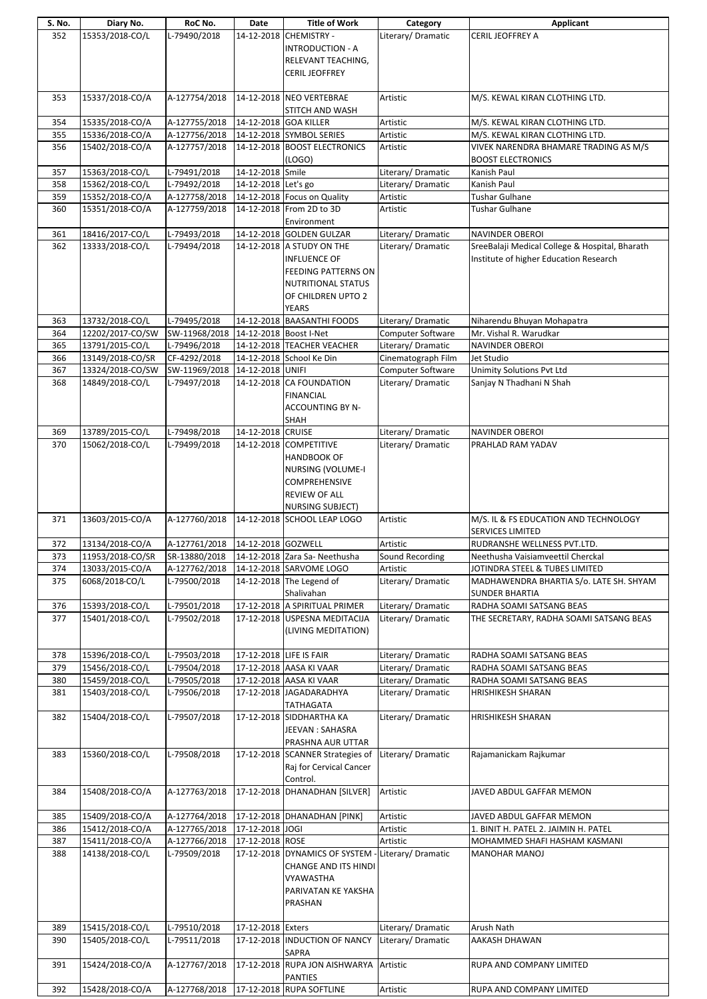| S. No. | Diary No.                           | RoC No.       | Date                    | <b>Title of Work</b>                       | Category           | Applicant                                              |
|--------|-------------------------------------|---------------|-------------------------|--------------------------------------------|--------------------|--------------------------------------------------------|
| 352    | 15353/2018-CO/L                     | L-79490/2018  | 14-12-2018              | <b>CHEMISTRY -</b>                         | Literary/ Dramatic | CERIL JEOFFREY A                                       |
|        |                                     |               |                         | <b>INTRODUCTION - A</b>                    |                    |                                                        |
|        |                                     |               |                         | RELEVANT TEACHING,                         |                    |                                                        |
|        |                                     |               |                         | <b>CERIL JEOFFREY</b>                      |                    |                                                        |
|        |                                     |               |                         |                                            |                    |                                                        |
| 353    | 15337/2018-CO/A                     | A-127754/2018 |                         | 14-12-2018 NEO VERTEBRAE                   | Artistic           | M/S. KEWAL KIRAN CLOTHING LTD.                         |
|        |                                     |               |                         | STITCH AND WASH                            |                    |                                                        |
| 354    | 15335/2018-CO/A                     | A-127755/2018 | 14-12-2018 GOA KILLER   |                                            | Artistic           | M/S. KEWAL KIRAN CLOTHING LTD.                         |
| 355    | 15336/2018-CO/A                     | A-127756/2018 |                         | 14-12-2018 SYMBOL SERIES                   | Artistic           | M/S. KEWAL KIRAN CLOTHING LTD.                         |
| 356    | 15402/2018-CO/A                     | A-127757/2018 |                         | 14-12-2018 BOOST ELECTRONICS               | Artistic           | VIVEK NARENDRA BHAMARE TRADING AS M/S                  |
|        |                                     |               |                         | (LOGO)                                     |                    | <b>BOOST ELECTRONICS</b>                               |
| 357    | 15363/2018-CO/L                     | L-79491/2018  | 14-12-2018 Smile        |                                            | Literary/ Dramatic | Kanish Paul                                            |
| 358    | 15362/2018-CO/L                     | L-79492/2018  | 14-12-2018 Let's go     |                                            | Literary/ Dramatic | Kanish Paul                                            |
| 359    | 15352/2018-CO/A                     | A-127758/2018 |                         | 14-12-2018 Focus on Quality                | Artistic           | Tushar Gulhane                                         |
| 360    | 15351/2018-CO/A                     | A-127759/2018 |                         | 14-12-2018 From 2D to 3D<br>Environment    | Artistic           | <b>Tushar Gulhane</b>                                  |
| 361    | 18416/2017-CO/L                     | L-79493/2018  |                         | 14-12-2018 GOLDEN GULZAR                   | Literary/Dramatic  | <b>NAVINDER OBEROI</b>                                 |
| 362    | 13333/2018-CO/L                     | L-79494/2018  |                         | 14-12-2018 A STUDY ON THE                  | Literary/Dramatic  | SreeBalaji Medical College & Hospital, Bharath         |
|        |                                     |               |                         | <b>INFLUENCE OF</b>                        |                    | Institute of higher Education Research                 |
|        |                                     |               |                         | <b>FEEDING PATTERNS ON</b>                 |                    |                                                        |
|        |                                     |               |                         | <b>NUTRITIONAL STATUS</b>                  |                    |                                                        |
|        |                                     |               |                         | OF CHILDREN UPTO 2                         |                    |                                                        |
|        |                                     |               |                         | <b>YEARS</b>                               |                    |                                                        |
| 363    | 13732/2018-CO/L                     | L-79495/2018  |                         | 14-12-2018 BAASANTHI FOODS                 | Literary/Dramatic  | Niharendu Bhuyan Mohapatra                             |
| 364    | 12202/2017-CO/SW                    | SW-11968/2018 | 14-12-2018 Boost I-Net  |                                            | Computer Software  | Mr. Vishal R. Warudkar                                 |
| 365    | 13791/2015-CO/L                     | L-79496/2018  |                         | 14-12-2018 TEACHER VEACHER                 | Literary/ Dramatic | NAVINDER OBEROI                                        |
| 366    | 13149/2018-CO/SR                    | CF-4292/2018  |                         | 14-12-2018 School Ke Din                   | Cinematograph Film | Jet Studio                                             |
| 367    | 13324/2018-CO/SW                    | SW-11969/2018 | 14-12-2018 UNIFI        |                                            | Computer Software  | <b>Unimity Solutions Pvt Ltd</b>                       |
| 368    | 14849/2018-CO/L                     | L-79497/2018  |                         | 14-12-2018 CA FOUNDATION                   | Literary/ Dramatic | Sanjay N Thadhani N Shah                               |
|        |                                     |               |                         | <b>FINANCIAL</b>                           |                    |                                                        |
|        |                                     |               |                         | <b>ACCOUNTING BY N-</b>                    |                    |                                                        |
|        |                                     |               |                         | SHAH                                       |                    |                                                        |
| 369    | 13789/2015-CO/L                     | L-79498/2018  | 14-12-2018 CRUISE       |                                            | Literary/Dramatic  | NAVINDER OBEROI                                        |
| 370    | 15062/2018-CO/L                     | L-79499/2018  |                         | 14-12-2018 COMPETITIVE                     | Literary/Dramatic  | PRAHLAD RAM YADAV                                      |
|        |                                     |               |                         | <b>HANDBOOK OF</b>                         |                    |                                                        |
|        |                                     |               |                         | <b>NURSING (VOLUME-I</b>                   |                    |                                                        |
|        |                                     |               |                         | <b>COMPREHENSIVE</b>                       |                    |                                                        |
|        |                                     |               |                         | <b>REVIEW OF ALL</b>                       |                    |                                                        |
|        |                                     |               |                         |                                            |                    |                                                        |
|        |                                     |               |                         |                                            |                    |                                                        |
|        |                                     |               |                         | <b>NURSING SUBJECT)</b>                    |                    |                                                        |
| 371    | 13603/2015-CO/A                     | A-127760/2018 |                         | 14-12-2018 SCHOOL LEAP LOGO                | Artistic           | M/S. IL & FS EDUCATION AND TECHNOLOGY                  |
| 372    | 13134/2018-CO/A                     | A-127761/2018 | 14-12-2018 GOZWELL      |                                            | Artistic           | <b>SERVICES LIMITED</b><br>RUDRANSHE WELLNESS PVT.LTD. |
| 373    |                                     | SR-13880/2018 |                         | 14-12-2018 Zara Sa- Neethusha              | Sound Recording    | Neethusha Vaisiamveettil Cherckal                      |
| 374    | 11953/2018-CO/SR<br>13033/2015-CO/A | A-127762/2018 |                         | 14-12-2018 SARVOME LOGO                    | Artistic           | JOTINDRA STEEL & TUBES LIMITED                         |
| 375    | 6068/2018-CO/L                      | L-79500/2018  |                         | 14-12-2018 The Legend of                   | Literary/ Dramatic | MADHAWENDRA BHARTIA S/o. LATE SH. SHYAM                |
|        |                                     |               |                         | Shalivahan                                 |                    | <b>SUNDER BHARTIA</b>                                  |
| 376    | 15393/2018-CO/L                     | L-79501/2018  |                         | 17-12-2018 A SPIRITUAL PRIMER              | Literary/ Dramatic | RADHA SOAMI SATSANG BEAS                               |
| 377    | 15401/2018-CO/L                     | L-79502/2018  |                         | 17-12-2018 USPESNA MEDITACIJA              | Literary/ Dramatic | THE SECRETARY, RADHA SOAMI SATSANG BEAS                |
|        |                                     |               |                         | (LIVING MEDITATION)                        |                    |                                                        |
|        |                                     |               |                         |                                            |                    |                                                        |
| 378    | 15396/2018-CO/L                     | L-79503/2018  | 17-12-2018 LIFE IS FAIR |                                            | Literary/Dramatic  | RADHA SOAMI SATSANG BEAS                               |
| 379    | 15456/2018-CO/L                     | L-79504/2018  |                         | 17-12-2018 AASA KI VAAR                    | Literary/Dramatic  | RADHA SOAMI SATSANG BEAS                               |
| 380    | 15459/2018-CO/L                     | L-79505/2018  |                         | 17-12-2018 AASA KI VAAR                    | Literary/ Dramatic | RADHA SOAMI SATSANG BEAS                               |
| 381    | 15403/2018-CO/L                     | L-79506/2018  |                         | 17-12-2018 JAGADARADHYA                    | Literary/ Dramatic | <b>HRISHIKESH SHARAN</b>                               |
|        |                                     |               |                         | TATHAGATA                                  |                    |                                                        |
| 382    | 15404/2018-CO/L                     | L-79507/2018  |                         | 17-12-2018 SIDDHARTHA KA                   | Literary/ Dramatic | HRISHIKESH SHARAN                                      |
|        |                                     |               |                         | JEEVAN : SAHASRA                           |                    |                                                        |
|        |                                     |               |                         | PRASHNA AUR UTTAR                          |                    |                                                        |
| 383    | 15360/2018-CO/L                     | L-79508/2018  |                         | 17-12-2018 SCANNER Strategies of           | Literary/Dramatic  | Rajamanickam Rajkumar                                  |
|        |                                     |               |                         | Raj for Cervical Cancer                    |                    |                                                        |
|        |                                     |               |                         | Control.                                   |                    |                                                        |
| 384    | 15408/2018-CO/A                     | A-127763/2018 |                         | 17-12-2018 DHANADHAN [SILVER]              | Artistic           | JAVED ABDUL GAFFAR MEMON                               |
|        |                                     |               |                         |                                            |                    |                                                        |
| 385    | 15409/2018-CO/A                     | A-127764/2018 |                         | 17-12-2018 DHANADHAN [PINK]                | Artistic           | JAVED ABDUL GAFFAR MEMON                               |
| 386    | 15412/2018-CO/A                     | A-127765/2018 | 17-12-2018 JOGI         |                                            | Artistic           | 1. BINIT H. PATEL 2. JAIMIN H. PATEL                   |
| 387    | 15411/2018-CO/A                     | A-127766/2018 | 17-12-2018 ROSE         |                                            | Artistic           | MOHAMMED SHAFI HASHAM KASMANI                          |
| 388    | 14138/2018-CO/L                     | L-79509/2018  |                         | 17-12-2018 DYNAMICS OF SYSTEM -            | Literary/Dramatic  | <b>MANOHAR MANOJ</b>                                   |
|        |                                     |               |                         | <b>CHANGE AND ITS HINDI</b>                |                    |                                                        |
|        |                                     |               |                         | <b>VYAWASTHA</b>                           |                    |                                                        |
|        |                                     |               |                         | PARIVATAN KE YAKSHA                        |                    |                                                        |
|        |                                     |               |                         | PRASHAN                                    |                    |                                                        |
|        |                                     |               |                         |                                            |                    |                                                        |
| 389    | 15415/2018-CO/L                     | L-79510/2018  | 17-12-2018 Exters       |                                            | Literary/Dramatic  | Arush Nath                                             |
| 390    | 15405/2018-CO/L                     | L-79511/2018  |                         | 17-12-2018 INDUCTION OF NANCY              | Literary/Dramatic  | AAKASH DHAWAN                                          |
|        |                                     |               |                         | SAPRA                                      |                    |                                                        |
| 391    | 15424/2018-CO/A                     | A-127767/2018 |                         | 17-12-2018 RUPA JON AISHWARYA              | Artistic           | RUPA AND COMPANY LIMITED                               |
| 392    | 15428/2018-CO/A                     | A-127768/2018 |                         | <b>PANTIES</b><br>17-12-2018 RUPA SOFTLINE | Artistic           | RUPA AND COMPANY LIMITED                               |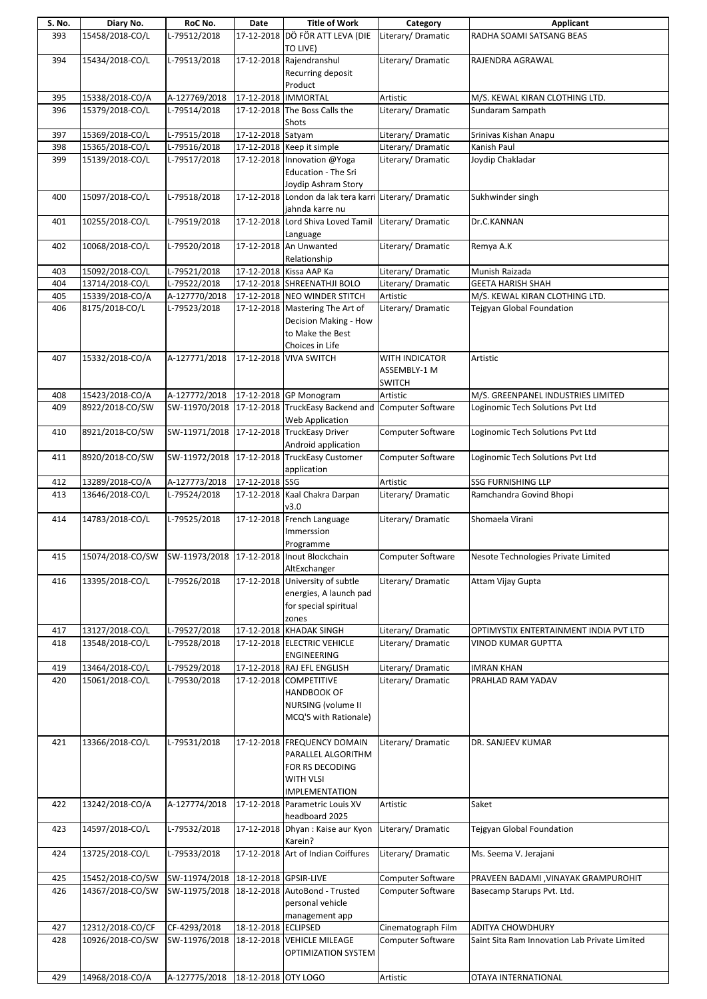| S. No.     | Diary No.                            | RoC No.                                   | Date                 | <b>Title of Work</b>                                             | Category                                | Applicant                                                         |
|------------|--------------------------------------|-------------------------------------------|----------------------|------------------------------------------------------------------|-----------------------------------------|-------------------------------------------------------------------|
| 393        | 15458/2018-CO/L                      | L-79512/2018                              |                      | 17-12-2018 DÖ FÖR ATT LEVA (DIE                                  | Literary/Dramatic                       | RADHA SOAMI SATSANG BEAS                                          |
|            | 15434/2018-CO/L                      | L-79513/2018                              |                      | TO LIVE)<br>17-12-2018 Rajendranshul                             | Literary/ Dramatic                      |                                                                   |
| 394        |                                      |                                           |                      | Recurring deposit                                                |                                         | RAJENDRA AGRAWAL                                                  |
|            |                                      |                                           |                      | Product                                                          |                                         |                                                                   |
| 395        | 15338/2018-CO/A                      | A-127769/2018                             | 17-12-2018  IMMORTAL |                                                                  | Artistic                                | M/S. KEWAL KIRAN CLOTHING LTD.                                    |
| 396        | 15379/2018-CO/L                      | L-79514/2018                              |                      | 17-12-2018 The Boss Calls the                                    | Literary/ Dramatic                      | Sundaram Sampath                                                  |
|            |                                      |                                           |                      | Shots                                                            |                                         |                                                                   |
| 397        | 15369/2018-CO/L<br>15365/2018-CO/L   | L-79515/2018<br>L-79516/2018              | 17-12-2018 Satyam    | 17-12-2018 Keep it simple                                        | Literary/Dramatic<br>Literary/Dramatic  | Srinivas Kishan Anapu<br>Kanish Paul                              |
| 398<br>399 | 15139/2018-CO/L                      | L-79517/2018                              |                      | 17-12-2018 Innovation @Yoga                                      | Literary/ Dramatic                      | Joydip Chakladar                                                  |
|            |                                      |                                           |                      | <b>Education - The Sri</b>                                       |                                         |                                                                   |
|            |                                      |                                           |                      | Joydip Ashram Story                                              |                                         |                                                                   |
| 400        | 15097/2018-CO/L                      | L-79518/2018                              |                      | 17-12-2018 London da lak tera karri Literary/ Dramatic           |                                         | Sukhwinder singh                                                  |
|            |                                      |                                           |                      | jahnda karre nu                                                  |                                         |                                                                   |
| 401        | 10255/2018-CO/L                      | L-79519/2018                              |                      | 17-12-2018 Lord Shiva Loved Tamil                                | Literary/Dramatic                       | Dr.C.KANNAN                                                       |
| 402        | 10068/2018-CO/L                      | L-79520/2018                              |                      | Language<br>17-12-2018 An Unwanted                               | Literary/Dramatic                       | Remya A.K                                                         |
|            |                                      |                                           |                      | Relationship                                                     |                                         |                                                                   |
| 403        | 15092/2018-CO/L                      | L-79521/2018                              |                      | 17-12-2018 Kissa AAP Ka                                          | Literary/Dramatic                       | Munish Raizada                                                    |
| 404        | 13714/2018-CO/L                      | L-79522/2018                              |                      | 17-12-2018 SHREENATHJI BOLO                                      | Literary/ Dramatic                      | <b>GEETA HARISH SHAH</b>                                          |
| 405        | 15339/2018-CO/A                      | A-127770/2018                             |                      | 17-12-2018 NEO WINDER STITCH                                     | Artistic                                | M/S. KEWAL KIRAN CLOTHING LTD.                                    |
| 406        | 8175/2018-CO/L                       | L-79523/2018                              |                      | 17-12-2018 Mastering The Art of                                  | Literary/ Dramatic                      | Tejgyan Global Foundation                                         |
|            |                                      |                                           |                      | Decision Making - How                                            |                                         |                                                                   |
|            |                                      |                                           |                      | to Make the Best                                                 |                                         |                                                                   |
|            |                                      |                                           |                      | Choices in Life                                                  |                                         |                                                                   |
| 407        | 15332/2018-CO/A                      | A-127771/2018                             |                      | 17-12-2018 VIVA SWITCH                                           | <b>WITH INDICATOR</b>                   | Artistic                                                          |
|            |                                      |                                           |                      |                                                                  | ASSEMBLY-1 M<br><b>SWITCH</b>           |                                                                   |
| 408        | 15423/2018-CO/A                      | A-127772/2018                             |                      | 17-12-2018 GP Monogram                                           | Artistic                                | M/S. GREENPANEL INDUSTRIES LIMITED                                |
| 409        | 8922/2018-CO/SW                      |                                           |                      | SW-11970/2018 17-12-2018 TruckEasy Backend and Computer Software |                                         | Loginomic Tech Solutions Pvt Ltd                                  |
|            |                                      |                                           |                      | Web Application                                                  |                                         |                                                                   |
| 410        | 8921/2018-CO/SW                      | SW-11971/2018                             |                      | 17-12-2018 TruckEasy Driver                                      | Computer Software                       | Loginomic Tech Solutions Pvt Ltd                                  |
|            |                                      |                                           |                      | Android application                                              |                                         |                                                                   |
| 411        | 8920/2018-CO/SW                      |                                           |                      | SW-11972/2018 17-12-2018 TruckEasy Customer                      | Computer Software                       | Loginomic Tech Solutions Pvt Ltd                                  |
|            |                                      |                                           |                      | application                                                      |                                         |                                                                   |
| 412        | 13289/2018-CO/A                      | A-127773/2018                             | 17-12-2018 SSG       |                                                                  | Artistic                                | <b>SSG FURNISHING LLP</b>                                         |
| 413        | 13646/2018-CO/L                      | L-79524/2018                              |                      | 17-12-2018 Kaal Chakra Darpan                                    | Literary/ Dramatic                      | Ramchandra Govind Bhopi                                           |
|            |                                      |                                           |                      | v3.0                                                             |                                         |                                                                   |
| 414        | 14783/2018-CO/L                      | L-79525/2018                              |                      | 17-12-2018 French Language<br>Immerssion                         | Literary/Dramatic                       | Shomaela Virani                                                   |
|            |                                      |                                           |                      | Programme                                                        |                                         |                                                                   |
| 415        | 15074/2018-CO/SW                     | SW-11973/2018 17-12-2018 Inout Blockchain |                      |                                                                  | Computer Software                       | Nesote Technologies Private Limited                               |
|            |                                      |                                           |                      | AltExchanger                                                     |                                         |                                                                   |
| 416        | 13395/2018-CO/L                      | L-79526/2018                              |                      | 17-12-2018 University of subtle                                  | Literary/Dramatic                       | Attam Vijay Gupta                                                 |
|            |                                      |                                           |                      | energies, A launch pad                                           |                                         |                                                                   |
|            |                                      |                                           |                      | for special spiritual                                            |                                         |                                                                   |
|            |                                      |                                           |                      | zones                                                            |                                         |                                                                   |
| 417        | 13127/2018-CO/L                      | L-79527/2018                              |                      | 17-12-2018 KHADAK SINGH                                          | Literary/Dramatic                       | OPTIMYSTIX ENTERTAINMENT INDIA PVT LTD                            |
| 418        | 13548/2018-CO/L                      | L-79528/2018                              |                      | 17-12-2018 ELECTRIC VEHICLE<br>ENGINEERING                       | Literary/ Dramatic                      | VINOD KUMAR GUPTTA                                                |
| 419        | 13464/2018-CO/L                      | L-79529/2018                              |                      | 17-12-2018 RAJ EFL ENGLISH                                       | Literary/ Dramatic                      | <b>IMRAN KHAN</b>                                                 |
| 420        | 15061/2018-CO/L                      | L-79530/2018                              |                      | 17-12-2018 COMPETITIVE                                           | Literary/Dramatic                       | PRAHLAD RAM YADAV                                                 |
|            |                                      |                                           |                      | <b>HANDBOOK OF</b>                                               |                                         |                                                                   |
|            |                                      |                                           |                      | NURSING (volume II                                               |                                         |                                                                   |
|            |                                      |                                           |                      | MCQ'S with Rationale)                                            |                                         |                                                                   |
|            |                                      |                                           |                      |                                                                  |                                         |                                                                   |
| 421        | 13366/2018-CO/L                      | L-79531/2018                              |                      | 17-12-2018 FREQUENCY DOMAIN                                      | Literary/ Dramatic                      | DR. SANJEEV KUMAR                                                 |
|            |                                      |                                           |                      | PARALLEL ALGORITHM                                               |                                         |                                                                   |
|            |                                      |                                           |                      | FOR RS DECODING                                                  |                                         |                                                                   |
|            |                                      |                                           |                      | WITH VLSI                                                        |                                         |                                                                   |
| 422        | 13242/2018-CO/A                      | A-127774/2018                             |                      | <b>IMPLEMENTATION</b><br>17-12-2018 Parametric Louis XV          | Artistic                                | Saket                                                             |
|            |                                      |                                           |                      | headboard 2025                                                   |                                         |                                                                   |
| 423        | 14597/2018-CO/L                      | L-79532/2018                              |                      | 17-12-2018 Dhyan : Kaise aur Kyon                                | Literary/Dramatic                       | Tejgyan Global Foundation                                         |
|            |                                      |                                           |                      | Karein?                                                          |                                         |                                                                   |
| 424        | 13725/2018-CO/L                      | L-79533/2018                              |                      | 17-12-2018 Art of Indian Coiffures                               | Literary/Dramatic                       | Ms. Seema V. Jerajani                                             |
|            |                                      |                                           |                      |                                                                  |                                         |                                                                   |
| 425        | 15452/2018-CO/SW                     | SW-11974/2018 18-12-2018 GPSIR-LIVE       |                      |                                                                  | Computer Software                       | PRAVEEN BADAMI , VINAYAK GRAMPUROHIT                              |
| 426        | 14367/2018-CO/SW                     | SW-11975/2018                             |                      | 18-12-2018 AutoBond - Trusted                                    | <b>Computer Software</b>                | Basecamp Starups Pvt. Ltd.                                        |
|            |                                      |                                           |                      | personal vehicle                                                 |                                         |                                                                   |
|            |                                      |                                           |                      | management app                                                   |                                         |                                                                   |
| 427<br>428 | 12312/2018-CO/CF<br>10926/2018-CO/SW | CF-4293/2018<br>SW-11976/2018             | 18-12-2018 ECLIPSED  | 18-12-2018 VEHICLE MILEAGE                                       | Cinematograph Film<br>Computer Software | ADITYA CHOWDHURY<br>Saint Sita Ram Innovation Lab Private Limited |
|            |                                      |                                           |                      | OPTIMIZATION SYSTEM                                              |                                         |                                                                   |
|            |                                      |                                           |                      |                                                                  |                                         |                                                                   |
| 429        | 14968/2018-CO/A                      | A-127775/2018 18-12-2018 OTY LOGO         |                      |                                                                  | Artistic                                | OTAYA INTERNATIONAL                                               |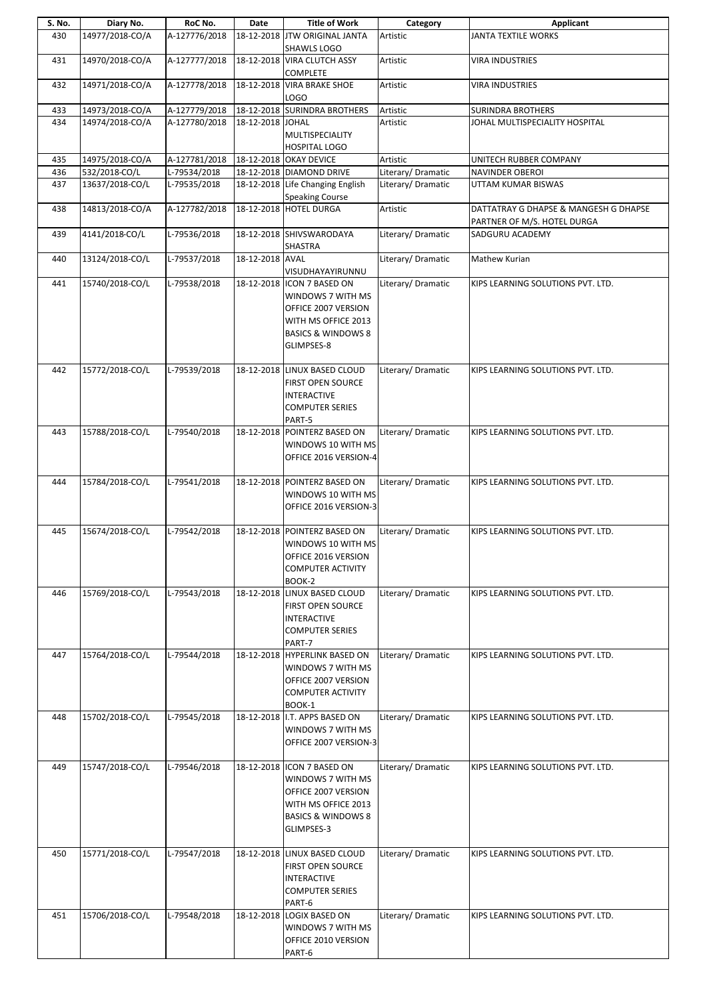| S. No. | Diary No.       | RoC No.       | Date             | <b>Title of Work</b>                                                                                                                         | Category           | Applicant                             |
|--------|-----------------|---------------|------------------|----------------------------------------------------------------------------------------------------------------------------------------------|--------------------|---------------------------------------|
| 430    | 14977/2018-CO/A | A-127776/2018 |                  | 18-12-2018 JTW ORIGINAL JANTA<br>SHAWLS LOGO                                                                                                 | Artistic           | JANTA TEXTILE WORKS                   |
| 431    | 14970/2018-CO/A | A-127777/2018 |                  | 18-12-2018 VIRA CLUTCH ASSY<br><b>COMPLETE</b>                                                                                               | Artistic           | <b>VIRA INDUSTRIES</b>                |
| 432    | 14971/2018-CO/A | A-127778/2018 |                  | 18-12-2018 VIRA BRAKE SHOE<br>LOGO                                                                                                           | Artistic           | <b>VIRA INDUSTRIES</b>                |
| 433    | 14973/2018-CO/A | A-127779/2018 |                  | 18-12-2018 SURINDRA BROTHERS                                                                                                                 | Artistic           | <b>SURINDRA BROTHERS</b>              |
|        | 14974/2018-CO/A | A-127780/2018 |                  |                                                                                                                                              | Artistic           | JOHAL MULTISPECIALITY HOSPITAL        |
| 434    |                 |               | 18-12-2018 JOHAL | MULTISPECIALITY<br><b>HOSPITAL LOGO</b>                                                                                                      |                    |                                       |
| 435    | 14975/2018-CO/A | A-127781/2018 |                  | 18-12-2018 OKAY DEVICE                                                                                                                       | Artistic           | UNITECH RUBBER COMPANY                |
| 436    | 532/2018-CO/L   | L-79534/2018  |                  | 18-12-2018 DIAMOND DRIVE                                                                                                                     | Literary/ Dramatic | <b>NAVINDER OBEROI</b>                |
| 437    | 13637/2018-CO/L | L-79535/2018  |                  | 18-12-2018 Life Changing English                                                                                                             | Literary/Dramatic  | UTTAM KUMAR BISWAS                    |
|        | 14813/2018-CO/A |               |                  | <b>Speaking Course</b><br>18-12-2018 HOTEL DURGA                                                                                             | Artistic           | DATTATRAY G DHAPSE & MANGESH G DHAPSE |
| 438    |                 | A-127782/2018 |                  |                                                                                                                                              |                    | PARTNER OF M/S. HOTEL DURGA           |
| 439    | 4141/2018-CO/L  | L-79536/2018  |                  | 18-12-2018 SHIVSWARODAYA<br><b>SHASTRA</b>                                                                                                   | Literary/Dramatic  | SADGURU ACADEMY                       |
| 440    | 13124/2018-CO/L | L-79537/2018  | 18-12-2018 AVAL  | VISUDHAYAYIRUNNU                                                                                                                             | Literary/Dramatic  | Mathew Kurian                         |
| 441    | 15740/2018-CO/L | L-79538/2018  |                  | 18-12-2018 ICON 7 BASED ON<br>WINDOWS 7 WITH MS<br>OFFICE 2007 VERSION<br>WITH MS OFFICE 2013<br><b>BASICS &amp; WINDOWS 8</b><br>GLIMPSES-8 | Literary/ Dramatic | KIPS LEARNING SOLUTIONS PVT. LTD.     |
| 442    | 15772/2018-CO/L | L-79539/2018  |                  | 18-12-2018 LINUX BASED CLOUD<br>FIRST OPEN SOURCE<br><b>INTERACTIVE</b><br><b>COMPUTER SERIES</b><br>PART-5                                  | Literary/Dramatic  | KIPS LEARNING SOLUTIONS PVT. LTD.     |
| 443    | 15788/2018-CO/L | L-79540/2018  |                  | 18-12-2018 POINTERZ BASED ON<br>WINDOWS 10 WITH MS<br>OFFICE 2016 VERSION-4                                                                  | Literary/Dramatic  | KIPS LEARNING SOLUTIONS PVT. LTD.     |
| 444    | 15784/2018-CO/L | L-79541/2018  |                  | 18-12-2018 POINTERZ BASED ON<br>WINDOWS 10 WITH MS<br>OFFICE 2016 VERSION-3                                                                  | Literary/Dramatic  | KIPS LEARNING SOLUTIONS PVT. LTD.     |
| 445    | 15674/2018-CO/L | L-79542/2018  |                  | 18-12-2018 POINTERZ BASED ON<br>WINDOWS 10 WITH MS<br>OFFICE 2016 VERSION<br><b>COMPUTER ACTIVITY</b><br>BOOK-2                              | Literary/ Dramatic | KIPS LEARNING SOLUTIONS PVT. LTD.     |
| 446    | 15769/2018-CO/L | L-79543/2018  |                  | 18-12-2018 LINUX BASED CLOUD<br>FIRST OPEN SOURCE<br><b>INTERACTIVE</b><br><b>COMPUTER SERIES</b><br>PART-7                                  | Literary/Dramatic  | KIPS LEARNING SOLUTIONS PVT. LTD.     |
| 447    | 15764/2018-CO/L | L-79544/2018  |                  | 18-12-2018 HYPERLINK BASED ON<br>WINDOWS 7 WITH MS<br>OFFICE 2007 VERSION<br><b>COMPUTER ACTIVITY</b><br>BOOK-1                              | Literary/Dramatic  | KIPS LEARNING SOLUTIONS PVT. LTD.     |
| 448    | 15702/2018-CO/L | L-79545/2018  |                  | 18-12-2018 I.T. APPS BASED ON<br>WINDOWS 7 WITH MS<br>OFFICE 2007 VERSION-3                                                                  | Literary/Dramatic  | KIPS LEARNING SOLUTIONS PVT. LTD.     |
| 449    | 15747/2018-CO/L | L-79546/2018  |                  | 18-12-2018 ICON 7 BASED ON<br>WINDOWS 7 WITH MS<br>OFFICE 2007 VERSION<br>WITH MS OFFICE 2013<br><b>BASICS &amp; WINDOWS 8</b><br>GLIMPSES-3 | Literary/Dramatic  | KIPS LEARNING SOLUTIONS PVT. LTD.     |
| 450    | 15771/2018-CO/L | L-79547/2018  |                  | 18-12-2018 LINUX BASED CLOUD<br><b>FIRST OPEN SOURCE</b><br><b>INTERACTIVE</b><br><b>COMPUTER SERIES</b><br>PART-6                           | Literary/Dramatic  | KIPS LEARNING SOLUTIONS PVT. LTD.     |
| 451    | 15706/2018-CO/L | L-79548/2018  |                  | 18-12-2018 LOGIX BASED ON<br>WINDOWS 7 WITH MS<br>OFFICE 2010 VERSION<br>PART-6                                                              | Literary/Dramatic  | KIPS LEARNING SOLUTIONS PVT. LTD.     |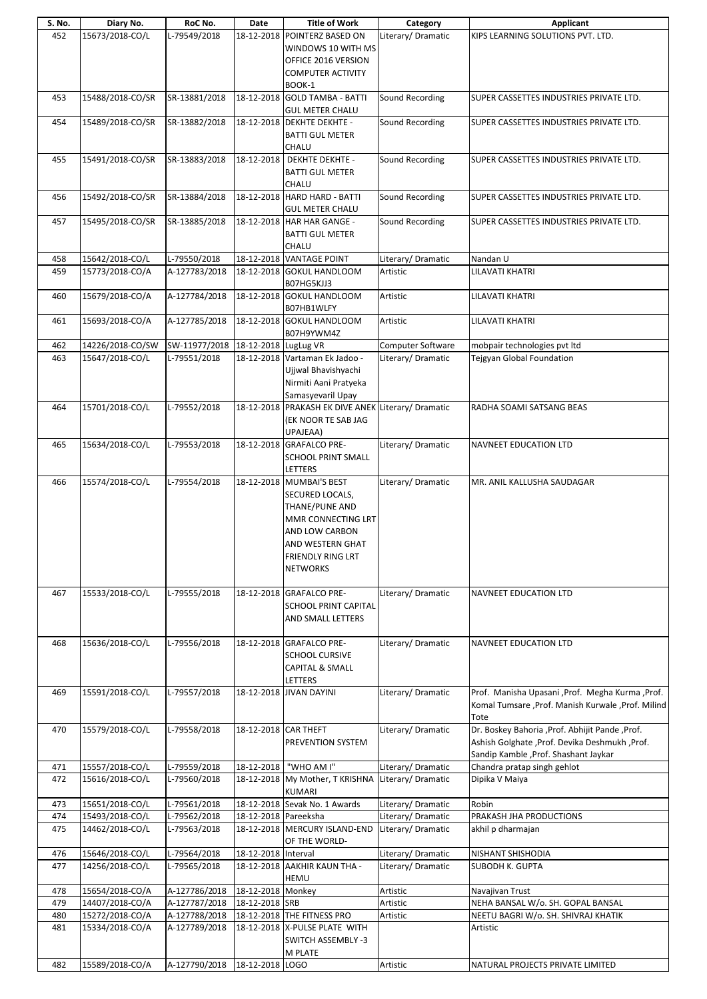| S. No. | Diary No.        | RoC No.                              | Date                 | <b>Title of Work</b>                                                                                                                                              | Category           | <b>Applicant</b>                                                                                                                             |
|--------|------------------|--------------------------------------|----------------------|-------------------------------------------------------------------------------------------------------------------------------------------------------------------|--------------------|----------------------------------------------------------------------------------------------------------------------------------------------|
| 452    | 15673/2018-CO/L  | L-79549/2018                         |                      | 18-12-2018 POINTERZ BASED ON<br>WINDOWS 10 WITH MS<br>OFFICE 2016 VERSION<br><b>COMPUTER ACTIVITY</b>                                                             | Literary/Dramatic  | KIPS LEARNING SOLUTIONS PVT. LTD.                                                                                                            |
|        |                  |                                      |                      | BOOK-1                                                                                                                                                            |                    |                                                                                                                                              |
| 453    | 15488/2018-CO/SR | SR-13881/2018                        |                      | 18-12-2018 GOLD TAMBA - BATTI<br><b>GUL METER CHALU</b>                                                                                                           | Sound Recording    | SUPER CASSETTES INDUSTRIES PRIVATE LTD.                                                                                                      |
| 454    | 15489/2018-CO/SR | SR-13882/2018                        |                      | 18-12-2018 DEKHTE DEKHTE -<br><b>BATTI GUL METER</b><br>CHALU                                                                                                     | Sound Recording    | SUPER CASSETTES INDUSTRIES PRIVATE LTD.                                                                                                      |
| 455    | 15491/2018-CO/SR | SR-13883/2018                        | 18-12-2018           | <b>DEKHTE DEKHTE -</b><br><b>BATTI GUL METER</b><br>CHALU                                                                                                         | Sound Recording    | SUPER CASSETTES INDUSTRIES PRIVATE LTD.                                                                                                      |
| 456    | 15492/2018-CO/SR | SR-13884/2018                        |                      | 18-12-2018 HARD HARD - BATTI<br><b>GUL METER CHALU</b>                                                                                                            | Sound Recording    | SUPER CASSETTES INDUSTRIES PRIVATE LTD.                                                                                                      |
| 457    | 15495/2018-CO/SR | SR-13885/2018                        |                      | 18-12-2018 HAR HAR GANGE -<br><b>BATTI GUL METER</b><br>CHALU                                                                                                     | Sound Recording    | SUPER CASSETTES INDUSTRIES PRIVATE LTD.                                                                                                      |
| 458    | 15642/2018-CO/L  | L-79550/2018                         |                      | 18-12-2018 VANTAGE POINT                                                                                                                                          | Literary/Dramatic  | Nandan U                                                                                                                                     |
| 459    | 15773/2018-CO/A  | A-127783/2018                        |                      | 18-12-2018 GOKUL HANDLOOM<br>B07HG5KJJ3                                                                                                                           | Artistic           | <b>LILAVATI KHATRI</b>                                                                                                                       |
| 460    | 15679/2018-CO/A  | A-127784/2018                        |                      | 18-12-2018 GOKUL HANDLOOM<br>B07HB1WLFY                                                                                                                           | Artistic           | <b>LILAVATI KHATRI</b>                                                                                                                       |
| 461    | 15693/2018-CO/A  | A-127785/2018                        |                      | 18-12-2018 GOKUL HANDLOOM<br>B07H9YWM4Z                                                                                                                           | Artistic           | LILAVATI KHATRI                                                                                                                              |
| 462    | 14226/2018-CO/SW | SW-11977/2018   18-12-2018 LugLug VR |                      |                                                                                                                                                                   | Computer Software  | mobpair technologies pvt ltd                                                                                                                 |
| 463    | 15647/2018-CO/L  | L-79551/2018                         |                      | 18-12-2018 Vartaman Ek Jadoo -<br>Ujjwal Bhavishyachi<br>Nirmiti Aani Pratyeka<br>Samasyevaril Upay                                                               | Literary/Dramatic  | Tejgyan Global Foundation                                                                                                                    |
| 464    | 15701/2018-CO/L  | L-79552/2018                         |                      | 18-12-2018 PRAKASH EK DIVE ANEK<br>(EK NOOR TE SAB JAG<br>UPAJEAA)                                                                                                | Literary/Dramatic  | RADHA SOAMI SATSANG BEAS                                                                                                                     |
| 465    | 15634/2018-CO/L  | L-79553/2018                         |                      | 18-12-2018 GRAFALCO PRE-<br>SCHOOL PRINT SMALL<br>LETTERS                                                                                                         | Literary/Dramatic  | NAVNEET EDUCATION LTD                                                                                                                        |
| 466    | 15574/2018-CO/L  | L-79554/2018                         |                      | 18-12-2018 MUMBAI'S BEST<br>SECURED LOCALS,<br>THANE/PUNE AND<br>MMR CONNECTING LRT<br>AND LOW CARBON<br>AND WESTERN GHAT<br>FRIENDLY RING LRT<br><b>NETWORKS</b> | Literary/ Dramatic | MR. ANIL KALLUSHA SAUDAGAR                                                                                                                   |
| 467    | 15533/2018-CO/L  | L-79555/2018                         |                      | 18-12-2018 GRAFALCO PRE-<br><b>SCHOOL PRINT CAPITAL</b><br>AND SMALL LETTERS                                                                                      | Literary/Dramatic  | <b>NAVNEET EDUCATION LTD</b>                                                                                                                 |
| 468    | 15636/2018-CO/L  | L-79556/2018                         |                      | 18-12-2018 GRAFALCO PRE-<br><b>SCHOOL CURSIVE</b><br><b>CAPITAL &amp; SMALL</b><br>LETTERS                                                                        | Literary/Dramatic  | NAVNEET EDUCATION LTD                                                                                                                        |
| 469    | 15591/2018-CO/L  | L-79557/2018                         |                      | 18-12-2018 JIVAN DAYINI                                                                                                                                           | Literary/Dramatic  | Prof. Manisha Upasani , Prof. Megha Kurma , Prof.<br>Komal Tumsare , Prof. Manish Kurwale , Prof. Milind<br>Tote                             |
| 470    | 15579/2018-CO/L  | L-79558/2018                         | 18-12-2018 CAR THEFT | PREVENTION SYSTEM                                                                                                                                                 | Literary/Dramatic  | Dr. Boskey Bahoria , Prof. Abhijit Pande , Prof.<br>Ashish Golghate , Prof. Devika Deshmukh , Prof.<br>Sandip Kamble , Prof. Shashant Jaykar |
| 471    | 15557/2018-CO/L  | L-79559/2018                         | 18-12-2018           | "WHO AM I"                                                                                                                                                        | Literary/Dramatic  | Chandra pratap singh gehlot                                                                                                                  |
| 472    | 15616/2018-CO/L  | L-79560/2018                         |                      | 18-12-2018 My Mother, T KRISHNA<br><b>KUMARI</b>                                                                                                                  | Literary/Dramatic  | Dipika V Maiya                                                                                                                               |
| 473    | 15651/2018-CO/L  | L-79561/2018                         |                      | 18-12-2018 Sevak No. 1 Awards                                                                                                                                     | Literary/ Dramatic | Robin                                                                                                                                        |
| 474    | 15493/2018-CO/L  | L-79562/2018                         | 18-12-2018 Pareeksha |                                                                                                                                                                   | Literary/ Dramatic | PRAKASH JHA PRODUCTIONS                                                                                                                      |
| 475    | 14462/2018-CO/L  | L-79563/2018                         |                      | 18-12-2018 MERCURY ISLAND-END<br>OF THE WORLD-                                                                                                                    | Literary/Dramatic  | akhil p dharmajan                                                                                                                            |
| 476    | 15646/2018-CO/L  | L-79564/2018                         | 18-12-2018 Interval  |                                                                                                                                                                   | Literary/Dramatic  | NISHANT SHISHODIA                                                                                                                            |
| 477    | 14256/2018-CO/L  | L-79565/2018                         |                      | 18-12-2018 AAKHIR KAUN THA -<br><b>HEMU</b>                                                                                                                       | Literary/Dramatic  | SUBODH K. GUPTA                                                                                                                              |
| 478    | 15654/2018-CO/A  | A-127786/2018                        | 18-12-2018 Monkey    |                                                                                                                                                                   | Artistic           | Navajivan Trust                                                                                                                              |
| 479    | 14407/2018-CO/A  | A-127787/2018                        | 18-12-2018 SRB       |                                                                                                                                                                   | Artistic           | NEHA BANSAL W/o. SH. GOPAL BANSAL                                                                                                            |
| 480    | 15272/2018-CO/A  | A-127788/2018                        |                      | 18-12-2018 THE FITNESS PRO                                                                                                                                        | Artistic           | NEETU BAGRI W/o. SH. SHIVRAJ KHATIK                                                                                                          |
| 481    | 15334/2018-CO/A  | A-127789/2018                        |                      | 18-12-2018 X-PULSE PLATE WITH<br><b>SWITCH ASSEMBLY -3</b><br>M PLATE                                                                                             |                    | Artistic                                                                                                                                     |
| 482    | 15589/2018-CO/A  | A-127790/2018 18-12-2018 LOGO        |                      |                                                                                                                                                                   | Artistic           | NATURAL PROJECTS PRIVATE LIMITED                                                                                                             |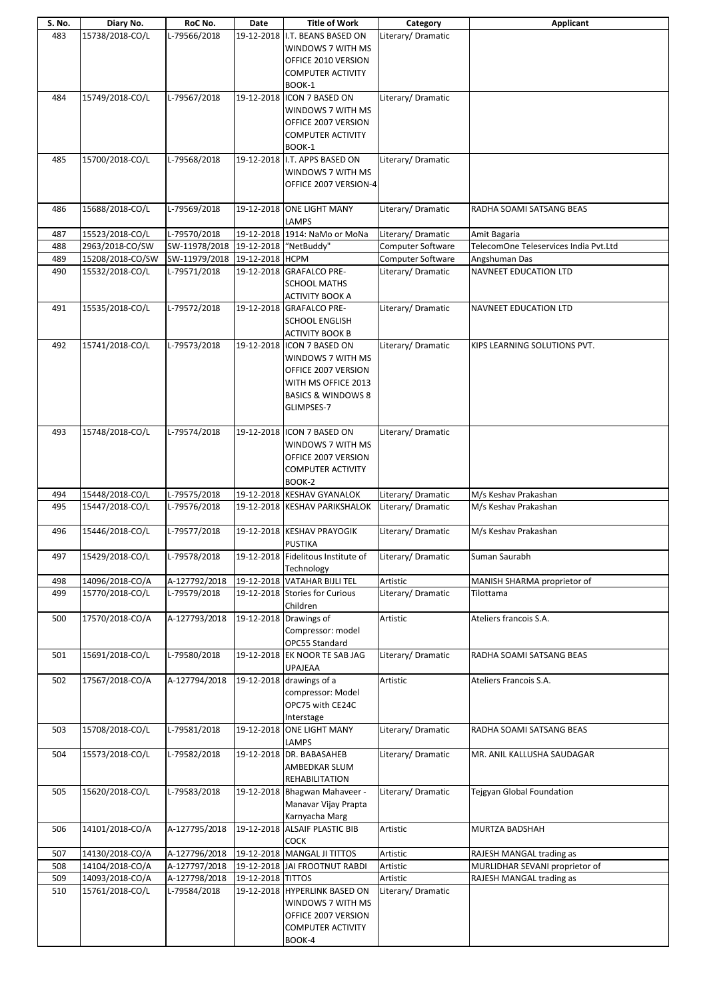| S. No.     | Diary No.                          | RoC No.                        | Date              | <b>Title of Work</b>                                 | Category             | Applicant                                                  |
|------------|------------------------------------|--------------------------------|-------------------|------------------------------------------------------|----------------------|------------------------------------------------------------|
| 483        | 15738/2018-CO/L                    | L-79566/2018                   |                   | 19-12-2018  I.T. BEANS BASED ON                      | Literary/Dramatic    |                                                            |
|            |                                    |                                |                   | WINDOWS 7 WITH MS                                    |                      |                                                            |
|            |                                    |                                |                   | OFFICE 2010 VERSION                                  |                      |                                                            |
|            |                                    |                                |                   | <b>COMPUTER ACTIVITY</b>                             |                      |                                                            |
|            | 15749/2018-CO/L                    | L-79567/2018                   |                   | BOOK-1<br>19-12-2018 ICON 7 BASED ON                 | Literary/Dramatic    |                                                            |
| 484        |                                    |                                |                   | WINDOWS 7 WITH MS                                    |                      |                                                            |
|            |                                    |                                |                   | OFFICE 2007 VERSION                                  |                      |                                                            |
|            |                                    |                                |                   | <b>COMPUTER ACTIVITY</b>                             |                      |                                                            |
|            |                                    |                                |                   | BOOK-1                                               |                      |                                                            |
| 485        | 15700/2018-CO/L                    | L-79568/2018                   |                   | 19-12-2018 I.T. APPS BASED ON                        | Literary/Dramatic    |                                                            |
|            |                                    |                                |                   | WINDOWS 7 WITH MS                                    |                      |                                                            |
|            |                                    |                                |                   | OFFICE 2007 VERSION-4                                |                      |                                                            |
|            |                                    |                                |                   |                                                      |                      |                                                            |
| 486        | 15688/2018-CO/L                    | L-79569/2018                   |                   | 19-12-2018 ONE LIGHT MANY<br>LAMPS                   | Literary/Dramatic    | RADHA SOAMI SATSANG BEAS                                   |
| 487        | 15523/2018-CO/L                    | L-79570/2018                   |                   | 19-12-2018 1914: NaMo or MoNa                        | Literary/Dramatic    | Amit Bagaria                                               |
| 488        | 2963/2018-CO/SW                    | SW-11978/2018                  |                   | 19-12-2018 WetBuddy"                                 | Computer Software    | TelecomOne Teleservices India Pvt.Ltd                      |
| 489        | 15208/2018-CO/SW                   | SW-11979/2018                  | 19-12-2018 HCPM   |                                                      | Computer Software    | Angshuman Das                                              |
| 490        | 15532/2018-CO/L                    | L-79571/2018                   |                   | 19-12-2018 GRAFALCO PRE-                             | Literary/Dramatic    | NAVNEET EDUCATION LTD                                      |
|            |                                    |                                |                   | <b>SCHOOL MATHS</b>                                  |                      |                                                            |
|            |                                    |                                |                   | <b>ACTIVITY BOOK A</b>                               |                      |                                                            |
| 491        | 15535/2018-CO/L                    | L-79572/2018                   |                   | 19-12-2018 GRAFALCO PRE-                             | Literary/ Dramatic   | NAVNEET EDUCATION LTD                                      |
|            |                                    |                                |                   | <b>SCHOOL ENGLISH</b>                                |                      |                                                            |
| 492        | 15741/2018-CO/L                    | L-79573/2018                   |                   | <b>ACTIVITY BOOK B</b><br>19-12-2018 ICON 7 BASED ON | Literary/Dramatic    | KIPS LEARNING SOLUTIONS PVT.                               |
|            |                                    |                                |                   | WINDOWS 7 WITH MS                                    |                      |                                                            |
|            |                                    |                                |                   | OFFICE 2007 VERSION                                  |                      |                                                            |
|            |                                    |                                |                   | WITH MS OFFICE 2013                                  |                      |                                                            |
|            |                                    |                                |                   | <b>BASICS &amp; WINDOWS 8</b>                        |                      |                                                            |
|            |                                    |                                |                   | GLIMPSES-7                                           |                      |                                                            |
|            |                                    |                                |                   |                                                      |                      |                                                            |
| 493        | 15748/2018-CO/L                    | L-79574/2018                   |                   | 19-12-2018 ICON 7 BASED ON                           | Literary/Dramatic    |                                                            |
|            |                                    |                                |                   | WINDOWS 7 WITH MS                                    |                      |                                                            |
|            |                                    |                                |                   | OFFICE 2007 VERSION                                  |                      |                                                            |
|            |                                    |                                |                   | <b>COMPUTER ACTIVITY</b><br>BOOK-2                   |                      |                                                            |
| 494        | 15448/2018-CO/L                    | L-79575/2018                   |                   | 19-12-2018 KESHAV GYANALOK                           | Literary/Dramatic    | M/s Keshav Prakashan                                       |
| 495        | 15447/2018-CO/L                    | L-79576/2018                   |                   | 19-12-2018 KESHAV PARIKSHALOK                        | Literary/ Dramatic   | M/s Keshav Prakashan                                       |
|            |                                    |                                |                   |                                                      |                      |                                                            |
| 496        | 15446/2018-CO/L                    | L-79577/2018                   |                   | 19-12-2018 KESHAV PRAYOGIK                           | Literary/Dramatic    | M/s Keshav Prakashan                                       |
|            | 15429/2018-CO/L                    | L-79578/2018                   |                   | <b>PUSTIKA</b><br>19-12-2018 Fidelitous Institute of | Literary/Dramatic    |                                                            |
| 497        |                                    |                                |                   | Technology                                           |                      | Suman Saurabh                                              |
| 498        | 14096/2018-CO/A                    | A-127792/2018                  |                   | 19-12-2018 VATAHAR BIJLI TEL                         | Artistic             | MANISH SHARMA proprietor of                                |
| 499        | 15770/2018-CO/L                    | L-79579/2018                   |                   | 19-12-2018 Stories for Curious                       | Literary/Dramatic    | Tilottama                                                  |
|            |                                    |                                |                   | Children                                             |                      |                                                            |
| 500        | 17570/2018-CO/A                    | A-127793/2018                  |                   | 19-12-2018 Drawings of                               | Artistic             | Ateliers francois S.A.                                     |
|            |                                    |                                |                   | Compressor: model                                    |                      |                                                            |
|            | 15691/2018-CO/L                    | L-79580/2018                   |                   | OPC55 Standard<br>19-12-2018 EK NOOR TE SAB JAG      | Literary/Dramatic    |                                                            |
| 501        |                                    |                                |                   | <b>UPAJEAA</b>                                       |                      | RADHA SOAMI SATSANG BEAS                                   |
| 502        | 17567/2018-CO/A                    | A-127794/2018                  |                   | 19-12-2018 drawings of a                             | Artistic             | Ateliers Francois S.A.                                     |
|            |                                    |                                |                   | compressor: Model                                    |                      |                                                            |
|            |                                    |                                |                   | OPC75 with CE24C                                     |                      |                                                            |
|            |                                    |                                |                   | Interstage                                           |                      |                                                            |
| 503        | 15708/2018-CO/L                    | L-79581/2018                   | 19-12-2018        | <b>ONE LIGHT MANY</b>                                | Literary/ Dramatic   | RADHA SOAMI SATSANG BEAS                                   |
|            |                                    |                                |                   | LAMPS                                                |                      |                                                            |
| 504        | 15573/2018-CO/L                    | L-79582/2018                   |                   | 19-12-2018 DR. BABASAHEB<br>AMBEDKAR SLUM            | Literary/ Dramatic   | MR. ANIL KALLUSHA SAUDAGAR                                 |
|            |                                    |                                |                   | <b>REHABILITATION</b>                                |                      |                                                            |
| 505        | 15620/2018-CO/L                    | L-79583/2018                   |                   | 19-12-2018 Bhagwan Mahaveer -                        | Literary/Dramatic    | Tejgyan Global Foundation                                  |
|            |                                    |                                |                   | Manavar Vijay Prapta                                 |                      |                                                            |
|            |                                    |                                |                   | Karnyacha Marg                                       |                      |                                                            |
| 506        | 14101/2018-CO/A                    | A-127795/2018                  | 19-12-2018        | <b>ALSAIF PLASTIC BIB</b>                            | Artistic             | MURTZA BADSHAH                                             |
|            |                                    |                                |                   | <b>COCK</b>                                          |                      |                                                            |
| 507        | 14130/2018-CO/A                    | A-127796/2018                  |                   | 19-12-2018 MANGAL JI TITTOS                          | Artistic             | RAJESH MANGAL trading as                                   |
| 508<br>509 | 14104/2018-CO/A<br>14093/2018-CO/A | A-127797/2018<br>A-127798/2018 | 19-12-2018 TITTOS | 19-12-2018 JAI FROOTNUT RABDI                        | Artistic<br>Artistic | MURLIDHAR SEVANI proprietor of<br>RAJESH MANGAL trading as |
| 510        | 15761/2018-CO/L                    | L-79584/2018                   |                   | 19-12-2018 HYPERLINK BASED ON                        | Literary/Dramatic    |                                                            |
|            |                                    |                                |                   | WINDOWS 7 WITH MS                                    |                      |                                                            |
|            |                                    |                                |                   | OFFICE 2007 VERSION                                  |                      |                                                            |
|            |                                    |                                |                   | <b>COMPUTER ACTIVITY</b>                             |                      |                                                            |
|            |                                    |                                |                   | BOOK-4                                               |                      |                                                            |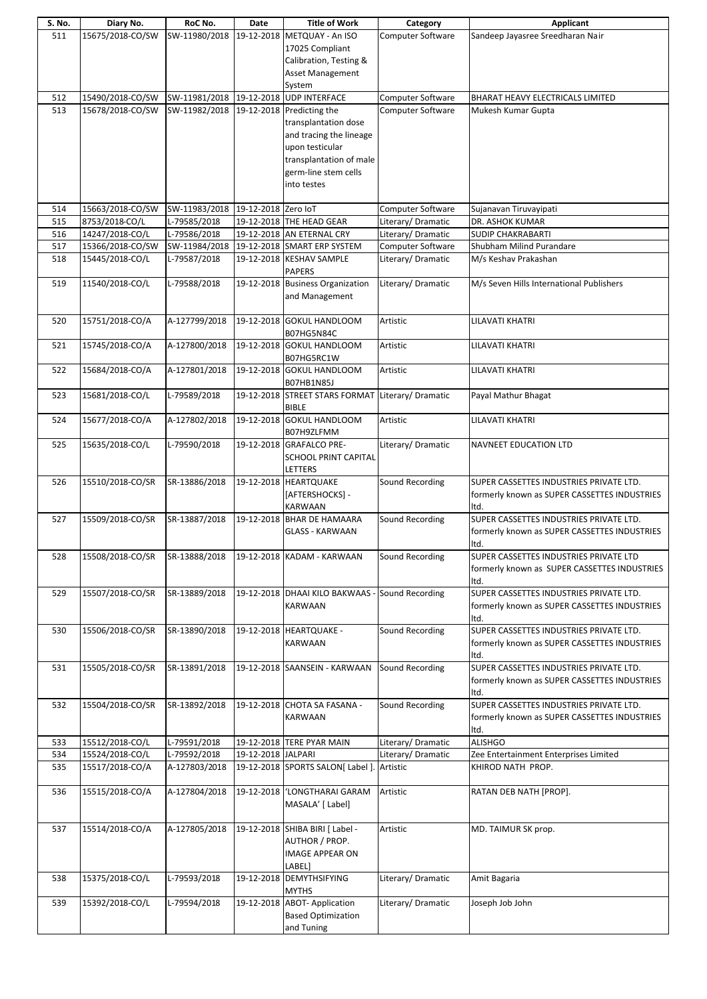| S. No. | Diary No.        | RoC No.                                | Date               | <b>Title of Work</b>                              | Category                 | Applicant                                    |
|--------|------------------|----------------------------------------|--------------------|---------------------------------------------------|--------------------------|----------------------------------------------|
| 511    | 15675/2018-CO/SW | SW-11980/2018                          |                    | 19-12-2018 METQUAY - An ISO                       | Computer Software        | Sandeep Jayasree Sreedharan Nair             |
|        |                  |                                        |                    | 17025 Compliant                                   |                          |                                              |
|        |                  |                                        |                    | Calibration, Testing &                            |                          |                                              |
|        |                  |                                        |                    |                                                   |                          |                                              |
|        |                  |                                        |                    | Asset Management                                  |                          |                                              |
|        |                  |                                        |                    | System                                            |                          |                                              |
| 512    | 15490/2018-CO/SW | SW-11981/2018 19-12-2018 UDP INTERFACE |                    |                                                   | Computer Software        | <b>BHARAT HEAVY ELECTRICALS LIMITED</b>      |
| 513    | 15678/2018-CO/SW | SW-11982/2018                          |                    | 19-12-2018 Predicting the                         | <b>Computer Software</b> | Mukesh Kumar Gupta                           |
|        |                  |                                        |                    | transplantation dose                              |                          |                                              |
|        |                  |                                        |                    | and tracing the lineage                           |                          |                                              |
|        |                  |                                        |                    | upon testicular                                   |                          |                                              |
|        |                  |                                        |                    |                                                   |                          |                                              |
|        |                  |                                        |                    | transplantation of male                           |                          |                                              |
|        |                  |                                        |                    | germ-line stem cells                              |                          |                                              |
|        |                  |                                        |                    | into testes                                       |                          |                                              |
|        |                  |                                        |                    |                                                   |                          |                                              |
| 514    | 15663/2018-CO/SW | SW-11983/2018 19-12-2018 Zero IoT      |                    |                                                   | Computer Software        | Sujanavan Tiruvayipati                       |
| 515    | 8753/2018-CO/L   | L-79585/2018                           |                    | 19-12-2018 THE HEAD GEAR                          | Literary/Dramatic        | DR. ASHOK KUMAR                              |
| 516    | 14247/2018-CO/L  | L-79586/2018                           |                    | 19-12-2018 AN ETERNAL CRY                         | Literary/Dramatic        | <b>SUDIP CHAKRABARTI</b>                     |
| 517    | 15366/2018-CO/SW | SW-11984/2018                          |                    | 19-12-2018 SMART ERP SYSTEM                       | Computer Software        | Shubham Milind Purandare                     |
|        |                  |                                        |                    |                                                   |                          |                                              |
| 518    | 15445/2018-CO/L  | L-79587/2018                           |                    | 19-12-2018 KESHAV SAMPLE                          | Literary/Dramatic        | M/s Keshav Prakashan                         |
|        |                  |                                        |                    | <b>PAPERS</b>                                     |                          |                                              |
| 519    | 11540/2018-CO/L  | L-79588/2018                           |                    | 19-12-2018 Business Organization                  | Literary/Dramatic        | M/s Seven Hills International Publishers     |
|        |                  |                                        |                    | and Management                                    |                          |                                              |
|        |                  |                                        |                    |                                                   |                          |                                              |
| 520    | 15751/2018-CO/A  | A-127799/2018                          |                    | 19-12-2018 GOKUL HANDLOOM                         | Artistic                 | LILAVATI KHATRI                              |
|        |                  |                                        |                    | B07HG5N84C                                        |                          |                                              |
|        |                  |                                        |                    |                                                   |                          |                                              |
| 521    | 15745/2018-CO/A  | A-127800/2018                          |                    | 19-12-2018 GOKUL HANDLOOM                         | Artistic                 | LILAVATI KHATRI                              |
|        |                  |                                        |                    | B07HG5RC1W                                        |                          |                                              |
| 522    | 15684/2018-CO/A  | A-127801/2018                          |                    | 19-12-2018 GOKUL HANDLOOM                         | Artistic                 | LILAVATI KHATRI                              |
|        |                  |                                        |                    | <b>B07HB1N85J</b>                                 |                          |                                              |
| 523    | 15681/2018-CO/L  | L-79589/2018                           |                    | 19-12-2018 STREET STARS FORMAT Literary/ Dramatic |                          | Payal Mathur Bhagat                          |
|        |                  |                                        |                    | <b>BIBLE</b>                                      |                          |                                              |
| 524    | 15677/2018-CO/A  | A-127802/2018                          |                    | 19-12-2018 GOKUL HANDLOOM                         | Artistic                 | LILAVATI KHATRI                              |
|        |                  |                                        |                    |                                                   |                          |                                              |
|        |                  |                                        |                    | B07H9ZLFMM                                        |                          |                                              |
| 525    | 15635/2018-CO/L  | L-79590/2018                           |                    | 19-12-2018 GRAFALCO PRE-                          | Literary/ Dramatic       | <b>NAVNEET EDUCATION LTD</b>                 |
|        |                  |                                        |                    | <b>SCHOOL PRINT CAPITAL</b>                       |                          |                                              |
|        |                  |                                        |                    | LETTERS                                           |                          |                                              |
| 526    | 15510/2018-CO/SR | SR-13886/2018                          |                    | 19-12-2018 HEARTQUAKE                             | Sound Recording          | SUPER CASSETTES INDUSTRIES PRIVATE LTD.      |
|        |                  |                                        |                    | [AFTERSHOCKS] -                                   |                          | formerly known as SUPER CASSETTES INDUSTRIES |
|        |                  |                                        |                    | <b>KARWAAN</b>                                    |                          | Itd.                                         |
| 527    |                  | SR-13887/2018                          |                    |                                                   |                          | SUPER CASSETTES INDUSTRIES PRIVATE LTD.      |
|        | 15509/2018-CO/SR |                                        |                    | 19-12-2018 BHAR DE HAMAARA                        | Sound Recording          |                                              |
|        |                  |                                        |                    | <b>GLASS - KARWAAN</b>                            |                          | formerly known as SUPER CASSETTES INDUSTRIES |
|        |                  |                                        |                    |                                                   |                          | ltd.                                         |
| 528    | 15508/2018-CO/SR | SR-13888/2018                          |                    | 19-12-2018 KADAM - KARWAAN                        | Sound Recording          | SUPER CASSETTES INDUSTRIES PRIVATE LTD       |
|        |                  |                                        |                    |                                                   |                          | formerly known as SUPER CASSETTES INDUSTRIES |
|        |                  |                                        |                    |                                                   |                          | Itd.                                         |
| 529    | 15507/2018-CO/SR | SR-13889/2018                          |                    | 19-12-2018 DHAAI KILO BAKWAAS - Sound Recording   |                          | SUPER CASSETTES INDUSTRIES PRIVATE LTD.      |
|        |                  |                                        |                    |                                                   |                          |                                              |
|        |                  |                                        |                    | <b>KARWAAN</b>                                    |                          | formerly known as SUPER CASSETTES INDUSTRIES |
|        |                  |                                        |                    |                                                   |                          | Itd.                                         |
| 530    | 15506/2018-CO/SR | SR-13890/2018                          |                    | 19-12-2018 HEARTQUAKE -                           | Sound Recording          | SUPER CASSETTES INDUSTRIES PRIVATE LTD.      |
|        |                  |                                        |                    | KARWAAN                                           |                          | formerly known as SUPER CASSETTES INDUSTRIES |
|        |                  |                                        |                    |                                                   |                          | Itd.                                         |
| 531    | 15505/2018-CO/SR | SR-13891/2018                          |                    | 19-12-2018 SAANSEIN - KARWAAN                     | Sound Recording          | SUPER CASSETTES INDUSTRIES PRIVATE LTD.      |
|        |                  |                                        |                    |                                                   |                          | formerly known as SUPER CASSETTES INDUSTRIES |
|        |                  |                                        |                    |                                                   |                          |                                              |
|        |                  |                                        |                    |                                                   |                          | ltd.                                         |
| 532    | 15504/2018-CO/SR | SR-13892/2018                          |                    | 19-12-2018 CHOTA SA FASANA -                      | Sound Recording          | SUPER CASSETTES INDUSTRIES PRIVATE LTD.      |
|        |                  |                                        |                    | KARWAAN                                           |                          | formerly known as SUPER CASSETTES INDUSTRIES |
|        |                  |                                        |                    |                                                   |                          | Itd.                                         |
| 533    | 15512/2018-CO/L  | L-79591/2018                           |                    | 19-12-2018 TERE PYAR MAIN                         | Literary/ Dramatic       | <b>ALISHGO</b>                               |
| 534    | 15524/2018-CO/L  | L-79592/2018                           | 19-12-2018 JALPARI |                                                   | Literary/ Dramatic       | Zee Entertainment Enterprises Limited        |
| 535    | 15517/2018-CO/A  | A-127803/2018                          |                    | 19-12-2018 SPORTS SALON[ Label ]. Artistic        |                          | KHIROD NATH PROP.                            |
|        |                  |                                        |                    |                                                   |                          |                                              |
|        |                  |                                        | 19-12-2018         |                                                   |                          |                                              |
| 536    | 15515/2018-CO/A  | A-127804/2018                          |                    | 'LONGTHARAI GARAM                                 | Artistic                 | RATAN DEB NATH [PROP].                       |
|        |                  |                                        |                    | MASALA' [ Label]                                  |                          |                                              |
|        |                  |                                        |                    |                                                   |                          |                                              |
| 537    | 15514/2018-CO/A  | A-127805/2018                          |                    | 19-12-2018 SHIBA BIRI [ Label -                   | Artistic                 | MD. TAIMUR SK prop.                          |
|        |                  |                                        |                    | AUTHOR / PROP.                                    |                          |                                              |
|        |                  |                                        |                    | <b>IMAGE APPEAR ON</b>                            |                          |                                              |
|        |                  |                                        |                    | LABEL]                                            |                          |                                              |
|        | 15375/2018-CO/L  | L-79593/2018                           |                    | 19-12-2018 DEMYTHSIFYING                          | Literary/Dramatic        |                                              |
| 538    |                  |                                        |                    |                                                   |                          | Amit Bagaria                                 |
|        |                  |                                        |                    | <b>MYTHS</b>                                      |                          |                                              |
| 539    | 15392/2018-CO/L  | L-79594/2018                           |                    | 19-12-2018 ABOT- Application                      | Literary/ Dramatic       | Joseph Job John                              |
|        |                  |                                        |                    | <b>Based Optimization</b>                         |                          |                                              |
|        |                  |                                        |                    | and Tuning                                        |                          |                                              |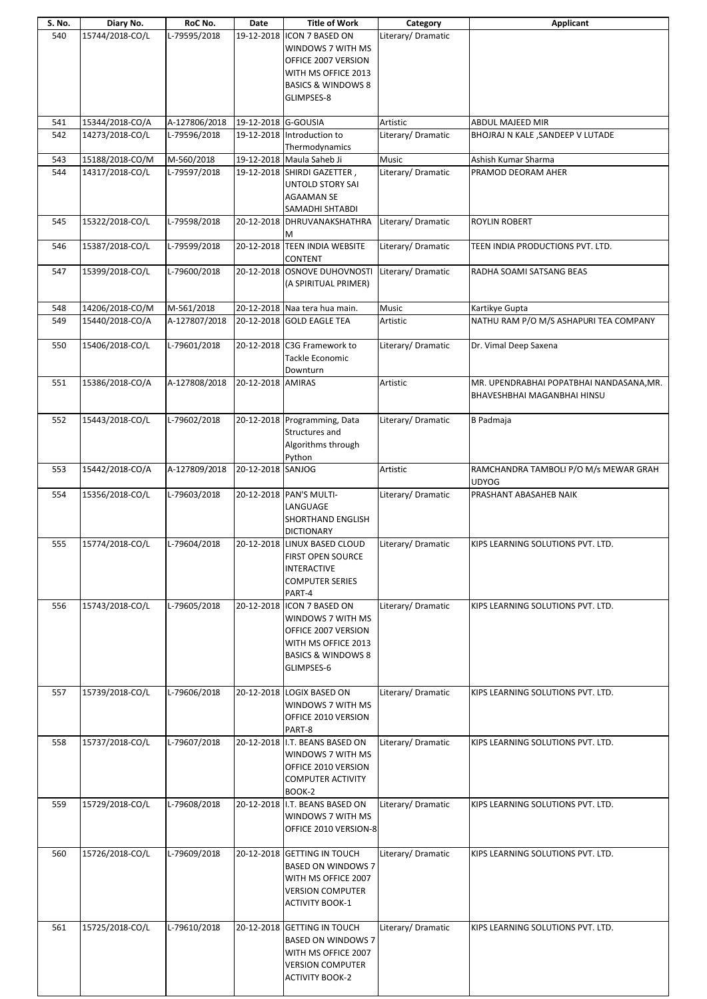| S. No. | Diary No.       | RoC No.       | Date                | <b>Title of Work</b>                                                                                                                          | Category           | Applicant                                                                      |
|--------|-----------------|---------------|---------------------|-----------------------------------------------------------------------------------------------------------------------------------------------|--------------------|--------------------------------------------------------------------------------|
| 540    | 15744/2018-CO/L | L-79595/2018  | 19-12-2018          | ICON 7 BASED ON<br>WINDOWS 7 WITH MS<br>OFFICE 2007 VERSION<br>WITH MS OFFICE 2013<br><b>BASICS &amp; WINDOWS 8</b>                           | Literary/Dramatic  |                                                                                |
|        |                 |               |                     | GLIMPSES-8                                                                                                                                    |                    |                                                                                |
| 541    | 15344/2018-CO/A | A-127806/2018 | 19-12-2018 G-GOUSIA |                                                                                                                                               | Artistic           | ABDUL MAJEED MIR                                                               |
| 542    | 14273/2018-CO/L | L-79596/2018  | 19-12-2018          | Introduction to<br>Thermodynamics                                                                                                             | Literary/ Dramatic | BHOJRAJ N KALE , SANDEEP V LUTADE                                              |
| 543    | 15188/2018-CO/M | M-560/2018    |                     | 19-12-2018 Maula Saheb Ji                                                                                                                     | Music              | Ashish Kumar Sharma                                                            |
| 544    | 14317/2018-CO/L | L-79597/2018  |                     | 19-12-2018 SHIRDI GAZETTER,<br><b>UNTOLD STORY SAI</b><br><b>AGAAMAN SE</b><br>SAMADHI SHTABDI                                                | Literary/ Dramatic | PRAMOD DEORAM AHER                                                             |
| 545    | 15322/2018-CO/L | L-79598/2018  | 20-12-2018          | DHRUVANAKSHATHRA<br>м                                                                                                                         | Literary/ Dramatic | <b>ROYLIN ROBERT</b>                                                           |
| 546    | 15387/2018-CO/L | L-79599/2018  |                     | 20-12-2018 TEEN INDIA WEBSITE<br>CONTENT                                                                                                      | Literary/ Dramatic | TEEN INDIA PRODUCTIONS PVT. LTD.                                               |
| 547    | 15399/2018-CO/L | L-79600/2018  | 20-12-2018          | OSNOVE DUHOVNOSTI<br>(A SPIRITUAL PRIMER)                                                                                                     | Literary/ Dramatic | RADHA SOAMI SATSANG BEAS                                                       |
| 548    | 14206/2018-CO/M | M-561/2018    |                     | 20-12-2018 Naa tera hua main.                                                                                                                 | Music              | Kartikye Gupta                                                                 |
| 549    | 15440/2018-CO/A | A-127807/2018 | 20-12-2018          | <b>GOLD EAGLE TEA</b>                                                                                                                         | Artistic           | NATHU RAM P/O M/S ASHAPURI TEA COMPANY                                         |
| 550    | 15406/2018-CO/L | L-79601/2018  |                     | 20-12-2018 C3G Framework to<br>Tackle Economic<br>Downturn                                                                                    | Literary/Dramatic  | Dr. Vimal Deep Saxena                                                          |
| 551    | 15386/2018-CO/A | A-127808/2018 | 20-12-2018 AMIRAS   |                                                                                                                                               | Artistic           | MR. UPENDRABHAI POPATBHAI NANDASANA, MR.<br><b>BHAVESHBHAI MAGANBHAI HINSU</b> |
| 552    | 15443/2018-CO/L | L-79602/2018  |                     | 20-12-2018 Programming, Data<br>Structures and<br>Algorithms through<br>Python                                                                | Literary/Dramatic  | <b>B</b> Padmaja                                                               |
| 553    | 15442/2018-CO/A | A-127809/2018 | 20-12-2018 SANJOG   |                                                                                                                                               | Artistic           | RAMCHANDRA TAMBOLI P/O M/s MEWAR GRAH<br><b>UDYOG</b>                          |
| 554    | 15356/2018-CO/L | L-79603/2018  |                     | 20-12-2018 PAN'S MULTI-<br>LANGUAGE<br>SHORTHAND ENGLISH<br><b>DICTIONARY</b>                                                                 | Literary/ Dramatic | PRASHANT ABASAHEB NAIK                                                         |
| 555    | 15774/2018-CO/L | L-79604/2018  |                     | 20-12-2018 LINUX BASED CLOUD<br><b>FIRST OPEN SOURCE</b><br><b>INTERACTIVE</b><br><b>COMPUTER SERIES</b><br>PART-4                            | Literary/Dramatic  | KIPS LEARNING SOLUTIONS PVT. LTD.                                              |
| 556    | 15743/2018-CO/L | L-79605/2018  |                     | 20-12-2018  ICON 7 BASED ON<br>WINDOWS 7 WITH MS<br>OFFICE 2007 VERSION<br>WITH MS OFFICE 2013<br><b>BASICS &amp; WINDOWS 8</b><br>GLIMPSES-6 | Literary/ Dramatic | KIPS LEARNING SOLUTIONS PVT. LTD.                                              |
| 557    | 15739/2018-CO/L | L-79606/2018  |                     | 20-12-2018 LOGIX BASED ON<br>WINDOWS 7 WITH MS<br>OFFICE 2010 VERSION<br>PART-8                                                               | Literary/Dramatic  | KIPS LEARNING SOLUTIONS PVT. LTD.                                              |
| 558    | 15737/2018-CO/L | L-79607/2018  |                     | 20-12-2018 I.T. BEANS BASED ON<br>WINDOWS 7 WITH MS<br>OFFICE 2010 VERSION<br><b>COMPUTER ACTIVITY</b><br>BOOK-2                              | Literary/ Dramatic | KIPS LEARNING SOLUTIONS PVT. LTD.                                              |
| 559    | 15729/2018-CO/L | L-79608/2018  |                     | 20-12-2018 I.T. BEANS BASED ON<br>WINDOWS 7 WITH MS<br>OFFICE 2010 VERSION-8                                                                  | Literary/Dramatic  | KIPS LEARNING SOLUTIONS PVT. LTD.                                              |
| 560    | 15726/2018-CO/L | L-79609/2018  |                     | 20-12-2018 GETTING IN TOUCH<br><b>BASED ON WINDOWS 7</b><br>WITH MS OFFICE 2007<br><b>VERSION COMPUTER</b><br><b>ACTIVITY BOOK-1</b>          | Literary/ Dramatic | KIPS LEARNING SOLUTIONS PVT. LTD.                                              |
| 561    | 15725/2018-CO/L | L-79610/2018  |                     | 20-12-2018 GETTING IN TOUCH<br><b>BASED ON WINDOWS 7</b><br>WITH MS OFFICE 2007<br><b>VERSION COMPUTER</b><br><b>ACTIVITY BOOK-2</b>          | Literary/Dramatic  | KIPS LEARNING SOLUTIONS PVT. LTD.                                              |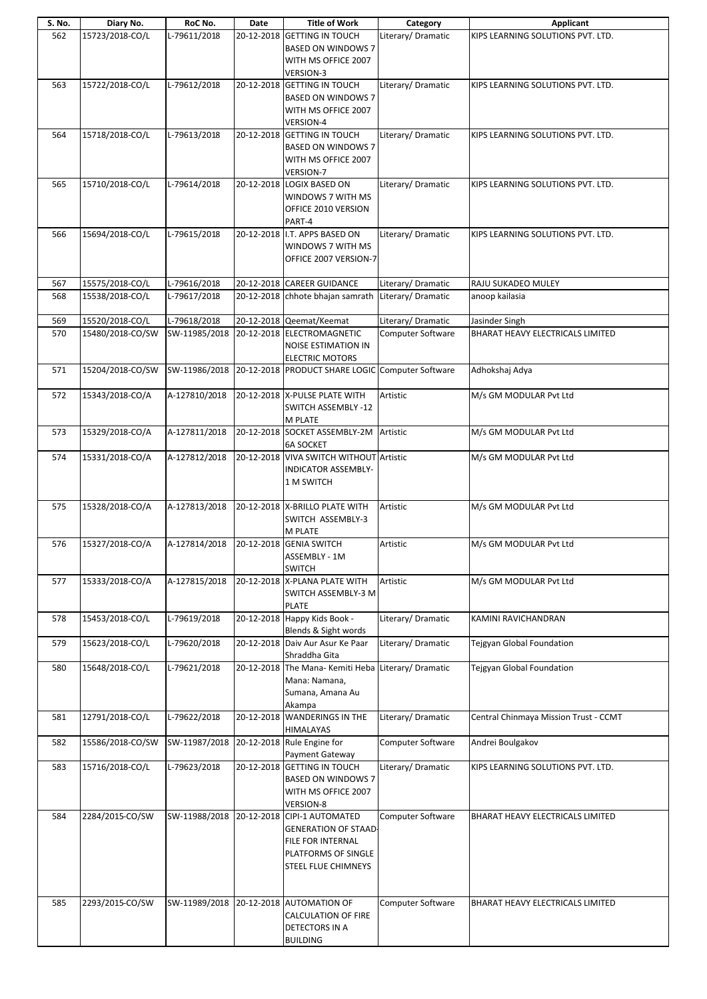| S. No. | Diary No.                           | RoC No.                               | Date | <b>Title of Work</b>                                           | Category                                | Applicant                                          |
|--------|-------------------------------------|---------------------------------------|------|----------------------------------------------------------------|-----------------------------------------|----------------------------------------------------|
| 562    | 15723/2018-CO/L                     | L-79611/2018                          |      | 20-12-2018 GETTING IN TOUCH                                    | Literary/Dramatic                       | KIPS LEARNING SOLUTIONS PVT. LTD.                  |
|        |                                     |                                       |      | <b>BASED ON WINDOWS 7</b>                                      |                                         |                                                    |
|        |                                     |                                       |      | WITH MS OFFICE 2007                                            |                                         |                                                    |
|        |                                     |                                       |      | VERSION-3                                                      |                                         |                                                    |
| 563    | 15722/2018-CO/L                     | L-79612/2018                          |      | 20-12-2018 GETTING IN TOUCH                                    | Literary/ Dramatic                      | KIPS LEARNING SOLUTIONS PVT. LTD.                  |
|        |                                     |                                       |      | <b>BASED ON WINDOWS 7</b>                                      |                                         |                                                    |
|        |                                     |                                       |      | WITH MS OFFICE 2007<br><b>VERSION-4</b>                        |                                         |                                                    |
| 564    | 15718/2018-CO/L                     | L-79613/2018                          |      | 20-12-2018 GETTING IN TOUCH                                    | Literary/Dramatic                       | KIPS LEARNING SOLUTIONS PVT. LTD.                  |
|        |                                     |                                       |      | <b>BASED ON WINDOWS 7</b>                                      |                                         |                                                    |
|        |                                     |                                       |      | WITH MS OFFICE 2007                                            |                                         |                                                    |
|        |                                     |                                       |      | VERSION-7                                                      |                                         |                                                    |
| 565    | 15710/2018-CO/L                     | L-79614/2018                          |      | 20-12-2018 LOGIX BASED ON                                      | Literary/Dramatic                       | KIPS LEARNING SOLUTIONS PVT. LTD.                  |
|        |                                     |                                       |      | WINDOWS 7 WITH MS                                              |                                         |                                                    |
|        |                                     |                                       |      | OFFICE 2010 VERSION                                            |                                         |                                                    |
| 566    | 15694/2018-CO/L                     | L-79615/2018                          |      | PART-4<br>20-12-2018 I.T. APPS BASED ON                        |                                         |                                                    |
|        |                                     |                                       |      | WINDOWS 7 WITH MS                                              | Literary/ Dramatic                      | KIPS LEARNING SOLUTIONS PVT. LTD.                  |
|        |                                     |                                       |      | OFFICE 2007 VERSION-7                                          |                                         |                                                    |
|        |                                     |                                       |      |                                                                |                                         |                                                    |
| 567    | 15575/2018-CO/L                     | L-79616/2018                          |      | 20-12-2018 CAREER GUIDANCE                                     | Literary/Dramatic                       | RAJU SUKADEO MULEY                                 |
| 568    | 15538/2018-CO/L                     | L-79617/2018                          |      | 20-12-2018 chhote bhajan samrath                               | Literary/Dramatic                       | anoop kailasia                                     |
|        |                                     |                                       |      |                                                                |                                         |                                                    |
| 569    | 15520/2018-CO/L<br>15480/2018-CO/SW | L-79618/2018                          |      | 20-12-2018 Qeemat/Keemat<br>20-12-2018 ELECTROMAGNETIC         | Literary/ Dramatic<br>Computer Software | Jasinder Singh<br>BHARAT HEAVY ELECTRICALS LIMITED |
| 570    |                                     | SW-11985/2018                         |      | <b>NOISE ESTIMATION IN</b>                                     |                                         |                                                    |
|        |                                     |                                       |      | <b>ELECTRIC MOTORS</b>                                         |                                         |                                                    |
| 571    | 15204/2018-CO/SW                    |                                       |      | SW-11986/2018 20-12-2018 PRODUCT SHARE LOGIC Computer Software |                                         | Adhokshaj Adya                                     |
|        |                                     |                                       |      |                                                                |                                         |                                                    |
| 572    | 15343/2018-CO/A                     | A-127810/2018                         |      | 20-12-2018 X-PULSE PLATE WITH                                  | Artistic                                | M/s GM MODULAR Pvt Ltd                             |
|        |                                     |                                       |      | SWITCH ASSEMBLY -12                                            |                                         |                                                    |
| 573    | 15329/2018-CO/A                     | A-127811/2018                         |      | M PLATE<br>20-12-2018 SOCKET ASSEMBLY-2M Artistic              |                                         | M/s GM MODULAR Pvt Ltd                             |
|        |                                     |                                       |      | <b>6A SOCKET</b>                                               |                                         |                                                    |
| 574    | 15331/2018-CO/A                     | A-127812/2018                         |      | 20-12-2018 VIVA SWITCH WITHOUT Artistic                        |                                         | M/s GM MODULAR Pvt Ltd                             |
|        |                                     |                                       |      | INDICATOR ASSEMBLY-                                            |                                         |                                                    |
|        |                                     |                                       |      | 1 M SWITCH                                                     |                                         |                                                    |
|        |                                     |                                       |      |                                                                |                                         |                                                    |
| 575    | 15328/2018-CO/A                     | A-127813/2018                         |      | 20-12-2018 X-BRILLO PLATE WITH<br>SWITCH ASSEMBLY-3            | Artistic                                | M/s GM MODULAR Pvt Ltd                             |
|        |                                     |                                       |      | M PLATE                                                        |                                         |                                                    |
| 576    | 15327/2018-CO/A                     | A-127814/2018 20-12-2018 GENIA SWITCH |      |                                                                | Artistic                                | M/s GM MODULAR Pvt Ltd                             |
|        |                                     |                                       |      | ASSEMBLY - 1M                                                  |                                         |                                                    |
|        |                                     |                                       |      | SWITCH                                                         |                                         |                                                    |
| 577    | 15333/2018-CO/A                     | A-127815/2018                         |      | 20-12-2018 X-PLANA PLATE WITH                                  | Artistic                                | M/s GM MODULAR Pvt Ltd                             |
|        |                                     |                                       |      | SWITCH ASSEMBLY-3 M                                            |                                         |                                                    |
| 578    | 15453/2018-CO/L                     | L-79619/2018                          |      | <b>PLATE</b><br>20-12-2018 Happy Kids Book -                   | Literary/Dramatic                       | KAMINI RAVICHANDRAN                                |
|        |                                     |                                       |      | Blends & Sight words                                           |                                         |                                                    |
| 579    | 15623/2018-CO/L                     | L-79620/2018                          |      | 20-12-2018 Daiv Aur Asur Ke Paar                               | Literary/ Dramatic                      | <b>Tejgyan Global Foundation</b>                   |
|        |                                     |                                       |      | Shraddha Gita                                                  |                                         |                                                    |
| 580    | 15648/2018-CO/L                     | L-79621/2018                          |      | 20-12-2018 The Mana-Kemiti Heba Literary/Dramatic              |                                         | <b>Tejgyan Global Foundation</b>                   |
|        |                                     |                                       |      | Mana: Namana,                                                  |                                         |                                                    |
|        |                                     |                                       |      | Sumana, Amana Au                                               |                                         |                                                    |
| 581    | 12791/2018-CO/L                     | L-79622/2018                          |      | Akampa<br>20-12-2018 WANDERINGS IN THE                         | Literary/Dramatic                       | Central Chinmaya Mission Trust - CCMT              |
|        |                                     |                                       |      | HIMALAYAS                                                      |                                         |                                                    |
| 582    | 15586/2018-CO/SW                    | SW-11987/2018                         |      | 20-12-2018 Rule Engine for                                     | Computer Software                       | Andrei Boulgakov                                   |
|        |                                     |                                       |      | Payment Gateway                                                |                                         |                                                    |
| 583    | 15716/2018-CO/L                     | L-79623/2018                          |      | 20-12-2018 GETTING IN TOUCH                                    | Literary/ Dramatic                      | KIPS LEARNING SOLUTIONS PVT. LTD.                  |
|        |                                     |                                       |      | <b>BASED ON WINDOWS 7</b><br>WITH MS OFFICE 2007               |                                         |                                                    |
|        |                                     |                                       |      | VERSION-8                                                      |                                         |                                                    |
| 584    | 2284/2015-CO/SW                     |                                       |      | SW-11988/2018 20-12-2018 CIPI-1 AUTOMATED                      | Computer Software                       | BHARAT HEAVY ELECTRICALS LIMITED                   |
|        |                                     |                                       |      | <b>GENERATION OF STAAD-</b>                                    |                                         |                                                    |
|        |                                     |                                       |      | FILE FOR INTERNAL                                              |                                         |                                                    |
|        |                                     |                                       |      | PLATFORMS OF SINGLE                                            |                                         |                                                    |
|        |                                     |                                       |      | <b>STEEL FLUE CHIMNEYS</b>                                     |                                         |                                                    |
|        |                                     |                                       |      |                                                                |                                         |                                                    |
| 585    | 2293/2015-CO/SW                     |                                       |      | SW-11989/2018 20-12-2018 AUTOMATION OF                         | Computer Software                       | BHARAT HEAVY ELECTRICALS LIMITED                   |
|        |                                     |                                       |      | <b>CALCULATION OF FIRE</b>                                     |                                         |                                                    |
|        |                                     |                                       |      | DETECTORS IN A                                                 |                                         |                                                    |
|        |                                     |                                       |      | <b>BUILDING</b>                                                |                                         |                                                    |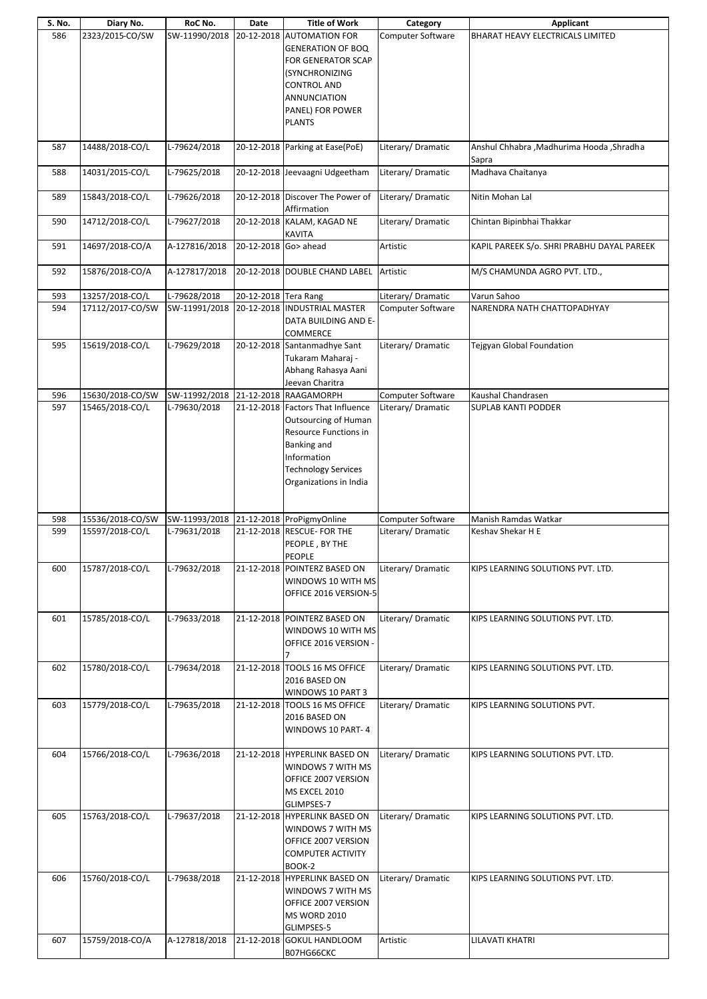|            | Diary No.                          | RoC No.                                 | Date                 | <b>Title of Work</b>                                                                                                                                                                   | Category                      | <b>Applicant</b>                                     |
|------------|------------------------------------|-----------------------------------------|----------------------|----------------------------------------------------------------------------------------------------------------------------------------------------------------------------------------|-------------------------------|------------------------------------------------------|
| 586        | 2323/2015-CO/SW                    | SW-11990/2018                           |                      | 20-12-2018 AUTOMATION FOR<br><b>GENERATION OF BOQ</b><br>FOR GENERATOR SCAP<br>(SYNCHRONIZING<br><b>CONTROL AND</b><br>ANNUNCIATION<br>PANEL) FOR POWER<br><b>PLANTS</b>               | <b>Computer Software</b>      | BHARAT HEAVY ELECTRICALS LIMITED                     |
| 587        | 14488/2018-CO/L                    | L-79624/2018                            |                      | 20-12-2018 Parking at Ease(PoE)                                                                                                                                                        | Literary/Dramatic             | Anshul Chhabra , Madhurima Hooda , Shradha<br>Sapra  |
| 588        | 14031/2015-CO/L                    | L-79625/2018                            |                      | 20-12-2018 Jeevaagni Udgeetham                                                                                                                                                         | Literary/Dramatic             | Madhava Chaitanya                                    |
| 589        | 15843/2018-CO/L                    | L-79626/2018                            |                      | 20-12-2018 Discover The Power of<br>Affirmation                                                                                                                                        | Literary/Dramatic             | Nitin Mohan Lal                                      |
| 590        | 14712/2018-CO/L                    | L-79627/2018                            |                      | 20-12-2018 KALAM, KAGAD NE<br>KAVITA                                                                                                                                                   | Literary/ Dramatic            | Chintan Bipinbhai Thakkar                            |
| 591        | 14697/2018-CO/A                    | A-127816/2018                           | 20-12-2018 Go> ahead |                                                                                                                                                                                        | Artistic                      | KAPIL PAREEK S/o. SHRI PRABHU DAYAL PAREEK           |
| 592        | 15876/2018-CO/A                    | A-127817/2018                           |                      | 20-12-2018 DOUBLE CHAND LABEL                                                                                                                                                          | Artistic                      | M/S CHAMUNDA AGRO PVT. LTD.,                         |
| 593        | 13257/2018-CO/L                    | L-79628/2018                            | 20-12-2018 Tera Rang |                                                                                                                                                                                        | Literary/ Dramatic            | Varun Sahoo                                          |
| 594        | 17112/2017-CO/SW                   | SW-11991/2018                           |                      | 20-12-2018 INDUSTRIAL MASTER<br>DATA BUILDING AND E-<br>COMMERCE                                                                                                                       | <b>Computer Software</b>      | NARENDRA NATH CHATTOPADHYAY                          |
| 595        | 15619/2018-CO/L                    | L-79629/2018                            |                      | 20-12-2018 Santanmadhye Sant<br>Tukaram Maharaj -<br>Abhang Rahasya Aani<br>Jeevan Charitra                                                                                            | Literary/Dramatic             | <b>Tejgyan Global Foundation</b>                     |
| 596        | 15630/2018-CO/SW                   | SW-11992/2018                           |                      | 21-12-2018 RAAGAMORPH                                                                                                                                                                  | Computer Software             | Kaushal Chandrasen                                   |
| 597        | 15465/2018-CO/L                    | L-79630/2018                            |                      | 21-12-2018 Factors That Influence<br><b>Outsourcing of Human</b><br>Resource Functions in<br><b>Banking and</b><br>Information<br><b>Technology Services</b><br>Organizations in India | Literary/Dramatic             | <b>SUPLAB KANTI PODDER</b>                           |
| 598        | 15536/2018-CO/SW                   | SW-11993/2018 21-12-2018 ProPigmyOnline |                      |                                                                                                                                                                                        | Computer Software             | Manish Ramdas Watkar                                 |
| 599        | 15597/2018-CO/L                    | L-79631/2018                            |                      | 21-12-2018 RESCUE- FOR THE<br>PEOPLE, BY THE<br>PEOPLE                                                                                                                                 | Literary/Dramatic             | Keshav Shekar H E                                    |
| 600        | 15787/2018-CO/L                    | L-79632/2018                            |                      | 21-12-2018 POINTERZ BASED ON                                                                                                                                                           | Literary/Dramatic             | KIPS LEARNING SOLUTIONS PVT. LTD.                    |
|            |                                    |                                         |                      | WINDOWS 10 WITH MS<br>OFFICE 2016 VERSION-5                                                                                                                                            |                               |                                                      |
| 601        | 15785/2018-CO/L                    | L-79633/2018                            |                      | 21-12-2018 POINTERZ BASED ON<br>WINDOWS 10 WITH MS<br>OFFICE 2016 VERSION -<br>7                                                                                                       | Literary/Dramatic             | KIPS LEARNING SOLUTIONS PVT. LTD.                    |
| 602        | 15780/2018-CO/L                    | L-79634/2018                            |                      | 21-12-2018 TOOLS 16 MS OFFICE<br>2016 BASED ON<br>WINDOWS 10 PART 3                                                                                                                    | Literary/Dramatic             | KIPS LEARNING SOLUTIONS PVT. LTD.                    |
| 603        | 15779/2018-CO/L                    | L-79635/2018                            |                      | 21-12-2018 TOOLS 16 MS OFFICE<br>2016 BASED ON<br>WINDOWS 10 PART-4                                                                                                                    | Literary/ Dramatic            | KIPS LEARNING SOLUTIONS PVT.                         |
| 604        | 15766/2018-CO/L                    | L-79636/2018                            |                      | 21-12-2018 HYPERLINK BASED ON<br>WINDOWS 7 WITH MS<br>OFFICE 2007 VERSION<br>MS EXCEL 2010<br>GLIMPSES-7                                                                               | Literary/Dramatic             | KIPS LEARNING SOLUTIONS PVT. LTD.                    |
| 605        | 15763/2018-CO/L                    | L-79637/2018                            |                      | 21-12-2018 HYPERLINK BASED ON<br>WINDOWS 7 WITH MS<br>OFFICE 2007 VERSION<br><b>COMPUTER ACTIVITY</b><br>BOOK-2                                                                        | Literary/Dramatic             | KIPS LEARNING SOLUTIONS PVT. LTD.                    |
| 606<br>607 | 15760/2018-CO/L<br>15759/2018-CO/A | L-79638/2018<br>A-127818/2018           |                      | 21-12-2018 HYPERLINK BASED ON<br>WINDOWS 7 WITH MS<br>OFFICE 2007 VERSION<br><b>MS WORD 2010</b><br>GLIMPSES-5<br>21-12-2018 GOKUL HANDLOOM                                            | Literary/Dramatic<br>Artistic | KIPS LEARNING SOLUTIONS PVT. LTD.<br>LILAVATI KHATRI |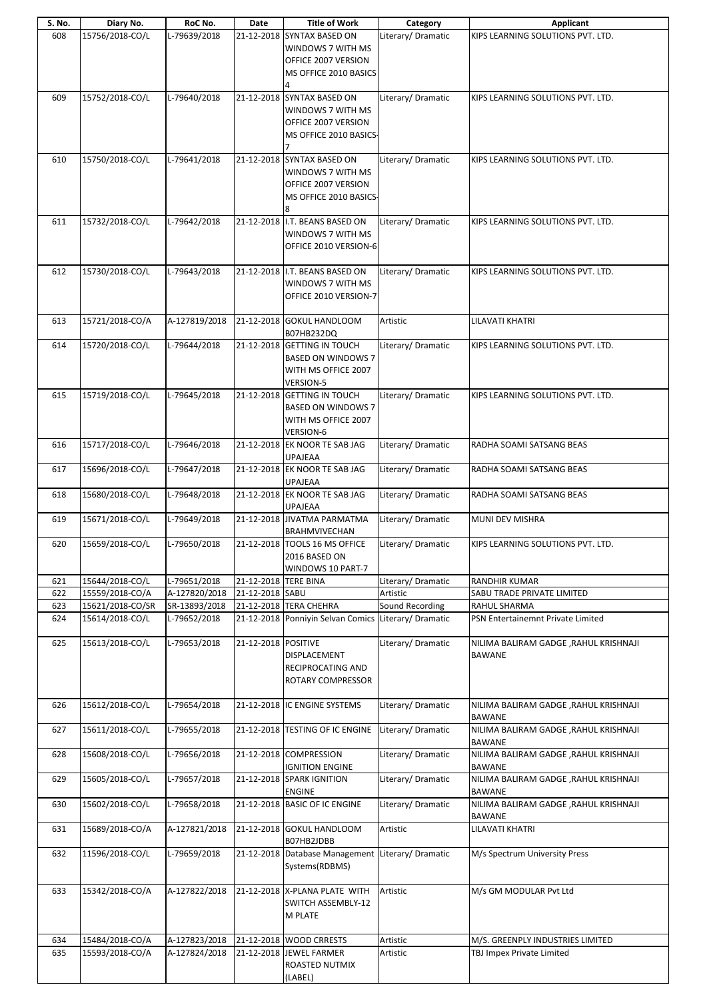| S. No. | Diary No.        | RoC No.       | Date                 | <b>Title of Work</b>                              | Category           | <b>Applicant</b>                      |
|--------|------------------|---------------|----------------------|---------------------------------------------------|--------------------|---------------------------------------|
| 608    | 15756/2018-CO/L  | L-79639/2018  |                      | 21-12-2018 SYNTAX BASED ON                        | Literary/Dramatic  | KIPS LEARNING SOLUTIONS PVT. LTD.     |
|        |                  |               |                      | WINDOWS 7 WITH MS                                 |                    |                                       |
|        |                  |               |                      |                                                   |                    |                                       |
|        |                  |               |                      | OFFICE 2007 VERSION                               |                    |                                       |
|        |                  |               |                      | MS OFFICE 2010 BASICS                             |                    |                                       |
|        |                  |               |                      |                                                   |                    |                                       |
|        |                  |               |                      |                                                   |                    |                                       |
| 609    | 15752/2018-CO/L  | L-79640/2018  |                      | 21-12-2018 SYNTAX BASED ON                        | Literary/Dramatic  | KIPS LEARNING SOLUTIONS PVT. LTD.     |
|        |                  |               |                      | WINDOWS 7 WITH MS                                 |                    |                                       |
|        |                  |               |                      | OFFICE 2007 VERSION                               |                    |                                       |
|        |                  |               |                      |                                                   |                    |                                       |
|        |                  |               |                      | MS OFFICE 2010 BASICS-                            |                    |                                       |
|        |                  |               |                      |                                                   |                    |                                       |
|        |                  |               |                      |                                                   |                    |                                       |
| 610    | 15750/2018-CO/L  | L-79641/2018  |                      | 21-12-2018 SYNTAX BASED ON                        | Literary/Dramatic  | KIPS LEARNING SOLUTIONS PVT. LTD.     |
|        |                  |               |                      | WINDOWS 7 WITH MS                                 |                    |                                       |
|        |                  |               |                      | OFFICE 2007 VERSION                               |                    |                                       |
|        |                  |               |                      |                                                   |                    |                                       |
|        |                  |               |                      | MS OFFICE 2010 BASICS-                            |                    |                                       |
|        |                  |               |                      | 8                                                 |                    |                                       |
| 611    | 15732/2018-CO/L  | L-79642/2018  |                      | 21-12-2018 I.T. BEANS BASED ON                    | Literary/Dramatic  | KIPS LEARNING SOLUTIONS PVT. LTD.     |
|        |                  |               |                      |                                                   |                    |                                       |
|        |                  |               |                      | WINDOWS 7 WITH MS                                 |                    |                                       |
|        |                  |               |                      | OFFICE 2010 VERSION-6                             |                    |                                       |
|        |                  |               |                      |                                                   |                    |                                       |
|        |                  |               |                      |                                                   |                    |                                       |
| 612    | 15730/2018-CO/L  | L-79643/2018  |                      | 21-12-2018 I.T. BEANS BASED ON                    | Literary/Dramatic  | KIPS LEARNING SOLUTIONS PVT. LTD.     |
|        |                  |               |                      | WINDOWS 7 WITH MS                                 |                    |                                       |
|        |                  |               |                      | OFFICE 2010 VERSION-7                             |                    |                                       |
|        |                  |               |                      |                                                   |                    |                                       |
|        |                  |               |                      |                                                   |                    |                                       |
| 613    | 15721/2018-CO/A  | A-127819/2018 |                      | 21-12-2018 GOKUL HANDLOOM                         | Artistic           | LILAVATI KHATRI                       |
|        |                  |               |                      | B07HB232DQ                                        |                    |                                       |
|        |                  |               |                      |                                                   |                    |                                       |
| 614    | 15720/2018-CO/L  | L-79644/2018  |                      | 21-12-2018 GETTING IN TOUCH                       | Literary/Dramatic  | KIPS LEARNING SOLUTIONS PVT. LTD.     |
|        |                  |               |                      | <b>BASED ON WINDOWS 7</b>                         |                    |                                       |
|        |                  |               |                      | WITH MS OFFICE 2007                               |                    |                                       |
|        |                  |               |                      |                                                   |                    |                                       |
|        |                  |               |                      | <b>VERSION-5</b>                                  |                    |                                       |
| 615    | 15719/2018-CO/L  | L-79645/2018  |                      | 21-12-2018 GETTING IN TOUCH                       | Literary/Dramatic  | KIPS LEARNING SOLUTIONS PVT. LTD.     |
|        |                  |               |                      | <b>BASED ON WINDOWS 7</b>                         |                    |                                       |
|        |                  |               |                      |                                                   |                    |                                       |
|        |                  |               |                      | WITH MS OFFICE 2007                               |                    |                                       |
|        |                  |               |                      | <b>VERSION-6</b>                                  |                    |                                       |
| 616    | 15717/2018-CO/L  | L-79646/2018  |                      | 21-12-2018 EK NOOR TE SAB JAG                     | Literary/Dramatic  | RADHA SOAMI SATSANG BEAS              |
|        |                  |               |                      |                                                   |                    |                                       |
|        |                  |               |                      | UPAJEAA                                           |                    |                                       |
| 617    | 15696/2018-CO/L  | L-79647/2018  |                      | 21-12-2018 EK NOOR TE SAB JAG                     | Literary/Dramatic  | RADHA SOAMI SATSANG BEAS              |
|        |                  |               |                      | <b>UPAJEAA</b>                                    |                    |                                       |
| 618    | 15680/2018-CO/L  | L-79648/2018  |                      | 21-12-2018 EK NOOR TE SAB JAG                     | Literary/Dramatic  | RADHA SOAMI SATSANG BEAS              |
|        |                  |               |                      |                                                   |                    |                                       |
|        |                  |               |                      | <b>UPAJEAA</b>                                    |                    |                                       |
| 619    | 15671/2018-CO/L  | L-79649/2018  |                      | 21-12-2018 JIVATMA PARMATMA                       | Literary/Dramatic  | MUNI DEV MISHRA                       |
|        |                  |               |                      | BRAHMVIVECHAN                                     |                    |                                       |
| 620    | 15659/2018-CO/L  | L-79650/2018  |                      | 21-12-2018 TOOLS 16 MS OFFICE                     | Literary/Dramatic  | KIPS LEARNING SOLUTIONS PVT. LTD.     |
|        |                  |               |                      |                                                   |                    |                                       |
|        |                  |               |                      | 2016 BASED ON                                     |                    |                                       |
|        |                  |               |                      | WINDOWS 10 PART-7                                 |                    |                                       |
| 621    | 15644/2018-CO/L  | L-79651/2018  | 21-12-2018 TERE BINA |                                                   | Literary/Dramatic  | RANDHIR KUMAR                         |
| 622    | 15559/2018-CO/A  | A-127820/2018 | 21-12-2018 SABU      |                                                   | Artistic           | SABU TRADE PRIVATE LIMITED            |
| 623    | 15621/2018-CO/SR | SR-13893/2018 |                      | 21-12-2018 TERA CHEHRA                            | Sound Recording    | RAHUL SHARMA                          |
|        |                  |               |                      |                                                   |                    |                                       |
| 624    | 15614/2018-CO/L  | L-79652/2018  |                      | 21-12-2018 Ponniyin Selvan Comics                 | Literary/ Dramatic | PSN Entertainemnt Private Limited     |
|        |                  |               |                      |                                                   |                    |                                       |
| 625    | 15613/2018-CO/L  | L-79653/2018  | 21-12-2018 POSITIVE  |                                                   | Literary/Dramatic  | NILIMA BALIRAM GADGE, RAHUL KRISHNAJI |
|        |                  |               |                      |                                                   |                    |                                       |
|        |                  |               |                      | DISPLACEMENT                                      |                    | <b>BAWANE</b>                         |
|        |                  |               |                      | RECIPROCATING AND                                 |                    |                                       |
|        |                  |               |                      |                                                   |                    |                                       |
|        |                  |               |                      |                                                   |                    |                                       |
|        |                  |               |                      | ROTARY COMPRESSOR                                 |                    |                                       |
| 626    |                  |               |                      |                                                   |                    |                                       |
|        | 15612/2018-CO/L  | L-79654/2018  |                      | 21-12-2018 IC ENGINE SYSTEMS                      | Literary/Dramatic  | NILIMA BALIRAM GADGE, RAHUL KRISHNAJI |
|        |                  |               |                      |                                                   |                    |                                       |
|        |                  |               |                      |                                                   |                    | <b>BAWANE</b>                         |
| 627    | 15611/2018-CO/L  | L-79655/2018  |                      | 21-12-2018 TESTING OF IC ENGINE                   | Literary/Dramatic  | NILIMA BALIRAM GADGE, RAHUL KRISHNAJI |
|        |                  |               |                      |                                                   |                    | <b>BAWANE</b>                         |
|        |                  |               |                      |                                                   |                    |                                       |
| 628    | 15608/2018-CO/L  | L-79656/2018  |                      | 21-12-2018 COMPRESSION                            | Literary/Dramatic  | NILIMA BALIRAM GADGE, RAHUL KRISHNAJI |
|        |                  |               |                      | <b>IGNITION ENGINE</b>                            |                    | <b>BAWANE</b>                         |
| 629    | 15605/2018-CO/L  | L-79657/2018  |                      | 21-12-2018 SPARK IGNITION                         | Literary/Dramatic  | NILIMA BALIRAM GADGE, RAHUL KRISHNAJI |
|        |                  |               |                      |                                                   |                    |                                       |
|        |                  |               |                      | <b>ENGINE</b>                                     |                    | BAWANE                                |
| 630    | 15602/2018-CO/L  | L-79658/2018  |                      | 21-12-2018 BASIC OF IC ENGINE                     | Literary/Dramatic  | NILIMA BALIRAM GADGE, RAHUL KRISHNAJI |
|        |                  |               |                      |                                                   |                    | <b>BAWANE</b>                         |
| 631    | 15689/2018-CO/A  | A-127821/2018 |                      | 21-12-2018 GOKUL HANDLOOM                         | Artistic           |                                       |
|        |                  |               |                      |                                                   |                    | LILAVATI KHATRI                       |
|        |                  |               |                      | B07HB2JDBB                                        |                    |                                       |
| 632    | 11596/2018-CO/L  | L-79659/2018  |                      | 21-12-2018 Database Management Literary/ Dramatic |                    | M/s Spectrum University Press         |
|        |                  |               |                      | Systems(RDBMS)                                    |                    |                                       |
|        |                  |               |                      |                                                   |                    |                                       |
|        |                  |               |                      |                                                   |                    |                                       |
| 633    | 15342/2018-CO/A  | A-127822/2018 |                      | 21-12-2018 X-PLANA PLATE WITH                     | Artistic           | M/s GM MODULAR Pvt Ltd                |
|        |                  |               |                      | SWITCH ASSEMBLY-12                                |                    |                                       |
|        |                  |               |                      |                                                   |                    |                                       |
|        |                  |               |                      | M PLATE                                           |                    |                                       |
|        |                  |               |                      |                                                   |                    |                                       |
| 634    | 15484/2018-CO/A  | A-127823/2018 |                      | 21-12-2018   WOOD CRRESTS                         | Artistic           | M/S. GREENPLY INDUSTRIES LIMITED      |
|        |                  |               |                      |                                                   |                    |                                       |
| 635    | 15593/2018-CO/A  | A-127824/2018 |                      | 21-12-2018 JEWEL FARMER                           | Artistic           | TBJ Impex Private Limited             |
|        |                  |               |                      | ROASTED NUTMIX<br>(LABEL)                         |                    |                                       |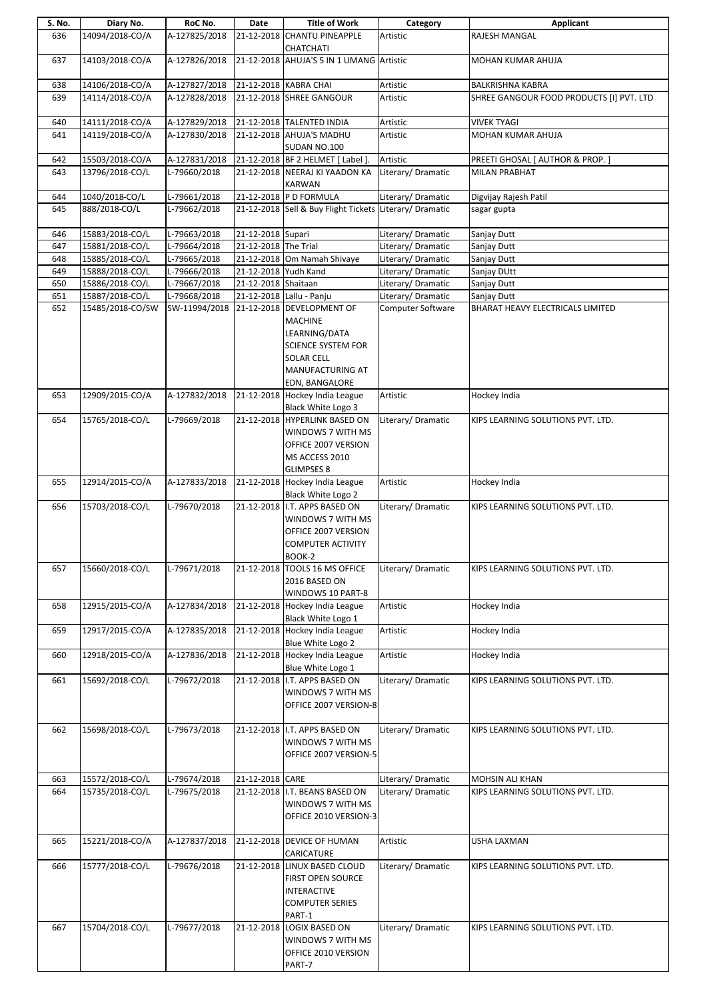| S. No. | Diary No.        | RoC No.       | Date                 | <b>Title of Work</b>                                                                                                               | Category           | Applicant                                |
|--------|------------------|---------------|----------------------|------------------------------------------------------------------------------------------------------------------------------------|--------------------|------------------------------------------|
| 636    | 14094/2018-CO/A  | A-127825/2018 | 21-12-2018           | <b>CHANTU PINEAPPLE</b><br>CHATCHATI                                                                                               | Artistic           | <b>RAJESH MANGAL</b>                     |
| 637    | 14103/2018-CO/A  | A-127826/2018 |                      | 21-12-2018 AHUJA'S 5 IN 1 UMANG Artistic                                                                                           |                    | MOHAN KUMAR AHUJA                        |
| 638    | 14106/2018-CO/A  | A-127827/2018 |                      | 21-12-2018 KABRA CHAI                                                                                                              | Artistic           | <b>BALKRISHNA KABRA</b>                  |
| 639    | 14114/2018-CO/A  | A-127828/2018 |                      | 21-12-2018 SHREE GANGOUR                                                                                                           | Artistic           | SHREE GANGOUR FOOD PRODUCTS [I] PVT. LTD |
| 640    | 14111/2018-CO/A  | A-127829/2018 |                      | 21-12-2018 TALENTED INDIA                                                                                                          | Artistic           | <b>VIVEK TYAGI</b>                       |
| 641    | 14119/2018-CO/A  | A-127830/2018 |                      | 21-12-2018 AHUJA'S MADHU<br>SUDAN NO.100                                                                                           | Artistic           | MOHAN KUMAR AHUJA                        |
| 642    | 15503/2018-CO/A  | A-127831/2018 |                      | 21-12-2018 BF 2 HELMET [ Label ].                                                                                                  | Artistic           | PREETI GHOSAL [ AUTHOR & PROP. ]         |
| 643    | 13796/2018-CO/L  | L-79660/2018  |                      | 21-12-2018 NEERAJ KI YAADON KA                                                                                                     | Literary/Dramatic  | <b>MILAN PRABHAT</b>                     |
|        |                  |               |                      | <b>KARWAN</b>                                                                                                                      |                    |                                          |
| 644    | 1040/2018-CO/L   | L-79661/2018  |                      | 21-12-2018 P D FORMULA                                                                                                             | Literary/Dramatic  | Digvijay Rajesh Patil                    |
| 645    | 888/2018-CO/L    | L-79662/2018  |                      | 21-12-2018 Sell & Buy Flight Tickets Literary/ Dramatic                                                                            |                    | sagar gupta                              |
|        |                  |               |                      |                                                                                                                                    |                    |                                          |
| 646    | 15883/2018-CO/L  | L-79663/2018  | 21-12-2018 Supari    |                                                                                                                                    | Literary/ Dramatic | Sanjay Dutt                              |
| 647    | 15881/2018-CO/L  | L-79664/2018  | 21-12-2018 The Trial |                                                                                                                                    | Literary/Dramatic  | Sanjay Dutt                              |
| 648    | 15885/2018-CO/L  | L-79665/2018  |                      | 21-12-2018 Om Namah Shivaye                                                                                                        | Literary/Dramatic  | Sanjay Dutt                              |
| 649    | 15888/2018-CO/L  | L-79666/2018  | 21-12-2018 Yudh Kand |                                                                                                                                    | Literary/Dramatic  | Sanjay DUtt                              |
| 650    | 15886/2018-CO/L  | L-79667/2018  | 21-12-2018 Shaitaan  |                                                                                                                                    | Literary/ Dramatic | Sanjay Dutt                              |
| 651    | 15887/2018-CO/L  | L-79668/2018  |                      | 21-12-2018 Lallu - Panju                                                                                                           | Literary/ Dramatic | Sanjay Dutt                              |
| 652    | 15485/2018-CO/SW | SW-11994/2018 |                      | 21-12-2018 DEVELOPMENT OF<br><b>MACHINE</b><br>LEARNING/DATA<br><b>SCIENCE SYSTEM FOR</b><br><b>SOLAR CELL</b><br>MANUFACTURING AT | Computer Software  | BHARAT HEAVY ELECTRICALS LIMITED         |
|        |                  |               |                      | EDN, BANGALORE                                                                                                                     |                    |                                          |
| 653    | 12909/2015-CO/A  | A-127832/2018 |                      | 21-12-2018 Hockey India League<br>Black White Logo 3                                                                               | Artistic           | Hockey India                             |
| 654    | 15765/2018-CO/L  | L-79669/2018  |                      | 21-12-2018 HYPERLINK BASED ON<br>WINDOWS 7 WITH MS<br>OFFICE 2007 VERSION<br>MS ACCESS 2010<br><b>GLIMPSES 8</b>                   | Literary/Dramatic  | KIPS LEARNING SOLUTIONS PVT. LTD.        |
| 655    | 12914/2015-CO/A  | A-127833/2018 |                      | 21-12-2018 Hockey India League<br>Black White Logo 2                                                                               | Artistic           | Hockey India                             |
| 656    | 15703/2018-CO/L  | L-79670/2018  |                      | 21-12-2018 I.T. APPS BASED ON<br>WINDOWS 7 WITH MS<br>OFFICE 2007 VERSION<br><b>COMPUTER ACTIVITY</b>                              | Literary/ Dramatic | KIPS LEARNING SOLUTIONS PVT. LTD.        |
| 657    | 15660/2018-CO/L  | L-79671/2018  | 21-12-2018           | BOOK-2<br>TOOLS 16 MS OFFICE<br>2016 BASED ON<br>WINDOWS 10 PART-8                                                                 | Literary/ Dramatic | KIPS LEARNING SOLUTIONS PVT. LTD.        |
| 658    | 12915/2015-CO/A  | A-127834/2018 |                      | 21-12-2018 Hockey India League<br>Black White Logo 1                                                                               | Artistic           | Hockey India                             |
| 659    | 12917/2015-CO/A  | A-127835/2018 |                      | 21-12-2018 Hockey India League<br>Blue White Logo 2                                                                                | Artistic           | Hockey India                             |
| 660    | 12918/2015-CO/A  | A-127836/2018 |                      | 21-12-2018 Hockey India League                                                                                                     | Artistic           | Hockey India                             |
| 661    | 15692/2018-CO/L  | L-79672/2018  |                      | Blue White Logo 1<br>21-12-2018 I.T. APPS BASED ON                                                                                 | Literary/ Dramatic | KIPS LEARNING SOLUTIONS PVT. LTD.        |
|        |                  |               |                      | WINDOWS 7 WITH MS<br>OFFICE 2007 VERSION-8                                                                                         |                    |                                          |
| 662    | 15698/2018-CO/L  | L-79673/2018  |                      | 21-12-2018 I.T. APPS BASED ON<br>WINDOWS 7 WITH MS<br>OFFICE 2007 VERSION-5                                                        | Literary/ Dramatic | KIPS LEARNING SOLUTIONS PVT. LTD.        |
| 663    | 15572/2018-CO/L  | L-79674/2018  | 21-12-2018 CARE      |                                                                                                                                    | Literary/Dramatic  | MOHSIN ALI KHAN                          |
| 664    | 15735/2018-CO/L  | L-79675/2018  |                      | 21-12-2018 I.T. BEANS BASED ON<br>WINDOWS 7 WITH MS<br>OFFICE 2010 VERSION-3                                                       | Literary/Dramatic  | KIPS LEARNING SOLUTIONS PVT. LTD.        |
| 665    | 15221/2018-CO/A  | A-127837/2018 |                      | 21-12-2018 DEVICE OF HUMAN<br>CARICATURE                                                                                           | Artistic           | USHA LAXMAN                              |
| 666    | 15777/2018-CO/L  | L-79676/2018  |                      | 21-12-2018 LINUX BASED CLOUD<br><b>FIRST OPEN SOURCE</b><br><b>INTERACTIVE</b><br><b>COMPUTER SERIES</b><br>PART-1                 | Literary/Dramatic  | KIPS LEARNING SOLUTIONS PVT. LTD.        |
| 667    | 15704/2018-CO/L  | L-79677/2018  |                      | 21-12-2018 LOGIX BASED ON<br>WINDOWS 7 WITH MS<br>OFFICE 2010 VERSION<br>PART-7                                                    | Literary/ Dramatic | KIPS LEARNING SOLUTIONS PVT. LTD.        |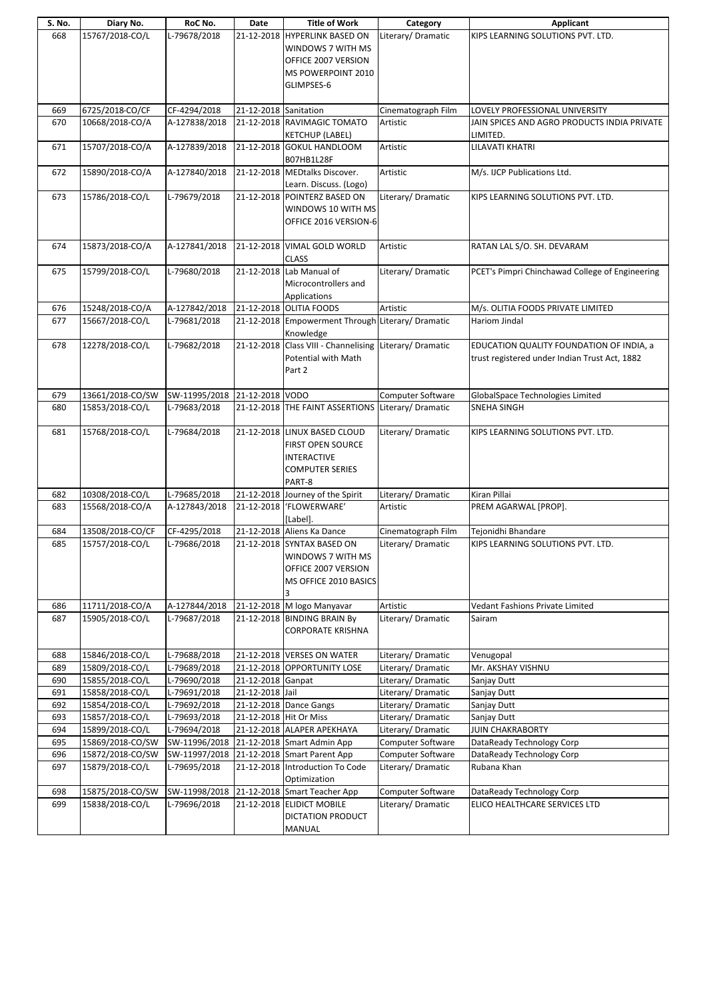| S. No. | Diary No.        | RoC No.       | Date                   | <b>Title of Work</b>                              | Category                 | Applicant                                       |
|--------|------------------|---------------|------------------------|---------------------------------------------------|--------------------------|-------------------------------------------------|
| 668    | 15767/2018-CO/L  | L-79678/2018  |                        | 21-12-2018 HYPERLINK BASED ON                     | Literary/Dramatic        | KIPS LEARNING SOLUTIONS PVT. LTD.               |
|        |                  |               |                        | WINDOWS 7 WITH MS                                 |                          |                                                 |
|        |                  |               |                        | OFFICE 2007 VERSION                               |                          |                                                 |
|        |                  |               |                        | MS POWERPOINT 2010                                |                          |                                                 |
|        |                  |               |                        | GLIMPSES-6                                        |                          |                                                 |
|        |                  |               |                        |                                                   |                          |                                                 |
|        |                  |               |                        |                                                   |                          |                                                 |
| 669    | 6725/2018-CO/CF  | CF-4294/2018  | 21-12-2018 Sanitation  |                                                   | Cinematograph Film       | LOVELY PROFESSIONAL UNIVERSITY                  |
| 670    | 10668/2018-CO/A  | A-127838/2018 |                        | 21-12-2018 RAVIMAGIC TOMATO                       | Artistic                 | JAIN SPICES AND AGRO PRODUCTS INDIA PRIVATE     |
|        |                  |               |                        | <b>KETCHUP (LABEL)</b>                            |                          | LIMITED.                                        |
| 671    | 15707/2018-CO/A  | A-127839/2018 |                        | 21-12-2018 GOKUL HANDLOOM                         | Artistic                 | <b>LILAVATI KHATRI</b>                          |
|        |                  |               |                        | B07HB1L28F                                        |                          |                                                 |
| 672    | 15890/2018-CO/A  | A-127840/2018 |                        | 21-12-2018 MEDtalks Discover.                     | Artistic                 | M/s. IJCP Publications Ltd.                     |
|        |                  |               |                        | Learn. Discuss. (Logo)                            |                          |                                                 |
| 673    | 15786/2018-CO/L  | L-79679/2018  |                        | 21-12-2018 POINTERZ BASED ON                      | Literary/ Dramatic       | KIPS LEARNING SOLUTIONS PVT. LTD.               |
|        |                  |               |                        | WINDOWS 10 WITH MS                                |                          |                                                 |
|        |                  |               |                        | OFFICE 2016 VERSION-6                             |                          |                                                 |
|        |                  |               |                        |                                                   |                          |                                                 |
| 674    | 15873/2018-CO/A  | A-127841/2018 |                        | 21-12-2018 VIMAL GOLD WORLD                       | Artistic                 | RATAN LAL S/O. SH. DEVARAM                      |
|        |                  |               |                        | <b>CLASS</b>                                      |                          |                                                 |
| 675    | 15799/2018-CO/L  | L-79680/2018  |                        | 21-12-2018 Lab Manual of                          | Literary/Dramatic        | PCET's Pimpri Chinchawad College of Engineering |
|        |                  |               |                        | Microcontrollers and                              |                          |                                                 |
|        |                  |               |                        | Applications                                      |                          |                                                 |
| 676    | 15248/2018-CO/A  | A-127842/2018 |                        | 21-12-2018 OLITIA FOODS                           | Artistic                 | M/s. OLITIA FOODS PRIVATE LIMITED               |
| 677    | 15667/2018-CO/L  | L-79681/2018  |                        | 21-12-2018 Empowerment Through Literary/ Dramatic |                          | <b>Hariom Jindal</b>                            |
|        |                  |               |                        | Knowledge                                         |                          |                                                 |
| 678    | 12278/2018-CO/L  | L-79682/2018  |                        | 21-12-2018 Class VIII - Channelising              | Literary/Dramatic        | EDUCATION QUALITY FOUNDATION OF INDIA, a        |
|        |                  |               |                        | Potential with Math                               |                          | trust registered under Indian Trust Act, 1882   |
|        |                  |               |                        | Part 2                                            |                          |                                                 |
|        |                  |               |                        |                                                   |                          |                                                 |
| 679    | 13661/2018-CO/SW | SW-11995/2018 | 21-12-2018 VODO        |                                                   | Computer Software        | GlobalSpace Technologies Limited                |
| 680    | 15853/2018-CO/L  | L-79683/2018  |                        | 21-12-2018 THE FAINT ASSERTIONS                   | Literary/Dramatic        | <b>SNEHA SINGH</b>                              |
|        |                  |               |                        |                                                   |                          |                                                 |
| 681    | 15768/2018-CO/L  | L-79684/2018  |                        | 21-12-2018 LINUX BASED CLOUD                      | Literary/ Dramatic       | KIPS LEARNING SOLUTIONS PVT. LTD.               |
|        |                  |               |                        | <b>FIRST OPEN SOURCE</b>                          |                          |                                                 |
|        |                  |               |                        | <b>INTERACTIVE</b>                                |                          |                                                 |
|        |                  |               |                        | <b>COMPUTER SERIES</b>                            |                          |                                                 |
|        |                  |               |                        | PART-8                                            |                          |                                                 |
| 682    | 10308/2018-CO/L  | L-79685/2018  |                        | 21-12-2018 Journey of the Spirit                  | Literary/Dramatic        | Kiran Pillai                                    |
| 683    | 15568/2018-CO/A  | A-127843/2018 | 21-12-2018             | 'FLOWERWARE'                                      | Artistic                 | PREM AGARWAL [PROP].                            |
|        |                  |               |                        | [Label].                                          |                          |                                                 |
| 684    | 13508/2018-CO/CF | CF-4295/2018  |                        | 21-12-2018 Aliens Ka Dance                        | Cinematograph Film       | Tejonidhi Bhandare                              |
| 685    | 15757/2018-CO/L  | L-79686/2018  |                        | 21-12-2018 SYNTAX BASED ON                        | Literary/Dramatic        | KIPS LEARNING SOLUTIONS PVT. LTD.               |
|        |                  |               |                        | WINDOWS 7 WITH MS                                 |                          |                                                 |
|        |                  |               |                        | OFFICE 2007 VERSION                               |                          |                                                 |
|        |                  |               |                        | MS OFFICE 2010 BASICS                             |                          |                                                 |
|        |                  |               |                        |                                                   |                          |                                                 |
| 686    | 11711/2018-CO/A  | A-127844/2018 |                        | 21-12-2018 M logo Manyavar                        | Artistic                 | Vedant Fashions Private Limited                 |
| 687    | 15905/2018-CO/L  | L-79687/2018  |                        | 21-12-2018 BINDING BRAIN By                       | Literary/ Dramatic       | Sairam                                          |
|        |                  |               |                        | <b>CORPORATE KRISHNA</b>                          |                          |                                                 |
|        |                  |               |                        |                                                   |                          |                                                 |
| 688    | 15846/2018-CO/L  | L-79688/2018  |                        | 21-12-2018 VERSES ON WATER                        | Literary/Dramatic        | Venugopal                                       |
| 689    | 15809/2018-CO/L  | L-79689/2018  |                        | 21-12-2018 OPPORTUNITY LOSE                       | Literary/Dramatic        | Mr. AKSHAY VISHNU                               |
| 690    | 15855/2018-CO/L  | L-79690/2018  | 21-12-2018 Ganpat      |                                                   | Literary/ Dramatic       | Sanjay Dutt                                     |
| 691    | 15858/2018-CO/L  | L-79691/2018  | 21-12-2018 Jail        |                                                   | Literary/Dramatic        | Sanjay Dutt                                     |
| 692    | 15854/2018-CO/L  | L-79692/2018  |                        | 21-12-2018 Dance Gangs                            | Literary/Dramatic        | Sanjay Dutt                                     |
| 693    | 15857/2018-CO/L  | L-79693/2018  | 21-12-2018 Hit Or Miss |                                                   | Literary/ Dramatic       | Sanjay Dutt                                     |
| 694    | 15899/2018-CO/L  | L-79694/2018  |                        | 21-12-2018 ALAPER APEKHAYA                        | Literary/Dramatic        | JUIN CHAKRABORTY                                |
| 695    | 15869/2018-CO/SW | SW-11996/2018 |                        | 21-12-2018 Smart Admin App                        | Computer Software        | DataReady Technology Corp                       |
| 696    | 15872/2018-CO/SW | SW-11997/2018 |                        | 21-12-2018 Smart Parent App                       | <b>Computer Software</b> | DataReady Technology Corp                       |
| 697    | 15879/2018-CO/L  | L-79695/2018  |                        | 21-12-2018 Introduction To Code                   | Literary/Dramatic        | Rubana Khan                                     |
|        |                  |               |                        | Optimization                                      |                          |                                                 |
| 698    | 15875/2018-CO/SW | SW-11998/2018 |                        | 21-12-2018 Smart Teacher App                      | Computer Software        | DataReady Technology Corp                       |
| 699    | 15838/2018-CO/L  | L-79696/2018  |                        | 21-12-2018 ELIDICT MOBILE                         | Literary/Dramatic        | ELICO HEALTHCARE SERVICES LTD                   |
|        |                  |               |                        | DICTATION PRODUCT                                 |                          |                                                 |
|        |                  |               |                        | MANUAL                                            |                          |                                                 |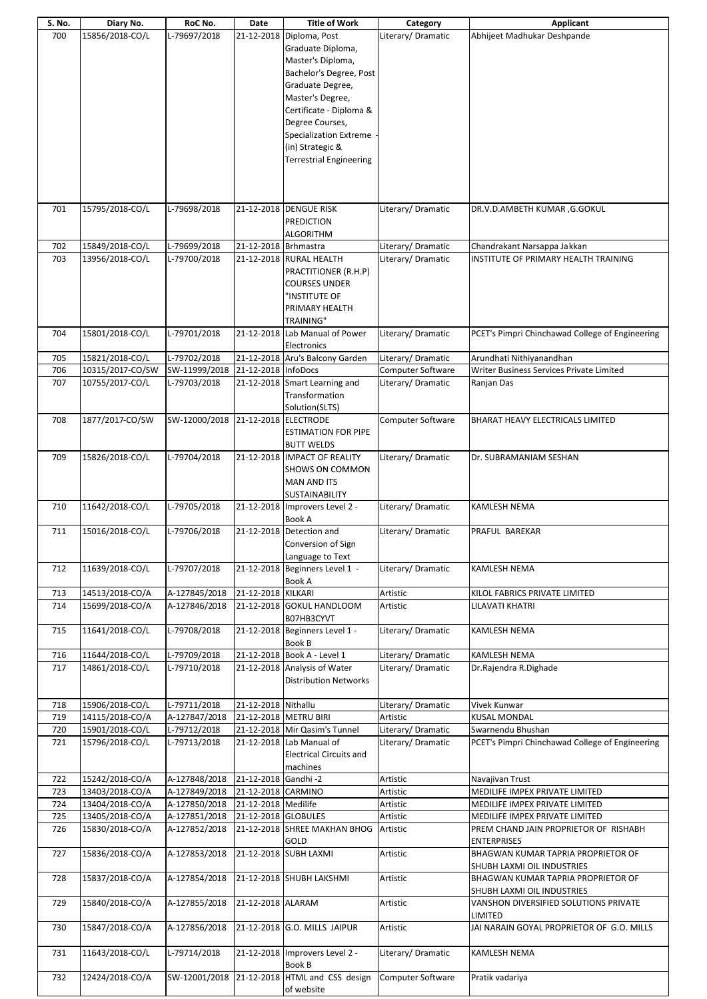| S. No. | Diary No.        | RoC No.       | Date                 | <b>Title of Work</b>            | Category           | Applicant                                       |
|--------|------------------|---------------|----------------------|---------------------------------|--------------------|-------------------------------------------------|
| 700    | 15856/2018-CO/L  | L-79697/2018  | 21-12-2018           | Diploma, Post                   | Literary/ Dramatic | Abhijeet Madhukar Deshpande                     |
|        |                  |               |                      | Graduate Diploma,               |                    |                                                 |
|        |                  |               |                      |                                 |                    |                                                 |
|        |                  |               |                      | Master's Diploma,               |                    |                                                 |
|        |                  |               |                      | Bachelor's Degree, Post         |                    |                                                 |
|        |                  |               |                      | Graduate Degree,                |                    |                                                 |
|        |                  |               |                      |                                 |                    |                                                 |
|        |                  |               |                      | Master's Degree,                |                    |                                                 |
|        |                  |               |                      | Certificate - Diploma &         |                    |                                                 |
|        |                  |               |                      | Degree Courses,                 |                    |                                                 |
|        |                  |               |                      |                                 |                    |                                                 |
|        |                  |               |                      | <b>Specialization Extreme</b>   |                    |                                                 |
|        |                  |               |                      | (in) Strategic &                |                    |                                                 |
|        |                  |               |                      | <b>Terrestrial Engineering</b>  |                    |                                                 |
|        |                  |               |                      |                                 |                    |                                                 |
|        |                  |               |                      |                                 |                    |                                                 |
|        |                  |               |                      |                                 |                    |                                                 |
|        |                  |               |                      |                                 |                    |                                                 |
|        |                  |               |                      |                                 |                    |                                                 |
| 701    | 15795/2018-CO/L  | L-79698/2018  |                      | 21-12-2018 DENGUE RISK          | Literary/Dramatic  | DR.V.D.AMBETH KUMAR, G.GOKUL                    |
|        |                  |               |                      | <b>PREDICTION</b>               |                    |                                                 |
|        |                  |               |                      | <b>ALGORITHM</b>                |                    |                                                 |
| 702    | 15849/2018-CO/L  | L-79699/2018  | 21-12-2018 Brhmastra |                                 | Literary/ Dramatic | Chandrakant Narsappa Jakkan                     |
| 703    | 13956/2018-CO/L  | L-79700/2018  |                      |                                 | Literary/ Dramatic | INSTITUTE OF PRIMARY HEALTH TRAINING            |
|        |                  |               |                      | 21-12-2018 RURAL HEALTH         |                    |                                                 |
|        |                  |               |                      | PRACTITIONER (R.H.P)            |                    |                                                 |
|        |                  |               |                      | <b>COURSES UNDER</b>            |                    |                                                 |
|        |                  |               |                      | 'INSTITUTE OF                   |                    |                                                 |
|        |                  |               |                      |                                 |                    |                                                 |
|        |                  |               |                      | PRIMARY HEALTH                  |                    |                                                 |
|        |                  |               |                      | TRAINING"                       |                    |                                                 |
| 704    | 15801/2018-CO/L  | L-79701/2018  |                      | 21-12-2018 Lab Manual of Power  | Literary/Dramatic  | PCET's Pimpri Chinchawad College of Engineering |
|        |                  |               |                      | Electronics                     |                    |                                                 |
|        |                  |               |                      |                                 |                    |                                                 |
| 705    | 15821/2018-CO/L  | L-79702/2018  |                      | 21-12-2018 Aru's Balcony Garden | Literary/Dramatic  | Arundhati Nithiyanandhan                        |
| 706    | 10315/2017-CO/SW | SW-11999/2018 | 21-12-2018 InfoDocs  |                                 | Computer Software  | Writer Business Services Private Limited        |
| 707    | 10755/2017-CO/L  | L-79703/2018  |                      | 21-12-2018 Smart Learning and   | Literary/Dramatic  | Ranjan Das                                      |
|        |                  |               |                      | Transformation                  |                    |                                                 |
|        |                  |               |                      |                                 |                    |                                                 |
|        |                  |               |                      | Solution(SLTS)                  |                    |                                                 |
| 708    | 1877/2017-CO/SW  | SW-12000/2018 |                      | 21-12-2018 ELECTRODE            | Computer Software  | BHARAT HEAVY ELECTRICALS LIMITED                |
|        |                  |               |                      | <b>ESTIMATION FOR PIPE</b>      |                    |                                                 |
|        |                  |               |                      |                                 |                    |                                                 |
|        |                  |               |                      | <b>BUTT WELDS</b>               |                    |                                                 |
| 709    | 15826/2018-CO/L  | L-79704/2018  |                      | 21-12-2018 IMPACT OF REALITY    | Literary/Dramatic  | Dr. SUBRAMANIAM SESHAN                          |
|        |                  |               |                      | <b>SHOWS ON COMMON</b>          |                    |                                                 |
|        |                  |               |                      | <b>MAN AND ITS</b>              |                    |                                                 |
|        |                  |               |                      |                                 |                    |                                                 |
|        |                  |               |                      | <b>SUSTAINABILITY</b>           |                    |                                                 |
| 710    | 11642/2018-CO/L  | L-79705/2018  |                      | 21-12-2018 Improvers Level 2 -  | Literary/Dramatic  | <b>KAMLESH NEMA</b>                             |
|        |                  |               |                      | <b>Book A</b>                   |                    |                                                 |
| 711    | 15016/2018-CO/L  | L-79706/2018  |                      | 21-12-2018 Detection and        | Literary/Dramatic  | PRAFUL BAREKAR                                  |
|        |                  |               |                      |                                 |                    |                                                 |
|        |                  |               |                      | Conversion of Sign              |                    |                                                 |
|        |                  |               |                      | Language to Text                |                    |                                                 |
| 712    | 11639/2018-CO/L  | L-79707/2018  |                      | 21-12-2018 Beginners Level 1 -  | Literary/Dramatic  | KAMLESH NEMA                                    |
|        |                  |               |                      | <b>Book A</b>                   |                    |                                                 |
|        |                  |               |                      |                                 |                    |                                                 |
| 713    | 14513/2018-CO/A  | A-127845/2018 | 21-12-2018 KILKARI   |                                 | Artistic           | KILOL FABRICS PRIVATE LIMITED                   |
| 714    | 15699/2018-CO/A  | A-127846/2018 |                      | 21-12-2018 GOKUL HANDLOOM       | Artistic           | <b>LILAVATI KHATRI</b>                          |
|        |                  |               |                      | B07HB3CYVT                      |                    |                                                 |
|        |                  | L-79708/2018  |                      |                                 | Literary/Dramatic  |                                                 |
| 715    | 11641/2018-CO/L  |               |                      | 21-12-2018 Beginners Level 1 -  |                    | KAMLESH NEMA                                    |
|        |                  |               |                      | <b>Book B</b>                   |                    |                                                 |
| 716    | 11644/2018-CO/L  | L-79709/2018  |                      | 21-12-2018 Book A - Level 1     | Literary/Dramatic  | <b>KAMLESH NEMA</b>                             |
| 717    | 14861/2018-CO/L  | L-79710/2018  |                      | 21-12-2018 Analysis of Water    | Literary/Dramatic  | Dr.Rajendra R.Dighade                           |
|        |                  |               |                      |                                 |                    |                                                 |
|        |                  |               |                      | <b>Distribution Networks</b>    |                    |                                                 |
|        |                  |               |                      |                                 |                    |                                                 |
| 718    | 15906/2018-CO/L  | L-79711/2018  | 21-12-2018 Nithallu  |                                 | Literary/ Dramatic | Vivek Kunwar                                    |
| 719    | 14115/2018-CO/A  | A-127847/2018 |                      | 21-12-2018 METRU BIRI           | Artistic           | <b>KUSAL MONDAL</b>                             |
|        |                  |               |                      |                                 |                    |                                                 |
| 720    | 15901/2018-CO/L  | L-79712/2018  |                      | 21-12-2018 Mir Qasim's Tunnel   | Literary/ Dramatic | Swarnendu Bhushan                               |
| 721    | 15796/2018-CO/L  | L-79713/2018  |                      | 21-12-2018 Lab Manual of        | Literary/Dramatic  | PCET's Pimpri Chinchawad College of Engineering |
|        |                  |               |                      | <b>Electrical Circuits and</b>  |                    |                                                 |
|        |                  |               |                      | machines                        |                    |                                                 |
|        |                  |               |                      |                                 |                    |                                                 |
| 722    | 15242/2018-CO/A  | A-127848/2018 | 21-12-2018 Gandhi-2  |                                 | Artistic           | Navajivan Trust                                 |
| 723    | 13403/2018-CO/A  | A-127849/2018 | 21-12-2018 CARMINO   |                                 | Artistic           | MEDILIFE IMPEX PRIVATE LIMITED                  |
| 724    | 13404/2018-CO/A  | A-127850/2018 | 21-12-2018 Medilife  |                                 | Artistic           | MEDILIFE IMPEX PRIVATE LIMITED                  |
|        |                  |               |                      |                                 |                    |                                                 |
| 725    | 13405/2018-CO/A  | A-127851/2018 | 21-12-2018 GLOBULES  |                                 | Artistic           | MEDILIFE IMPEX PRIVATE LIMITED                  |
| 726    | 15830/2018-CO/A  | A-127852/2018 |                      | 21-12-2018 SHREE MAKHAN BHOG    | Artistic           | PREM CHAND JAIN PROPRIETOR OF RISHABH           |
|        |                  |               |                      | GOLD                            |                    | <b>ENTERPRISES</b>                              |
| 727    | 15836/2018-CO/A  | A-127853/2018 |                      | 21-12-2018 SUBH LAXMI           | Artistic           | BHAGWAN KUMAR TAPRIA PROPRIETOR OF              |
|        |                  |               |                      |                                 |                    |                                                 |
|        |                  |               |                      |                                 |                    | SHUBH LAXMI OIL INDUSTRIES                      |
| 728    | 15837/2018-CO/A  | A-127854/2018 |                      | 21-12-2018 SHUBH LAKSHMI        | Artistic           | BHAGWAN KUMAR TAPRIA PROPRIETOR OF              |
|        |                  |               |                      |                                 |                    | SHUBH LAXMI OIL INDUSTRIES                      |
|        |                  |               |                      |                                 |                    |                                                 |
| 729    | 15840/2018-CO/A  | A-127855/2018 | 21-12-2018 ALARAM    |                                 | Artistic           | VANSHON DIVERSIFIED SOLUTIONS PRIVATE           |
|        |                  |               |                      |                                 |                    | LIMITED                                         |
| 730    | 15847/2018-CO/A  | A-127856/2018 |                      | 21-12-2018 G.O. MILLS JAIPUR    | Artistic           | JAI NARAIN GOYAL PROPRIETOR OF G.O. MILLS       |
|        |                  |               |                      |                                 |                    |                                                 |
|        |                  |               |                      |                                 |                    |                                                 |
| 731    | 11643/2018-CO/L  | L-79714/2018  |                      | 21-12-2018 Improvers Level 2 -  | Literary/Dramatic  | <b>KAMLESH NEMA</b>                             |
|        |                  |               |                      | Book B                          |                    |                                                 |
| 732    | 12424/2018-CO/A  | SW-12001/2018 |                      | 21-12-2018 HTML and CSS design  | Computer Software  | Pratik vadariya                                 |
|        |                  |               |                      | of website                      |                    |                                                 |
|        |                  |               |                      |                                 |                    |                                                 |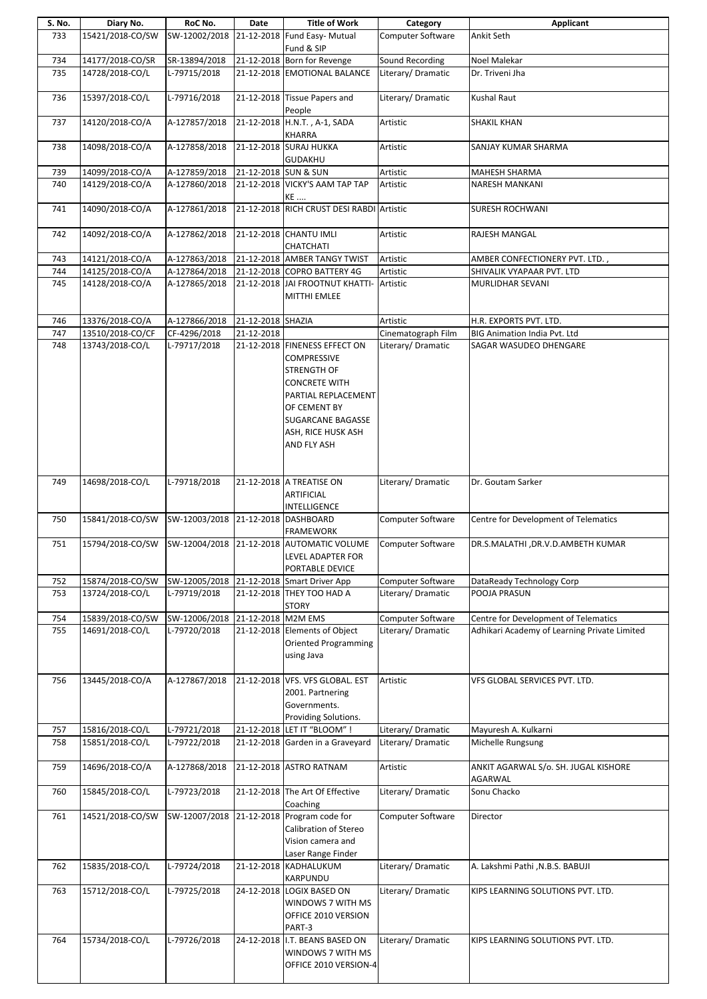| S. No. | Diary No.        | RoC No.       | Date                 | <b>Title of Work</b>                                                                                                                                                                        | Category                 | Applicant                                       |
|--------|------------------|---------------|----------------------|---------------------------------------------------------------------------------------------------------------------------------------------------------------------------------------------|--------------------------|-------------------------------------------------|
| 733    | 15421/2018-CO/SW | SW-12002/2018 |                      | 21-12-2018 Fund Easy- Mutual                                                                                                                                                                | Computer Software        | Ankit Seth                                      |
|        |                  |               |                      | Fund & SIP                                                                                                                                                                                  |                          |                                                 |
| 734    | 14177/2018-CO/SR | SR-13894/2018 |                      | 21-12-2018 Born for Revenge                                                                                                                                                                 | Sound Recording          | Noel Malekar                                    |
| 735    | 14728/2018-CO/L  | L-79715/2018  |                      | 21-12-2018 EMOTIONAL BALANCE                                                                                                                                                                | Literary/Dramatic        | Dr. Triveni Jha                                 |
| 736    | 15397/2018-CO/L  | L-79716/2018  |                      | 21-12-2018 Tissue Papers and<br>People                                                                                                                                                      | Literary/Dramatic        | Kushal Raut                                     |
| 737    | 14120/2018-CO/A  | A-127857/2018 |                      | 21-12-2018 H.N.T., A-1, SADA<br>KHARRA                                                                                                                                                      | Artistic                 | <b>SHAKIL KHAN</b>                              |
| 738    | 14098/2018-CO/A  | A-127858/2018 |                      | 21-12-2018 SURAJ HUKKA<br><b>GUDAKHU</b>                                                                                                                                                    | Artistic                 | SANJAY KUMAR SHARMA                             |
| 739    | 14099/2018-CO/A  | A-127859/2018 | 21-12-2018 SUN & SUN |                                                                                                                                                                                             | Artistic                 | MAHESH SHARMA                                   |
| 740    | 14129/2018-CO/A  | A-127860/2018 |                      | 21-12-2018 VICKY'S AAM TAP TAP<br>KE                                                                                                                                                        | Artistic                 | NARESH MANKANI                                  |
| 741    | 14090/2018-CO/A  | A-127861/2018 |                      | 21-12-2018 RICH CRUST DESI RABDI Artistic                                                                                                                                                   |                          | <b>SURESH ROCHWANI</b>                          |
| 742    | 14092/2018-CO/A  | A-127862/2018 |                      | 21-12-2018 CHANTU IMLI<br>CHATCHATI                                                                                                                                                         | Artistic                 | RAJESH MANGAL                                   |
| 743    | 14121/2018-CO/A  | A-127863/2018 |                      | 21-12-2018 AMBER TANGY TWIST                                                                                                                                                                | Artistic                 | AMBER CONFECTIONERY PVT. LTD.,                  |
| 744    | 14125/2018-CO/A  | A-127864/2018 |                      | 21-12-2018 COPRO BATTERY 4G                                                                                                                                                                 | Artistic                 | SHIVALIK VYAPAAR PVT. LTD                       |
| 745    | 14128/2018-CO/A  | A-127865/2018 |                      | 21-12-2018 JAI FROOTNUT KHATTI-<br>MITTHI EMLEE                                                                                                                                             | Artistic                 | MURLIDHAR SEVANI                                |
| 746    | 13376/2018-CO/A  | A-127866/2018 | 21-12-2018 SHAZIA    |                                                                                                                                                                                             | Artistic                 | H.R. EXPORTS PVT. LTD.                          |
| 747    | 13510/2018-CO/CF | CF-4296/2018  | 21-12-2018           |                                                                                                                                                                                             | Cinematograph Film       | <b>BIG Animation India Pvt. Ltd</b>             |
| 748    | 13743/2018-CO/L  | L-79717/2018  |                      | 21-12-2018 FINENESS EFFECT ON<br><b>COMPRESSIVE</b><br>STRENGTH OF<br><b>CONCRETE WITH</b><br>PARTIAL REPLACEMENT<br>OF CEMENT BY<br>SUGARCANE BAGASSE<br>ASH, RICE HUSK ASH<br>AND FLY ASH | Literary/ Dramatic       | SAGAR WASUDEO DHENGARE                          |
| 749    | 14698/2018-CO/L  | L-79718/2018  |                      | 21-12-2018 A TREATISE ON<br>ARTIFICIAL<br>INTELLIGENCE                                                                                                                                      | Literary/Dramatic        | Dr. Goutam Sarker                               |
| 750    | 15841/2018-CO/SW | SW-12003/2018 |                      | 21-12-2018 DASHBOARD<br><b>FRAMEWORK</b>                                                                                                                                                    | Computer Software        | Centre for Development of Telematics            |
| 751    | 15794/2018-CO/SW |               |                      | SW-12004/2018 21-12-2018 AUTOMATIC VOLUME<br>LEVEL ADAPTER FOR<br>PORTABLE DEVICE                                                                                                           | <b>Computer Software</b> | DR.S.MALATHI , DR.V.D.AMBETH KUMAR              |
| 752    | 15874/2018-CO/SW |               |                      | SW-12005/2018 21-12-2018 Smart Driver App                                                                                                                                                   | Computer Software        | DataReady Technology Corp                       |
| 753    | 13724/2018-CO/L  | L-79719/2018  |                      | 21-12-2018 THEY TOO HAD A<br><b>STORY</b>                                                                                                                                                   | Literary/Dramatic        | POOJA PRASUN                                    |
| 754    | 15839/2018-CO/SW | SW-12006/2018 | 21-12-2018 M2M EMS   |                                                                                                                                                                                             | Computer Software        | Centre for Development of Telematics            |
| 755    | 14691/2018-CO/L  | L-79720/2018  |                      | 21-12-2018 Elements of Object<br><b>Oriented Programming</b><br>using Java                                                                                                                  | Literary/ Dramatic       | Adhikari Academy of Learning Private Limited    |
| 756    | 13445/2018-CO/A  | A-127867/2018 |                      | 21-12-2018 VFS. VFS GLOBAL. EST<br>2001. Partnering<br>Governments.<br>Providing Solutions.                                                                                                 | Artistic                 | VFS GLOBAL SERVICES PVT. LTD.                   |
| 757    | 15816/2018-CO/L  | L-79721/2018  |                      | 21-12-2018 LET IT "BLOOM" !                                                                                                                                                                 | Literary/ Dramatic       | Mayuresh A. Kulkarni                            |
| 758    | 15851/2018-CO/L  | L-79722/2018  |                      | 21-12-2018 Garden in a Graveyard                                                                                                                                                            | Literary/Dramatic        | Michelle Rungsung                               |
| 759    | 14696/2018-CO/A  | A-127868/2018 |                      | 21-12-2018 ASTRO RATNAM                                                                                                                                                                     | Artistic                 | ANKIT AGARWAL S/o. SH. JUGAL KISHORE<br>AGARWAL |
| 760    | 15845/2018-CO/L  | L-79723/2018  |                      | 21-12-2018 The Art Of Effective<br>Coaching                                                                                                                                                 | Literary/Dramatic        | Sonu Chacko                                     |
| 761    | 14521/2018-CO/SW | SW-12007/2018 |                      | 21-12-2018 Program code for<br>Calibration of Stereo<br>Vision camera and<br>Laser Range Finder                                                                                             | Computer Software        | Director                                        |
| 762    | 15835/2018-CO/L  | L-79724/2018  |                      | 21-12-2018 KADHALUKUM<br>KARPUNDU                                                                                                                                                           | Literary/Dramatic        | A. Lakshmi Pathi , N.B.S. BABUJI                |
| 763    | 15712/2018-CO/L  | L-79725/2018  |                      | 24-12-2018 LOGIX BASED ON<br>WINDOWS 7 WITH MS<br>OFFICE 2010 VERSION<br>PART-3                                                                                                             | Literary/ Dramatic       | KIPS LEARNING SOLUTIONS PVT. LTD.               |
| 764    | 15734/2018-CO/L  | L-79726/2018  |                      | 24-12-2018 I.T. BEANS BASED ON<br>WINDOWS 7 WITH MS<br>OFFICE 2010 VERSION-4                                                                                                                | Literary/Dramatic        | KIPS LEARNING SOLUTIONS PVT. LTD.               |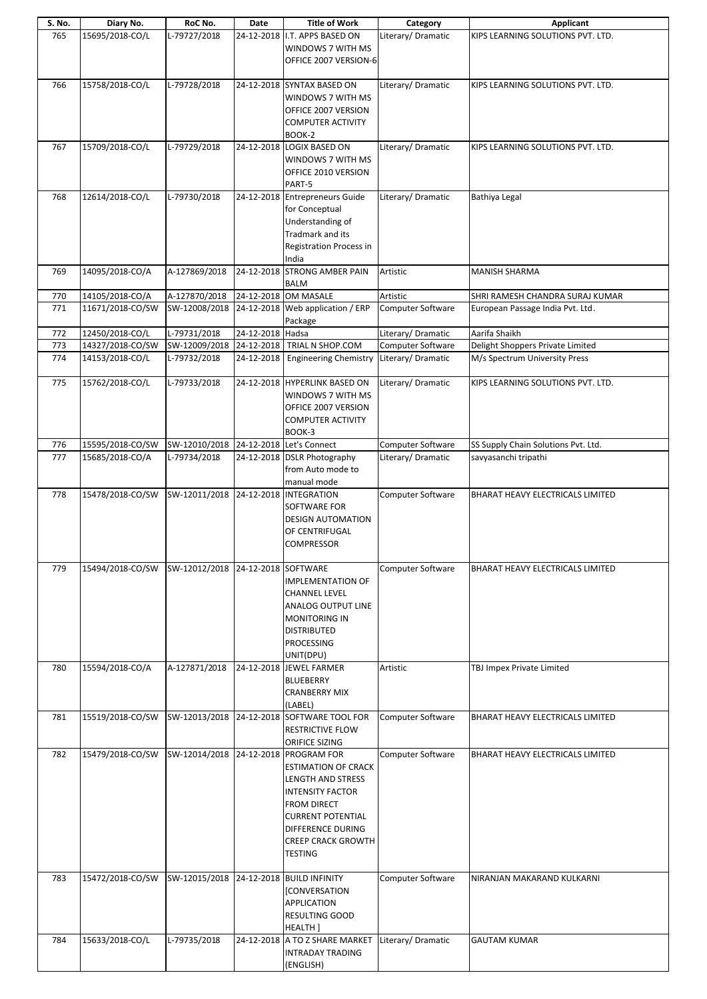| S. No. | Diary No.        | RoC No.                                 | Date             | <b>Title of Work</b>                                                                                                                                                                                         | Category                 | <b>Applicant</b>                    |
|--------|------------------|-----------------------------------------|------------------|--------------------------------------------------------------------------------------------------------------------------------------------------------------------------------------------------------------|--------------------------|-------------------------------------|
| 765    | 15695/2018-CO/L  | L-79727/2018                            |                  | 24-12-2018 I.T. APPS BASED ON<br>WINDOWS 7 WITH MS<br>OFFICE 2007 VERSION-6                                                                                                                                  | Literary/ Dramatic       | KIPS LEARNING SOLUTIONS PVT. LTD.   |
| 766    | 15758/2018-CO/L  | L-79728/2018                            |                  | 24-12-2018 SYNTAX BASED ON<br>WINDOWS 7 WITH MS<br>OFFICE 2007 VERSION<br><b>COMPUTER ACTIVITY</b><br>BOOK-2                                                                                                 | Literary/ Dramatic       | KIPS LEARNING SOLUTIONS PVT. LTD.   |
| 767    | 15709/2018-CO/L  | L-79729/2018                            |                  | 24-12-2018 LOGIX BASED ON<br>WINDOWS 7 WITH MS<br>OFFICE 2010 VERSION<br>PART-5                                                                                                                              | Literary/Dramatic        | KIPS LEARNING SOLUTIONS PVT. LTD.   |
| 768    | 12614/2018-CO/L  | L-79730/2018                            |                  | 24-12-2018 Entrepreneurs Guide<br>for Conceptual<br>Understanding of<br>Tradmark and its<br><b>Registration Process in</b><br>India                                                                          | Literary/Dramatic        | Bathiya Legal                       |
| 769    | 14095/2018-CO/A  | A-127869/2018                           | 24-12-2018       | <b>STRONG AMBER PAIN</b><br><b>BALM</b>                                                                                                                                                                      | Artistic                 | MANISH SHARMA                       |
| 770    | 14105/2018-CO/A  | A-127870/2018                           |                  | 24-12-2018 OM MASALE                                                                                                                                                                                         | Artistic                 | SHRI RAMESH CHANDRA SURAJ KUMAR     |
| 771    | 11671/2018-CO/SW | SW-12008/2018                           |                  | 24-12-2018 Web application / ERP<br>Package                                                                                                                                                                  | Computer Software        | European Passage India Pvt. Ltd.    |
| 772    | 12450/2018-CO/L  | L-79731/2018                            | 24-12-2018 Hadsa |                                                                                                                                                                                                              | Literary/Dramatic        | Aarifa Shaikh                       |
| 773    | 14327/2018-CO/SW |                                         |                  | SW-12009/2018 24-12-2018 TRIAL N SHOP.COM                                                                                                                                                                    | Computer Software        | Delight Shoppers Private Limited    |
| 774    | 14153/2018-CO/L  | L-79732/2018                            | 24-12-2018       | <b>Engineering Chemistry</b>                                                                                                                                                                                 | Literary/Dramatic        | M/s Spectrum University Press       |
| 775    | 15762/2018-CO/L  | L-79733/2018                            |                  | 24-12-2018 HYPERLINK BASED ON<br>WINDOWS 7 WITH MS<br>OFFICE 2007 VERSION<br><b>COMPUTER ACTIVITY</b><br>BOOK-3                                                                                              | Literary/Dramatic        | KIPS LEARNING SOLUTIONS PVT. LTD.   |
| 776    | 15595/2018-CO/SW | SW-12010/2018 24-12-2018 Let's Connect  |                  |                                                                                                                                                                                                              | Computer Software        | SS Supply Chain Solutions Pvt. Ltd. |
| 777    | 15685/2018-CO/A  | L-79734/2018                            |                  | 24-12-2018 DSLR Photography<br>from Auto mode to<br>manual mode                                                                                                                                              | Literary/Dramatic        | savyasanchi tripathi                |
| 778    | 15478/2018-CO/SW | SW-12011/2018                           |                  | 24-12-2018 INTEGRATION<br>SOFTWARE FOR<br><b>DESIGN AUTOMATION</b><br>OF CENTRIFUGAL<br><b>COMPRESSOR</b>                                                                                                    | Computer Software        | BHARAT HEAVY ELECTRICALS LIMITED    |
| 779    | 15494/2018-CO/SW | SW-12012/2018 24-12-2018 SOFTWARE       |                  | <b>IMPLEMENTATION OF</b><br><b>CHANNEL LEVEL</b><br>ANALOG OUTPUT LINE<br><b>MONITORING IN</b><br><b>DISTRIBUTED</b><br>PROCESSING<br>UNIT(DPU)                                                              | <b>Computer Software</b> | BHARAT HEAVY ELECTRICALS LIMITED    |
| 780    | 15594/2018-CO/A  | A-127871/2018                           |                  | 24-12-2018 JEWEL FARMER<br><b>BLUEBERRY</b><br><b>CRANBERRY MIX</b><br>(LABEL)                                                                                                                               | Artistic                 | TBJ Impex Private Limited           |
| 781    | 15519/2018-CO/SW |                                         |                  | SW-12013/2018 24-12-2018 SOFTWARE TOOL FOR<br><b>RESTRICTIVE FLOW</b><br>ORIFICE SIZING                                                                                                                      | Computer Software        | BHARAT HEAVY ELECTRICALS LIMITED    |
| 782    | 15479/2018-CO/SW | SW-12014/2018                           |                  | 24-12-2018 PROGRAM FOR<br><b>ESTIMATION OF CRACK</b><br>LENGTH AND STRESS<br><b>INTENSITY FACTOR</b><br>FROM DIRECT<br><b>CURRENT POTENTIAL</b><br>DIFFERENCE DURING<br><b>CREEP CRACK GROWTH</b><br>TESTING | Computer Software        | BHARAT HEAVY ELECTRICALS LIMITED    |
| 783    | 15472/2018-CO/SW | SW-12015/2018 24-12-2018 BUILD INFINITY |                  | [CONVERSATION<br>APPLICATION<br>RESULTING GOOD<br>HEALTH ]                                                                                                                                                   | Computer Software        | NIRANJAN MAKARAND KULKARNI          |
| 784    | 15633/2018-CO/L  | L-79735/2018                            |                  | 24-12-2018 A TO Z SHARE MARKET                                                                                                                                                                               | Literary/Dramatic        | <b>GAUTAM KUMAR</b>                 |
|        |                  |                                         |                  | <b>INTRADAY TRADING</b><br>(ENGLISH)                                                                                                                                                                         |                          |                                     |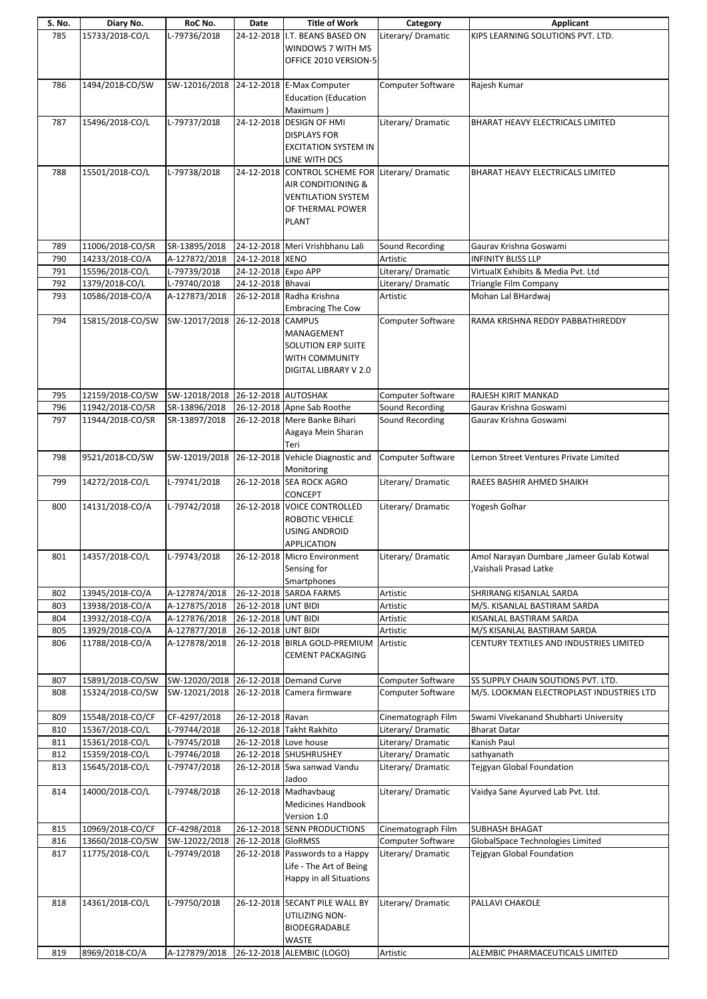| S. No. | Diary No.        | RoC No.                               | Date                  | <b>Title of Work</b>                    | Category           | <b>Applicant</b>                          |
|--------|------------------|---------------------------------------|-----------------------|-----------------------------------------|--------------------|-------------------------------------------|
| 785    | 15733/2018-CO/L  | L-79736/2018                          |                       | 24-12-2018 I.T. BEANS BASED ON          | Literary/Dramatic  | KIPS LEARNING SOLUTIONS PVT. LTD.         |
|        |                  |                                       |                       | WINDOWS 7 WITH MS                       |                    |                                           |
|        |                  |                                       |                       |                                         |                    |                                           |
|        |                  |                                       |                       | OFFICE 2010 VERSION-5                   |                    |                                           |
|        |                  |                                       |                       |                                         |                    |                                           |
| 786    | 1494/2018-CO/SW  |                                       |                       | SW-12016/2018 24-12-2018 E-Max Computer | Computer Software  | Rajesh Kumar                              |
|        |                  |                                       |                       |                                         |                    |                                           |
|        |                  |                                       |                       | <b>Education (Education</b>             |                    |                                           |
|        |                  |                                       |                       | Maximum)                                |                    |                                           |
| 787    | 15496/2018-CO/L  | L-79737/2018                          |                       | 24-12-2018 DESIGN OF HMI                | Literary/Dramatic  | BHARAT HEAVY ELECTRICALS LIMITED          |
|        |                  |                                       |                       |                                         |                    |                                           |
|        |                  |                                       |                       | <b>DISPLAYS FOR</b>                     |                    |                                           |
|        |                  |                                       |                       | <b>EXCITATION SYSTEM IN</b>             |                    |                                           |
|        |                  |                                       |                       | LINE WITH DCS                           |                    |                                           |
|        |                  |                                       |                       |                                         |                    |                                           |
| 788    | 15501/2018-CO/L  | L-79738/2018                          |                       | 24-12-2018 CONTROL SCHEME FOR           | Literary/Dramatic  | BHARAT HEAVY ELECTRICALS LIMITED          |
|        |                  |                                       |                       | AIR CONDITIONING &                      |                    |                                           |
|        |                  |                                       |                       |                                         |                    |                                           |
|        |                  |                                       |                       | <b>VENTILATION SYSTEM</b>               |                    |                                           |
|        |                  |                                       |                       | OF THERMAL POWER                        |                    |                                           |
|        |                  |                                       |                       | PLANT                                   |                    |                                           |
|        |                  |                                       |                       |                                         |                    |                                           |
|        |                  |                                       |                       |                                         |                    |                                           |
| 789    | 11006/2018-CO/SR | SR-13895/2018                         |                       | 24-12-2018 Meri Vrishbhanu Lali         | Sound Recording    | Gaurav Krishna Goswami                    |
| 790    | 14233/2018-CO/A  | A-127872/2018                         | 24-12-2018 XENO       |                                         | Artistic           | <b>INFINITY BLISS LLP</b>                 |
|        |                  |                                       |                       |                                         |                    |                                           |
| 791    | 15596/2018-CO/L  | L-79739/2018                          | 24-12-2018 Expo APP   |                                         | Literary/Dramatic  | VirtualX Exhibits & Media Pvt. Ltd        |
| 792    | 1379/2018-CO/L   | L-79740/2018                          | 24-12-2018 Bhavai     |                                         | Literary/ Dramatic | Triangle Film Company                     |
| 793    | 10586/2018-CO/A  | A-127873/2018                         |                       | 26-12-2018 Radha Krishna                | Artistic           | Mohan Lal BHardwaj                        |
|        |                  |                                       |                       |                                         |                    |                                           |
|        |                  |                                       |                       | <b>Embracing The Cow</b>                |                    |                                           |
| 794    | 15815/2018-CO/SW | SW-12017/2018                         | 26-12-2018 CAMPUS     |                                         | Computer Software  | RAMA KRISHNA REDDY PABBATHIREDDY          |
|        |                  |                                       |                       |                                         |                    |                                           |
|        |                  |                                       |                       | MANAGEMENT                              |                    |                                           |
|        |                  |                                       |                       | <b>SOLUTION ERP SUITE</b>               |                    |                                           |
|        |                  |                                       |                       | WITH COMMUNITY                          |                    |                                           |
|        |                  |                                       |                       |                                         |                    |                                           |
|        |                  |                                       |                       | DIGITAL LIBRARY V 2.0                   |                    |                                           |
|        |                  |                                       |                       |                                         |                    |                                           |
| 795    | 12159/2018-CO/SW | SW-12018/2018 26-12-2018 AUTOSHAK     |                       |                                         | Computer Software  | RAJESH KIRIT MANKAD                       |
|        |                  |                                       |                       |                                         |                    |                                           |
| 796    | 11942/2018-CO/SR | SR-13896/2018                         |                       | 26-12-2018 Apne Sab Roothe              | Sound Recording    | Gaurav Krishna Goswami                    |
| 797    | 11944/2018-CO/SR | SR-13897/2018                         |                       | 26-12-2018 Mere Banke Bihari            | Sound Recording    | Gaurav Krishna Goswami                    |
|        |                  |                                       |                       | Aagaya Mein Sharan                      |                    |                                           |
|        |                  |                                       |                       |                                         |                    |                                           |
|        |                  |                                       |                       | Teri                                    |                    |                                           |
| 798    | 9521/2018-CO/SW  | SW-12019/2018                         | 26-12-2018            | Vehicle Diagnostic and                  | Computer Software  | Lemon Street Ventures Private Limited     |
|        |                  |                                       |                       | Monitoring                              |                    |                                           |
|        |                  |                                       |                       |                                         |                    |                                           |
| 799    | 14272/2018-CO/L  | L-79741/2018                          |                       | 26-12-2018 SEA ROCK AGRO                | Literary/ Dramatic | RAEES BASHIR AHMED SHAIKH                 |
|        |                  |                                       |                       | <b>CONCEPT</b>                          |                    |                                           |
| 800    | 14131/2018-CO/A  | L-79742/2018                          | 26-12-2018            | <b>VOICE CONTROLLED</b>                 | Literary/Dramatic  | Yogesh Golhar                             |
|        |                  |                                       |                       |                                         |                    |                                           |
|        |                  |                                       |                       | ROBOTIC VEHICLE                         |                    |                                           |
|        |                  |                                       |                       | <b>USING ANDROID</b>                    |                    |                                           |
|        |                  |                                       |                       |                                         |                    |                                           |
|        |                  |                                       |                       | <b>APPLICATION</b>                      |                    |                                           |
| 801    | 14357/2018-CO/L  | L-79743/2018                          |                       | 26-12-2018 Micro Environment            | Literary/Dramatic  | Amol Narayan Dumbare, Jameer Gulab Kotwal |
|        |                  |                                       |                       | Sensing for                             |                    | Vaishali Prasad Latke                     |
|        |                  |                                       |                       |                                         |                    |                                           |
|        |                  |                                       |                       | Smartphones                             |                    |                                           |
| 802    | 13945/2018-CO/A  | A-127874/2018                         |                       | 26-12-2018 SARDA FARMS                  | Artistic           | SHRIRANG KISANLAL SARDA                   |
| 803    | 13938/2018-CO/A  | A-127875/2018                         | 26-12-2018 UNT BIDI   |                                         | Artistic           | M/S. KISANLAL BASTIRAM SARDA              |
|        |                  |                                       |                       |                                         |                    |                                           |
| 804    | 13932/2018-CO/A  | A-127876/2018                         | 26-12-2018 UNT BIDI   |                                         | Artistic           | KISANLAL BASTIRAM SARDA                   |
| 805    | 13929/2018-CO/A  | A-127877/2018                         | 26-12-2018 UNT BIDI   |                                         | Artistic           | M/S KISANLAL BASTIRAM SARDA               |
|        |                  |                                       |                       |                                         | Artistic           |                                           |
| 806    | 11788/2018-CO/A  | A-127878/2018                         |                       | 26-12-2018 BIRLA GOLD-PREMIUM           |                    | CENTURY TEXTILES AND INDUSTRIES LIMITED   |
|        |                  |                                       |                       | <b>CEMENT PACKAGING</b>                 |                    |                                           |
|        |                  |                                       |                       |                                         |                    |                                           |
|        |                  |                                       |                       |                                         |                    |                                           |
| 807    | 15891/2018-CO/SW | SW-12020/2018 26-12-2018 Demand Curve |                       |                                         | Computer Software  | SS SUPPLY CHAIN SOUTIONS PVT. LTD.        |
| 808    | 15324/2018-CO/SW | SW-12021/2018                         |                       | 26-12-2018 Camera firmware              | Computer Software  | M/S. LOOKMAN ELECTROPLAST INDUSTRIES LTD  |
|        |                  |                                       |                       |                                         |                    |                                           |
| 809    | 15548/2018-CO/CF | CF-4297/2018                          | 26-12-2018 Ravan      |                                         | Cinematograph Film | Swami Vivekanand Shubharti University     |
|        |                  |                                       |                       |                                         |                    |                                           |
| 810    | 15367/2018-CO/L  | L-79744/2018                          |                       | 26-12-2018 Takht Rakhito                | Literary/Dramatic  | <b>Bharat Datar</b>                       |
| 811    | 15361/2018-CO/L  | L-79745/2018                          | 26-12-2018 Love house |                                         | Literary/ Dramatic | Kanish Paul                               |
| 812    | 15359/2018-CO/L  | L-79746/2018                          |                       | 26-12-2018 SHUSHRUSHEY                  | Literary/Dramatic  | sathyanath                                |
|        |                  |                                       |                       |                                         |                    |                                           |
| 813    | 15645/2018-CO/L  | L-79747/2018                          |                       | 26-12-2018 Swa sanwad Vandu             | Literary/Dramatic  | Tejgyan Global Foundation                 |
|        |                  |                                       |                       | Jadoo                                   |                    |                                           |
| 814    | 14000/2018-CO/L  | L-79748/2018                          | 26-12-2018            | Madhavbaug                              | Literary/Dramatic  | Vaidya Sane Ayurved Lab Pvt. Ltd.         |
|        |                  |                                       |                       |                                         |                    |                                           |
|        |                  |                                       |                       | <b>Medicines Handbook</b>               |                    |                                           |
|        |                  |                                       |                       | Version 1.0                             |                    |                                           |
|        |                  |                                       |                       |                                         |                    |                                           |
| 815    | 10969/2018-CO/CF | CF-4298/2018                          |                       | 26-12-2018 SENN PRODUCTIONS             | Cinematograph Film | <b>SUBHASH BHAGAT</b>                     |
| 816    | 13660/2018-CO/SW | SW-12022/2018                         | 26-12-2018 GloRMSS    |                                         | Computer Software  | GlobalSpace Technologies Limited          |
| 817    | 11775/2018-CO/L  | L-79749/2018                          |                       | 26-12-2018 Passwords to a Happy         | Literary/ Dramatic | Tejgyan Global Foundation                 |
|        |                  |                                       |                       |                                         |                    |                                           |
|        |                  |                                       |                       | Life - The Art of Being                 |                    |                                           |
|        |                  |                                       |                       | Happy in all Situations                 |                    |                                           |
|        |                  |                                       |                       |                                         |                    |                                           |
|        |                  |                                       |                       |                                         |                    |                                           |
| 818    | 14361/2018-CO/L  | L-79750/2018                          |                       | 26-12-2018 SECANT PILE WALL BY          | Literary/Dramatic  | PALLAVI CHAKOLE                           |
|        |                  |                                       |                       | UTILIZING NON-                          |                    |                                           |
|        |                  |                                       |                       |                                         |                    |                                           |
|        |                  |                                       |                       | BIODEGRADABLE                           |                    |                                           |
|        |                  |                                       |                       | <b>WASTE</b>                            |                    |                                           |
| 819    | 8969/2018-CO/A   | A-127879/2018                         |                       | 26-12-2018 ALEMBIC (LOGO)               | Artistic           | ALEMBIC PHARMACEUTICALS LIMITED           |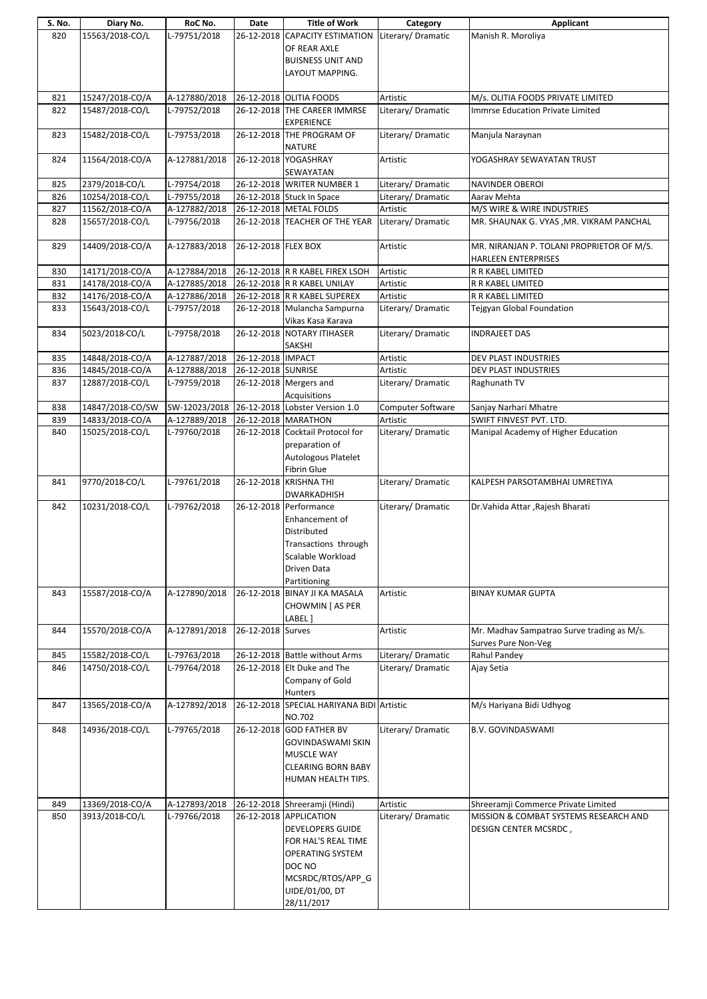| S. No.     | Diary No.                          | RoC No.                       | Date                | <b>Title of Work</b>                                                                                                                                        | Category                      | Applicant                                                               |
|------------|------------------------------------|-------------------------------|---------------------|-------------------------------------------------------------------------------------------------------------------------------------------------------------|-------------------------------|-------------------------------------------------------------------------|
| 820        | 15563/2018-CO/L                    | L-79751/2018                  |                     | 26-12-2018 CAPACITY ESTIMATION<br>OF REAR AXLE<br><b>BUISNESS UNIT AND</b><br>LAYOUT MAPPING.                                                               | Literary/Dramatic             | Manish R. Moroliya                                                      |
| 821        | 15247/2018-CO/A                    | A-127880/2018                 |                     | 26-12-2018 OLITIA FOODS                                                                                                                                     | Artistic                      | M/s. OLITIA FOODS PRIVATE LIMITED                                       |
| 822        | 15487/2018-CO/L                    | L-79752/2018                  |                     | 26-12-2018 THE CAREER IMMRSE<br><b>EXPERIENCE</b>                                                                                                           | Literary/Dramatic             | <b>Immrse Education Private Limited</b>                                 |
| 823        | 15482/2018-CO/L                    | L-79753/2018                  |                     | 26-12-2018 THE PROGRAM OF<br><b>NATURE</b>                                                                                                                  | Literary/Dramatic             | Manjula Naraynan                                                        |
| 824        | 11564/2018-CO/A                    | A-127881/2018                 |                     | 26-12-2018 YOGASHRAY<br>SEWAYATAN                                                                                                                           | Artistic                      | YOGASHRAY SEWAYATAN TRUST                                               |
| 825        | 2379/2018-CO/L                     | L-79754/2018                  |                     | 26-12-2018 WRITER NUMBER 1                                                                                                                                  | Literary/Dramatic             | NAVINDER OBEROI                                                         |
| 826        | 10254/2018-CO/L                    | L-79755/2018                  |                     | 26-12-2018 Stuck In Space                                                                                                                                   | Literary/Dramatic             | Aarav Mehta                                                             |
| 827        | 11562/2018-CO/A                    | A-127882/2018                 |                     | 26-12-2018 METAL FOLDS                                                                                                                                      | Artistic                      | M/S WIRE & WIRE INDUSTRIES                                              |
| 828        | 15657/2018-CO/L                    | L-79756/2018                  |                     | 26-12-2018 TEACHER OF THE YEAR                                                                                                                              | Literary/Dramatic             | MR. SHAUNAK G. VYAS , MR. VIKRAM PANCHAL                                |
| 829        | 14409/2018-CO/A                    | A-127883/2018                 | 26-12-2018 FLEX BOX |                                                                                                                                                             | Artistic                      | MR. NIRANJAN P. TOLANI PROPRIETOR OF M/S.<br><b>HARLEEN ENTERPRISES</b> |
| 830        | 14171/2018-CO/A                    | A-127884/2018                 |                     | 26-12-2018 R R KABEL FIREX LSOH                                                                                                                             | Artistic                      | R R KABEL LIMITED                                                       |
| 831        | 14178/2018-CO/A<br>14176/2018-CO/A | A-127885/2018                 |                     | 26-12-2018 R R KABEL UNILAY<br>26-12-2018 R R KABEL SUPEREX                                                                                                 | Artistic<br>Artistic          | R R KABEL LIMITED                                                       |
| 832<br>833 | 15643/2018-CO/L                    | A-127886/2018<br>L-79757/2018 |                     | 26-12-2018 Mulancha Sampurna                                                                                                                                | Literary/ Dramatic            | R R KABEL LIMITED<br>Tejgyan Global Foundation                          |
|            |                                    |                               |                     | Vikas Kasa Karava                                                                                                                                           |                               |                                                                         |
| 834        | 5023/2018-CO/L                     | L-79758/2018                  |                     | 26-12-2018 NOTARY ITIHASER<br>SAKSHI                                                                                                                        | Literary/Dramatic             | <b>INDRAJEET DAS</b>                                                    |
| 835        | 14848/2018-CO/A                    | A-127887/2018                 | 26-12-2018 IMPACT   |                                                                                                                                                             | Artistic                      | DEV PLAST INDUSTRIES                                                    |
| 836<br>837 | 14845/2018-CO/A<br>12887/2018-CO/L | A-127888/2018<br>L-79759/2018 | 26-12-2018 SUNRISE  | 26-12-2018 Mergers and                                                                                                                                      | Artistic<br>Literary/Dramatic | DEV PLAST INDUSTRIES<br>Raghunath TV                                    |
|            |                                    |                               |                     | Acquisitions                                                                                                                                                |                               |                                                                         |
| 838        | 14847/2018-CO/SW                   | SW-12023/2018                 |                     | 26-12-2018 Lobster Version 1.0                                                                                                                              | Computer Software             | Sanjay Narhari Mhatre                                                   |
| 839<br>840 | 14833/2018-CO/A<br>15025/2018-CO/L | A-127889/2018<br>L-79760/2018 |                     | 26-12-2018 MARATHON<br>26-12-2018 Cocktail Protocol for                                                                                                     | Artistic<br>Literary/Dramatic | SWIFT FINVEST PVT. LTD.<br>Manipal Academy of Higher Education          |
|            |                                    |                               |                     | preparation of<br>Autologous Platelet<br><b>Fibrin Glue</b>                                                                                                 |                               |                                                                         |
| 841        | 9770/2018-CO/L                     | L-79761/2018                  |                     | 26-12-2018 KRISHNA THI<br>DWARKADHISH                                                                                                                       | Literary/ Dramatic            | KALPESH PARSOTAMBHAI UMRETIYA                                           |
| 842        | 10231/2018-CO/L                    | L-79762/2018                  |                     | 26-12-2018 Performance<br>Enhancement of<br>Distributed<br>Transactions through<br>Scalable Workload<br>Driven Data<br>Partitioning                         | Literary/Dramatic             | Dr. Vahida Attar, Rajesh Bharati                                        |
| 843        | 15587/2018-CO/A                    | A-127890/2018                 |                     | 26-12-2018 BINAY JI KA MASALA<br>CHOWMIN [AS PER<br>LABEL ]                                                                                                 | Artistic                      | <b>BINAY KUMAR GUPTA</b>                                                |
| 844        | 15570/2018-CO/A                    | A-127891/2018                 | 26-12-2018 Surves   |                                                                                                                                                             | Artistic                      | Mr. Madhav Sampatrao Surve trading as M/s.<br>Surves Pure Non-Veg       |
| 845        | 15582/2018-CO/L                    | L-79763/2018                  |                     | 26-12-2018 Battle without Arms                                                                                                                              | Literary/Dramatic             | Rahul Pandey                                                            |
| 846        | 14750/2018-CO/L                    | L-79764/2018                  |                     | 26-12-2018 Elt Duke and The<br>Company of Gold<br>Hunters                                                                                                   | Literary/Dramatic             | Ajay Setia                                                              |
| 847        | 13565/2018-CO/A                    | A-127892/2018                 |                     | 26-12-2018 SPECIAL HARIYANA BIDI Artistic<br>NO.702                                                                                                         |                               | M/s Hariyana Bidi Udhyog                                                |
| 848        | 14936/2018-CO/L                    | L-79765/2018                  |                     | 26-12-2018 GOD FATHER BV<br>GOVINDASWAMI SKIN<br>MUSCLE WAY<br><b>CLEARING BORN BABY</b><br>HUMAN HEALTH TIPS.                                              | Literary/Dramatic             | <b>B.V. GOVINDASWAMI</b>                                                |
| 849        | 13369/2018-CO/A                    | A-127893/2018                 |                     | 26-12-2018 Shreeramji (Hindi)                                                                                                                               | Artistic                      | Shreeramji Commerce Private Limited                                     |
| 850        | 3913/2018-CO/L                     | L-79766/2018                  |                     | 26-12-2018 APPLICATION<br><b>DEVELOPERS GUIDE</b><br>FOR HAL'S REAL TIME<br>OPERATING SYSTEM<br>DOC NO<br>MCSRDC/RTOS/APP_G<br>UIDE/01/00, DT<br>28/11/2017 | Literary/Dramatic             | MISSION & COMBAT SYSTEMS RESEARCH AND<br>DESIGN CENTER MCSRDC,          |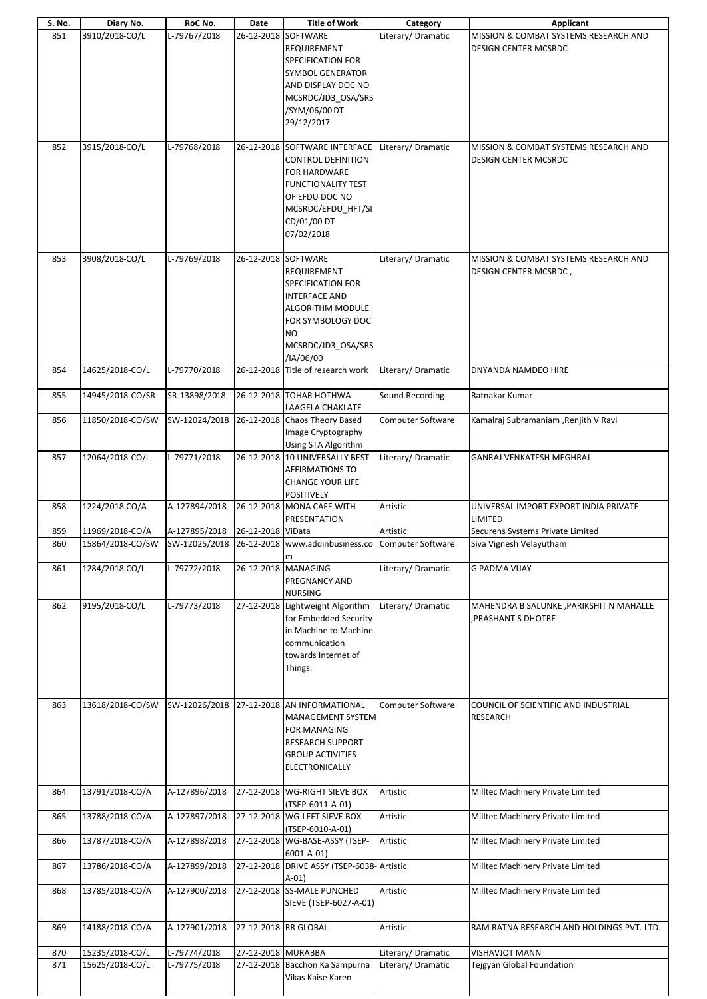| 851 | Diary No.        | RoC No.       | Date                 | <b>Title of Work</b>                                                                                                                                                         | Category                 | Applicant                                                             |
|-----|------------------|---------------|----------------------|------------------------------------------------------------------------------------------------------------------------------------------------------------------------------|--------------------------|-----------------------------------------------------------------------|
|     | 3910/2018-CO/L   | L-79767/2018  |                      | 26-12-2018 SOFTWARE<br>REQUIREMENT<br><b>SPECIFICATION FOR</b><br>SYMBOL GENERATOR<br>AND DISPLAY DOC NO<br>MCSRDC/JD3 OSA/SRS<br>/SYM/06/00 DT<br>29/12/2017                | Literary/Dramatic        | MISSION & COMBAT SYSTEMS RESEARCH AND<br><b>DESIGN CENTER MCSRDC</b>  |
| 852 | 3915/2018-CO/L   | L-79768/2018  |                      | 26-12-2018 SOFTWARE INTERFACE<br><b>CONTROL DEFINITION</b><br>FOR HARDWARE<br><b>FUNCTIONALITY TEST</b><br>OF EFDU DOC NO<br>MCSRDC/EFDU_HFT/SI<br>CD/01/00 DT<br>07/02/2018 | Literary/Dramatic        | MISSION & COMBAT SYSTEMS RESEARCH AND<br><b>DESIGN CENTER MCSRDC</b>  |
| 853 | 3908/2018-CO/L   | L-79769/2018  | 26-12-2018 SOFTWARE  | REQUIREMENT<br>SPECIFICATION FOR<br><b>INTERFACE AND</b><br><b>ALGORITHM MODULE</b><br>FOR SYMBOLOGY DOC<br><b>NO</b><br>MCSRDC/JD3 OSA/SRS<br>/IA/06/00                     | Literary/Dramatic        | MISSION & COMBAT SYSTEMS RESEARCH AND<br><b>DESIGN CENTER MCSRDC,</b> |
| 854 | 14625/2018-CO/L  | L-79770/2018  |                      | 26-12-2018 Title of research work                                                                                                                                            | Literary/Dramatic        | DNYANDA NAMDEO HIRE                                                   |
| 855 | 14945/2018-CO/SR | SR-13898/2018 |                      | 26-12-2018 TOHAR HOTHWA<br>LAAGELA CHAKLATE                                                                                                                                  | Sound Recording          | Ratnakar Kumar                                                        |
| 856 | 11850/2018-CO/SW | SW-12024/2018 |                      | 26-12-2018 Chaos Theory Based<br>Image Cryptography<br>Using STA Algorithm                                                                                                   | Computer Software        | Kamalraj Subramaniam , Renjith V Ravi                                 |
| 857 | 12064/2018-CO/L  | L-79771/2018  |                      | 26-12-2018 10 UNIVERSALLY BEST<br><b>AFFIRMATIONS TO</b><br><b>CHANGE YOUR LIFE</b><br><b>POSITIVELY</b>                                                                     | Literary/Dramatic        | GANRAJ VENKATESH MEGHRAJ                                              |
| 858 | 1224/2018-CO/A   | A-127894/2018 |                      | 26-12-2018 MONA CAFE WITH                                                                                                                                                    | Artistic                 | UNIVERSAL IMPORT EXPORT INDIA PRIVATE                                 |
|     |                  |               |                      | PRESENTATION                                                                                                                                                                 |                          | LIMITED                                                               |
| 859 | 11969/2018-CO/A  | A-127895/2018 | 26-12-2018 ViData    |                                                                                                                                                                              | Artistic                 | Securens Systems Private Limited                                      |
| 860 | 15864/2018-CO/SW | SW-12025/2018 |                      | 26-12-2018 www.addinbusiness.co<br>m                                                                                                                                         | <b>Computer Software</b> | Siva Vignesh Velayutham                                               |
| 861 | 1284/2018-CO/L   | L-79772/2018  |                      | 26-12-2018 MANAGING<br>PREGNANCY AND<br><b>NURSING</b>                                                                                                                       | Literary/Dramatic        | <b>G PADMA VIJAY</b>                                                  |
| 862 | 9195/2018-CO/L   | L-79773/2018  |                      | 27-12-2018 Lightweight Algorithm<br>for Embedded Security<br>in Machine to Machine<br>communication<br>towards Internet of<br>Things.                                        | Literary/ Dramatic       | MAHENDRA B SALUNKE , PARIKSHIT N MAHALLE<br>PRASHANT S DHOTRE         |
| 863 | 13618/2018-CO/SW | SW-12026/2018 |                      | 27-12-2018 AN INFORMATIONAL<br>MANAGEMENT SYSTEM<br><b>FOR MANAGING</b><br><b>RESEARCH SUPPORT</b><br><b>GROUP ACTIVITIES</b><br>ELECTRONICALLY                              | Computer Software        | COUNCIL OF SCIENTIFIC AND INDUSTRIAL<br><b>RESEARCH</b>               |
| 864 | 13791/2018-CO/A  | A-127896/2018 |                      | 27-12-2018 WG-RIGHT SIEVE BOX<br>(TSEP-6011-A-01)                                                                                                                            | Artistic                 | Milltec Machinery Private Limited                                     |
| 865 | 13788/2018-CO/A  | A-127897/2018 |                      | 27-12-2018 WG-LEFT SIEVE BOX<br>(TSEP-6010-A-01)                                                                                                                             | Artistic                 | Milltec Machinery Private Limited                                     |
| 866 | 13787/2018-CO/A  | A-127898/2018 |                      | 27-12-2018 WG-BASE-ASSY (TSEP-<br>6001-A-01)                                                                                                                                 | Artistic                 | Milltec Machinery Private Limited                                     |
| 867 | 13786/2018-CO/A  | A-127899/2018 |                      | 27-12-2018 DRIVE ASSY (TSEP-6038-Artistic<br>$A-01)$                                                                                                                         |                          | Milltec Machinery Private Limited                                     |
| 868 | 13785/2018-CO/A  | A-127900/2018 |                      | 27-12-2018 SS-MALE PUNCHED<br>SIEVE (TSEP-6027-A-01)                                                                                                                         | Artistic                 | Milltec Machinery Private Limited                                     |
| 869 | 14188/2018-CO/A  | A-127901/2018 | 27-12-2018 RR GLOBAL |                                                                                                                                                                              | Artistic                 | RAM RATNA RESEARCH AND HOLDINGS PVT. LTD.                             |
| 870 | 15235/2018-CO/L  | L-79774/2018  | 27-12-2018 MURABBA   |                                                                                                                                                                              | Literary/ Dramatic       | <b>VISHAVJOT MANN</b>                                                 |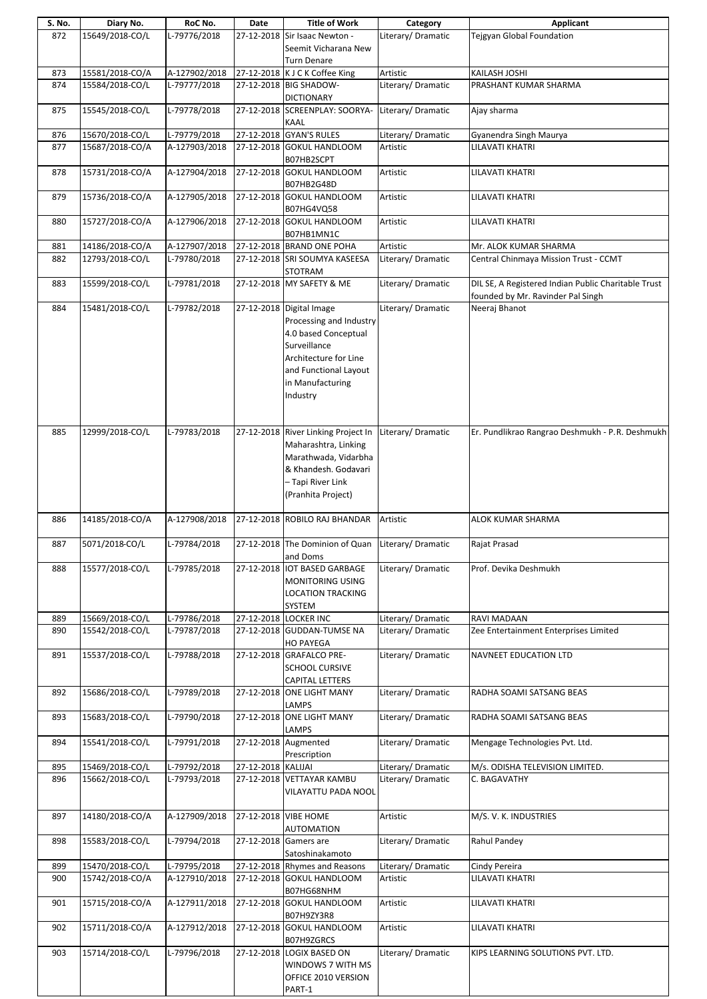| S. No. | Diary No.       | RoC No.       | Date               | <b>Title of Work</b>                | Category           | Applicant                                           |
|--------|-----------------|---------------|--------------------|-------------------------------------|--------------------|-----------------------------------------------------|
| 872    | 15649/2018-CO/L | L-79776/2018  |                    | 27-12-2018 Sir Isaac Newton -       | Literary/ Dramatic | <b>Tejgyan Global Foundation</b>                    |
|        |                 |               |                    | Seemit Vicharana New                |                    |                                                     |
|        |                 |               |                    | <b>Turn Denare</b>                  |                    |                                                     |
| 873    | 15581/2018-CO/A | A-127902/2018 |                    | 27-12-2018 K J C K Coffee King      | Artistic           | <b>KAILASH JOSHI</b>                                |
|        |                 |               |                    |                                     |                    |                                                     |
| 874    | 15584/2018-CO/L | L-79777/2018  |                    | 27-12-2018 BIG SHADOW-              | Literary/ Dramatic | PRASHANT KUMAR SHARMA                               |
|        |                 |               |                    | <b>DICTIONARY</b>                   |                    |                                                     |
| 875    | 15545/2018-CO/L | L-79778/2018  |                    | 27-12-2018 SCREENPLAY: SOORYA-      | Literary/Dramatic  | Ajay sharma                                         |
|        |                 |               |                    | <b>KAAL</b>                         |                    |                                                     |
| 876    | 15670/2018-CO/L | L-79779/2018  |                    | 27-12-2018 GYAN'S RULES             | Literary/Dramatic  | Gyanendra Singh Maurya                              |
| 877    | 15687/2018-CO/A | A-127903/2018 |                    | 27-12-2018 GOKUL HANDLOOM           | Artistic           | LILAVATI KHATRI                                     |
|        |                 |               |                    |                                     |                    |                                                     |
|        |                 |               |                    | B07HB2SCPT                          |                    |                                                     |
| 878    | 15731/2018-CO/A | A-127904/2018 |                    | 27-12-2018 GOKUL HANDLOOM           | Artistic           | LILAVATI KHATRI                                     |
|        |                 |               |                    | B07HB2G48D                          |                    |                                                     |
| 879    | 15736/2018-CO/A | A-127905/2018 |                    | 27-12-2018 GOKUL HANDLOOM           | Artistic           | LILAVATI KHATRI                                     |
|        |                 |               |                    | B07HG4VQ58                          |                    |                                                     |
| 880    | 15727/2018-CO/A | A-127906/2018 | 27-12-2018         | <b>GOKUL HANDLOOM</b>               | Artistic           | LILAVATI KHATRI                                     |
|        |                 |               |                    | B07HB1MN1C                          |                    |                                                     |
|        |                 |               |                    |                                     |                    |                                                     |
| 881    | 14186/2018-CO/A | A-127907/2018 |                    | 27-12-2018 BRAND ONE POHA           | Artistic           | Mr. ALOK KUMAR SHARMA                               |
| 882    | 12793/2018-CO/L | L-79780/2018  |                    | 27-12-2018 SRI SOUMYA KASEESA       | Literary/Dramatic  | Central Chinmaya Mission Trust - CCMT               |
|        |                 |               |                    | <b>STOTRAM</b>                      |                    |                                                     |
| 883    | 15599/2018-CO/L | L-79781/2018  |                    | 27-12-2018 MY SAFETY & ME           | Literary/Dramatic  | DIL SE, A Registered Indian Public Charitable Trust |
|        |                 |               |                    |                                     |                    | founded by Mr. Ravinder Pal Singh                   |
| 884    | 15481/2018-CO/L | L-79782/2018  |                    | 27-12-2018 Digital Image            | Literary/Dramatic  | Neeraj Bhanot                                       |
|        |                 |               |                    |                                     |                    |                                                     |
|        |                 |               |                    | Processing and Industry             |                    |                                                     |
|        |                 |               |                    | 4.0 based Conceptual                |                    |                                                     |
|        |                 |               |                    | Surveillance                        |                    |                                                     |
|        |                 |               |                    | Architecture for Line               |                    |                                                     |
|        |                 |               |                    | and Functional Layout               |                    |                                                     |
|        |                 |               |                    | in Manufacturing                    |                    |                                                     |
|        |                 |               |                    |                                     |                    |                                                     |
|        |                 |               |                    | Industry                            |                    |                                                     |
|        |                 |               |                    |                                     |                    |                                                     |
|        |                 |               |                    |                                     |                    |                                                     |
| 885    | 12999/2018-CO/L | L-79783/2018  |                    | 27-12-2018 River Linking Project In | Literary/Dramatic  | Er. Pundlikrao Rangrao Deshmukh - P.R. Deshmukh     |
|        |                 |               |                    | Maharashtra, Linking                |                    |                                                     |
|        |                 |               |                    | Marathwada, Vidarbha                |                    |                                                     |
|        |                 |               |                    |                                     |                    |                                                     |
|        |                 |               |                    | & Khandesh. Godavari                |                    |                                                     |
|        |                 |               |                    | - Tapi River Link                   |                    |                                                     |
|        |                 |               |                    | (Pranhita Project)                  |                    |                                                     |
|        |                 |               |                    |                                     |                    |                                                     |
| 886    | 14185/2018-CO/A | A-127908/2018 |                    | 27-12-2018 ROBILO RAJ BHANDAR       | Artistic           | ALOK KUMAR SHARMA                                   |
|        |                 |               |                    |                                     |                    |                                                     |
|        |                 |               |                    |                                     |                    |                                                     |
| 887    | 5071/2018-CO/L  | L-79784/2018  |                    | 27-12-2018 The Dominion of Quan     | Literary/Dramatic  | Rajat Prasad                                        |
|        |                 |               |                    | and Doms                            |                    |                                                     |
| 888    | 15577/2018-CO/L | L-79785/2018  |                    | 27-12-2018   IOT BASED GARBAGE      | Literary/ Dramatic | Prof. Devika Deshmukh                               |
|        |                 |               |                    | MONITORING USING                    |                    |                                                     |
|        |                 |               |                    | <b>LOCATION TRACKING</b>            |                    |                                                     |
|        |                 |               |                    | SYSTEM                              |                    |                                                     |
|        | 15669/2018-CO/L | L-79786/2018  |                    | 27-12-2018 LOCKER INC               | Literary/ Dramatic | RAVI MADAAN                                         |
| 889    |                 |               |                    |                                     |                    |                                                     |
| 890    | 15542/2018-CO/L | L-79787/2018  |                    | 27-12-2018 GUDDAN-TUMSE NA          | Literary/ Dramatic | Zee Entertainment Enterprises Limited               |
|        |                 |               |                    | <b>HO PAYEGA</b>                    |                    |                                                     |
| 891    | 15537/2018-CO/L | L-79788/2018  |                    | 27-12-2018 GRAFALCO PRE-            | Literary/ Dramatic | NAVNEET EDUCATION LTD                               |
|        |                 |               |                    | <b>SCHOOL CURSIVE</b>               |                    |                                                     |
|        |                 |               |                    | <b>CAPITAL LETTERS</b>              |                    |                                                     |
|        |                 |               |                    |                                     |                    |                                                     |
| 892    | 15686/2018-CO/L | L-79789/2018  |                    | 27-12-2018 ONE LIGHT MANY           | Literary/ Dramatic | RADHA SOAMI SATSANG BEAS                            |
|        |                 |               |                    | LAMPS                               |                    |                                                     |
| 893    | 15683/2018-CO/L | L-79790/2018  |                    | 27-12-2018 ONE LIGHT MANY           | Literary/ Dramatic | RADHA SOAMI SATSANG BEAS                            |
|        |                 |               |                    | <b>LAMPS</b>                        |                    |                                                     |
| 894    | 15541/2018-CO/L | L-79791/2018  |                    | 27-12-2018 Augmented                | Literary/ Dramatic | Mengage Technologies Pvt. Ltd.                      |
|        |                 |               |                    | Prescription                        |                    |                                                     |
| 895    | 15469/2018-CO/L | L-79792/2018  | 27-12-2018 KALIJAI |                                     | Literary/Dramatic  | M/s. ODISHA TELEVISION LIMITED.                     |
|        |                 |               |                    |                                     |                    |                                                     |
| 896    | 15662/2018-CO/L | L-79793/2018  |                    | 27-12-2018 VETTAYAR KAMBU           | Literary/Dramatic  | C. BAGAVATHY                                        |
|        |                 |               |                    | VILAYATTU PADA NOOL                 |                    |                                                     |
|        |                 |               |                    |                                     |                    |                                                     |
| 897    | 14180/2018-CO/A | A-127909/2018 |                    | 27-12-2018 VIBE HOME                | Artistic           | M/S.V.K. INDUSTRIES                                 |
|        |                 |               |                    | <b>AUTOMATION</b>                   |                    |                                                     |
|        |                 |               |                    |                                     |                    |                                                     |
| 898    | 15583/2018-CO/L | L-79794/2018  |                    | 27-12-2018 Gamers are               | Literary/ Dramatic | Rahul Pandey                                        |
|        |                 |               |                    | Satoshinakamoto                     |                    |                                                     |
|        |                 |               |                    | 27-12-2018 Rhymes and Reasons       | Literary/ Dramatic | Cindy Pereira                                       |
| 899    | 15470/2018-CO/L | L-79795/2018  |                    |                                     |                    |                                                     |
| 900    | 15742/2018-CO/A | A-127910/2018 |                    | 27-12-2018 GOKUL HANDLOOM           | Artistic           | LILAVATI KHATRI                                     |
|        |                 |               |                    |                                     |                    |                                                     |
|        |                 |               |                    | B07HG68NHM                          |                    |                                                     |
| 901    | 15715/2018-CO/A | A-127911/2018 |                    | 27-12-2018 GOKUL HANDLOOM           | Artistic           | LILAVATI KHATRI                                     |
|        |                 |               |                    | B07H9ZY3R8                          |                    |                                                     |
| 902    | 15711/2018-CO/A | A-127912/2018 |                    | 27-12-2018 GOKUL HANDLOOM           | Artistic           | LILAVATI KHATRI                                     |
|        |                 |               |                    | B07H9ZGRCS                          |                    |                                                     |
| 903    | 15714/2018-CO/L | L-79796/2018  |                    | 27-12-2018 LOGIX BASED ON           | Literary/Dramatic  | KIPS LEARNING SOLUTIONS PVT. LTD.                   |
|        |                 |               |                    |                                     |                    |                                                     |
|        |                 |               |                    | WINDOWS 7 WITH MS                   |                    |                                                     |
|        |                 |               |                    | OFFICE 2010 VERSION<br>PART-1       |                    |                                                     |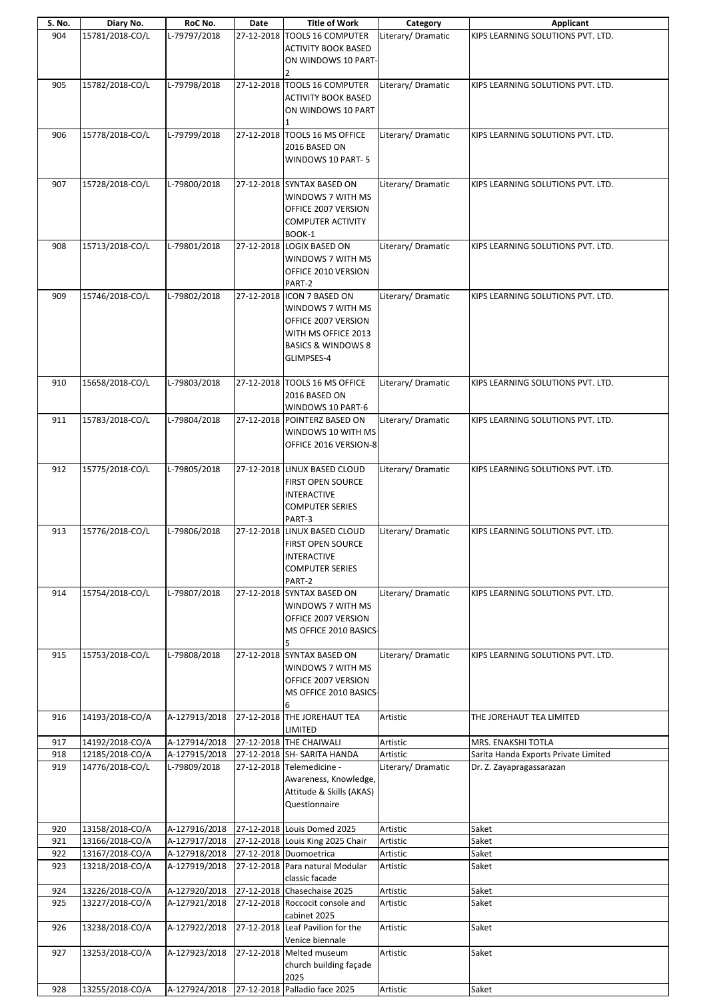| S. No.     | Diary No.                          | RoC No.                        | Date | <b>Title of Work</b>                                                                                                                         | Category             | <b>Applicant</b>                     |
|------------|------------------------------------|--------------------------------|------|----------------------------------------------------------------------------------------------------------------------------------------------|----------------------|--------------------------------------|
| 904        | 15781/2018-CO/L                    | L-79797/2018                   |      | 27-12-2018 TOOLS 16 COMPUTER<br><b>ACTIVITY BOOK BASED</b><br>ON WINDOWS 10 PART-                                                            | Literary/Dramatic    | KIPS LEARNING SOLUTIONS PVT. LTD.    |
| 905        | 15782/2018-CO/L                    | L-79798/2018                   |      | 27-12-2018 TOOLS 16 COMPUTER<br><b>ACTIVITY BOOK BASED</b><br>ON WINDOWS 10 PART                                                             | Literary/ Dramatic   | KIPS LEARNING SOLUTIONS PVT. LTD.    |
| 906        | 15778/2018-CO/L                    | L-79799/2018                   |      | 27-12-2018 TOOLS 16 MS OFFICE<br>2016 BASED ON<br>WINDOWS 10 PART-5                                                                          | Literary/Dramatic    | KIPS LEARNING SOLUTIONS PVT. LTD.    |
| 907        | 15728/2018-CO/L                    | L-79800/2018                   |      | 27-12-2018 SYNTAX BASED ON<br>WINDOWS 7 WITH MS<br>OFFICE 2007 VERSION<br><b>COMPUTER ACTIVITY</b><br>BOOK-1                                 | Literary/Dramatic    | KIPS LEARNING SOLUTIONS PVT. LTD.    |
| 908        | 15713/2018-CO/L                    | L-79801/2018                   |      | 27-12-2018 LOGIX BASED ON<br>WINDOWS 7 WITH MS<br>OFFICE 2010 VERSION<br>PART-2                                                              | Literary/Dramatic    | KIPS LEARNING SOLUTIONS PVT. LTD.    |
| 909        | 15746/2018-CO/L                    | L-79802/2018                   |      | 27-12-2018 ICON 7 BASED ON<br>WINDOWS 7 WITH MS<br>OFFICE 2007 VERSION<br>WITH MS OFFICE 2013<br><b>BASICS &amp; WINDOWS 8</b><br>GLIMPSES-4 | Literary/Dramatic    | KIPS LEARNING SOLUTIONS PVT. LTD.    |
| 910        | 15658/2018-CO/L                    | L-79803/2018                   |      | 27-12-2018 TOOLS 16 MS OFFICE<br>2016 BASED ON<br>WINDOWS 10 PART-6                                                                          | Literary/Dramatic    | KIPS LEARNING SOLUTIONS PVT. LTD.    |
| 911        | 15783/2018-CO/L                    | L-79804/2018                   |      | 27-12-2018 POINTERZ BASED ON<br>WINDOWS 10 WITH MS<br>OFFICE 2016 VERSION-8                                                                  | Literary/Dramatic    | KIPS LEARNING SOLUTIONS PVT. LTD.    |
| 912        | 15775/2018-CO/L                    | L-79805/2018                   |      | 27-12-2018 LINUX BASED CLOUD<br>FIRST OPEN SOURCE<br><b>INTERACTIVE</b><br><b>COMPUTER SERIES</b><br>PART-3                                  | Literary/Dramatic    | KIPS LEARNING SOLUTIONS PVT. LTD.    |
| 913        | 15776/2018-CO/L                    | L-79806/2018                   |      | 27-12-2018 LINUX BASED CLOUD<br><b>FIRST OPEN SOURCE</b><br><b>INTERACTIVE</b><br><b>COMPUTER SERIES</b><br>PART-2                           | Literary/Dramatic    | KIPS LEARNING SOLUTIONS PVT. LTD.    |
| 914        | 15754/2018-CO/L                    | L-79807/2018                   |      | 27-12-2018 SYNTAX BASED ON<br>WINDOWS 7 WITH MS<br>OFFICE 2007 VERSION<br>MS OFFICE 2010 BASICS-<br>5                                        | Literary/Dramatic    | KIPS LEARNING SOLUTIONS PVT. LTD.    |
| 915        | 15753/2018-CO/L                    | L-79808/2018                   |      | 27-12-2018 SYNTAX BASED ON<br>WINDOWS 7 WITH MS<br>OFFICE 2007 VERSION<br>MS OFFICE 2010 BASICS-<br>6                                        | Literary/Dramatic    | KIPS LEARNING SOLUTIONS PVT. LTD.    |
| 916        | 14193/2018-CO/A                    | A-127913/2018                  |      | 27-12-2018 THE JOREHAUT TEA<br>LIMITED                                                                                                       | Artistic             | THE JOREHAUT TEA LIMITED             |
| 917        | 14192/2018-CO/A                    | A-127914/2018                  |      | 27-12-2018 THE CHAIWALI                                                                                                                      | Artistic             | MRS. ENAKSHI TOTLA                   |
| 918        | 12185/2018-CO/A                    | A-127915/2018                  |      | 27-12-2018 SH- SARITA HANDA                                                                                                                  | Artistic             | Sarita Handa Exports Private Limited |
| 919        | 14776/2018-CO/L                    | L-79809/2018                   |      | 27-12-2018 Telemedicine -<br>Awareness, Knowledge,<br>Attitude & Skills (AKAS)<br>Questionnaire                                              | Literary/Dramatic    | Dr. Z. Zayapragassarazan             |
| 920        | 13158/2018-CO/A                    | A-127916/2018                  |      | 27-12-2018 Louis Domed 2025                                                                                                                  | Artistic             | Saket                                |
| 921<br>922 | 13166/2018-CO/A<br>13167/2018-CO/A | A-127917/2018<br>A-127918/2018 |      | 27-12-2018 Louis King 2025 Chair<br>27-12-2018 Duomoetrica                                                                                   | Artistic<br>Artistic | Saket<br>Saket                       |
| 923        | 13218/2018-CO/A                    | A-127919/2018                  |      | 27-12-2018 Para natural Modular<br>classic facade                                                                                            | Artistic             | Saket                                |
| 924        | 13226/2018-CO/A                    | A-127920/2018                  |      | 27-12-2018 Chasechaise 2025                                                                                                                  | Artistic             | Saket                                |
| 925        | 13227/2018-CO/A                    | A-127921/2018                  |      | 27-12-2018 Roccocit console and<br>cabinet 2025                                                                                              | Artistic             | Saket                                |
| 926<br>927 | 13238/2018-CO/A<br>13253/2018-CO/A | A-127922/2018<br>A-127923/2018 |      | 27-12-2018 Leaf Pavilion for the<br>Venice biennale<br>27-12-2018 Melted museum                                                              | Artistic<br>Artistic | Saket<br>Saket                       |
|            |                                    |                                |      | church building façade<br>2025                                                                                                               |                      |                                      |
| 928        | 13255/2018-CO/A                    | A-127924/2018                  |      | 27-12-2018 Palladio face 2025                                                                                                                | Artistic             | Saket                                |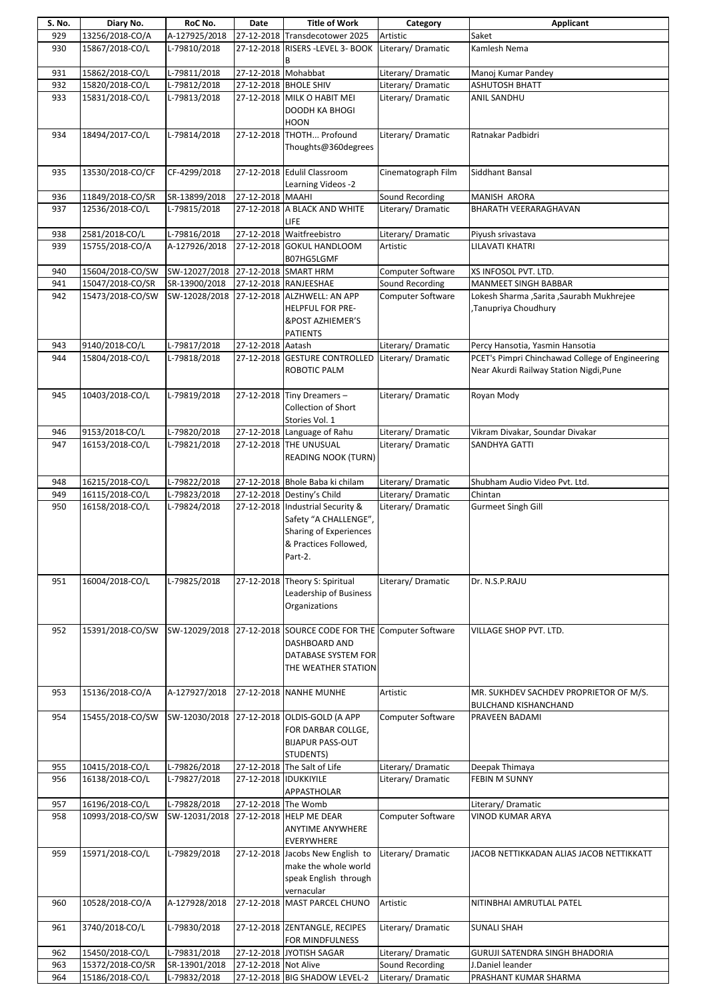| S. No. | Diary No.        | RoC No.                            | Date                  | <b>Title of Work</b>                                                                                                                 | Category                 | Applicant                                                             |
|--------|------------------|------------------------------------|-----------------------|--------------------------------------------------------------------------------------------------------------------------------------|--------------------------|-----------------------------------------------------------------------|
| 929    | 13256/2018-CO/A  | A-127925/2018                      |                       | 27-12-2018 Transdecotower 2025                                                                                                       | Artistic                 | Saket                                                                 |
| 930    | 15867/2018-CO/L  | L-79810/2018                       |                       | 27-12-2018 RISERS -LEVEL 3- BOOK                                                                                                     | Literary/Dramatic        | Kamlesh Nema                                                          |
| 931    | 15862/2018-CO/L  | L-79811/2018                       | 27-12-2018 Mohabbat   |                                                                                                                                      | Literary/Dramatic        | Manoj Kumar Pandey                                                    |
| 932    | 15820/2018-CO/L  | L-79812/2018                       |                       | 27-12-2018 BHOLE SHIV                                                                                                                | Literary/ Dramatic       | <b>ASHUTOSH BHATT</b>                                                 |
| 933    | 15831/2018-CO/L  | L-79813/2018                       |                       | 27-12-2018 MILK O HABIT MEI                                                                                                          | Literary/ Dramatic       | ANIL SANDHU                                                           |
|        |                  |                                    |                       | DOODH KA BHOGI<br><b>HOON</b>                                                                                                        |                          |                                                                       |
| 934    | 18494/2017-CO/L  | L-79814/2018                       | 27-12-2018            | THOTH Profound<br>Thoughts@360degrees                                                                                                | Literary/Dramatic        | Ratnakar Padbidri                                                     |
| 935    | 13530/2018-CO/CF | CF-4299/2018                       |                       | 27-12-2018 Edulil Classroom<br>Learning Videos -2                                                                                    | Cinematograph Film       | Siddhant Bansal                                                       |
| 936    | 11849/2018-CO/SR | SR-13899/2018                      | 27-12-2018 MAAHI      |                                                                                                                                      | Sound Recording          | MANISH ARORA                                                          |
| 937    | 12536/2018-CO/L  | L-79815/2018                       |                       | 27-12-2018 A BLACK AND WHITE                                                                                                         | Literary/Dramatic        | <b>BHARATH VEERARAGHAVAN</b>                                          |
|        |                  |                                    |                       | LIFE                                                                                                                                 |                          |                                                                       |
| 938    | 2581/2018-CO/L   | L-79816/2018                       |                       | 27-12-2018 Waitfreebistro                                                                                                            | Literary/Dramatic        | Piyush srivastava                                                     |
| 939    | 15755/2018-CO/A  | A-127926/2018                      |                       | 27-12-2018 GOKUL HANDLOOM<br>B07HG5LGMF                                                                                              | Artistic                 | LILAVATI KHATRI                                                       |
| 940    | 15604/2018-CO/SW | SW-12027/2018 27-12-2018 SMART HRM |                       |                                                                                                                                      | <b>Computer Software</b> | XS INFOSOL PVT. LTD.                                                  |
| 941    | 15047/2018-CO/SR | SR-13900/2018                      |                       | 27-12-2018 RANJEESHAE                                                                                                                | Sound Recording          | MANMEET SINGH BABBAR                                                  |
| 942    | 15473/2018-CO/SW |                                    |                       | SW-12028/2018 27-12-2018 ALZHWELL: AN APP                                                                                            | Computer Software        | Lokesh Sharma , Sarita , Saurabh Mukhrejee                            |
|        |                  |                                    |                       | HELPFUL FOR PRE-<br><b>&amp;POST AZHIEMER'S</b><br><b>PATIENTS</b>                                                                   |                          | Tanupriya Choudhury,                                                  |
| 943    | 9140/2018-CO/L   | L-79817/2018                       | 27-12-2018 Aatash     |                                                                                                                                      | Literary/Dramatic        | Percy Hansotia, Yasmin Hansotia                                       |
| 944    | 15804/2018-CO/L  | L-79818/2018                       |                       | 27-12-2018 GESTURE CONTROLLED                                                                                                        | Literary/Dramatic        | PCET's Pimpri Chinchawad College of Engineering                       |
|        |                  |                                    |                       | ROBOTIC PALM                                                                                                                         |                          | Near Akurdi Railway Station Nigdi, Pune                               |
| 945    | 10403/2018-CO/L  | L-79819/2018                       |                       | 27-12-2018 Tiny Dreamers -<br><b>Collection of Short</b><br>Stories Vol. 1                                                           | Literary/Dramatic        | Royan Mody                                                            |
| 946    | 9153/2018-CO/L   | L-79820/2018                       |                       | 27-12-2018 Language of Rahu                                                                                                          | Literary/Dramatic        | Vikram Divakar, Soundar Divakar                                       |
| 947    | 16153/2018-CO/L  | L-79821/2018                       |                       | 27-12-2018 THE UNUSUAL<br><b>READING NOOK (TURN)</b>                                                                                 | Literary/Dramatic        | SANDHYA GATTI                                                         |
| 948    | 16215/2018-CO/L  | L-79822/2018                       |                       | 27-12-2018 Bhole Baba ki chilam                                                                                                      | Literary/Dramatic        | Shubham Audio Video Pvt. Ltd.                                         |
| 949    | 16115/2018-CO/L  | L-79823/2018                       |                       | 27-12-2018 Destiny's Child                                                                                                           | Literary/Dramatic        | Chintan                                                               |
| 950    | 16158/2018-CO/L  | L-79824/2018                       |                       | 27-12-2018 Industrial Security &<br>Safety "A CHALLENGE",<br>Sharing of Experiences<br>& Practices Followed,<br>Part-2.              | Literary/ Dramatic       | <b>Gurmeet Singh Gill</b>                                             |
| 951    | 16004/2018-CO/L  | L-79825/2018                       |                       | 27-12-2018 Theory S: Spiritual<br>Leadership of Business<br>Organizations                                                            | Literary/Dramatic        | Dr. N.S.P.RAJU                                                        |
| 952    | 15391/2018-CO/SW |                                    |                       | SW-12029/2018 27-12-2018 SOURCE CODE FOR THE Computer Software<br><b>DASHBOARD AND</b><br>DATABASE SYSTEM FOR<br>THE WEATHER STATION |                          | VILLAGE SHOP PVT. LTD.                                                |
| 953    | 15136/2018-CO/A  | A-127927/2018                      |                       | 27-12-2018 NANHE MUNHE                                                                                                               | Artistic                 | MR. SUKHDEV SACHDEV PROPRIETOR OF M/S.<br><b>BULCHAND KISHANCHAND</b> |
| 954    | 15455/2018-CO/SW |                                    |                       | SW-12030/2018 27-12-2018 OLDIS-GOLD (A APP<br>FOR DARBAR COLLGE,<br><b>BIJAPUR PASS-OUT</b><br>STUDENTS)                             | Computer Software        | PRAVEEN BADAMI                                                        |
| 955    | 10415/2018-CO/L  | L-79826/2018                       |                       | 27-12-2018 The Salt of Life                                                                                                          | Literary/Dramatic        | Deepak Thimaya                                                        |
| 956    | 16138/2018-CO/L  | L-79827/2018                       | 27-12-2018 IDUKKIYILE |                                                                                                                                      | Literary/Dramatic        | <b>FEBIN M SUNNY</b>                                                  |
|        |                  |                                    |                       | APPASTHOLAR                                                                                                                          |                          |                                                                       |
| 957    | 16196/2018-CO/L  | L-79828/2018                       | 27-12-2018 The Womb   |                                                                                                                                      |                          | Literary/Dramatic                                                     |
| 958    | 10993/2018-CO/SW | SW-12031/2018                      |                       | 27-12-2018 HELP ME DEAR                                                                                                              | Computer Software        | VINOD KUMAR ARYA                                                      |
|        |                  |                                    |                       | ANYTIME ANYWHERE<br>EVERYWHERE                                                                                                       |                          |                                                                       |
| 959    | 15971/2018-CO/L  | L-79829/2018                       |                       | 27-12-2018 Jacobs New English to<br>make the whole world<br>speak English through<br>vernacular                                      | Literary/Dramatic        | JACOB NETTIKKADAN ALIAS JACOB NETTIKKATT                              |
| 960    | 10528/2018-CO/A  | A-127928/2018                      |                       | 27-12-2018 MAST PARCEL CHUNO                                                                                                         | Artistic                 | NITINBHAI AMRUTLAL PATEL                                              |
| 961    | 3740/2018-CO/L   | L-79830/2018                       |                       | 27-12-2018 ZENTANGLE, RECIPES                                                                                                        | Literary/Dramatic        | <b>SUNALI SHAH</b>                                                    |
|        |                  |                                    |                       | FOR MINDFULNESS                                                                                                                      |                          |                                                                       |
| 962    | 15450/2018-CO/L  | L-79831/2018                       |                       | 27-12-2018 JYOTISH SAGAR                                                                                                             | Literary/Dramatic        | GURUJI SATENDRA SINGH BHADORIA                                        |
| 963    | 15372/2018-CO/SR | SR-13901/2018                      | 27-12-2018 Not Alive  |                                                                                                                                      | Sound Recording          | J.Daniel leander                                                      |
| 964    | 15186/2018-CO/L  | L-79832/2018                       |                       | 27-12-2018 BIG SHADOW LEVEL-2                                                                                                        | Literary/Dramatic        | PRASHANT KUMAR SHARMA                                                 |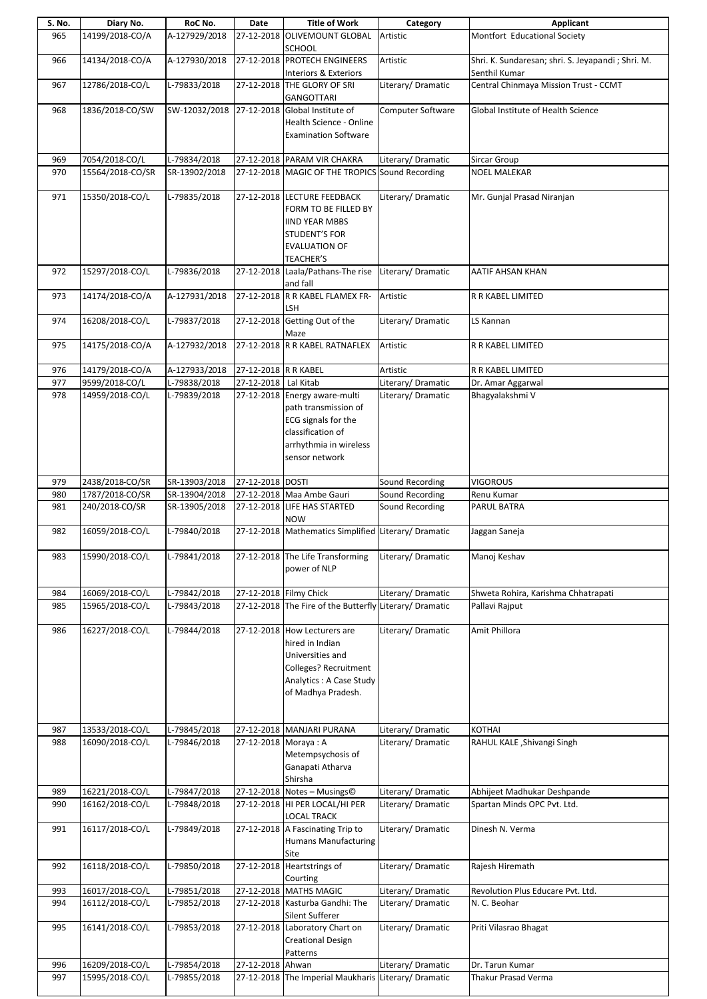| S. No. | Diary No.        | RoC No.       | Date                   | <b>Title of Work</b>                                                                                                                          | Category           | Applicant                                                          |
|--------|------------------|---------------|------------------------|-----------------------------------------------------------------------------------------------------------------------------------------------|--------------------|--------------------------------------------------------------------|
| 965    | 14199/2018-CO/A  | A-127929/2018 | 27-12-2018             | <b>OLIVEMOUNT GLOBAL</b><br>SCHOOL                                                                                                            | Artistic           | Montfort Educational Society                                       |
| 966    | 14134/2018-CO/A  | A-127930/2018 |                        | 27-12-2018 PROTECH ENGINEERS                                                                                                                  | Artistic           | Shri. K. Sundaresan; shri. S. Jeyapandi; Shri. M.<br>Senthil Kumar |
| 967    | 12786/2018-CO/L  | L-79833/2018  |                        | Interiors & Exteriors<br>27-12-2018 THE GLORY OF SRI                                                                                          | Literary/Dramatic  | Central Chinmaya Mission Trust - CCMT                              |
| 968    | 1836/2018-CO/SW  | SW-12032/2018 |                        | <b>GANGOTTARI</b><br>27-12-2018 Global Institute of                                                                                           | Computer Software  | Global Institute of Health Science                                 |
|        |                  |               |                        | Health Science - Online<br><b>Examination Software</b>                                                                                        |                    |                                                                    |
| 969    | 7054/2018-CO/L   | L-79834/2018  |                        | 27-12-2018 PARAM VIR CHAKRA                                                                                                                   | Literary/Dramatic  | Sircar Group                                                       |
| 970    | 15564/2018-CO/SR | SR-13902/2018 |                        | 27-12-2018 MAGIC OF THE TROPICS Sound Recording                                                                                               |                    | <b>NOEL MALEKAR</b>                                                |
| 971    | 15350/2018-CO/L  | L-79835/2018  |                        | 27-12-2018 LECTURE FEEDBACK<br>FORM TO BE FILLED BY<br><b>IIND YEAR MBBS</b><br>STUDENT'S FOR<br><b>EVALUATION OF</b><br><b>TEACHER'S</b>     | Literary/Dramatic  | Mr. Gunjal Prasad Niranjan                                         |
| 972    | 15297/2018-CO/L  | L-79836/2018  |                        | 27-12-2018 Laala/Pathans-The rise<br>and fall                                                                                                 | Literary/Dramatic  | AATIF AHSAN KHAN                                                   |
| 973    | 14174/2018-CO/A  | A-127931/2018 |                        | 27-12-2018 R R KABEL FLAMEX FR-<br>LSH                                                                                                        | Artistic           | R R KABEL LIMITED                                                  |
| 974    | 16208/2018-CO/L  | L-79837/2018  |                        | 27-12-2018 Getting Out of the<br>Maze                                                                                                         | Literary/Dramatic  | LS Kannan                                                          |
| 975    | 14175/2018-CO/A  | A-127932/2018 |                        | 27-12-2018 R R KABEL RATNAFLEX                                                                                                                | Artistic           | <b>R R KABEL LIMITED</b>                                           |
| 976    | 14179/2018-CO/A  | A-127933/2018 | 27-12-2018 R R KABEL   |                                                                                                                                               | Artistic           | R R KABEL LIMITED                                                  |
| 977    | 9599/2018-CO/L   | L-79838/2018  | 27-12-2018   Lal Kitab |                                                                                                                                               | Literary/Dramatic  | Dr. Amar Aggarwal                                                  |
| 978    | 14959/2018-CO/L  | L-79839/2018  |                        | 27-12-2018 Energy aware-multi<br>path transmission of<br>ECG signals for the<br>classification of<br>arrhythmia in wireless<br>sensor network | Literary/Dramatic  | Bhagyalakshmi V                                                    |
| 979    | 2438/2018-CO/SR  | SR-13903/2018 | 27-12-2018 DOSTI       |                                                                                                                                               | Sound Recording    | <b>VIGOROUS</b>                                                    |
| 980    | 1787/2018-CO/SR  | SR-13904/2018 |                        | 27-12-2018 Maa Ambe Gauri                                                                                                                     | Sound Recording    | Renu Kumar                                                         |
| 981    | 240/2018-CO/SR   | SR-13905/2018 |                        | 27-12-2018 LIFE HAS STARTED<br><b>NOW</b>                                                                                                     | Sound Recording    | PARUL BATRA                                                        |
| 982    | 16059/2018-CO/L  | L-79840/2018  |                        | 27-12-2018 Mathematics Simplified Literary/ Dramatic                                                                                          |                    | Jaggan Saneja                                                      |
| 983    | 15990/2018-CO/L  | L-79841/2018  |                        | 27-12-2018 The Life Transforming<br>power of NLP                                                                                              | Literary/Dramatic  | Manoj Keshav                                                       |
| 984    | 16069/2018-CO/L  | L-79842/2018  | 27-12-2018 Filmy Chick |                                                                                                                                               | Literary/Dramatic  | Shweta Rohira, Karishma Chhatrapati                                |
| 985    | 15965/2018-CO/L  | L-79843/2018  |                        | 27-12-2018 The Fire of the Butterfly Literary/ Dramatic                                                                                       |                    | Pallavi Rajput                                                     |
| 986    | 16227/2018-CO/L  | L-79844/2018  |                        | 27-12-2018 How Lecturers are<br>hired in Indian<br>Universities and<br>Colleges? Recruitment<br>Analytics: A Case Study<br>of Madhya Pradesh. | Literary/Dramatic  | Amit Phillora                                                      |
| 987    | 13533/2018-CO/L  | L-79845/2018  |                        | 27-12-2018 MANJARI PURANA                                                                                                                     | Literary/Dramatic  | <b>KOTHAI</b>                                                      |
| 988    | 16090/2018-CO/L  | L-79846/2018  | 27-12-2018 Moraya: A   | Metempsychosis of<br>Ganapati Atharva<br>Shirsha                                                                                              | Literary/Dramatic  | RAHUL KALE , Shivangi Singh                                        |
| 989    | 16221/2018-CO/L  | L-79847/2018  |                        | 27-12-2018 Notes - Musings©                                                                                                                   | Literary/ Dramatic | Abhijeet Madhukar Deshpande                                        |
| 990    | 16162/2018-CO/L  | L-79848/2018  |                        | 27-12-2018 HI PER LOCAL/HI PER<br>LOCAL TRACK                                                                                                 | Literary/Dramatic  | Spartan Minds OPC Pvt. Ltd.                                        |
| 991    | 16117/2018-CO/L  | L-79849/2018  |                        | 27-12-2018 A Fascinating Trip to<br><b>Humans Manufacturing</b><br>Site                                                                       | Literary/Dramatic  | Dinesh N. Verma                                                    |
| 992    | 16118/2018-CO/L  | L-79850/2018  |                        | 27-12-2018 Heartstrings of<br>Courting                                                                                                        | Literary/Dramatic  | Rajesh Hiremath                                                    |
| 993    | 16017/2018-CO/L  | L-79851/2018  |                        | 27-12-2018 MATHS MAGIC                                                                                                                        | Literary/Dramatic  | Revolution Plus Educare Pvt. Ltd.                                  |
| 994    | 16112/2018-CO/L  | L-79852/2018  |                        | 27-12-2018 Kasturba Gandhi: The<br>Silent Sufferer                                                                                            | Literary/Dramatic  | N. C. Beohar                                                       |
| 995    | 16141/2018-CO/L  | L-79853/2018  |                        | 27-12-2018 Laboratory Chart on<br><b>Creational Design</b><br>Patterns                                                                        | Literary/Dramatic  | Priti Vilasrao Bhagat                                              |
| 996    | 16209/2018-CO/L  | L-79854/2018  | 27-12-2018 Ahwan       |                                                                                                                                               | Literary/Dramatic  | Dr. Tarun Kumar                                                    |
| 997    | 15995/2018-CO/L  | L-79855/2018  |                        | 27-12-2018 The Imperial Maukharis Literary/ Dramatic                                                                                          |                    | <b>Thakur Prasad Verma</b>                                         |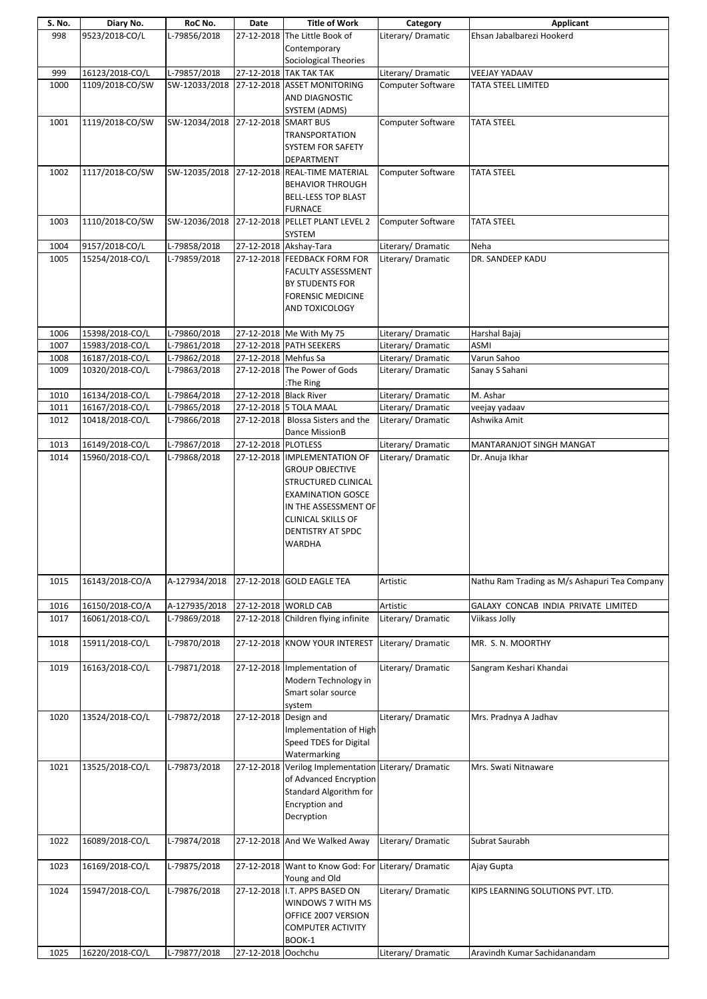| S. No. | Diary No.       | RoC No.                            | Date                   | <b>Title of Work</b>                                 | Category                 | Applicant                                     |
|--------|-----------------|------------------------------------|------------------------|------------------------------------------------------|--------------------------|-----------------------------------------------|
| 998    | 9523/2018-CO/L  | L-79856/2018                       |                        | 27-12-2018 The Little Book of                        | Literary/Dramatic        | Ehsan Jabalbarezi Hookerd                     |
|        |                 |                                    |                        | Contemporary                                         |                          |                                               |
|        |                 |                                    |                        | <b>Sociological Theories</b>                         |                          |                                               |
| 999    | 16123/2018-CO/L | L-79857/2018                       |                        | 27-12-2018 TAK TAK TAK                               | Literary/Dramatic        | <b>VEEJAY YADAAV</b>                          |
|        |                 |                                    |                        |                                                      |                          |                                               |
| 1000   | 1109/2018-CO/SW |                                    |                        | SW-12033/2018 27-12-2018 ASSET MONITORING            | Computer Software        | TATA STEEL LIMITED                            |
|        |                 |                                    |                        | AND DIAGNOSTIC                                       |                          |                                               |
|        |                 |                                    |                        | SYSTEM (ADMS)                                        |                          |                                               |
| 1001   | 1119/2018-CO/SW | SW-12034/2018 27-12-2018 SMART BUS |                        |                                                      | Computer Software        | <b>TATA STEEL</b>                             |
|        |                 |                                    |                        | TRANSPORTATION                                       |                          |                                               |
|        |                 |                                    |                        | SYSTEM FOR SAFETY                                    |                          |                                               |
|        |                 |                                    |                        | DEPARTMENT                                           |                          |                                               |
| 1002   | 1117/2018-CO/SW |                                    |                        | SW-12035/2018 27-12-2018 REAL-TIME MATERIAL          | <b>Computer Software</b> | <b>TATA STEEL</b>                             |
|        |                 |                                    |                        | <b>BEHAVIOR THROUGH</b>                              |                          |                                               |
|        |                 |                                    |                        |                                                      |                          |                                               |
|        |                 |                                    |                        | <b>BELL-LESS TOP BLAST</b>                           |                          |                                               |
|        |                 |                                    |                        | <b>FURNACE</b>                                       |                          |                                               |
| 1003   | 1110/2018-CO/SW |                                    |                        | SW-12036/2018 27-12-2018 PELLET PLANT LEVEL 2        | Computer Software        | <b>TATA STEEL</b>                             |
|        |                 |                                    |                        | SYSTEM                                               |                          |                                               |
| 1004   | 9157/2018-CO/L  | L-79858/2018                       |                        | 27-12-2018 Akshay-Tara                               | Literary/ Dramatic       | Neha                                          |
| 1005   | 15254/2018-CO/L | L-79859/2018                       |                        | 27-12-2018 FEEDBACK FORM FOR                         | Literary/ Dramatic       | DR. SANDEEP KADU                              |
|        |                 |                                    |                        | FACULTY ASSESSMENT                                   |                          |                                               |
|        |                 |                                    |                        | <b>BY STUDENTS FOR</b>                               |                          |                                               |
|        |                 |                                    |                        | <b>FORENSIC MEDICINE</b>                             |                          |                                               |
|        |                 |                                    |                        | AND TOXICOLOGY                                       |                          |                                               |
|        |                 |                                    |                        |                                                      |                          |                                               |
| 1006   | 15398/2018-CO/L | L-79860/2018                       |                        | 27-12-2018 Me With My 75                             | Literary/Dramatic        | Harshal Bajaj                                 |
| 1007   | 15983/2018-CO/L | L-79861/2018                       |                        | 27-12-2018 PATH SEEKERS                              | Literary/Dramatic        | ASMI                                          |
|        |                 |                                    |                        |                                                      |                          |                                               |
| 1008   | 16187/2018-CO/L | L-79862/2018                       | 27-12-2018 Mehfus Sa   |                                                      | Literary/ Dramatic       | Varun Sahoo                                   |
| 1009   | 10320/2018-CO/L | L-79863/2018                       |                        | 27-12-2018 The Power of Gods                         | Literary/Dramatic        | Sanay S Sahani                                |
|        |                 |                                    |                        | :The Ring                                            |                          |                                               |
| 1010   | 16134/2018-CO/L | L-79864/2018                       | 27-12-2018 Black River |                                                      | Literary/ Dramatic       | M. Ashar                                      |
| 1011   | 16167/2018-CO/L | L-79865/2018                       |                        | 27-12-2018 5 TOLA MAAL                               | Literary/Dramatic        | veejay yadaav                                 |
| 1012   | 10418/2018-CO/L | L-79866/2018                       |                        | 27-12-2018 Blossa Sisters and the                    | Literary/Dramatic        | Ashwika Amit                                  |
|        |                 |                                    |                        | Dance MissionB                                       |                          |                                               |
| 1013   | 16149/2018-CO/L | L-79867/2018                       | 27-12-2018 PLOTLESS    |                                                      | Literary/ Dramatic       | MANTARANJOT SINGH MANGAT                      |
| 1014   | 15960/2018-CO/L | L-79868/2018                       |                        | 27-12-2018 IMPLEMENTATION OF                         | Literary/Dramatic        | Dr. Anuja Ikhar                               |
|        |                 |                                    |                        | <b>GROUP OBJECTIVE</b>                               |                          |                                               |
|        |                 |                                    |                        | STRUCTURED CLINICAL                                  |                          |                                               |
|        |                 |                                    |                        | <b>EXAMINATION GOSCE</b>                             |                          |                                               |
|        |                 |                                    |                        | IN THE ASSESSMENT OF                                 |                          |                                               |
|        |                 |                                    |                        | <b>CLINICAL SKILLS OF</b>                            |                          |                                               |
|        |                 |                                    |                        |                                                      |                          |                                               |
|        |                 |                                    |                        | DENTISTRY AT SPDC                                    |                          |                                               |
|        |                 |                                    |                        | WARDHA                                               |                          |                                               |
|        |                 |                                    |                        |                                                      |                          |                                               |
|        |                 |                                    |                        |                                                      |                          |                                               |
| 1015   | 16143/2018-CO/A | A-127934/2018                      |                        | 27-12-2018 GOLD EAGLE TEA                            | Artistic                 | Nathu Ram Trading as M/s Ashapuri Tea Company |
|        |                 |                                    |                        |                                                      |                          |                                               |
| 1016   | 16150/2018-CO/A | A-127935/2018                      |                        | 27-12-2018 WORLD CAB                                 | Artistic                 | GALAXY CONCAB INDIA PRIVATE LIMITED           |
| 1017   | 16061/2018-CO/L | L-79869/2018                       |                        | 27-12-2018 Children flying infinite                  | Literary/ Dramatic       | Viikass Jolly                                 |
|        |                 |                                    |                        |                                                      |                          |                                               |
| 1018   | 15911/2018-CO/L | L-79870/2018                       |                        | 27-12-2018 KNOW YOUR INTEREST                        | Literary/Dramatic        | MR. S. N. MOORTHY                             |
|        |                 |                                    |                        |                                                      |                          |                                               |
| 1019   | 16163/2018-CO/L | L-79871/2018                       |                        | 27-12-2018 Implementation of                         | Literary/ Dramatic       | Sangram Keshari Khandai                       |
|        |                 |                                    |                        |                                                      |                          |                                               |
|        |                 |                                    |                        | Modern Technology in                                 |                          |                                               |
|        |                 |                                    |                        | Smart solar source                                   |                          |                                               |
|        |                 |                                    |                        | system                                               |                          |                                               |
| 1020   | 13524/2018-CO/L | L-79872/2018                       | 27-12-2018 Design and  |                                                      | Literary/Dramatic        | Mrs. Pradnya A Jadhav                         |
|        |                 |                                    |                        | Implementation of High                               |                          |                                               |
|        |                 |                                    |                        | Speed TDES for Digital                               |                          |                                               |
|        |                 |                                    |                        | Watermarking                                         |                          |                                               |
| 1021   | 13525/2018-CO/L | L-79873/2018                       |                        | 27-12-2018 Verilog Implementation Literary/ Dramatic |                          | Mrs. Swati Nitnaware                          |
|        |                 |                                    |                        | of Advanced Encryption                               |                          |                                               |
|        |                 |                                    |                        | <b>Standard Algorithm for</b>                        |                          |                                               |
|        |                 |                                    |                        | <b>Encryption and</b>                                |                          |                                               |
|        |                 |                                    |                        | Decryption                                           |                          |                                               |
|        |                 |                                    |                        |                                                      |                          |                                               |
| 1022   | 16089/2018-CO/L | L-79874/2018                       |                        | 27-12-2018 And We Walked Away                        | Literary/ Dramatic       | Subrat Saurabh                                |
|        |                 |                                    |                        |                                                      |                          |                                               |
|        |                 |                                    |                        |                                                      |                          |                                               |
| 1023   | 16169/2018-CO/L | L-79875/2018                       |                        | 27-12-2018 Want to Know God: For Literary/ Dramatic  |                          | Ajay Gupta                                    |
|        |                 |                                    |                        | Young and Old                                        |                          |                                               |
| 1024   | 15947/2018-CO/L | L-79876/2018                       |                        | 27-12-2018 I.T. APPS BASED ON                        | Literary/ Dramatic       | KIPS LEARNING SOLUTIONS PVT. LTD.             |
|        |                 |                                    |                        | WINDOWS 7 WITH MS                                    |                          |                                               |
|        |                 |                                    |                        | OFFICE 2007 VERSION                                  |                          |                                               |
|        |                 |                                    |                        | <b>COMPUTER ACTIVITY</b>                             |                          |                                               |
|        |                 |                                    |                        | BOOK-1                                               |                          |                                               |
| 1025   | 16220/2018-CO/L | L-79877/2018                       | 27-12-2018 Oochchu     |                                                      | Literary/Dramatic        | Aravindh Kumar Sachidanandam                  |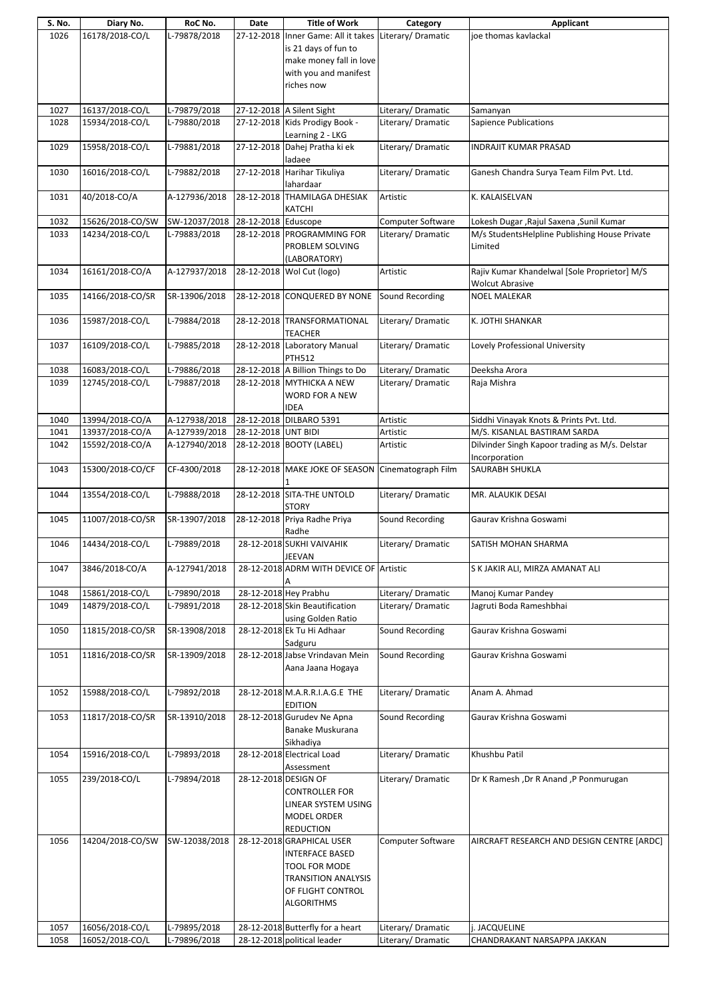| S. No. | Diary No.        | RoC No.       | Date                 | <b>Title of Work</b>                                   | Category                 | Applicant                                      |
|--------|------------------|---------------|----------------------|--------------------------------------------------------|--------------------------|------------------------------------------------|
| 1026   | 16178/2018-CO/L  | L-79878/2018  |                      | 27-12-2018 Inner Game: All it takes Literary/ Dramatic |                          | joe thomas kavlackal                           |
|        |                  |               |                      | is 21 days of fun to                                   |                          |                                                |
|        |                  |               |                      |                                                        |                          |                                                |
|        |                  |               |                      | make money fall in love                                |                          |                                                |
|        |                  |               |                      | with you and manifest                                  |                          |                                                |
|        |                  |               |                      | riches now                                             |                          |                                                |
|        |                  |               |                      |                                                        |                          |                                                |
|        |                  |               |                      |                                                        |                          |                                                |
| 1027   | 16137/2018-CO/L  | L-79879/2018  |                      | 27-12-2018 A Silent Sight                              | Literary/Dramatic        | Samanyan                                       |
| 1028   | 15934/2018-CO/L  | L-79880/2018  |                      | 27-12-2018 Kids Prodigy Book -                         | Literary/Dramatic        | <b>Sapience Publications</b>                   |
|        |                  |               |                      | Learning 2 - LKG                                       |                          |                                                |
| 1029   | 15958/2018-CO/L  | L-79881/2018  |                      | 27-12-2018 Dahej Pratha ki ek                          | Literary/Dramatic        | <b>INDRAJIT KUMAR PRASAD</b>                   |
|        |                  |               |                      |                                                        |                          |                                                |
|        |                  |               |                      | ladaee                                                 |                          |                                                |
| 1030   | 16016/2018-CO/L  | L-79882/2018  | 27-12-2018           | Harihar Tikuliya                                       | Literary/Dramatic        | Ganesh Chandra Surya Team Film Pvt. Ltd.       |
|        |                  |               |                      | lahardaar                                              |                          |                                                |
| 1031   | 40/2018-CO/A     | A-127936/2018 |                      | 28-12-2018 THAMILAGA DHESIAK                           | Artistic                 | K. KALAISELVAN                                 |
|        |                  |               |                      |                                                        |                          |                                                |
|        |                  |               |                      | KATCHI                                                 |                          |                                                |
| 1032   | 15626/2018-CO/SW | SW-12037/2018 | 28-12-2018 Eduscope  |                                                        | Computer Software        | Lokesh Dugar, Rajul Saxena, Sunil Kumar        |
| 1033   | 14234/2018-CO/L  | L-79883/2018  |                      | 28-12-2018 PROGRAMMING FOR                             | Literary/Dramatic        | M/s StudentsHelpline Publishing House Private  |
|        |                  |               |                      | PROBLEM SOLVING                                        |                          | Limited                                        |
|        |                  |               |                      |                                                        |                          |                                                |
|        |                  |               |                      | (LABORATORY)                                           |                          |                                                |
| 1034   | 16161/2018-CO/A  | A-127937/2018 |                      | 28-12-2018 Wol Cut (logo)                              | Artistic                 | Rajiv Kumar Khandelwal [Sole Proprietor] M/S   |
|        |                  |               |                      |                                                        |                          | <b>Wolcut Abrasive</b>                         |
| 1035   | 14166/2018-CO/SR | SR-13906/2018 |                      | 28-12-2018 CONQUERED BY NONE                           | Sound Recording          | <b>NOEL MALEKAR</b>                            |
|        |                  |               |                      |                                                        |                          |                                                |
|        |                  |               |                      |                                                        |                          |                                                |
| 1036   | 15987/2018-CO/L  | L-79884/2018  |                      | 28-12-2018 TRANSFORMATIONAL                            | Literary/Dramatic        | K. JOTHI SHANKAR                               |
|        |                  |               |                      | TEACHER                                                |                          |                                                |
| 1037   | 16109/2018-CO/L  | L-79885/2018  |                      | 28-12-2018 Laboratory Manual                           | Literary/ Dramatic       | Lovely Professional University                 |
|        |                  |               |                      | <b>PTH512</b>                                          |                          |                                                |
|        |                  |               |                      |                                                        |                          |                                                |
| 1038   | 16083/2018-CO/L  | L-79886/2018  |                      | 28-12-2018 A Billion Things to Do                      | Literary/Dramatic        | Deeksha Arora                                  |
| 1039   | 12745/2018-CO/L  | L-79887/2018  |                      | 28-12-2018 MYTHICKA A NEW                              | Literary/Dramatic        | Raja Mishra                                    |
|        |                  |               |                      | WORD FOR A NEW                                         |                          |                                                |
|        |                  |               |                      | <b>IDEA</b>                                            |                          |                                                |
|        |                  |               |                      |                                                        |                          |                                                |
| 1040   | 13994/2018-CO/A  | A-127938/2018 |                      | 28-12-2018 DILBARO 5391                                | Artistic                 | Siddhi Vinayak Knots & Prints Pvt. Ltd.        |
| 1041   | 13937/2018-CO/A  | A-127939/2018 | 28-12-2018 UNT BIDI  |                                                        | Artistic                 | M/S. KISANLAL BASTIRAM SARDA                   |
| 1042   | 15592/2018-CO/A  | A-127940/2018 |                      | 28-12-2018 BOOTY (LABEL)                               | Artistic                 | Dilvinder Singh Kapoor trading as M/s. Delstar |
|        |                  |               |                      |                                                        |                          | Incorporation                                  |
|        |                  |               |                      |                                                        |                          |                                                |
| 1043   | 15300/2018-CO/CF | CF-4300/2018  |                      | 28-12-2018 MAKE JOKE OF SEASON                         | Cinematograph Film       | SAURABH SHUKLA                                 |
|        |                  |               |                      |                                                        |                          |                                                |
| 1044   | 13554/2018-CO/L  | L-79888/2018  |                      | 28-12-2018 SITA-THE UNTOLD                             | Literary/Dramatic        | MR. ALAUKIK DESAI                              |
|        |                  |               |                      | <b>STORY</b>                                           |                          |                                                |
| 1045   | 11007/2018-CO/SR | SR-13907/2018 |                      | 28-12-2018 Priya Radhe Priya                           | Sound Recording          | Gaurav Krishna Goswami                         |
|        |                  |               |                      |                                                        |                          |                                                |
|        |                  |               |                      | Radhe                                                  |                          |                                                |
| 1046   | 14434/2018-CO/L  | L-79889/2018  |                      | 28-12-2018 SUKHI VAIVAHIK                              | Literary/Dramatic        | SATISH MOHAN SHARMA                            |
|        |                  |               |                      | <b>JEEVAN</b>                                          |                          |                                                |
| 1047   | 3846/2018-CO/A   | A-127941/2018 |                      | 28-12-2018 ADRM WITH DEVICE OF Artistic                |                          | S K JAKIR ALI, MIRZA AMANAT ALI                |
|        |                  |               |                      |                                                        |                          |                                                |
|        |                  |               |                      |                                                        |                          |                                                |
| 1048   | 15861/2018-CO/L  | L-79890/2018  |                      | 28-12-2018 Hey Prabhu                                  | Literary/ Dramatic       | Manoj Kumar Pandey                             |
| 1049   | 14879/2018-CO/L  | L-79891/2018  |                      | 28-12-2018 Skin Beautification                         | Literary/Dramatic        | Jagruti Boda Rameshbhai                        |
|        |                  |               |                      | using Golden Ratio                                     |                          |                                                |
|        |                  |               |                      |                                                        |                          |                                                |
| 1050   | 11815/2018-CO/SR | SR-13908/2018 |                      | 28-12-2018 Ek Tu Hi Adhaar                             | Sound Recording          | Gaurav Krishna Goswami                         |
|        |                  |               |                      | Sadguru                                                |                          |                                                |
| 1051   | 11816/2018-CO/SR | SR-13909/2018 |                      | 28-12-2018 Jabse Vrindavan Mein                        | Sound Recording          | Gaurav Krishna Goswami                         |
|        |                  |               |                      | Aana Jaana Hogaya                                      |                          |                                                |
|        |                  |               |                      |                                                        |                          |                                                |
|        |                  |               |                      |                                                        |                          |                                                |
| 1052   | 15988/2018-CO/L  | L-79892/2018  |                      | 28-12-2018 M.A.R.R.I.A.G.E THE                         | Literary/Dramatic        | Anam A. Ahmad                                  |
|        |                  |               |                      | <b>EDITION</b>                                         |                          |                                                |
| 1053   | 11817/2018-CO/SR | SR-13910/2018 |                      | 28-12-2018 Gurudev Ne Apna                             | Sound Recording          | Gaurav Krishna Goswami                         |
|        |                  |               |                      | Banake Muskurana                                       |                          |                                                |
|        |                  |               |                      |                                                        |                          |                                                |
|        |                  |               |                      | Sikhadiya                                              |                          |                                                |
| 1054   | 15916/2018-CO/L  | L-79893/2018  |                      | 28-12-2018 Electrical Load                             | Literary/Dramatic        | Khushbu Patil                                  |
|        |                  |               |                      | Assessment                                             |                          |                                                |
| 1055   | 239/2018-CO/L    | L-79894/2018  | 28-12-2018 DESIGN OF |                                                        | Literary/Dramatic        | Dr K Ramesh, Dr R Anand, P Ponmurugan          |
|        |                  |               |                      |                                                        |                          |                                                |
|        |                  |               |                      | <b>CONTROLLER FOR</b>                                  |                          |                                                |
|        |                  |               |                      | LINEAR SYSTEM USING                                    |                          |                                                |
|        |                  |               |                      | MODEL ORDER                                            |                          |                                                |
|        |                  |               |                      | <b>REDUCTION</b>                                       |                          |                                                |
|        | 14204/2018-CO/SW | SW-12038/2018 |                      |                                                        |                          | AIRCRAFT RESEARCH AND DESIGN CENTRE [ARDC]     |
| 1056   |                  |               |                      | 28-12-2018 GRAPHICAL USER                              | <b>Computer Software</b> |                                                |
|        |                  |               |                      | INTERFACE BASED                                        |                          |                                                |
|        |                  |               |                      | TOOL FOR MODE                                          |                          |                                                |
|        |                  |               |                      | <b>TRANSITION ANALYSIS</b>                             |                          |                                                |
|        |                  |               |                      |                                                        |                          |                                                |
|        |                  |               |                      | OF FLIGHT CONTROL                                      |                          |                                                |
|        |                  |               |                      | <b>ALGORITHMS</b>                                      |                          |                                                |
|        |                  |               |                      |                                                        |                          |                                                |
| 1057   | 16056/2018-CO/L  | L-79895/2018  |                      | 28-12-2018 Butterfly for a heart                       | Literary/Dramatic        | j. JACQUELINE                                  |
| 1058   | 16052/2018-CO/L  | L-79896/2018  |                      | 28-12-2018 political leader                            | Literary/Dramatic        | CHANDRAKANT NARSAPPA JAKKAN                    |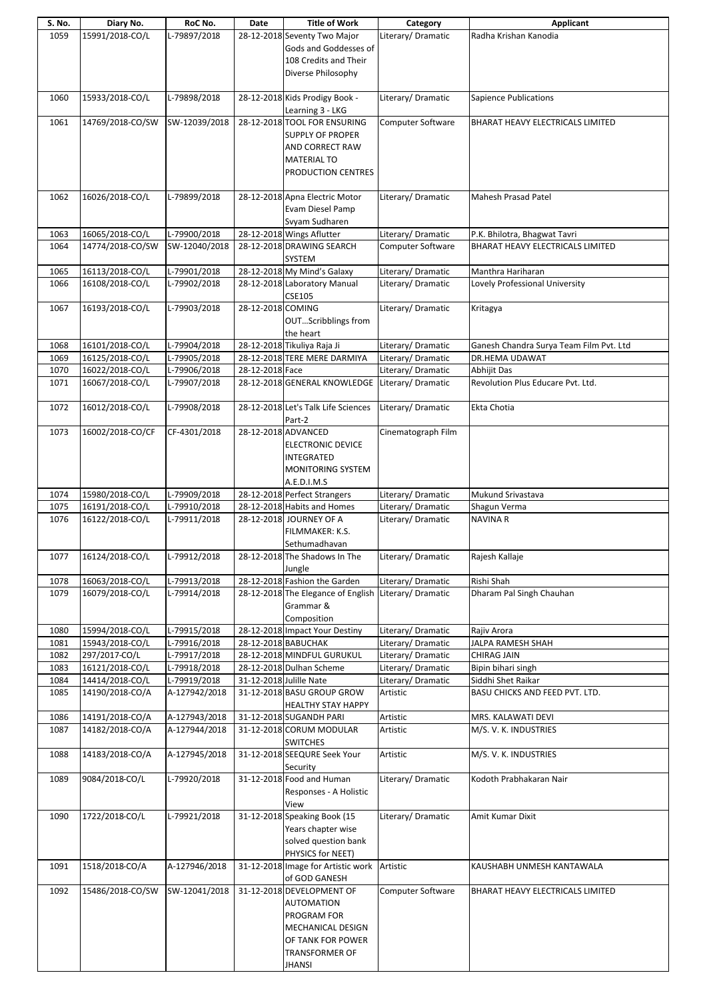| S. No. | Diary No.        | RoC No.       | Date              | <b>Title of Work</b>                                  | Category                 | Applicant                               |
|--------|------------------|---------------|-------------------|-------------------------------------------------------|--------------------------|-----------------------------------------|
| 1059   | 15991/2018-CO/L  | L-79897/2018  |                   | 28-12-2018 Seventy Two Major                          | Literary/Dramatic        | Radha Krishan Kanodia                   |
|        |                  |               |                   | Gods and Goddesses of                                 |                          |                                         |
|        |                  |               |                   | 108 Credits and Their                                 |                          |                                         |
|        |                  |               |                   | Diverse Philosophy                                    |                          |                                         |
|        |                  |               |                   |                                                       |                          |                                         |
| 1060   | 15933/2018-CO/L  | L-79898/2018  |                   | 28-12-2018 Kids Prodigy Book -                        | Literary/Dramatic        | Sapience Publications                   |
|        |                  |               |                   | Learning 3 - LKG                                      |                          |                                         |
| 1061   | 14769/2018-CO/SW | SW-12039/2018 |                   | 28-12-2018 TOOL FOR ENSURING                          | Computer Software        | BHARAT HEAVY ELECTRICALS LIMITED        |
|        |                  |               |                   | <b>SUPPLY OF PROPER</b>                               |                          |                                         |
|        |                  |               |                   | AND CORRECT RAW                                       |                          |                                         |
|        |                  |               |                   | <b>MATERIAL TO</b>                                    |                          |                                         |
|        |                  |               |                   | PRODUCTION CENTRES                                    |                          |                                         |
|        |                  |               |                   |                                                       |                          |                                         |
| 1062   | 16026/2018-CO/L  | L-79899/2018  |                   | 28-12-2018 Apna Electric Motor                        | Literary/Dramatic        | <b>Mahesh Prasad Patel</b>              |
|        |                  |               |                   | Evam Diesel Pamp                                      |                          |                                         |
|        |                  |               |                   | Svyam Sudharen                                        |                          |                                         |
| 1063   | 16065/2018-CO/L  | L-79900/2018  |                   | 28-12-2018 Wings Aflutter                             | Literary/Dramatic        | P.K. Bhilotra, Bhagwat Tavri            |
| 1064   | 14774/2018-CO/SW | SW-12040/2018 |                   | 28-12-2018 DRAWING SEARCH                             | Computer Software        | BHARAT HEAVY ELECTRICALS LIMITED        |
|        |                  |               |                   | SYSTEM                                                |                          |                                         |
| 1065   | 16113/2018-CO/L  | L-79901/2018  |                   | 28-12-2018 My Mind's Galaxy                           | Literary/ Dramatic       | Manthra Hariharan                       |
| 1066   | 16108/2018-CO/L  | L-79902/2018  |                   | 28-12-2018 Laboratory Manual                          | Literary/ Dramatic       | Lovely Professional University          |
|        |                  |               |                   | <b>CSE105</b>                                         |                          |                                         |
|        | 16193/2018-CO/L  | L-79903/2018  | 28-12-2018 COMING |                                                       | Literary/Dramatic        |                                         |
| 1067   |                  |               |                   |                                                       |                          | Kritagya                                |
|        |                  |               |                   | OUTScribblings from                                   |                          |                                         |
|        |                  |               |                   | the heart                                             |                          |                                         |
| 1068   | 16101/2018-CO/L  | L-79904/2018  |                   | 28-12-2018 Tikuliya Raja Ji                           | Literary/ Dramatic       | Ganesh Chandra Surya Team Film Pvt. Ltd |
| 1069   | 16125/2018-CO/L  | L-79905/2018  |                   | 28-12-2018 TERE MERE DARMIYA                          | Literary/ Dramatic       | DR.HEMA UDAWAT                          |
| 1070   | 16022/2018-CO/L  | L-79906/2018  | 28-12-2018 Face   |                                                       | Literary/Dramatic        | Abhijit Das                             |
| 1071   | 16067/2018-CO/L  | L-79907/2018  |                   | 28-12-2018 GENERAL KNOWLEDGE                          | Literary/Dramatic        | Revolution Plus Educare Pvt. Ltd.       |
|        |                  |               |                   |                                                       |                          |                                         |
| 1072   | 16012/2018-CO/L  | L-79908/2018  |                   | 28-12-2018 Let's Talk Life Sciences                   | Literary/Dramatic        | Ekta Chotia                             |
|        |                  |               |                   | Part-2                                                |                          |                                         |
| 1073   | 16002/2018-CO/CF | CF-4301/2018  |                   | 28-12-2018 ADVANCED                                   | Cinematograph Film       |                                         |
|        |                  |               |                   | <b>ELECTRONIC DEVICE</b>                              |                          |                                         |
|        |                  |               |                   | <b>INTEGRATED</b>                                     |                          |                                         |
|        |                  |               |                   | <b>MONITORING SYSTEM</b>                              |                          |                                         |
|        |                  |               |                   | A.E.D.I.M.S                                           |                          |                                         |
| 1074   | 15980/2018-CO/L  | L-79909/2018  |                   | 28-12-2018 Perfect Strangers                          | Literary/Dramatic        | Mukund Srivastava                       |
| 1075   | 16191/2018-CO/L  | L-79910/2018  |                   | 28-12-2018 Habits and Homes                           | Literary/Dramatic        | Shagun Verma                            |
| 1076   | 16122/2018-CO/L  | L-79911/2018  |                   | 28-12-2018 JOURNEY OF A                               | Literary/Dramatic        | <b>NAVINA R</b>                         |
|        |                  |               |                   | FILMMAKER: K.S.                                       |                          |                                         |
|        |                  |               |                   | Sethumadhavan                                         |                          |                                         |
| 1077   | 16124/2018-CO/L  | L-79912/2018  |                   | 28-12-2018 The Shadows In The                         | Literary/Dramatic        | Rajesh Kallaje                          |
|        |                  |               |                   | Jungle                                                |                          |                                         |
| 1078   | 16063/2018-CO/L  | L-79913/2018  |                   | 28-12-2018 Fashion the Garden                         | Literary/Dramatic        | Rishi Shah                              |
| 1079   | 16079/2018-CO/L  | L-79914/2018  |                   | 28-12-2018 The Elegance of English Literary/ Dramatic |                          | Dharam Pal Singh Chauhan                |
|        |                  |               |                   | Grammar &                                             |                          |                                         |
|        |                  |               |                   | Composition                                           |                          |                                         |
| 1080   | 15994/2018-CO/L  | L-79915/2018  |                   | 28-12-2018 Impact Your Destiny                        | Literary/Dramatic        | Rajiv Arora                             |
| 1081   | 15943/2018-CO/L  | L-79916/2018  |                   | 28-12-2018 BABUCHAK                                   | Literary/Dramatic        | JALPA RAMESH SHAH                       |
| 1082   | 297/2017-CO/L    | L-79917/2018  |                   | 28-12-2018 MINDFUL GURUKUL                            | Literary/Dramatic        | CHIRAG JAIN                             |
| 1083   | 16121/2018-CO/L  | L-79918/2018  |                   | 28-12-2018 Dulhan Scheme                              | Literary/Dramatic        | Bipin bihari singh                      |
| 1084   | 14414/2018-CO/L  | L-79919/2018  |                   | 31-12-2018 Julille Nate                               | Literary/ Dramatic       | Siddhi Shet Raikar                      |
| 1085   | 14190/2018-CO/A  | A-127942/2018 |                   | 31-12-2018 BASU GROUP GROW                            | Artistic                 | BASU CHICKS AND FEED PVT. LTD.          |
|        |                  |               |                   | <b>HEALTHY STAY HAPPY</b>                             |                          |                                         |
| 1086   | 14191/2018-CO/A  | A-127943/2018 |                   | 31-12-2018 SUGANDH PARI                               | Artistic                 | MRS. KALAWATI DEVI                      |
| 1087   | 14182/2018-CO/A  | A-127944/2018 |                   | 31-12-2018 CORUM MODULAR                              | Artistic                 | M/S.V.K. INDUSTRIES                     |
|        |                  |               |                   | <b>SWITCHES</b>                                       |                          |                                         |
| 1088   | 14183/2018-CO/A  | A-127945/2018 |                   | 31-12-2018 SEEQURE Seek Your                          | Artistic                 | M/S.V.K. INDUSTRIES                     |
|        |                  |               |                   | Security                                              |                          |                                         |
| 1089   | 9084/2018-CO/L   | L-79920/2018  |                   | 31-12-2018 Food and Human                             | Literary/Dramatic        | Kodoth Prabhakaran Nair                 |
|        |                  |               |                   | Responses - A Holistic                                |                          |                                         |
|        |                  |               |                   | View                                                  |                          |                                         |
| 1090   | 1722/2018-CO/L   | L-79921/2018  |                   | 31-12-2018 Speaking Book (15                          | Literary/Dramatic        | Amit Kumar Dixit                        |
|        |                  |               |                   | Years chapter wise                                    |                          |                                         |
|        |                  |               |                   | solved question bank                                  |                          |                                         |
|        |                  |               |                   | PHYSICS for NEET)                                     |                          |                                         |
| 1091   | 1518/2018-CO/A   | A-127946/2018 |                   | 31-12-2018 Image for Artistic work                    | Artistic                 | KAUSHABH UNMESH KANTAWALA               |
|        |                  |               |                   | of GOD GANESH                                         |                          |                                         |
| 1092   | 15486/2018-CO/SW | SW-12041/2018 |                   | 31-12-2018 DEVELOPMENT OF                             | <b>Computer Software</b> | BHARAT HEAVY ELECTRICALS LIMITED        |
|        |                  |               |                   | <b>AUTOMATION</b>                                     |                          |                                         |
|        |                  |               |                   | PROGRAM FOR                                           |                          |                                         |
|        |                  |               |                   | MECHANICAL DESIGN                                     |                          |                                         |
|        |                  |               |                   |                                                       |                          |                                         |
|        |                  |               |                   | OF TANK FOR POWER                                     |                          |                                         |
|        |                  |               |                   | <b>TRANSFORMER OF</b>                                 |                          |                                         |
|        |                  |               |                   | JHANSI                                                |                          |                                         |